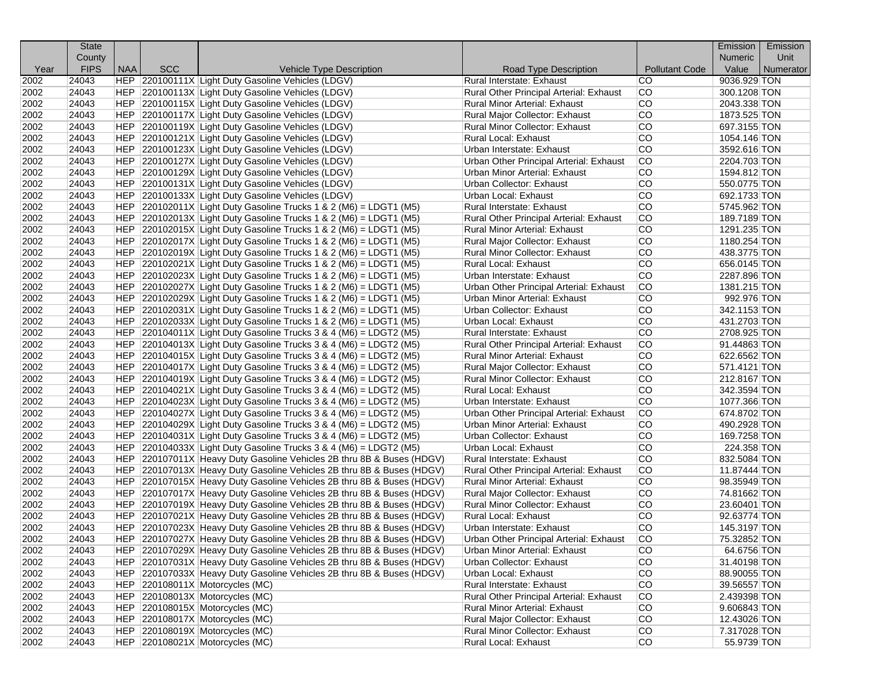|      | <b>State</b> |            |            |                                                                       |                                         |                       | Emission       | Emission  |
|------|--------------|------------|------------|-----------------------------------------------------------------------|-----------------------------------------|-----------------------|----------------|-----------|
|      | County       |            |            |                                                                       |                                         |                       | <b>Numeric</b> | Unit      |
| Year | <b>FIPS</b>  | <b>NAA</b> | <b>SCC</b> | Vehicle Type Description                                              | Road Type Description                   | <b>Pollutant Code</b> | Value          | Numerator |
| 2002 | 24043        |            |            | HEP 220100111X Light Duty Gasoline Vehicles (LDGV)                    | Rural Interstate: Exhaust               | <b>CO</b>             | 9036.929 TON   |           |
| 2002 | 24043        |            |            | HEP 220100113X Light Duty Gasoline Vehicles (LDGV)                    | Rural Other Principal Arterial: Exhaust | CO                    | 300.1208 TON   |           |
| 2002 | 24043        |            |            | HEP 220100115X Light Duty Gasoline Vehicles (LDGV)                    | Rural Minor Arterial: Exhaust           | lCO                   | 2043.338 TON   |           |
| 2002 | 24043        |            |            | HEP 220100117X Light Duty Gasoline Vehicles (LDGV)                    | Rural Major Collector: Exhaust          | ICO.<br>lco           | 1873.525 TON   |           |
| 2002 | 24043        |            |            | HEP 220100119X Light Duty Gasoline Vehicles (LDGV)                    | Rural Minor Collector: Exhaust          |                       | 697.3155 TON   |           |
| 2002 | 24043        |            |            | HEP 220100121X Light Duty Gasoline Vehicles (LDGV)                    | Rural Local: Exhaust                    | lCO<br><b>CO</b>      | 1054.146 TON   |           |
| 2002 | 24043        |            |            | HEP 220100123X Light Duty Gasoline Vehicles (LDGV)                    | Urban Interstate: Exhaust               | lco                   | 3592.616 TON   |           |
| 2002 | 24043        |            |            | HEP 220100127X Light Duty Gasoline Vehicles (LDGV)                    | Urban Other Principal Arterial: Exhaust | CO.                   | 2204.703 TON   |           |
| 2002 | 24043        |            |            | HEP 220100129X Light Duty Gasoline Vehicles (LDGV)                    | Urban Minor Arterial: Exhaust           | lco                   | 1594.812 TON   |           |
| 2002 | 24043        |            |            | HEP 220100131X Light Duty Gasoline Vehicles (LDGV)                    | Urban Collector: Exhaust                |                       | 550.0775 TON   |           |
| 2002 | 24043        |            |            | HEP 220100133X Light Duty Gasoline Vehicles (LDGV)                    | Urban Local: Exhaust                    | lco                   | 692.1733 TON   |           |
| 2002 | 24043        |            |            | HEP 220102011X Light Duty Gasoline Trucks 1 & 2 (M6) = LDGT1 (M5)     | Rural Interstate: Exhaust               | lco                   | 5745.962 TON   |           |
| 2002 | 24043        |            |            | HEP 220102013X Light Duty Gasoline Trucks 1 & 2 (M6) = LDGT1 (M5)     | Rural Other Principal Arterial: Exhaust | lco                   | 189.7189 TON   |           |
| 2002 | 24043        |            |            | HEP 220102015X Light Duty Gasoline Trucks 1 & 2 (M6) = LDGT1 (M5)     | Rural Minor Arterial: Exhaust           | ICO.                  | 1291.235 TON   |           |
| 2002 | 24043        |            |            | HEP $ 220102017X $ Light Duty Gasoline Trucks 1 & 2 (M6) = LDGT1 (M5) | Rural Major Collector: Exhaust          | lco                   | 1180.254 TON   |           |
| 2002 | 24043        |            |            | $ HEP $ 220102019X Light Duty Gasoline Trucks 1 & 2 (M6) = LDGT1 (M5) | <b>Rural Minor Collector: Exhaust</b>   | lCO                   | 438.3775 TON   |           |
| 2002 | 24043        |            |            | HEP $ 220102021X $ Light Duty Gasoline Trucks 1 & 2 (M6) = LDGT1 (M5) | Rural Local: Exhaust                    | lco                   | 656.0145 TON   |           |
| 2002 | 24043        |            |            | HEP $ 220102023X $ Light Duty Gasoline Trucks 1 & 2 (M6) = LDGT1 (M5) | Urban Interstate: Exhaust               | CO.                   | 2287.896 TON   |           |
| 2002 | 24043        |            |            | HEP 220102027X Light Duty Gasoline Trucks 1 & 2 (M6) = LDGT1 (M5)     | Urban Other Principal Arterial: Exhaust | ICO.                  | 1381.215 TON   |           |
| 2002 | 24043        |            |            | HEP $ 220102029X $ Light Duty Gasoline Trucks 1 & 2 (M6) = LDGT1 (M5) | Urban Minor Arterial: Exhaust           | lco                   | 992.976 TON    |           |
| 2002 | 24043        |            |            | HEP 220102031X Light Duty Gasoline Trucks 1 & 2 (M6) = LDGT1 (M5)     | Urban Collector: Exhaust                | lCO                   | 342.1153 TON   |           |
| 2002 | 24043        |            |            | HEP $ 220102033X $ Light Duty Gasoline Trucks 1 & 2 (M6) = LDGT1 (M5) | Urban Local: Exhaust                    | lco                   | 431.2703 TON   |           |
| 2002 | 24043        |            |            | $ HEP $ 220104011X Light Duty Gasoline Trucks 3 & 4 (M6) = LDGT2 (M5) | Rural Interstate: Exhaust               | <b>CO</b>             | 2708.925 TON   |           |
| 2002 | 24043        |            |            | $ HEP $ 220104013X Light Duty Gasoline Trucks 3 & 4 (M6) = LDGT2 (M5) | Rural Other Principal Arterial: Exhaust | ICO.                  | 91.44863 TON   |           |
| 2002 | 24043        |            |            | HEP $ 220104015X $ Light Duty Gasoline Trucks 3 & 4 (M6) = LDGT2 (M5) | Rural Minor Arterial: Exhaust           | lco                   | 622.6562 TON   |           |
| 2002 | 24043        |            |            | $ HEP $ 220104017X Light Duty Gasoline Trucks 3 & 4 (M6) = LDGT2 (M5) | Rural Major Collector: Exhaust          | lCO                   | 571.4121 TON   |           |
| 2002 | 24043        |            |            | HEP $ 220104019X $ Light Duty Gasoline Trucks 3 & 4 (M6) = LDGT2 (M5) | Rural Minor Collector: Exhaust          | <b>CO</b>             | 212.8167 TON   |           |
| 2002 | 24043        |            |            | HEP $ 220104021X $ Light Duty Gasoline Trucks 3 & 4 (M6) = LDGT2 (M5) | Rural Local: Exhaust                    | lco                   | 342.3594 TON   |           |
| 2002 | 24043        |            |            | $ HEP $ 220104023X Light Duty Gasoline Trucks 3 & 4 (M6) = LDGT2 (M5) | Urban Interstate: Exhaust               | ICO.                  | 1077.366 TON   |           |
| 2002 | 24043        |            |            | HEP $ 220104027X $ Light Duty Gasoline Trucks 3 & 4 (M6) = LDGT2 (M5) | Urban Other Principal Arterial: Exhaust | lco                   | 674.8702 TON   |           |
| 2002 | 24043        |            |            | HEP $ 220104029X $ Light Duty Gasoline Trucks 3 & 4 (M6) = LDGT2 (M5) | Urban Minor Arterial: Exhaust           | lCO                   | 490.2928 TON   |           |
| 2002 | 24043        |            |            | HEP $ 220104031X $ Light Duty Gasoline Trucks 3 & 4 (M6) = LDGT2 (M5) | Urban Collector: Exhaust                | lco                   | 169.7258 TON   |           |
| 2002 | 24043        |            |            | $ HEP $ 220104033X Light Duty Gasoline Trucks 3 & 4 (M6) = LDGT2 (M5) | Urban Local: Exhaust                    | lco                   | 224.358 TON    |           |
| 2002 | 24043        |            |            | HEP 220107011X Heavy Duty Gasoline Vehicles 2B thru 8B & Buses (HDGV) | Rural Interstate: Exhaust               | <b>CO</b>             | 832.5084 TON   |           |
| 2002 | 24043        |            |            | HEP 220107013X Heavy Duty Gasoline Vehicles 2B thru 8B & Buses (HDGV) | Rural Other Principal Arterial: Exhaust | CO                    | 11.87444 TON   |           |
| 2002 | 24043        |            |            | HEP 220107015X Heavy Duty Gasoline Vehicles 2B thru 8B & Buses (HDGV) | Rural Minor Arterial: Exhaust           | lCO                   | 98.35949 TON   |           |
| 2002 | 24043        |            |            | HEP 220107017X Heavy Duty Gasoline Vehicles 2B thru 8B & Buses (HDGV) | Rural Major Collector: Exhaust          | lco                   | 74.81662 TON   |           |
| 2002 | 24043        |            |            | HEP 220107019X Heavy Duty Gasoline Vehicles 2B thru 8B & Buses (HDGV) | Rural Minor Collector: Exhaust          | lco                   | 23.60401 TON   |           |
| 2002 | 24043        |            |            | HEP 220107021X Heavy Duty Gasoline Vehicles 2B thru 8B & Buses (HDGV) | Rural Local: Exhaust                    | lco                   | 92.63774 TON   |           |
| 2002 | 24043        |            |            | HEP 220107023X Heavy Duty Gasoline Vehicles 2B thru 8B & Buses (HDGV) | Urban Interstate: Exhaust               | CO.                   | 145.3197 TON   |           |
| 2002 | 24043        |            |            | HEP 220107027X Heavy Duty Gasoline Vehicles 2B thru 8B & Buses (HDGV) | Urban Other Principal Arterial: Exhaust | CO.                   | 75.32852 TON   |           |
| 2002 | 24043        |            |            | HEP 220107029X Heavy Duty Gasoline Vehicles 2B thru 8B & Buses (HDGV) | Urban Minor Arterial: Exhaust           | lCO                   | 64.6756 TON    |           |
| 2002 | 24043        |            |            | HEP 220107031X Heavy Duty Gasoline Vehicles 2B thru 8B & Buses (HDGV) | Urban Collector: Exhaust                | lCO                   | 31.40198 TON   |           |
| 2002 | 24043        |            |            | HEP 220107033X Heavy Duty Gasoline Vehicles 2B thru 8B & Buses (HDGV) | Urban Local: Exhaust                    | CO.                   | 88.90055 TON   |           |
| 2002 | 24043        |            |            | HEP 220108011X Motorcycles (MC)                                       | Rural Interstate: Exhaust               | CO                    | 39.56557 TON   |           |
| 2002 | 24043        |            |            | HEP 220108013X Motorcycles (MC)                                       | Rural Other Principal Arterial: Exhaust | CO.                   | 2.439398 TON   |           |
| 2002 | 24043        |            |            | HEP   220108015X   Motorcycles (MC)                                   | Rural Minor Arterial: Exhaust           | <b>CO</b>             | 9.606843 TON   |           |
| 2002 | 24043        |            |            | HEP   220108017X   Motorcycles (MC)                                   | Rural Major Collector: Exhaust          | lCO                   | 12.43026 TON   |           |
| 2002 | 24043        |            |            | HEP 220108019X Motorcycles (MC)                                       | Rural Minor Collector: Exhaust          | ICO.                  | 7.317028 TON   |           |
| 2002 | 24043        |            |            | HEP 220108021X Motorcycles (MC)                                       | Rural Local: Exhaust                    | CO.                   | 55.9739 TON    |           |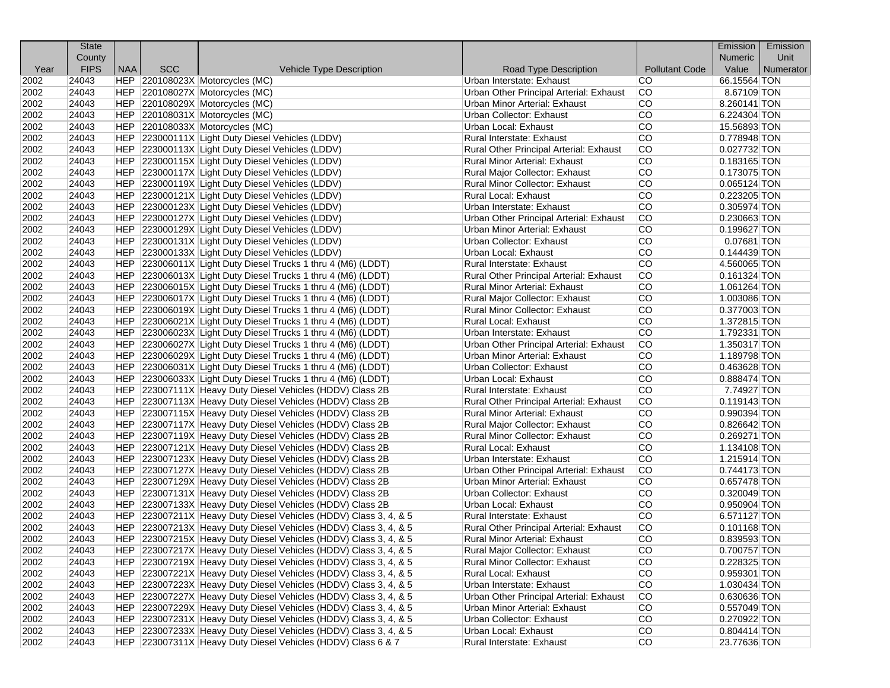|      | <b>State</b> |            |            |                                                                  |                                         |                       | Emission       | Emission  |
|------|--------------|------------|------------|------------------------------------------------------------------|-----------------------------------------|-----------------------|----------------|-----------|
|      | County       |            |            |                                                                  |                                         |                       | <b>Numeric</b> | Unit      |
| Year | <b>FIPS</b>  | <b>NAA</b> | <b>SCC</b> | Vehicle Type Description                                         | Road Type Description                   | <b>Pollutant Code</b> | Value          | Numerator |
| 2002 | 24043        |            |            | HEP 220108023X Motorcycles (MC)                                  | Urban Interstate: Exhaust               | CO.                   | 66.15564 TON   |           |
| 2002 | 24043        |            |            | HEP 220108027X Motorcycles (MC)                                  | Urban Other Principal Arterial: Exhaust | CO.                   | 8.67109 TON    |           |
| 2002 | 24043        |            |            | HEP 220108029X Motorcycles (MC)                                  | Urban Minor Arterial: Exhaust           | <b>CO</b>             | 8.260141 TON   |           |
| 2002 | 24043        |            |            | HEP 220108031X Motorcycles (MC)                                  | Urban Collector: Exhaust                | lCO                   | 6.224304 TON   |           |
| 2002 | 24043        |            |            | HEP 220108033X Motorcycles (MC)                                  | Urban Local: Exhaust                    | lCO                   | 15.56893 TON   |           |
| 2002 | 24043        |            |            | HEP 223000111X Light Duty Diesel Vehicles (LDDV)                 | Rural Interstate: Exhaust               | <b>CO</b>             | 0.778948 TON   |           |
| 2002 | 24043        |            |            | HEP 223000113X Light Duty Diesel Vehicles (LDDV)                 | Rural Other Principal Arterial: Exhaust | lCO                   | $0.027732$ TON |           |
| 2002 | 24043        |            |            | HEP 223000115X Light Duty Diesel Vehicles (LDDV)                 | <b>Rural Minor Arterial: Exhaust</b>    | lCO                   | $0.183165$ TON |           |
| 2002 | 24043        |            |            | HEP 223000117X Light Duty Diesel Vehicles (LDDV)                 | Rural Major Collector: Exhaust          | <b>CO</b>             | 0.173075 TON   |           |
| 2002 | 24043        |            |            | HEP 223000119X Light Duty Diesel Vehicles (LDDV)                 | Rural Minor Collector: Exhaust          | lCO                   | $0.065124$ TON |           |
| 2002 | 24043        |            |            | HEP 223000121X Light Duty Diesel Vehicles (LDDV)                 | Rural Local: Exhaust                    | lCO                   | 0.223205 TON   |           |
| 2002 | 24043        |            |            | HEP 223000123X Light Duty Diesel Vehicles (LDDV)                 | Urban Interstate: Exhaust               | lCO                   | 0.305974 TON   |           |
| 2002 | 24043        |            |            | HEP 223000127X Light Duty Diesel Vehicles (LDDV)                 | Urban Other Principal Arterial: Exhaust | lCO                   | 0.230663 TON   |           |
| 2002 | 24043        |            |            | HEP 223000129X Light Duty Diesel Vehicles (LDDV)                 | <b>Urban Minor Arterial: Exhaust</b>    | lCO                   | 0.199627 TON   |           |
| 2002 | 24043        |            |            | HEP 223000131X Light Duty Diesel Vehicles (LDDV)                 | Urban Collector: Exhaust                | <b>CO</b>             | $0.07681$ TON  |           |
| 2002 | 24043        |            |            | HEP 223000133X Light Duty Diesel Vehicles (LDDV)                 | Urban Local: Exhaust                    | <b>CO</b>             | 0.144439 TON   |           |
| 2002 | 24043        |            |            | HEP 223006011X Light Duty Diesel Trucks 1 thru 4 (M6) (LDDT)     | Rural Interstate: Exhaust               | lCO                   | 4.560065 TON   |           |
| 2002 | 24043        |            |            | HEP 223006013X Light Duty Diesel Trucks 1 thru 4 (M6) (LDDT)     | Rural Other Principal Arterial: Exhaust | lCO                   | $0.161324$ TON |           |
| 2002 | 24043        |            |            | HEP 223006015X Light Duty Diesel Trucks 1 thru 4 (M6) (LDDT)     | Rural Minor Arterial: Exhaust           | <b>CO</b>             | 1.061264 TON   |           |
| 2002 | 24043        |            |            | HEP 223006017X Light Duty Diesel Trucks 1 thru 4 (M6) (LDDT)     | Rural Major Collector: Exhaust          | <b>CO</b>             | 1.003086 TON   |           |
| 2002 | 24043        |            |            | HEP 223006019X Light Duty Diesel Trucks 1 thru 4 (M6) (LDDT)     | Rural Minor Collector: Exhaust          | lCO                   | 0.377003 TON   |           |
| 2002 | 24043        |            |            | HEP 223006021X Light Duty Diesel Trucks 1 thru 4 (M6) (LDDT)     | Rural Local: Exhaust                    | lCO                   | 1.372815 TON   |           |
| 2002 | 24043        |            |            | HEP 223006023X Light Duty Diesel Trucks 1 thru 4 (M6) (LDDT)     | Urban Interstate: Exhaust               | <b>CO</b>             | 1.792331 TON   |           |
| 2002 | 24043        |            |            | HEP 223006027X Light Duty Diesel Trucks 1 thru 4 (M6) (LDDT)     | Urban Other Principal Arterial: Exhaust | lCO                   | 1.350317 TON   |           |
| 2002 | 24043        |            |            | HEP 223006029X Light Duty Diesel Trucks 1 thru 4 (M6) (LDDT)     | Urban Minor Arterial: Exhaust           | lCO                   | 1.189798 TON   |           |
| 2002 | 24043        |            |            | HEP 223006031X Light Duty Diesel Trucks 1 thru 4 (M6) (LDDT)     | Urban Collector: Exhaust                | <b>CO</b>             | 0.463628 TON   |           |
| 2002 | 24043        |            |            | HEP 223006033X Light Duty Diesel Trucks 1 thru 4 (M6) (LDDT)     | Urban Local: Exhaust                    | lCO                   | 0.888474 TON   |           |
| 2002 | 24043        |            |            | HEP 223007111X Heavy Duty Diesel Vehicles (HDDV) Class 2B        | Rural Interstate: Exhaust               | lCO                   | 7.74927 TON    |           |
| 2002 | 24043        |            |            | HEP 223007113X Heavy Duty Diesel Vehicles (HDDV) Class 2B        | Rural Other Principal Arterial: Exhaust | lCO                   | $0.119143$ TON |           |
| 2002 | 24043        |            |            | HEP 223007115X Heavy Duty Diesel Vehicles (HDDV) Class 2B        | <b>Rural Minor Arterial: Exhaust</b>    | <b>CO</b>             | 0.990394 TON   |           |
| 2002 | 24043        |            |            | HEP 223007117X Heavy Duty Diesel Vehicles (HDDV) Class 2B        | Rural Major Collector: Exhaust          | lCO                   | 0.826642 TON   |           |
| 2002 | 24043        |            |            | HEP 223007119X Heavy Duty Diesel Vehicles (HDDV) Class 2B        | Rural Minor Collector: Exhaust          | lCO                   | 0.269271 TON   |           |
| 2002 | 24043        |            |            | HEP 223007121X Heavy Duty Diesel Vehicles (HDDV) Class 2B        | <b>Rural Local: Exhaust</b>             | <b>CO</b>             | 1.134108 TON   |           |
| 2002 | 24043        |            |            | HEP 223007123X Heavy Duty Diesel Vehicles (HDDV) Class 2B        | Urban Interstate: Exhaust               | lCO                   | 1.215914 TON   |           |
| 2002 | 24043        |            |            | HEP 223007127X Heavy Duty Diesel Vehicles (HDDV) Class 2B        | Urban Other Principal Arterial: Exhaust | lCO                   | 0.744173 TON   |           |
| 2002 | 24043        |            |            | HEP 223007129X Heavy Duty Diesel Vehicles (HDDV) Class 2B        | <b>Urban Minor Arterial: Exhaust</b>    | <b>CO</b>             | 0.657478 TON   |           |
| 2002 | 24043        |            |            | HEP 223007131X Heavy Duty Diesel Vehicles (HDDV) Class 2B        | Urban Collector: Exhaust                | lCO                   | 0.320049 TON   |           |
| 2002 | 24043        |            |            | HEP 223007133X Heavy Duty Diesel Vehicles (HDDV) Class 2B        | Urban Local: Exhaust                    | lCO                   | 0.950904 TON   |           |
| 2002 | 24043        |            |            | HEP 223007211X Heavy Duty Diesel Vehicles (HDDV) Class 3, 4, & 5 | Rural Interstate: Exhaust               | <b>CO</b>             | 6.571127 TON   |           |
| 2002 | 24043        |            |            | HEP 223007213X Heavy Duty Diesel Vehicles (HDDV) Class 3, 4, & 5 | Rural Other Principal Arterial: Exhaust | <b>CO</b>             | 0.101168 TON   |           |
| 2002 | 24043        |            |            | HEP 223007215X Heavy Duty Diesel Vehicles (HDDV) Class 3, 4, & 5 | Rural Minor Arterial: Exhaust           | CO                    | 0.839593 TON   |           |
| 2002 | 24043        |            |            | HEP 223007217X Heavy Duty Diesel Vehicles (HDDV) Class 3, 4, & 5 | Rural Major Collector: Exhaust          | CO                    | 0.700757 TON   |           |
| 2002 | 24043        |            |            | HEP 223007219X Heavy Duty Diesel Vehicles (HDDV) Class 3, 4, & 5 | Rural Minor Collector: Exhaust          | CO                    | 0.228325 TON   |           |
| 2002 | 24043        |            |            | HEP 223007221X Heavy Duty Diesel Vehicles (HDDV) Class 3, 4, & 5 | Rural Local: Exhaust                    | CO                    | 0.959301 TON   |           |
| 2002 | 24043        |            |            | HEP 223007223X Heavy Duty Diesel Vehicles (HDDV) Class 3, 4, & 5 | Urban Interstate: Exhaust               | CO                    | 1.030434 TON   |           |
| 2002 | 24043        |            |            | HEP 223007227X Heavy Duty Diesel Vehicles (HDDV) Class 3, 4, & 5 | Urban Other Principal Arterial: Exhaust | CO                    | 0.630636 TON   |           |
| 2002 | 24043        |            |            | HEP 223007229X Heavy Duty Diesel Vehicles (HDDV) Class 3, 4, & 5 | Urban Minor Arterial: Exhaust           | CO                    | $0.557049$ TON |           |
| 2002 | 24043        |            |            | HEP 223007231X Heavy Duty Diesel Vehicles (HDDV) Class 3, 4, & 5 | Urban Collector: Exhaust                | CO                    | 0.270922 TON   |           |
| 2002 | 24043        |            |            | HEP 223007233X Heavy Duty Diesel Vehicles (HDDV) Class 3, 4, & 5 | Urban Local: Exhaust                    | CO                    | 0.804414 TON   |           |
| 2002 | 24043        |            |            | HEP 223007311X Heavy Duty Diesel Vehicles (HDDV) Class 6 & 7     | Rural Interstate: Exhaust               | CO                    | 23.77636 TON   |           |
|      |              |            |            |                                                                  |                                         |                       |                |           |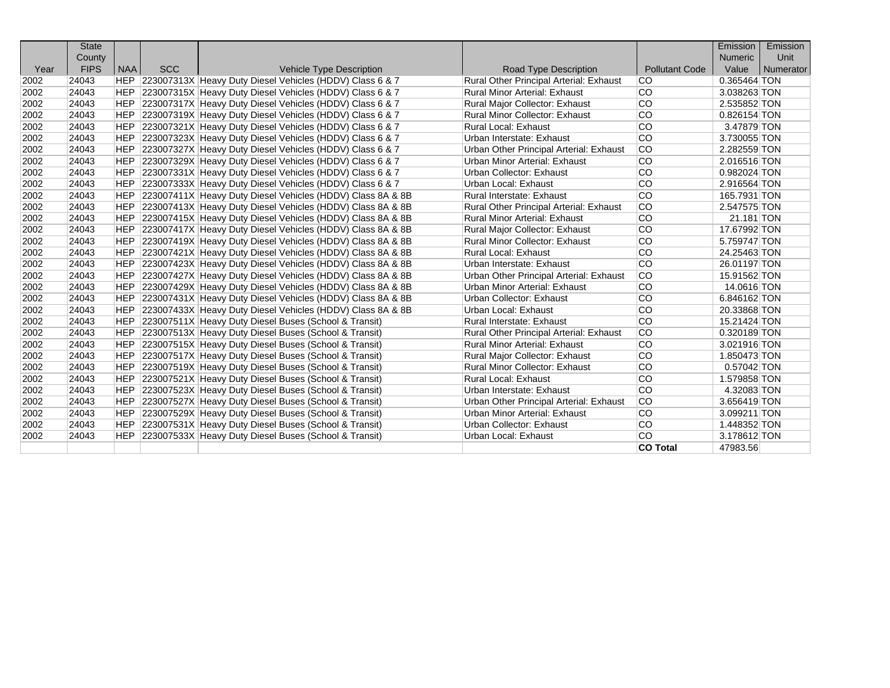|      | <b>State</b> |            |            |                                                                |                                         |                       | Emission       | Emission  |
|------|--------------|------------|------------|----------------------------------------------------------------|-----------------------------------------|-----------------------|----------------|-----------|
|      | County       |            |            |                                                                |                                         |                       | <b>Numeric</b> | Unit      |
| Year | <b>FIPS</b>  | <b>NAA</b> | <b>SCC</b> | <b>Vehicle Type Description</b>                                | <b>Road Type Description</b>            | <b>Pollutant Code</b> | Value          | Numerator |
| 2002 | 24043        |            |            | HEP 223007313X Heavy Duty Diesel Vehicles (HDDV) Class 6 & 7   | Rural Other Principal Arterial: Exhaust | lco.                  | 0.365464 TON   |           |
| 2002 | 24043        |            |            | HEP 223007315X Heavy Duty Diesel Vehicles (HDDV) Class 6 & 7   | <b>Rural Minor Arterial: Exhaust</b>    | lco                   | 3.038263 TON   |           |
| 2002 | 24043        |            |            | HEP 223007317X Heavy Duty Diesel Vehicles (HDDV) Class 6 & 7   | Rural Major Collector: Exhaust          | lco.                  | 2.535852 TON   |           |
| 2002 | 24043        |            |            | HEP 223007319X Heavy Duty Diesel Vehicles (HDDV) Class 6 & 7   | Rural Minor Collector: Exhaust          | lco.                  | 0.826154 TON   |           |
| 2002 | 24043        |            |            | HEP 223007321X Heavy Duty Diesel Vehicles (HDDV) Class 6 & 7   | <b>Rural Local: Exhaust</b>             | lco.                  | 3.47879 TON    |           |
| 2002 | 24043        | <b>HEP</b> |            | 223007323X Heavy Duty Diesel Vehicles (HDDV) Class 6 & 7       | Urban Interstate: Exhaust               | lco.                  | 3.730055 TON   |           |
| 2002 | 24043        | <b>HEP</b> |            | 223007327X Heavy Duty Diesel Vehicles (HDDV) Class 6 & 7       | Urban Other Principal Arterial: Exhaust | <b>CO</b>             | 2.282559 TON   |           |
| 2002 | 24043        | <b>HEP</b> |            | 223007329X Heavy Duty Diesel Vehicles (HDDV) Class 6 & 7       | Urban Minor Arterial: Exhaust           | lco                   | 2.016516 TON   |           |
| 2002 | 24043        | HEP        |            | 223007331X Heavy Duty Diesel Vehicles (HDDV) Class 6 & 7       | Urban Collector: Exhaust                | lco                   | 0.982024 TON   |           |
| 2002 | 24043        | HEP        |            | 223007333X Heavy Duty Diesel Vehicles (HDDV) Class 6 & 7       | Urban Local: Exhaust                    | lco                   | 2.916564 TON   |           |
| 2002 | 24043        | <b>HEP</b> |            | 223007411X Heavy Duty Diesel Vehicles (HDDV) Class 8A & 8B     | Rural Interstate: Exhaust               | <b>CO</b>             | 165.7931 TON   |           |
| 2002 | 24043        | HEP        |            | 223007413X Heavy Duty Diesel Vehicles (HDDV) Class 8A & 8B     | Rural Other Principal Arterial: Exhaust | <b>CO</b>             | 2.547575 TON   |           |
| 2002 | 24043        | HEP        |            | 223007415X Heavy Duty Diesel Vehicles (HDDV) Class 8A & 8B     | <b>Rural Minor Arterial: Exhaust</b>    | <b>CO</b>             | 21.181 TON     |           |
| 2002 | 24043        | <b>HEP</b> |            | 223007417X Heavy Duty Diesel Vehicles (HDDV) Class 8A & 8B     | Rural Major Collector: Exhaust          | <b>CO</b>             | 17.67992 TON   |           |
| 2002 | 24043        | <b>HEP</b> |            | 223007419X Heavy Duty Diesel Vehicles (HDDV) Class 8A & 8B     | <b>Rural Minor Collector: Exhaust</b>   | lco                   | 5.759747 TON   |           |
| 2002 | 24043        |            |            | HEP 223007421X Heavy Duty Diesel Vehicles (HDDV) Class 8A & 8B | Rural Local: Exhaust                    | <b>CO</b>             | 24.25463 TON   |           |
| 2002 | 24043        | <b>HEP</b> |            | 223007423X Heavy Duty Diesel Vehicles (HDDV) Class 8A & 8B     | Urban Interstate: Exhaust               | lco                   | 26.01197 TON   |           |
| 2002 | 24043        | <b>HEP</b> |            | 223007427X Heavy Duty Diesel Vehicles (HDDV) Class 8A & 8B     | Urban Other Principal Arterial: Exhaust | lco                   | 15.91562 TON   |           |
| 2002 | 24043        |            |            | HEP 223007429X Heavy Duty Diesel Vehicles (HDDV) Class 8A & 8B | Urban Minor Arterial: Exhaust           | lco                   | 14.0616 TON    |           |
| 2002 | 24043        |            |            | HEP 223007431X Heavy Duty Diesel Vehicles (HDDV) Class 8A & 8B | Urban Collector: Exhaust                | lco                   | 6.846162 TON   |           |
| 2002 | 24043        | HEP        |            | 223007433X Heavy Duty Diesel Vehicles (HDDV) Class 8A & 8B     | Urban Local: Exhaust                    | lco.                  | 20.33868 TON   |           |
| 2002 | 24043        | <b>HEP</b> |            | 223007511X Heavy Duty Diesel Buses (School & Transit)          | <b>Rural Interstate: Exhaust</b>        | lco                   | 15.21424 TON   |           |
| 2002 | 24043        | <b>HEP</b> |            | 223007513X Heavy Duty Diesel Buses (School & Transit)          | Rural Other Principal Arterial: Exhaust | lco                   | 0.320189 TON   |           |
| 2002 | 24043        | HEP        |            | 223007515X Heavy Duty Diesel Buses (School & Transit)          | <b>Rural Minor Arterial: Exhaust</b>    | lco                   | 3.021916 TON   |           |
| 2002 | 24043        | HEP        |            | 223007517X Heavy Duty Diesel Buses (School & Transit)          | Rural Major Collector: Exhaust          | lco                   | 1.850473 TON   |           |
| 2002 | 24043        | HEP        |            | 223007519X Heavy Duty Diesel Buses (School & Transit)          | <b>Rural Minor Collector: Exhaust</b>   | lco.                  | 0.57042 TON    |           |
| 2002 | 24043        | HEP        |            | 223007521X Heavy Duty Diesel Buses (School & Transit)          | <b>Rural Local: Exhaust</b>             | <b>CO</b>             | 1.579858 TON   |           |
| 2002 | 24043        |            |            | HEP 223007523X Heavy Duty Diesel Buses (School & Transit)      | Urban Interstate: Exhaust               | <b>CO</b>             | 4.32083 TON    |           |
| 2002 | 24043        |            |            | HEP 223007527X Heavy Duty Diesel Buses (School & Transit)      | Urban Other Principal Arterial: Exhaust | <b>CO</b>             | 3.656419 TON   |           |
| 2002 | 24043        |            |            | HEP 223007529X Heavy Duty Diesel Buses (School & Transit)      | Urban Minor Arterial: Exhaust           | lco                   | 3.099211 TON   |           |
| 2002 | 24043        |            |            | HEP 223007531X Heavy Duty Diesel Buses (School & Transit)      | Urban Collector: Exhaust                | <b>CO</b>             | 1.448352 TON   |           |
| 2002 | 24043        | <b>HEP</b> |            | 223007533X Heavy Duty Diesel Buses (School & Transit)          | Urban Local: Exhaust                    | lco                   | 3.178612 TON   |           |
|      |              |            |            |                                                                |                                         | <b>CO Total</b>       | 47983.56       |           |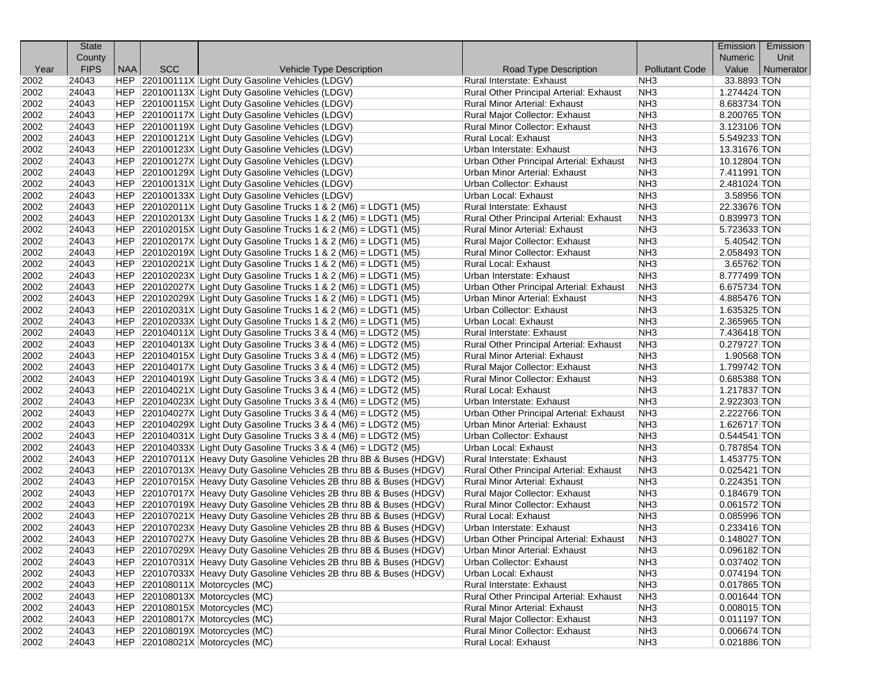|              | <b>State</b>   |            |            |                                                                       |                                                                  |                       | Emission                         | Emission  |
|--------------|----------------|------------|------------|-----------------------------------------------------------------------|------------------------------------------------------------------|-----------------------|----------------------------------|-----------|
|              | County         |            |            |                                                                       |                                                                  |                       | <b>Numeric</b>                   | Unit      |
| Year         | <b>FIPS</b>    | <b>NAA</b> | <b>SCC</b> | Vehicle Type Description                                              | Road Type Description                                            | <b>Pollutant Code</b> | Value                            | Numerator |
| 2002         | 24043          |            |            | HEP 220100111X Light Duty Gasoline Vehicles (LDGV)                    | Rural Interstate: Exhaust                                        | NH <sub>3</sub>       | 33.8893 TON                      |           |
| 2002         | 24043          |            |            | HEP 220100113X Light Duty Gasoline Vehicles (LDGV)                    | Rural Other Principal Arterial: Exhaust                          | NH <sub>3</sub>       | $1.274424$ TON                   |           |
| 2002         | 24043          |            |            | HEP 220100115X Light Duty Gasoline Vehicles (LDGV)                    | <b>Rural Minor Arterial: Exhaust</b>                             | NH <sub>3</sub>       | 8.683734 TON                     |           |
| 2002         | 24043          |            |            | HEP 220100117X Light Duty Gasoline Vehicles (LDGV)                    | Rural Major Collector: Exhaust                                   | NH <sub>3</sub>       | 8.200765 TON                     |           |
| 2002         | 24043          |            |            | HEP 220100119X Light Duty Gasoline Vehicles (LDGV)                    | Rural Minor Collector: Exhaust                                   | NH <sub>3</sub>       | 3.123106 TON                     |           |
| 2002         | 24043          |            |            | HEP 220100121X Light Duty Gasoline Vehicles (LDGV)                    | Rural Local: Exhaust                                             | NH <sub>3</sub>       | 5.549233 TON                     |           |
| 2002         | 24043          |            |            | HEP 220100123X Light Duty Gasoline Vehicles (LDGV)                    | Urban Interstate: Exhaust                                        | NH <sub>3</sub>       | 13.31676 TON                     |           |
| 2002         | 24043          |            |            | HEP 220100127X Light Duty Gasoline Vehicles (LDGV)                    | Urban Other Principal Arterial: Exhaust                          | NH <sub>3</sub>       | 10.12804 TON                     |           |
| 2002         | 24043          |            |            | HEP 220100129X Light Duty Gasoline Vehicles (LDGV)                    | Urban Minor Arterial: Exhaust                                    | NH <sub>3</sub>       | 7.411991 TON                     |           |
| 2002         | 24043          |            |            | HEP 220100131X Light Duty Gasoline Vehicles (LDGV)                    | Urban Collector: Exhaust                                         | NH <sub>3</sub>       | 2.481024 TON                     |           |
| 2002         | 24043          |            |            | HEP 220100133X Light Duty Gasoline Vehicles (LDGV)                    | Urban Local: Exhaust                                             | NH <sub>3</sub>       | 3.58956 TON                      |           |
| 2002         | 24043          |            |            | HEP 220102011X Light Duty Gasoline Trucks 1 & 2 (M6) = LDGT1 (M5)     | Rural Interstate: Exhaust                                        | NH <sub>3</sub>       | 22.33676 TON                     |           |
| 2002         | 24043          |            |            | $ HEP $ 220102013X Light Duty Gasoline Trucks 1 & 2 (M6) = LDGT1 (M5) | Rural Other Principal Arterial: Exhaust                          | NH <sub>3</sub>       | 0.839973 TON                     |           |
| 2002         | 24043          |            |            | $ HEP $ 220102015X Light Duty Gasoline Trucks 1 & 2 (M6) = LDGT1 (M5) | Rural Minor Arterial: Exhaust                                    | NH <sub>3</sub>       | 5.723633 TON                     |           |
| 2002         | 24043          |            |            | HEP $ 220102017X $ Light Duty Gasoline Trucks 1 & 2 (M6) = LDGT1 (M5) | Rural Major Collector: Exhaust                                   | NH <sub>3</sub>       | 5.40542 TON                      |           |
| 2002         | 24043          |            |            | $ HEP $ 220102019X Light Duty Gasoline Trucks 1 & 2 (M6) = LDGT1 (M5) | <b>Rural Minor Collector: Exhaust</b>                            | NH <sub>3</sub>       | 2.058493 TON                     |           |
| 2002         | 24043          |            |            | $ HEP $ 220102021X Light Duty Gasoline Trucks 1 & 2 (M6) = LDGT1 (M5) | Rural Local: Exhaust                                             | NH <sub>3</sub>       | 3.65762 TON                      |           |
| 2002         | 24043          |            |            | $ HEP $ 220102023X Light Duty Gasoline Trucks 1 & 2 (M6) = LDGT1 (M5) | Urban Interstate: Exhaust                                        | NH <sub>3</sub>       | 8.777499 TON                     |           |
| 2002         | 24043          |            |            | $ HEP $ 220102027X Light Duty Gasoline Trucks 1 & 2 (M6) = LDGT1 (M5) | Urban Other Principal Arterial: Exhaust                          | NH <sub>3</sub>       | 6.675734 TON                     |           |
| 2002         | 24043          |            |            | HEP $ 220102029X $ Light Duty Gasoline Trucks 1 & 2 (M6) = LDGT1 (M5) | Urban Minor Arterial: Exhaust                                    | NH <sub>3</sub>       | 4.885476 TON                     |           |
| 2002         | 24043          |            |            | $ HEP $ 220102031X Light Duty Gasoline Trucks 1 & 2 (M6) = LDGT1 (M5) | Urban Collector: Exhaust                                         | NH <sub>3</sub>       | 1.635325 TON                     |           |
| 2002         | 24043          |            |            | $ HEP $ 220102033X Light Duty Gasoline Trucks 1 & 2 (M6) = LDGT1 (M5) | Urban Local: Exhaust                                             | NH <sub>3</sub>       | 2.365965 TON                     |           |
| 2002         | 24043          |            |            | $ HEP $ 220104011X Light Duty Gasoline Trucks 3 & 4 (M6) = LDGT2 (M5) | Rural Interstate: Exhaust                                        | NH <sub>3</sub>       | 7.436418 TON                     |           |
| 2002         | 24043          |            |            | $ HEP $ 220104013X Light Duty Gasoline Trucks 3 & 4 (M6) = LDGT2 (M5) | Rural Other Principal Arterial: Exhaust                          | NH <sub>3</sub>       | 0.279727 TON                     |           |
| 2002         | 24043          |            |            | HEP $ 220104015X $ Light Duty Gasoline Trucks 3 & 4 (M6) = LDGT2 (M5) | Rural Minor Arterial: Exhaust                                    | NH <sub>3</sub>       | 1.90568 TON                      |           |
| 2002         | 24043          |            |            | $ HEP $ 220104017X Light Duty Gasoline Trucks 3 & 4 (M6) = LDGT2 (M5) | Rural Major Collector: Exhaust                                   | NH <sub>3</sub>       | 1.799742 TON                     |           |
| 2002         | 24043          |            |            | $ HEP $ 220104019X Light Duty Gasoline Trucks 3 & 4 (M6) = LDGT2 (M5) | Rural Minor Collector: Exhaust                                   | NH <sub>3</sub>       | 0.685388 TON                     |           |
| 2002         | 24043          |            |            | $ HEP $ 220104021X Light Duty Gasoline Trucks 3 & 4 (M6) = LDGT2 (M5) | <b>Rural Local: Exhaust</b>                                      | NH <sub>3</sub>       | 1.217837 TON                     |           |
| 2002         | 24043          |            |            | $ HEP $ 220104023X Light Duty Gasoline Trucks 3 & 4 (M6) = LDGT2 (M5) | Urban Interstate: Exhaust                                        | NH <sub>3</sub>       | 2.922303 TON                     |           |
| 2002         | 24043          |            |            | $ HEP $ 220104027X Light Duty Gasoline Trucks 3 & 4 (M6) = LDGT2 (M5) | Urban Other Principal Arterial: Exhaust                          | NH <sub>3</sub>       | 2.222766 TON                     |           |
| 2002         | 24043          |            |            | $ HEP $ 220104029X Light Duty Gasoline Trucks 3 & 4 (M6) = LDGT2 (M5) | Urban Minor Arterial: Exhaust                                    | NH <sub>3</sub>       | 1.626717 TON                     |           |
| 2002         | 24043          |            |            | $ HEP $ 220104031X Light Duty Gasoline Trucks 3 & 4 (M6) = LDGT2 (M5) | Urban Collector: Exhaust                                         | NH <sub>3</sub>       | $0.544541$ TON                   |           |
| 2002         | 24043          |            |            | $ HEP $ 220104033X Light Duty Gasoline Trucks 3 & 4 (M6) = LDGT2 (M5) | Urban Local: Exhaust                                             | NH <sub>3</sub>       | 0.787854 TON                     |           |
| 2002         | 24043          |            |            | HEP 220107011X Heavy Duty Gasoline Vehicles 2B thru 8B & Buses (HDGV) | Rural Interstate: Exhaust                                        | NH <sub>3</sub>       | 1.453775 TON                     |           |
| 2002         | 24043          |            |            | HEP 220107013X Heavy Duty Gasoline Vehicles 2B thru 8B & Buses (HDGV) | Rural Other Principal Arterial: Exhaust                          | NH <sub>3</sub>       | $0.025421$ TON                   |           |
| 2002         | 24043          |            |            | HEP 220107015X Heavy Duty Gasoline Vehicles 2B thru 8B & Buses (HDGV) | <b>Rural Minor Arterial: Exhaust</b>                             | NH <sub>3</sub>       | 0.224351 TON                     |           |
| 2002         | 24043          |            |            | HEP 220107017X Heavy Duty Gasoline Vehicles 2B thru 8B & Buses (HDGV) | Rural Major Collector: Exhaust                                   | NH <sub>3</sub>       | $0.184679$ TON                   |           |
| 2002         | 24043          |            |            | HEP 220107019X Heavy Duty Gasoline Vehicles 2B thru 8B & Buses (HDGV) | Rural Minor Collector: Exhaust                                   | NH <sub>3</sub>       | 0.061572 TON                     |           |
| 2002         | 24043          |            |            | HEP 220107021X Heavy Duty Gasoline Vehicles 2B thru 8B & Buses (HDGV) | Rural Local: Exhaust                                             | NH <sub>3</sub>       | 0.085996 TON                     |           |
| 2002         | 24043          |            |            | HEP 220107023X Heavy Duty Gasoline Vehicles 2B thru 8B & Buses (HDGV) | Urban Interstate: Exhaust                                        | NH <sub>3</sub>       | 0.233416 TON                     |           |
| 2002         | 24043          |            |            | HEP 220107027X Heavy Duty Gasoline Vehicles 2B thru 8B & Buses (HDGV) | Urban Other Principal Arterial: Exhaust                          | NH <sub>3</sub>       | 0.148027 TON                     |           |
|              | 24043          |            |            | HEP 220107029X Heavy Duty Gasoline Vehicles 2B thru 8B & Buses (HDGV) | <b>Urban Minor Arterial: Exhaust</b>                             | NH <sub>3</sub>       | 0.096182 TON                     |           |
| 2002<br>2002 | 24043          |            |            | HEP 220107031X Heavy Duty Gasoline Vehicles 2B thru 8B & Buses (HDGV) | Urban Collector: Exhaust                                         | NH <sub>3</sub>       | 0.037402 TON                     |           |
| 2002         | 24043          |            |            | HEP 220107033X Heavy Duty Gasoline Vehicles 2B thru 8B & Buses (HDGV) | Urban Local: Exhaust                                             | NH <sub>3</sub>       | $0.074194$ TON                   |           |
| 2002         |                |            |            |                                                                       | Rural Interstate: Exhaust                                        | NH <sub>3</sub>       |                                  |           |
|              | 24043          |            |            | HEP 220108011X Motorcycles (MC)                                       |                                                                  |                       | 0.017865 TON                     |           |
| 2002         | 24043          |            |            | HEP 220108013X Motorcycles (MC)<br>HEP 220108015X Motorcycles (MC)    | Rural Other Principal Arterial: Exhaust                          | NH <sub>3</sub>       | $0.001644$ TON<br>$0.008015$ TON |           |
| 2002         | 24043          |            |            |                                                                       | Rural Minor Arterial: Exhaust                                    | NH <sub>3</sub>       |                                  |           |
| 2002         | 24043<br>24043 |            |            | HEP 220108017X Motorcycles (MC)                                       | Rural Major Collector: Exhaust<br>Rural Minor Collector: Exhaust | NH3                   | $0.011197$ TON                   |           |
| 2002         |                |            |            | HEP 220108019X Motorcycles (MC)<br>HEP 220108021X Motorcycles (MC)    |                                                                  | NH <sub>3</sub>       | $0.006674$ TON                   |           |
| 2002         | 24043          |            |            |                                                                       | Rural Local: Exhaust                                             | NH <sub>3</sub>       | 0.021886 TON                     |           |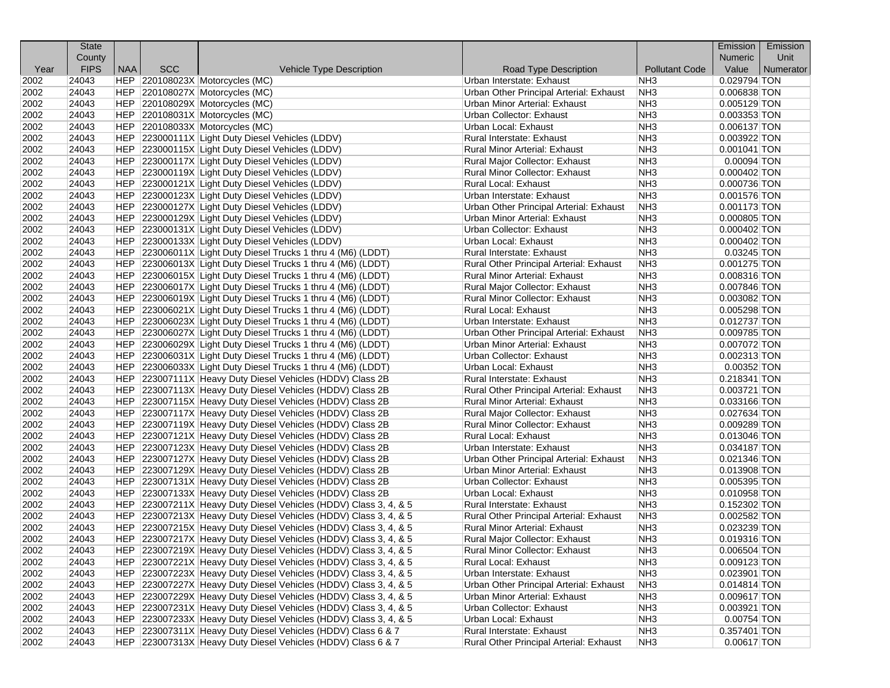|              | <b>State</b>   |            |            |                                                                                                                              |                                         |                        | Emission                        | Emission  |
|--------------|----------------|------------|------------|------------------------------------------------------------------------------------------------------------------------------|-----------------------------------------|------------------------|---------------------------------|-----------|
|              | County         |            |            |                                                                                                                              |                                         |                        | <b>Numeric</b>                  | Unit      |
| Year         | <b>FIPS</b>    | <b>NAA</b> | <b>SCC</b> | Vehicle Type Description                                                                                                     | Road Type Description                   | <b>Pollutant Code</b>  | Value                           | Numerator |
| 2002         | 24043          |            |            | HEP 220108023X Motorcycles (MC)                                                                                              | Urban Interstate: Exhaust               | NH <sub>3</sub>        | 0.029794 TON                    |           |
| 2002         | 24043          |            |            | HEP 220108027X Motorcycles (MC)                                                                                              | Urban Other Principal Arterial: Exhaust | NH <sub>3</sub>        | 0.006838 TON                    |           |
| 2002         | 24043          |            |            | HEP 220108029X Motorcycles (MC)                                                                                              | Urban Minor Arterial: Exhaust           | NH <sub>3</sub>        | $0.005129$ TON                  |           |
| 2002         | 24043          |            |            | HEP 220108031X Motorcycles (MC)                                                                                              | Urban Collector: Exhaust                | NH <sub>3</sub>        | 0.003353 TON                    |           |
| 2002         | 24043          |            |            | HEP 220108033X Motorcycles (MC)                                                                                              | Urban Local: Exhaust                    | NH <sub>3</sub>        | 0.006137 TON                    |           |
| 2002         | 24043          |            |            | HEP 223000111X Light Duty Diesel Vehicles (LDDV)                                                                             | Rural Interstate: Exhaust               | NH <sub>3</sub>        | 0.003922 TON                    |           |
| 2002         | 24043          |            |            | HEP 223000115X Light Duty Diesel Vehicles (LDDV)                                                                             | <b>Rural Minor Arterial: Exhaust</b>    | NH <sub>3</sub>        | $0.001041$ TON                  |           |
| 2002         | 24043          |            |            | HEP 223000117X Light Duty Diesel Vehicles (LDDV)                                                                             | Rural Major Collector: Exhaust          | NH <sub>3</sub>        | $0.00094$ TON                   |           |
| 2002         | 24043          |            |            | HEP 223000119X Light Duty Diesel Vehicles (LDDV)                                                                             | Rural Minor Collector: Exhaust          | NH <sub>3</sub>        | $0.000402$ TON                  |           |
| 2002         | 24043          |            |            | HEP 223000121X Light Duty Diesel Vehicles (LDDV)                                                                             | <b>Rural Local: Exhaust</b>             | NH <sub>3</sub>        | $0.000736$ TON                  |           |
| 2002         | 24043          |            |            | HEP 223000123X Light Duty Diesel Vehicles (LDDV)                                                                             | Urban Interstate: Exhaust               | NH <sub>3</sub>        | 0.001576 TON                    |           |
| 2002         | 24043          |            |            | HEP 223000127X Light Duty Diesel Vehicles (LDDV)                                                                             | Urban Other Principal Arterial: Exhaust | NH <sub>3</sub>        | $0.001173$ TON                  |           |
| 2002         | 24043          |            |            | HEP 223000129X Light Duty Diesel Vehicles (LDDV)                                                                             | Urban Minor Arterial: Exhaust           | NH <sub>3</sub>        | $0.000805$ TON                  |           |
| 2002         | 24043          |            |            | HEP 223000131X Light Duty Diesel Vehicles (LDDV)                                                                             | Urban Collector: Exhaust                | NH <sub>3</sub>        | $0.000402$ TON                  |           |
| 2002         | 24043          |            |            | HEP 223000133X Light Duty Diesel Vehicles (LDDV)                                                                             | Urban Local: Exhaust                    | NH <sub>3</sub>        | $0.000402$ TON                  |           |
| 2002         | 24043          |            |            | HEP 223006011X Light Duty Diesel Trucks 1 thru 4 (M6) (LDDT)                                                                 | Rural Interstate: Exhaust               | NH <sub>3</sub>        | $0.03245$ TON                   |           |
| 2002         | 24043          |            |            | HEP 223006013X Light Duty Diesel Trucks 1 thru 4 (M6) (LDDT)                                                                 | Rural Other Principal Arterial: Exhaust | NH <sub>3</sub>        | $0.001275$ TON                  |           |
| 2002         | 24043          |            |            | HEP 223006015X Light Duty Diesel Trucks 1 thru 4 (M6) (LDDT)                                                                 | Rural Minor Arterial: Exhaust           | NH <sub>3</sub>        | 0.008316 TON                    |           |
| 2002         | 24043          |            |            | HEP 223006017X Light Duty Diesel Trucks 1 thru 4 (M6) (LDDT)                                                                 | Rural Major Collector: Exhaust          | NH <sub>3</sub>        | 0.007846 TON                    |           |
| 2002         | 24043          |            |            | HEP 223006019X Light Duty Diesel Trucks 1 thru 4 (M6) (LDDT)                                                                 | Rural Minor Collector: Exhaust          | NH <sub>3</sub>        | 0.003082 TON                    |           |
| 2002         | 24043          |            |            | HEP 223006021X Light Duty Diesel Trucks 1 thru 4 (M6) (LDDT)                                                                 | Rural Local: Exhaust                    | NH <sub>3</sub>        | 0.005298 TON                    |           |
| 2002         | 24043          |            |            | HEP 223006023X Light Duty Diesel Trucks 1 thru 4 (M6) (LDDT)                                                                 | Urban Interstate: Exhaust               | NH <sub>3</sub>        | $0.012737$ TON                  |           |
| 2002         | 24043          |            |            | HEP 223006027X Light Duty Diesel Trucks 1 thru 4 (M6) (LDDT)                                                                 | Urban Other Principal Arterial: Exhaust | NH <sub>3</sub>        | 0.009785 TON                    |           |
| 2002         | 24043          |            |            | HEP 223006029X Light Duty Diesel Trucks 1 thru 4 (M6) (LDDT)                                                                 | Urban Minor Arterial: Exhaust           | NH <sub>3</sub>        | 0.007072 TON                    |           |
| 2002         | 24043          |            |            | HEP 223006031X Light Duty Diesel Trucks 1 thru 4 (M6) (LDDT)                                                                 | Urban Collector: Exhaust                | NH <sub>3</sub>        | 0.002313 TON                    |           |
| 2002         | 24043          |            |            | HEP 223006033X Light Duty Diesel Trucks 1 thru 4 (M6) (LDDT)                                                                 | Urban Local: Exhaust                    | NH <sub>3</sub>        | $0.00352$ TON                   |           |
| 2002         | 24043          |            |            | HEP 223007111X Heavy Duty Diesel Vehicles (HDDV) Class 2B                                                                    | Rural Interstate: Exhaust               | NH <sub>3</sub>        | $0.218341$ TON                  |           |
| 2002         | 24043          |            |            | HEP 223007113X Heavy Duty Diesel Vehicles (HDDV) Class 2B                                                                    | Rural Other Principal Arterial: Exhaust | NH <sub>3</sub>        | $0.003721$ TON                  |           |
| 2002         | 24043          |            |            | HEP 223007115X Heavy Duty Diesel Vehicles (HDDV) Class 2B                                                                    | <b>Rural Minor Arterial: Exhaust</b>    | NH <sub>3</sub>        | 0.033166 TON                    |           |
| 2002         | 24043          |            |            | HEP 223007117X Heavy Duty Diesel Vehicles (HDDV) Class 2B                                                                    | Rural Major Collector: Exhaust          | NH <sub>3</sub>        | 0.027634 TON                    |           |
| 2002         | 24043          |            |            | HEP 223007119X Heavy Duty Diesel Vehicles (HDDV) Class 2B                                                                    | Rural Minor Collector: Exhaust          | NH <sub>3</sub>        | 0.009289 TON                    |           |
| 2002         | 24043          |            |            | HEP 223007121X Heavy Duty Diesel Vehicles (HDDV) Class 2B                                                                    | Rural Local: Exhaust                    | NH <sub>3</sub>        | $0.013046$ TON                  |           |
| 2002         | 24043          |            |            | HEP 223007123X Heavy Duty Diesel Vehicles (HDDV) Class 2B                                                                    | Urban Interstate: Exhaust               | NH <sub>3</sub>        | 0.034187 TON                    |           |
| 2002         | 24043          |            |            | HEP 223007127X Heavy Duty Diesel Vehicles (HDDV) Class 2B                                                                    | Urban Other Principal Arterial: Exhaust | NH <sub>3</sub>        | 0.021346 TON                    |           |
| 2002         | 24043          |            |            | HEP 223007129X Heavy Duty Diesel Vehicles (HDDV) Class 2B                                                                    | Urban Minor Arterial: Exhaust           | NH <sub>3</sub>        | 0.013908 TON                    |           |
| 2002         | 24043          |            |            | HEP 223007131X Heavy Duty Diesel Vehicles (HDDV) Class 2B                                                                    | Urban Collector: Exhaust                | NH <sub>3</sub>        | 0.005395 TON                    |           |
| 2002         | 24043          |            |            | HEP 223007133X Heavy Duty Diesel Vehicles (HDDV) Class 2B                                                                    | Urban Local: Exhaust                    | NH <sub>3</sub>        | $0.010958$ TON                  |           |
| 2002         | 24043          |            |            | HEP 223007211X Heavy Duty Diesel Vehicles (HDDV) Class 3, 4, & 5                                                             | Rural Interstate: Exhaust               | NH <sub>3</sub>        | 0.152302 TON                    |           |
| 2002         | 24043          |            |            | HEP 223007213X Heavy Duty Diesel Vehicles (HDDV) Class 3, 4, & 5                                                             | Rural Other Principal Arterial: Exhaust | NH <sub>3</sub>        | $0.002582$ TON                  |           |
| 2002         | 24043          |            |            | HEP 223007215X Heavy Duty Diesel Vehicles (HDDV) Class 3, 4, & 5                                                             | Rural Minor Arterial: Exhaust           | NH <sub>3</sub>        | 0.023239 TON                    |           |
| 2002         | 24043          |            |            | HEP 223007217X Heavy Duty Diesel Vehicles (HDDV) Class 3, 4, & 5                                                             | Rural Major Collector: Exhaust          | NH <sub>3</sub>        | 0.019316 TON                    |           |
| 2002         | 24043          |            |            | HEP 223007219X Heavy Duty Diesel Vehicles (HDDV) Class 3, 4, & 5                                                             | Rural Minor Collector: Exhaust          | NH <sub>3</sub>        | $0.006504$ TON                  |           |
| 2002         | 24043          |            |            | HEP 223007221X Heavy Duty Diesel Vehicles (HDDV) Class 3, 4, & 5                                                             | Rural Local: Exhaust                    | NH <sub>3</sub>        | $0.009123$ TON                  |           |
| 2002         | 24043          |            |            | HEP 223007223X Heavy Duty Diesel Vehicles (HDDV) Class 3, 4, & 5                                                             | Urban Interstate: Exhaust               | NH <sub>3</sub>        | 0.023901 TON                    |           |
| 2002         | 24043          |            |            | HEP 223007227X Heavy Duty Diesel Vehicles (HDDV) Class 3, 4, & 5                                                             | Urban Other Principal Arterial: Exhaust | NH <sub>3</sub>        | $0.014814$ TON                  |           |
| 2002         | 24043          |            |            | HEP 223007229X Heavy Duty Diesel Vehicles (HDDV) Class 3, 4, & 5                                                             | Urban Minor Arterial: Exhaust           | NH <sub>3</sub>        | 0.009617 TON                    |           |
|              |                |            |            | HEP 223007231X Heavy Duty Diesel Vehicles (HDDV) Class 3, 4, & 5                                                             | Urban Collector: Exhaust                |                        |                                 |           |
| 2002         | 24043          |            |            | HEP 223007233X Heavy Duty Diesel Vehicles (HDDV) Class 3, 4, & 5                                                             | Urban Local: Exhaust                    | NH <sub>3</sub>        | 0.003921 TON                    |           |
| 2002<br>2002 | 24043<br>24043 |            |            |                                                                                                                              | Rural Interstate: Exhaust               | NH3<br>NH <sub>3</sub> | $0.00754$ TON<br>$0.357401$ TON |           |
| 2002         | 24043          |            |            | HEP 223007311X Heavy Duty Diesel Vehicles (HDDV) Class 6 & 7<br>HEP 223007313X Heavy Duty Diesel Vehicles (HDDV) Class 6 & 7 |                                         | NH <sub>3</sub>        | $0.00617$ TON                   |           |
|              |                |            |            |                                                                                                                              | Rural Other Principal Arterial: Exhaust |                        |                                 |           |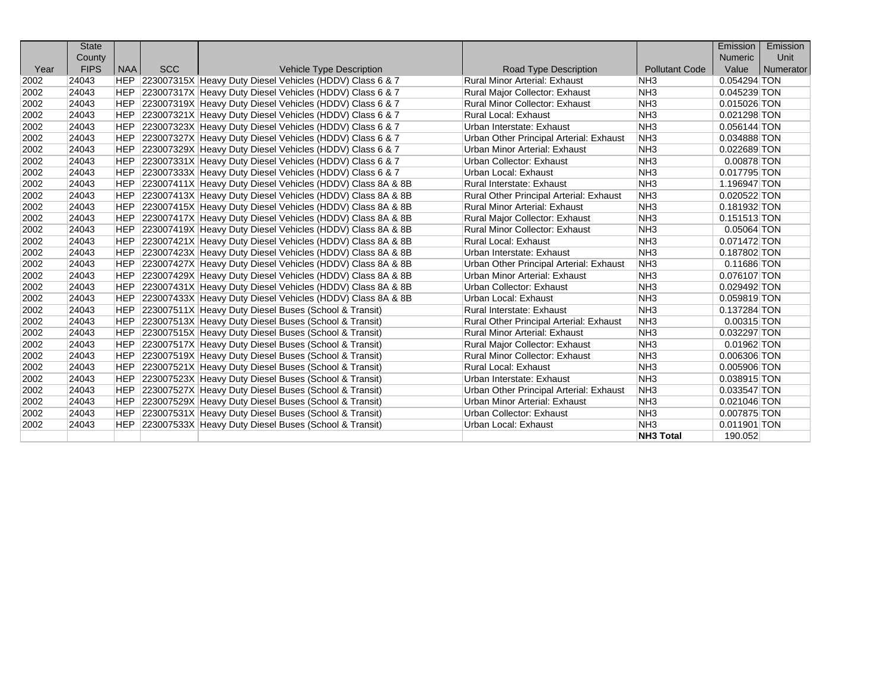|      | <b>State</b> |            |            |                                                                |                                         |                       | Emission       | Emission  |
|------|--------------|------------|------------|----------------------------------------------------------------|-----------------------------------------|-----------------------|----------------|-----------|
|      | County       |            |            |                                                                |                                         |                       | <b>Numeric</b> | Unit      |
| Year | <b>FIPS</b>  | <b>NAA</b> | <b>SCC</b> | <b>Vehicle Type Description</b>                                | Road Type Description                   | <b>Pollutant Code</b> | Value          | Numerator |
| 2002 | 24043        |            |            | HEP 223007315X Heavy Duty Diesel Vehicles (HDDV) Class 6 & 7   | <b>Rural Minor Arterial: Exhaust</b>    | NH <sub>3</sub>       | 0.054294 TON   |           |
| 2002 | 24043        | <b>HEP</b> |            | 223007317X Heavy Duty Diesel Vehicles (HDDV) Class 6 & 7       | <b>Rural Major Collector: Exhaust</b>   | NH <sub>3</sub>       | 0.045239 TON   |           |
| 2002 | 24043        | <b>HEP</b> |            | 223007319X Heavy Duty Diesel Vehicles (HDDV) Class 6 & 7       | <b>Rural Minor Collector: Exhaust</b>   | NH <sub>3</sub>       | $0.015026$ TON |           |
| 2002 | 24043        | <b>HEP</b> |            | 223007321X Heavy Duty Diesel Vehicles (HDDV) Class 6 & 7       | <b>Rural Local: Exhaust</b>             | NH <sub>3</sub>       | 0.021298 TON   |           |
| 2002 | 24043        | <b>HEP</b> |            | 223007323X Heavy Duty Diesel Vehicles (HDDV) Class 6 & 7       | Urban Interstate: Exhaust               | NH <sub>3</sub>       | $0.056144$ TON |           |
| 2002 | 24043        | <b>HEP</b> |            | 223007327X Heavy Duty Diesel Vehicles (HDDV) Class 6 & 7       | Urban Other Principal Arterial: Exhaust | NH <sub>3</sub>       | 0.034888 TON   |           |
| 2002 | 24043        | <b>HEP</b> |            | 223007329X Heavy Duty Diesel Vehicles (HDDV) Class 6 & 7       | <b>Urban Minor Arterial: Exhaust</b>    | NH <sub>3</sub>       | 0.022689 TON   |           |
| 2002 | 24043        | <b>HEP</b> |            | 223007331X Heavy Duty Diesel Vehicles (HDDV) Class 6 & 7       | Urban Collector: Exhaust                | NH <sub>3</sub>       | 0.00878 TON    |           |
| 2002 | 24043        | <b>HEP</b> |            | 223007333X Heavy Duty Diesel Vehicles (HDDV) Class 6 & 7       | Urban Local: Exhaust                    | NH <sub>3</sub>       | 0.017795 TON   |           |
| 2002 | 24043        | HEP        |            | 223007411X Heavy Duty Diesel Vehicles (HDDV) Class 8A & 8B     | <b>Rural Interstate: Exhaust</b>        | NH <sub>3</sub>       | 1.196947 TON   |           |
| 2002 | 24043        | <b>HEP</b> |            | 223007413X Heavy Duty Diesel Vehicles (HDDV) Class 8A & 8B     | Rural Other Principal Arterial: Exhaust | NH <sub>3</sub>       | 0.020522 TON   |           |
| 2002 | 24043        | HEP        |            | 223007415X Heavy Duty Diesel Vehicles (HDDV) Class 8A & 8B     | <b>Rural Minor Arterial: Exhaust</b>    | NH <sub>3</sub>       | 0.181932 TON   |           |
| 2002 | 24043        | HEP        |            | 223007417X Heavy Duty Diesel Vehicles (HDDV) Class 8A & 8B     | Rural Major Collector: Exhaust          | NH <sub>3</sub>       | $0.151513$ TON |           |
| 2002 | 24043        | HEP        |            | 223007419X Heavy Duty Diesel Vehicles (HDDV) Class 8A & 8B     | <b>Rural Minor Collector: Exhaust</b>   | NH <sub>3</sub>       | $0.05064$ TON  |           |
| 2002 | 24043        |            |            | HEP 223007421X Heavy Duty Diesel Vehicles (HDDV) Class 8A & 8B | <b>Rural Local: Exhaust</b>             | NH <sub>3</sub>       | 0.071472 TON   |           |
| 2002 | 24043        |            |            | HEP 223007423X Heavy Duty Diesel Vehicles (HDDV) Class 8A & 8B | Urban Interstate: Exhaust               | NH <sub>3</sub>       | 0.187802 TON   |           |
| 2002 | 24043        |            |            | HEP 223007427X Heavy Duty Diesel Vehicles (HDDV) Class 8A & 8B | Urban Other Principal Arterial: Exhaust | NH <sub>3</sub>       | $0.11686$ TON  |           |
| 2002 | 24043        | <b>HEP</b> |            | 223007429X Heavy Duty Diesel Vehicles (HDDV) Class 8A & 8B     | Urban Minor Arterial: Exhaust           | NH <sub>3</sub>       | 0.076107 TON   |           |
| 2002 | 24043        | <b>HEP</b> |            | 223007431X Heavy Duty Diesel Vehicles (HDDV) Class 8A & 8B     | Urban Collector: Exhaust                | NH <sub>3</sub>       | 0.029492 TON   |           |
| 2002 | 24043        | <b>HEP</b> |            | 223007433X Heavy Duty Diesel Vehicles (HDDV) Class 8A & 8B     | Urban Local: Exhaust                    | NH <sub>3</sub>       | 0.059819 TON   |           |
| 2002 | 24043        | <b>HEP</b> |            | 223007511X Heavy Duty Diesel Buses (School & Transit)          | <b>Rural Interstate: Exhaust</b>        | NH <sub>3</sub>       | 0.137284 TON   |           |
| 2002 | 24043        | <b>HEP</b> |            | 223007513X Heavy Duty Diesel Buses (School & Transit)          | Rural Other Principal Arterial: Exhaust | NH <sub>3</sub>       | $0.00315$ TON  |           |
| 2002 | 24043        | <b>HEP</b> |            | 223007515X Heavy Duty Diesel Buses (School & Transit)          | <b>Rural Minor Arterial: Exhaust</b>    | NH <sub>3</sub>       | 0.032297 TON   |           |
| 2002 | 24043        | <b>HEP</b> |            | 223007517X Heavy Duty Diesel Buses (School & Transit)          | <b>Rural Major Collector: Exhaust</b>   | NH <sub>3</sub>       | 0.01962 TON    |           |
| 2002 | 24043        | <b>HEP</b> |            | 223007519X Heavy Duty Diesel Buses (School & Transit)          | <b>Rural Minor Collector: Exhaust</b>   | NH <sub>3</sub>       | 0.006306 TON   |           |
| 2002 | 24043        | <b>HEP</b> |            | 223007521X Heavy Duty Diesel Buses (School & Transit)          | <b>Rural Local: Exhaust</b>             | NH <sub>3</sub>       | 0.005906 TON   |           |
| 2002 | 24043        | <b>HEP</b> |            | 223007523X Heavy Duty Diesel Buses (School & Transit)          | Urban Interstate: Exhaust               | NH <sub>3</sub>       | 0.038915 TON   |           |
| 2002 | 24043        | <b>HEP</b> |            | 223007527X Heavy Duty Diesel Buses (School & Transit)          | Urban Other Principal Arterial: Exhaust | NH <sub>3</sub>       | 0.033547 TON   |           |
| 2002 | 24043        | <b>HEP</b> |            | 223007529X Heavy Duty Diesel Buses (School & Transit)          | Urban Minor Arterial: Exhaust           | NH <sub>3</sub>       | $0.021046$ TON |           |
| 2002 | 24043        | HEP.       |            | 223007531X Heavy Duty Diesel Buses (School & Transit)          | Urban Collector: Exhaust                | NH <sub>3</sub>       | 0.007875 TON   |           |
| 2002 | 24043        | HEP        |            | 223007533X Heavy Duty Diesel Buses (School & Transit)          | Urban Local: Exhaust                    | NH <sub>3</sub>       | $0.011901$ TON |           |
|      |              |            |            |                                                                |                                         | <b>NH3 Total</b>      | 190.052        |           |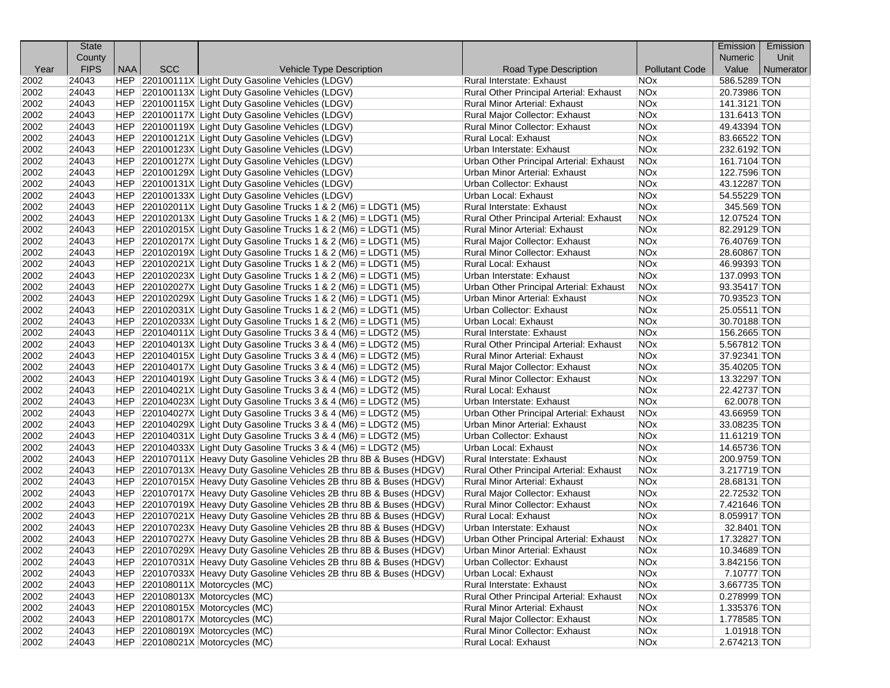| County<br><b>Numeric</b><br>Unit<br><b>FIPS</b><br><b>NAA</b><br><b>SCC</b><br><b>Pollutant Code</b><br>Value<br>Numerator<br>Year<br><b>Vehicle Type Description</b><br>Road Type Description<br>586.5289 TON<br>24043<br>HEP 220100111X Light Duty Gasoline Vehicles (LDGV)<br>Rural Interstate: Exhaust<br>NOx<br>2002<br>2002<br>24043<br>HEP 220100113X Light Duty Gasoline Vehicles (LDGV)<br>Rural Other Principal Arterial: Exhaust<br>NOx<br>20.73986 TON<br>2002<br>24043<br>HEP 220100115X Light Duty Gasoline Vehicles (LDGV)<br><b>Rural Minor Arterial: Exhaust</b><br>NOx<br>141.3121 TON<br>2002<br>24043<br>HEP 220100117X Light Duty Gasoline Vehicles (LDGV)<br>Rural Major Collector: Exhaust<br>NOx<br>131.6413 TON<br>2002<br>24043<br>HEP 220100119X Light Duty Gasoline Vehicles (LDGV)<br>Rural Minor Collector: Exhaust<br><b>NOx</b><br>49.43394 TON<br>2002<br>HEP 220100121X Light Duty Gasoline Vehicles (LDGV)<br>Rural Local: Exhaust<br><b>NOx</b><br>83.66522 TON<br>24043<br>24043<br>HEP 220100123X Light Duty Gasoline Vehicles (LDGV)<br><b>NOx</b><br>232.6192 TON<br>2002<br>Urban Interstate: Exhaust<br>2002<br>24043<br>HEP 220100127X Light Duty Gasoline Vehicles (LDGV)<br>Urban Other Principal Arterial: Exhaust<br>NOx<br>161.7104 TON<br>2002<br>24043<br>HEP 220100129X Light Duty Gasoline Vehicles (LDGV)<br>Urban Minor Arterial: Exhaust<br>NOx<br>122.7596 TON<br>2002<br>24043<br>HEP 220100131X Light Duty Gasoline Vehicles (LDGV)<br>Urban Collector: Exhaust<br>NOx<br>43.12287 TON<br>2002<br>54.55229 TON<br>24043<br>HEP 220100133X Light Duty Gasoline Vehicles (LDGV)<br>Urban Local: Exhaust<br>NOx<br>NOx<br>2002<br>24043<br>$ HEP $ 220102011X Light Duty Gasoline Trucks 1 & 2 (M6) = LDGT1 (M5)<br>Rural Interstate: Exhaust<br>345.569 TON<br>2002<br>24043<br>$ HEP $ 220102013X Light Duty Gasoline Trucks 1 & 2 (M6) = LDGT1 (M5)<br>Rural Other Principal Arterial: Exhaust<br>NOx<br>12.07524 TON<br>24043<br>2002<br>$ HEP $ 220102015X Light Duty Gasoline Trucks 1 & 2 (M6) = LDGT1 (M5)<br>NOx<br>82.29129 TON<br>Rural Minor Arterial: Exhaust<br>2002<br>24043<br>HEP $ 220102017X $ Light Duty Gasoline Trucks 1 & 2 (M6) = LDGT1 (M5)<br>NO <sub>x</sub><br>76.40769 TON<br>Rural Major Collector: Exhaust<br>2002<br><b>NOx</b><br>24043<br>$ HEP $ 220102019X Light Duty Gasoline Trucks 1 & 2 (M6) = LDGT1 (M5)<br><b>Rural Minor Collector: Exhaust</b><br>28.60867 TON<br>24043<br>2002<br>$ HEP $ 220102021X Light Duty Gasoline Trucks 1 & 2 (M6) = LDGT1 (M5)<br>Rural Local: Exhaust<br>NOx<br>46.99393 TON<br>2002<br>24043<br>$ HEP $ 220102023X Light Duty Gasoline Trucks 1 & 2 (M6) = LDGT1 (M5)<br>Urban Interstate: Exhaust<br>NOx<br>137.0993 TON<br><b>NOx</b><br>2002<br>24043<br>$ HEP $ 220102027X Light Duty Gasoline Trucks 1 & 2 (M6) = LDGT1 (M5)<br>Urban Other Principal Arterial: Exhaust<br>93.35417 TON<br>24043<br>2002<br>HEP $ 220102029X $ Light Duty Gasoline Trucks 1 & 2 (M6) = LDGT1 (M5)<br>Urban Minor Arterial: Exhaust<br>NOx<br>70.93523 TON<br>2002<br>24043<br>$ HEP $ 220102031X Light Duty Gasoline Trucks 1 & 2 (M6) = LDGT1 (M5)<br>Urban Collector: Exhaust<br>NOx<br>25.05511 TON<br>NOx<br>30.70188 TON<br>2002<br>24043<br>$ HEP $ 220102033X Light Duty Gasoline Trucks 1 & 2 (M6) = LDGT1 (M5)<br>Urban Local: Exhaust<br><b>NOx</b><br>2002<br>24043<br>$ HEP $ 220104011X Light Duty Gasoline Trucks 3 & 4 (M6) = LDGT2 (M5)<br>Rural Interstate: Exhaust<br>156.2665 TON<br>2002<br>24043<br>$ HEP $ 220104013X Light Duty Gasoline Trucks 3 & 4 (M6) = LDGT2 (M5)<br>Rural Other Principal Arterial: Exhaust<br>NOx<br>5.567812 TON<br>2002<br>24043<br>HEP $ 220104015X $ Light Duty Gasoline Trucks 3 & 4 (M6) = LDGT2 (M5)<br>NO <sub>x</sub><br>37.92341 TON<br>Rural Minor Arterial: Exhaust<br>2002<br><b>NOx</b><br>35.40205 TON<br>24043<br>$ HEP $ 220104017X Light Duty Gasoline Trucks 3 & 4 (M6) = LDGT2 (M5)<br>Rural Major Collector: Exhaust<br>24043<br>NOx<br>13.32297 TON<br>2002<br>$ HEP $ 220104019X Light Duty Gasoline Trucks 3 & 4 (M6) = LDGT2 (M5)<br>Rural Minor Collector: Exhaust<br>2002<br>24043<br>$ HEP $ 220104021X Light Duty Gasoline Trucks 3 & 4 (M6) = LDGT2 (M5)<br>Rural Local: Exhaust<br>NOx<br>22.42737 TON<br><b>NOx</b><br>2002<br>24043<br>HEP 220104023X Light Duty Gasoline Trucks 3 & 4 (M6) = LDGT2 (M5)<br>62.0078 TON<br>Urban Interstate: Exhaust<br>2002<br>24043<br>$ HEP $ 220104027X Light Duty Gasoline Trucks 3 & 4 (M6) = LDGT2 (M5)<br>Urban Other Principal Arterial: Exhaust<br>NOx<br>43.66959 TON<br>2002<br>24043<br>$ HEP $ 220104029X Light Duty Gasoline Trucks 3 & 4 (M6) = LDGT2 (M5)<br>Urban Minor Arterial: Exhaust<br>NOx<br>33.08235 TON<br>2002<br>24043<br>$ HEP $ 220104031X Light Duty Gasoline Trucks 3 & 4 (M6) = LDGT2 (M5)<br>Urban Collector: Exhaust<br>NO <sub>x</sub><br>11.61219 TON<br>2002<br>24043<br>$ HEP $ 220104033X Light Duty Gasoline Trucks 3 & 4 (M6) = LDGT2 (M5)<br>Urban Local: Exhaust<br>NOx<br>14.65736 TON<br><b>NOx</b><br>2002<br>24043<br>HEP 220107011X Heavy Duty Gasoline Vehicles 2B thru 8B & Buses (HDGV)<br>Rural Interstate: Exhaust<br>200.9759 TON<br>2002<br>24043<br>HEP 220107013X Heavy Duty Gasoline Vehicles 2B thru 8B & Buses (HDGV)<br>NO <sub>x</sub><br>3.217719 TON<br>Rural Other Principal Arterial: Exhaust<br>2002<br><b>NOx</b><br>28.68131 TON<br>24043<br>HEP 220107015X Heavy Duty Gasoline Vehicles 2B thru 8B & Buses (HDGV)<br>Rural Minor Arterial: Exhaust<br>2002<br>24043<br>HEP 220107017X Heavy Duty Gasoline Vehicles 2B thru 8B & Buses (HDGV)<br>Rural Major Collector: Exhaust<br>NO <sub>x</sub><br>22.72532 TON<br>2002<br>24043<br>HEP 220107019X Heavy Duty Gasoline Vehicles 2B thru 8B & Buses (HDGV)<br>Rural Minor Collector: Exhaust<br>NOx<br>7.421646 TON<br><b>NOx</b><br>2002<br>24043<br>HEP 220107021X Heavy Duty Gasoline Vehicles 2B thru 8B & Buses (HDGV)<br>Rural Local: Exhaust<br>8.059917 TON<br>2002<br>24043<br><b>NOx</b><br>HEP 220107023X Heavy Duty Gasoline Vehicles 2B thru 8B & Buses (HDGV)<br>32.8401 TON<br>Urban Interstate: Exhaust<br>2002<br>HEP 220107027X Heavy Duty Gasoline Vehicles 2B thru 8B & Buses (HDGV)<br>17.32827 TON<br>24043<br>Urban Other Principal Arterial: Exhaust<br><b>NOx</b><br>HEP 220107029X Heavy Duty Gasoline Vehicles 2B thru 8B & Buses (HDGV)<br><b>Urban Minor Arterial: Exhaust</b><br><b>NOx</b><br>10.34689 TON<br>2002<br>24043<br>24043<br>HEP 220107031X Heavy Duty Gasoline Vehicles 2B thru 8B & Buses (HDGV)<br>2002<br>Urban Collector: Exhaust<br><b>NOx</b><br>3.842156 TON<br>24043<br>HEP 220107033X Heavy Duty Gasoline Vehicles 2B thru 8B & Buses (HDGV)<br>NOx<br>7.10777 TON<br>2002<br>Urban Local: Exhaust<br>NOx<br>2002<br>24043<br>HEP 220108011X Motorcycles (MC)<br>Rural Interstate: Exhaust<br>3.667735 TON<br>HEP 220108013X Motorcycles (MC)<br>Rural Other Principal Arterial: Exhaust<br>NOx<br>0.278999 TON<br>2002<br>24043<br>HEP 220108015X Motorcycles (MC)<br>NOx<br>2002<br>24043<br>Rural Minor Arterial: Exhaust<br>1.335376 TON<br>2002<br>24043<br>HEP 220108017X Motorcycles (MC)<br>Rural Major Collector: Exhaust<br>NOx<br>1.778585 TON<br>HEP 220108019X Motorcycles (MC)<br>NOx<br>2002<br>24043<br>Rural Minor Collector: Exhaust<br>1.01918 TON<br>2002<br>24043<br>HEP 220108021X Motorcycles (MC)<br>Rural Local: Exhaust<br>2.674213 TON<br>NO <sub>x</sub> | <b>State</b> |  |  | Emission | Emission |
|-------------------------------------------------------------------------------------------------------------------------------------------------------------------------------------------------------------------------------------------------------------------------------------------------------------------------------------------------------------------------------------------------------------------------------------------------------------------------------------------------------------------------------------------------------------------------------------------------------------------------------------------------------------------------------------------------------------------------------------------------------------------------------------------------------------------------------------------------------------------------------------------------------------------------------------------------------------------------------------------------------------------------------------------------------------------------------------------------------------------------------------------------------------------------------------------------------------------------------------------------------------------------------------------------------------------------------------------------------------------------------------------------------------------------------------------------------------------------------------------------------------------------------------------------------------------------------------------------------------------------------------------------------------------------------------------------------------------------------------------------------------------------------------------------------------------------------------------------------------------------------------------------------------------------------------------------------------------------------------------------------------------------------------------------------------------------------------------------------------------------------------------------------------------------------------------------------------------------------------------------------------------------------------------------------------------------------------------------------------------------------------------------------------------------------------------------------------------------------------------------------------------------------------------------------------------------------------------------------------------------------------------------------------------------------------------------------------------------------------------------------------------------------------------------------------------------------------------------------------------------------------------------------------------------------------------------------------------------------------------------------------------------------------------------------------------------------------------------------------------------------------------------------------------------------------------------------------------------------------------------------------------------------------------------------------------------------------------------------------------------------------------------------------------------------------------------------------------------------------------------------------------------------------------------------------------------------------------------------------------------------------------------------------------------------------------------------------------------------------------------------------------------------------------------------------------------------------------------------------------------------------------------------------------------------------------------------------------------------------------------------------------------------------------------------------------------------------------------------------------------------------------------------------------------------------------------------------------------------------------------------------------------------------------------------------------------------------------------------------------------------------------------------------------------------------------------------------------------------------------------------------------------------------------------------------------------------------------------------------------------------------------------------------------------------------------------------------------------------------------------------------------------------------------------------------------------------------------------------------------------------------------------------------------------------------------------------------------------------------------------------------------------------------------------------------------------------------------------------------------------------------------------------------------------------------------------------------------------------------------------------------------------------------------------------------------------------------------------------------------------------------------------------------------------------------------------------------------------------------------------------------------------------------------------------------------------------------------------------------------------------------------------------------------------------------------------------------------------------------------------------------------------------------------------------------------------------------------------------------------------------------------------------------------------------------------------------------------------------------------------------------------------------------------------------------------------------------------------------------------------------------------------------------------------------------------------------------------------------------------------------------------------------------------------------------------------------------------------------------------------------------------------------------------------------------------------------------------------------------------------------------------------------------------------------------------------------------------------------------------------------------------------------------------------------------------------------------------------------------------------------------------------------------------------------------------------------------------------------------------------------------------------------------------------------------------------------------------------------------------------------------------------------------------------------------------------------------------------------------------------------------------------------------------------------------------------------------------------------------------------------------------------------------------------------------------------------------------------------------------------------------------------------------------------------------------------------------------------------------------------------|--------------|--|--|----------|----------|
|                                                                                                                                                                                                                                                                                                                                                                                                                                                                                                                                                                                                                                                                                                                                                                                                                                                                                                                                                                                                                                                                                                                                                                                                                                                                                                                                                                                                                                                                                                                                                                                                                                                                                                                                                                                                                                                                                                                                                                                                                                                                                                                                                                                                                                                                                                                                                                                                                                                                                                                                                                                                                                                                                                                                                                                                                                                                                                                                                                                                                                                                                                                                                                                                                                                                                                                                                                                                                                                                                                                                                                                                                                                                                                                                                                                                                                                                                                                                                                                                                                                                                                                                                                                                                                                                                                                                                                                                                                                                                                                                                                                                                                                                                                                                                                                                                                                                                                                                                                                                                                                                                                                                                                                                                                                                                                                                                                                                                                                                                                                                                                                                                                                                                                                                                                                                                                                                                                                                                                                                                                                                                                                                                                                                                                                                                                                                                                                                                                                                                                                                                                                                                                                                                                                                                                                                                                                                                                                                                                                                                                                                                                                                                                                                                                                                                                                                                                                                                                                                                                       |              |  |  |          |          |
|                                                                                                                                                                                                                                                                                                                                                                                                                                                                                                                                                                                                                                                                                                                                                                                                                                                                                                                                                                                                                                                                                                                                                                                                                                                                                                                                                                                                                                                                                                                                                                                                                                                                                                                                                                                                                                                                                                                                                                                                                                                                                                                                                                                                                                                                                                                                                                                                                                                                                                                                                                                                                                                                                                                                                                                                                                                                                                                                                                                                                                                                                                                                                                                                                                                                                                                                                                                                                                                                                                                                                                                                                                                                                                                                                                                                                                                                                                                                                                                                                                                                                                                                                                                                                                                                                                                                                                                                                                                                                                                                                                                                                                                                                                                                                                                                                                                                                                                                                                                                                                                                                                                                                                                                                                                                                                                                                                                                                                                                                                                                                                                                                                                                                                                                                                                                                                                                                                                                                                                                                                                                                                                                                                                                                                                                                                                                                                                                                                                                                                                                                                                                                                                                                                                                                                                                                                                                                                                                                                                                                                                                                                                                                                                                                                                                                                                                                                                                                                                                                                       |              |  |  |          |          |
|                                                                                                                                                                                                                                                                                                                                                                                                                                                                                                                                                                                                                                                                                                                                                                                                                                                                                                                                                                                                                                                                                                                                                                                                                                                                                                                                                                                                                                                                                                                                                                                                                                                                                                                                                                                                                                                                                                                                                                                                                                                                                                                                                                                                                                                                                                                                                                                                                                                                                                                                                                                                                                                                                                                                                                                                                                                                                                                                                                                                                                                                                                                                                                                                                                                                                                                                                                                                                                                                                                                                                                                                                                                                                                                                                                                                                                                                                                                                                                                                                                                                                                                                                                                                                                                                                                                                                                                                                                                                                                                                                                                                                                                                                                                                                                                                                                                                                                                                                                                                                                                                                                                                                                                                                                                                                                                                                                                                                                                                                                                                                                                                                                                                                                                                                                                                                                                                                                                                                                                                                                                                                                                                                                                                                                                                                                                                                                                                                                                                                                                                                                                                                                                                                                                                                                                                                                                                                                                                                                                                                                                                                                                                                                                                                                                                                                                                                                                                                                                                                                       |              |  |  |          |          |
|                                                                                                                                                                                                                                                                                                                                                                                                                                                                                                                                                                                                                                                                                                                                                                                                                                                                                                                                                                                                                                                                                                                                                                                                                                                                                                                                                                                                                                                                                                                                                                                                                                                                                                                                                                                                                                                                                                                                                                                                                                                                                                                                                                                                                                                                                                                                                                                                                                                                                                                                                                                                                                                                                                                                                                                                                                                                                                                                                                                                                                                                                                                                                                                                                                                                                                                                                                                                                                                                                                                                                                                                                                                                                                                                                                                                                                                                                                                                                                                                                                                                                                                                                                                                                                                                                                                                                                                                                                                                                                                                                                                                                                                                                                                                                                                                                                                                                                                                                                                                                                                                                                                                                                                                                                                                                                                                                                                                                                                                                                                                                                                                                                                                                                                                                                                                                                                                                                                                                                                                                                                                                                                                                                                                                                                                                                                                                                                                                                                                                                                                                                                                                                                                                                                                                                                                                                                                                                                                                                                                                                                                                                                                                                                                                                                                                                                                                                                                                                                                                                       |              |  |  |          |          |
|                                                                                                                                                                                                                                                                                                                                                                                                                                                                                                                                                                                                                                                                                                                                                                                                                                                                                                                                                                                                                                                                                                                                                                                                                                                                                                                                                                                                                                                                                                                                                                                                                                                                                                                                                                                                                                                                                                                                                                                                                                                                                                                                                                                                                                                                                                                                                                                                                                                                                                                                                                                                                                                                                                                                                                                                                                                                                                                                                                                                                                                                                                                                                                                                                                                                                                                                                                                                                                                                                                                                                                                                                                                                                                                                                                                                                                                                                                                                                                                                                                                                                                                                                                                                                                                                                                                                                                                                                                                                                                                                                                                                                                                                                                                                                                                                                                                                                                                                                                                                                                                                                                                                                                                                                                                                                                                                                                                                                                                                                                                                                                                                                                                                                                                                                                                                                                                                                                                                                                                                                                                                                                                                                                                                                                                                                                                                                                                                                                                                                                                                                                                                                                                                                                                                                                                                                                                                                                                                                                                                                                                                                                                                                                                                                                                                                                                                                                                                                                                                                                       |              |  |  |          |          |
|                                                                                                                                                                                                                                                                                                                                                                                                                                                                                                                                                                                                                                                                                                                                                                                                                                                                                                                                                                                                                                                                                                                                                                                                                                                                                                                                                                                                                                                                                                                                                                                                                                                                                                                                                                                                                                                                                                                                                                                                                                                                                                                                                                                                                                                                                                                                                                                                                                                                                                                                                                                                                                                                                                                                                                                                                                                                                                                                                                                                                                                                                                                                                                                                                                                                                                                                                                                                                                                                                                                                                                                                                                                                                                                                                                                                                                                                                                                                                                                                                                                                                                                                                                                                                                                                                                                                                                                                                                                                                                                                                                                                                                                                                                                                                                                                                                                                                                                                                                                                                                                                                                                                                                                                                                                                                                                                                                                                                                                                                                                                                                                                                                                                                                                                                                                                                                                                                                                                                                                                                                                                                                                                                                                                                                                                                                                                                                                                                                                                                                                                                                                                                                                                                                                                                                                                                                                                                                                                                                                                                                                                                                                                                                                                                                                                                                                                                                                                                                                                                                       |              |  |  |          |          |
|                                                                                                                                                                                                                                                                                                                                                                                                                                                                                                                                                                                                                                                                                                                                                                                                                                                                                                                                                                                                                                                                                                                                                                                                                                                                                                                                                                                                                                                                                                                                                                                                                                                                                                                                                                                                                                                                                                                                                                                                                                                                                                                                                                                                                                                                                                                                                                                                                                                                                                                                                                                                                                                                                                                                                                                                                                                                                                                                                                                                                                                                                                                                                                                                                                                                                                                                                                                                                                                                                                                                                                                                                                                                                                                                                                                                                                                                                                                                                                                                                                                                                                                                                                                                                                                                                                                                                                                                                                                                                                                                                                                                                                                                                                                                                                                                                                                                                                                                                                                                                                                                                                                                                                                                                                                                                                                                                                                                                                                                                                                                                                                                                                                                                                                                                                                                                                                                                                                                                                                                                                                                                                                                                                                                                                                                                                                                                                                                                                                                                                                                                                                                                                                                                                                                                                                                                                                                                                                                                                                                                                                                                                                                                                                                                                                                                                                                                                                                                                                                                                       |              |  |  |          |          |
|                                                                                                                                                                                                                                                                                                                                                                                                                                                                                                                                                                                                                                                                                                                                                                                                                                                                                                                                                                                                                                                                                                                                                                                                                                                                                                                                                                                                                                                                                                                                                                                                                                                                                                                                                                                                                                                                                                                                                                                                                                                                                                                                                                                                                                                                                                                                                                                                                                                                                                                                                                                                                                                                                                                                                                                                                                                                                                                                                                                                                                                                                                                                                                                                                                                                                                                                                                                                                                                                                                                                                                                                                                                                                                                                                                                                                                                                                                                                                                                                                                                                                                                                                                                                                                                                                                                                                                                                                                                                                                                                                                                                                                                                                                                                                                                                                                                                                                                                                                                                                                                                                                                                                                                                                                                                                                                                                                                                                                                                                                                                                                                                                                                                                                                                                                                                                                                                                                                                                                                                                                                                                                                                                                                                                                                                                                                                                                                                                                                                                                                                                                                                                                                                                                                                                                                                                                                                                                                                                                                                                                                                                                                                                                                                                                                                                                                                                                                                                                                                                                       |              |  |  |          |          |
|                                                                                                                                                                                                                                                                                                                                                                                                                                                                                                                                                                                                                                                                                                                                                                                                                                                                                                                                                                                                                                                                                                                                                                                                                                                                                                                                                                                                                                                                                                                                                                                                                                                                                                                                                                                                                                                                                                                                                                                                                                                                                                                                                                                                                                                                                                                                                                                                                                                                                                                                                                                                                                                                                                                                                                                                                                                                                                                                                                                                                                                                                                                                                                                                                                                                                                                                                                                                                                                                                                                                                                                                                                                                                                                                                                                                                                                                                                                                                                                                                                                                                                                                                                                                                                                                                                                                                                                                                                                                                                                                                                                                                                                                                                                                                                                                                                                                                                                                                                                                                                                                                                                                                                                                                                                                                                                                                                                                                                                                                                                                                                                                                                                                                                                                                                                                                                                                                                                                                                                                                                                                                                                                                                                                                                                                                                                                                                                                                                                                                                                                                                                                                                                                                                                                                                                                                                                                                                                                                                                                                                                                                                                                                                                                                                                                                                                                                                                                                                                                                                       |              |  |  |          |          |
|                                                                                                                                                                                                                                                                                                                                                                                                                                                                                                                                                                                                                                                                                                                                                                                                                                                                                                                                                                                                                                                                                                                                                                                                                                                                                                                                                                                                                                                                                                                                                                                                                                                                                                                                                                                                                                                                                                                                                                                                                                                                                                                                                                                                                                                                                                                                                                                                                                                                                                                                                                                                                                                                                                                                                                                                                                                                                                                                                                                                                                                                                                                                                                                                                                                                                                                                                                                                                                                                                                                                                                                                                                                                                                                                                                                                                                                                                                                                                                                                                                                                                                                                                                                                                                                                                                                                                                                                                                                                                                                                                                                                                                                                                                                                                                                                                                                                                                                                                                                                                                                                                                                                                                                                                                                                                                                                                                                                                                                                                                                                                                                                                                                                                                                                                                                                                                                                                                                                                                                                                                                                                                                                                                                                                                                                                                                                                                                                                                                                                                                                                                                                                                                                                                                                                                                                                                                                                                                                                                                                                                                                                                                                                                                                                                                                                                                                                                                                                                                                                                       |              |  |  |          |          |
|                                                                                                                                                                                                                                                                                                                                                                                                                                                                                                                                                                                                                                                                                                                                                                                                                                                                                                                                                                                                                                                                                                                                                                                                                                                                                                                                                                                                                                                                                                                                                                                                                                                                                                                                                                                                                                                                                                                                                                                                                                                                                                                                                                                                                                                                                                                                                                                                                                                                                                                                                                                                                                                                                                                                                                                                                                                                                                                                                                                                                                                                                                                                                                                                                                                                                                                                                                                                                                                                                                                                                                                                                                                                                                                                                                                                                                                                                                                                                                                                                                                                                                                                                                                                                                                                                                                                                                                                                                                                                                                                                                                                                                                                                                                                                                                                                                                                                                                                                                                                                                                                                                                                                                                                                                                                                                                                                                                                                                                                                                                                                                                                                                                                                                                                                                                                                                                                                                                                                                                                                                                                                                                                                                                                                                                                                                                                                                                                                                                                                                                                                                                                                                                                                                                                                                                                                                                                                                                                                                                                                                                                                                                                                                                                                                                                                                                                                                                                                                                                                                       |              |  |  |          |          |
|                                                                                                                                                                                                                                                                                                                                                                                                                                                                                                                                                                                                                                                                                                                                                                                                                                                                                                                                                                                                                                                                                                                                                                                                                                                                                                                                                                                                                                                                                                                                                                                                                                                                                                                                                                                                                                                                                                                                                                                                                                                                                                                                                                                                                                                                                                                                                                                                                                                                                                                                                                                                                                                                                                                                                                                                                                                                                                                                                                                                                                                                                                                                                                                                                                                                                                                                                                                                                                                                                                                                                                                                                                                                                                                                                                                                                                                                                                                                                                                                                                                                                                                                                                                                                                                                                                                                                                                                                                                                                                                                                                                                                                                                                                                                                                                                                                                                                                                                                                                                                                                                                                                                                                                                                                                                                                                                                                                                                                                                                                                                                                                                                                                                                                                                                                                                                                                                                                                                                                                                                                                                                                                                                                                                                                                                                                                                                                                                                                                                                                                                                                                                                                                                                                                                                                                                                                                                                                                                                                                                                                                                                                                                                                                                                                                                                                                                                                                                                                                                                                       |              |  |  |          |          |
|                                                                                                                                                                                                                                                                                                                                                                                                                                                                                                                                                                                                                                                                                                                                                                                                                                                                                                                                                                                                                                                                                                                                                                                                                                                                                                                                                                                                                                                                                                                                                                                                                                                                                                                                                                                                                                                                                                                                                                                                                                                                                                                                                                                                                                                                                                                                                                                                                                                                                                                                                                                                                                                                                                                                                                                                                                                                                                                                                                                                                                                                                                                                                                                                                                                                                                                                                                                                                                                                                                                                                                                                                                                                                                                                                                                                                                                                                                                                                                                                                                                                                                                                                                                                                                                                                                                                                                                                                                                                                                                                                                                                                                                                                                                                                                                                                                                                                                                                                                                                                                                                                                                                                                                                                                                                                                                                                                                                                                                                                                                                                                                                                                                                                                                                                                                                                                                                                                                                                                                                                                                                                                                                                                                                                                                                                                                                                                                                                                                                                                                                                                                                                                                                                                                                                                                                                                                                                                                                                                                                                                                                                                                                                                                                                                                                                                                                                                                                                                                                                                       |              |  |  |          |          |
|                                                                                                                                                                                                                                                                                                                                                                                                                                                                                                                                                                                                                                                                                                                                                                                                                                                                                                                                                                                                                                                                                                                                                                                                                                                                                                                                                                                                                                                                                                                                                                                                                                                                                                                                                                                                                                                                                                                                                                                                                                                                                                                                                                                                                                                                                                                                                                                                                                                                                                                                                                                                                                                                                                                                                                                                                                                                                                                                                                                                                                                                                                                                                                                                                                                                                                                                                                                                                                                                                                                                                                                                                                                                                                                                                                                                                                                                                                                                                                                                                                                                                                                                                                                                                                                                                                                                                                                                                                                                                                                                                                                                                                                                                                                                                                                                                                                                                                                                                                                                                                                                                                                                                                                                                                                                                                                                                                                                                                                                                                                                                                                                                                                                                                                                                                                                                                                                                                                                                                                                                                                                                                                                                                                                                                                                                                                                                                                                                                                                                                                                                                                                                                                                                                                                                                                                                                                                                                                                                                                                                                                                                                                                                                                                                                                                                                                                                                                                                                                                                                       |              |  |  |          |          |
|                                                                                                                                                                                                                                                                                                                                                                                                                                                                                                                                                                                                                                                                                                                                                                                                                                                                                                                                                                                                                                                                                                                                                                                                                                                                                                                                                                                                                                                                                                                                                                                                                                                                                                                                                                                                                                                                                                                                                                                                                                                                                                                                                                                                                                                                                                                                                                                                                                                                                                                                                                                                                                                                                                                                                                                                                                                                                                                                                                                                                                                                                                                                                                                                                                                                                                                                                                                                                                                                                                                                                                                                                                                                                                                                                                                                                                                                                                                                                                                                                                                                                                                                                                                                                                                                                                                                                                                                                                                                                                                                                                                                                                                                                                                                                                                                                                                                                                                                                                                                                                                                                                                                                                                                                                                                                                                                                                                                                                                                                                                                                                                                                                                                                                                                                                                                                                                                                                                                                                                                                                                                                                                                                                                                                                                                                                                                                                                                                                                                                                                                                                                                                                                                                                                                                                                                                                                                                                                                                                                                                                                                                                                                                                                                                                                                                                                                                                                                                                                                                                       |              |  |  |          |          |
|                                                                                                                                                                                                                                                                                                                                                                                                                                                                                                                                                                                                                                                                                                                                                                                                                                                                                                                                                                                                                                                                                                                                                                                                                                                                                                                                                                                                                                                                                                                                                                                                                                                                                                                                                                                                                                                                                                                                                                                                                                                                                                                                                                                                                                                                                                                                                                                                                                                                                                                                                                                                                                                                                                                                                                                                                                                                                                                                                                                                                                                                                                                                                                                                                                                                                                                                                                                                                                                                                                                                                                                                                                                                                                                                                                                                                                                                                                                                                                                                                                                                                                                                                                                                                                                                                                                                                                                                                                                                                                                                                                                                                                                                                                                                                                                                                                                                                                                                                                                                                                                                                                                                                                                                                                                                                                                                                                                                                                                                                                                                                                                                                                                                                                                                                                                                                                                                                                                                                                                                                                                                                                                                                                                                                                                                                                                                                                                                                                                                                                                                                                                                                                                                                                                                                                                                                                                                                                                                                                                                                                                                                                                                                                                                                                                                                                                                                                                                                                                                                                       |              |  |  |          |          |
|                                                                                                                                                                                                                                                                                                                                                                                                                                                                                                                                                                                                                                                                                                                                                                                                                                                                                                                                                                                                                                                                                                                                                                                                                                                                                                                                                                                                                                                                                                                                                                                                                                                                                                                                                                                                                                                                                                                                                                                                                                                                                                                                                                                                                                                                                                                                                                                                                                                                                                                                                                                                                                                                                                                                                                                                                                                                                                                                                                                                                                                                                                                                                                                                                                                                                                                                                                                                                                                                                                                                                                                                                                                                                                                                                                                                                                                                                                                                                                                                                                                                                                                                                                                                                                                                                                                                                                                                                                                                                                                                                                                                                                                                                                                                                                                                                                                                                                                                                                                                                                                                                                                                                                                                                                                                                                                                                                                                                                                                                                                                                                                                                                                                                                                                                                                                                                                                                                                                                                                                                                                                                                                                                                                                                                                                                                                                                                                                                                                                                                                                                                                                                                                                                                                                                                                                                                                                                                                                                                                                                                                                                                                                                                                                                                                                                                                                                                                                                                                                                                       |              |  |  |          |          |
|                                                                                                                                                                                                                                                                                                                                                                                                                                                                                                                                                                                                                                                                                                                                                                                                                                                                                                                                                                                                                                                                                                                                                                                                                                                                                                                                                                                                                                                                                                                                                                                                                                                                                                                                                                                                                                                                                                                                                                                                                                                                                                                                                                                                                                                                                                                                                                                                                                                                                                                                                                                                                                                                                                                                                                                                                                                                                                                                                                                                                                                                                                                                                                                                                                                                                                                                                                                                                                                                                                                                                                                                                                                                                                                                                                                                                                                                                                                                                                                                                                                                                                                                                                                                                                                                                                                                                                                                                                                                                                                                                                                                                                                                                                                                                                                                                                                                                                                                                                                                                                                                                                                                                                                                                                                                                                                                                                                                                                                                                                                                                                                                                                                                                                                                                                                                                                                                                                                                                                                                                                                                                                                                                                                                                                                                                                                                                                                                                                                                                                                                                                                                                                                                                                                                                                                                                                                                                                                                                                                                                                                                                                                                                                                                                                                                                                                                                                                                                                                                                                       |              |  |  |          |          |
|                                                                                                                                                                                                                                                                                                                                                                                                                                                                                                                                                                                                                                                                                                                                                                                                                                                                                                                                                                                                                                                                                                                                                                                                                                                                                                                                                                                                                                                                                                                                                                                                                                                                                                                                                                                                                                                                                                                                                                                                                                                                                                                                                                                                                                                                                                                                                                                                                                                                                                                                                                                                                                                                                                                                                                                                                                                                                                                                                                                                                                                                                                                                                                                                                                                                                                                                                                                                                                                                                                                                                                                                                                                                                                                                                                                                                                                                                                                                                                                                                                                                                                                                                                                                                                                                                                                                                                                                                                                                                                                                                                                                                                                                                                                                                                                                                                                                                                                                                                                                                                                                                                                                                                                                                                                                                                                                                                                                                                                                                                                                                                                                                                                                                                                                                                                                                                                                                                                                                                                                                                                                                                                                                                                                                                                                                                                                                                                                                                                                                                                                                                                                                                                                                                                                                                                                                                                                                                                                                                                                                                                                                                                                                                                                                                                                                                                                                                                                                                                                                                       |              |  |  |          |          |
|                                                                                                                                                                                                                                                                                                                                                                                                                                                                                                                                                                                                                                                                                                                                                                                                                                                                                                                                                                                                                                                                                                                                                                                                                                                                                                                                                                                                                                                                                                                                                                                                                                                                                                                                                                                                                                                                                                                                                                                                                                                                                                                                                                                                                                                                                                                                                                                                                                                                                                                                                                                                                                                                                                                                                                                                                                                                                                                                                                                                                                                                                                                                                                                                                                                                                                                                                                                                                                                                                                                                                                                                                                                                                                                                                                                                                                                                                                                                                                                                                                                                                                                                                                                                                                                                                                                                                                                                                                                                                                                                                                                                                                                                                                                                                                                                                                                                                                                                                                                                                                                                                                                                                                                                                                                                                                                                                                                                                                                                                                                                                                                                                                                                                                                                                                                                                                                                                                                                                                                                                                                                                                                                                                                                                                                                                                                                                                                                                                                                                                                                                                                                                                                                                                                                                                                                                                                                                                                                                                                                                                                                                                                                                                                                                                                                                                                                                                                                                                                                                                       |              |  |  |          |          |
|                                                                                                                                                                                                                                                                                                                                                                                                                                                                                                                                                                                                                                                                                                                                                                                                                                                                                                                                                                                                                                                                                                                                                                                                                                                                                                                                                                                                                                                                                                                                                                                                                                                                                                                                                                                                                                                                                                                                                                                                                                                                                                                                                                                                                                                                                                                                                                                                                                                                                                                                                                                                                                                                                                                                                                                                                                                                                                                                                                                                                                                                                                                                                                                                                                                                                                                                                                                                                                                                                                                                                                                                                                                                                                                                                                                                                                                                                                                                                                                                                                                                                                                                                                                                                                                                                                                                                                                                                                                                                                                                                                                                                                                                                                                                                                                                                                                                                                                                                                                                                                                                                                                                                                                                                                                                                                                                                                                                                                                                                                                                                                                                                                                                                                                                                                                                                                                                                                                                                                                                                                                                                                                                                                                                                                                                                                                                                                                                                                                                                                                                                                                                                                                                                                                                                                                                                                                                                                                                                                                                                                                                                                                                                                                                                                                                                                                                                                                                                                                                                                       |              |  |  |          |          |
|                                                                                                                                                                                                                                                                                                                                                                                                                                                                                                                                                                                                                                                                                                                                                                                                                                                                                                                                                                                                                                                                                                                                                                                                                                                                                                                                                                                                                                                                                                                                                                                                                                                                                                                                                                                                                                                                                                                                                                                                                                                                                                                                                                                                                                                                                                                                                                                                                                                                                                                                                                                                                                                                                                                                                                                                                                                                                                                                                                                                                                                                                                                                                                                                                                                                                                                                                                                                                                                                                                                                                                                                                                                                                                                                                                                                                                                                                                                                                                                                                                                                                                                                                                                                                                                                                                                                                                                                                                                                                                                                                                                                                                                                                                                                                                                                                                                                                                                                                                                                                                                                                                                                                                                                                                                                                                                                                                                                                                                                                                                                                                                                                                                                                                                                                                                                                                                                                                                                                                                                                                                                                                                                                                                                                                                                                                                                                                                                                                                                                                                                                                                                                                                                                                                                                                                                                                                                                                                                                                                                                                                                                                                                                                                                                                                                                                                                                                                                                                                                                                       |              |  |  |          |          |
|                                                                                                                                                                                                                                                                                                                                                                                                                                                                                                                                                                                                                                                                                                                                                                                                                                                                                                                                                                                                                                                                                                                                                                                                                                                                                                                                                                                                                                                                                                                                                                                                                                                                                                                                                                                                                                                                                                                                                                                                                                                                                                                                                                                                                                                                                                                                                                                                                                                                                                                                                                                                                                                                                                                                                                                                                                                                                                                                                                                                                                                                                                                                                                                                                                                                                                                                                                                                                                                                                                                                                                                                                                                                                                                                                                                                                                                                                                                                                                                                                                                                                                                                                                                                                                                                                                                                                                                                                                                                                                                                                                                                                                                                                                                                                                                                                                                                                                                                                                                                                                                                                                                                                                                                                                                                                                                                                                                                                                                                                                                                                                                                                                                                                                                                                                                                                                                                                                                                                                                                                                                                                                                                                                                                                                                                                                                                                                                                                                                                                                                                                                                                                                                                                                                                                                                                                                                                                                                                                                                                                                                                                                                                                                                                                                                                                                                                                                                                                                                                                                       |              |  |  |          |          |
|                                                                                                                                                                                                                                                                                                                                                                                                                                                                                                                                                                                                                                                                                                                                                                                                                                                                                                                                                                                                                                                                                                                                                                                                                                                                                                                                                                                                                                                                                                                                                                                                                                                                                                                                                                                                                                                                                                                                                                                                                                                                                                                                                                                                                                                                                                                                                                                                                                                                                                                                                                                                                                                                                                                                                                                                                                                                                                                                                                                                                                                                                                                                                                                                                                                                                                                                                                                                                                                                                                                                                                                                                                                                                                                                                                                                                                                                                                                                                                                                                                                                                                                                                                                                                                                                                                                                                                                                                                                                                                                                                                                                                                                                                                                                                                                                                                                                                                                                                                                                                                                                                                                                                                                                                                                                                                                                                                                                                                                                                                                                                                                                                                                                                                                                                                                                                                                                                                                                                                                                                                                                                                                                                                                                                                                                                                                                                                                                                                                                                                                                                                                                                                                                                                                                                                                                                                                                                                                                                                                                                                                                                                                                                                                                                                                                                                                                                                                                                                                                                                       |              |  |  |          |          |
|                                                                                                                                                                                                                                                                                                                                                                                                                                                                                                                                                                                                                                                                                                                                                                                                                                                                                                                                                                                                                                                                                                                                                                                                                                                                                                                                                                                                                                                                                                                                                                                                                                                                                                                                                                                                                                                                                                                                                                                                                                                                                                                                                                                                                                                                                                                                                                                                                                                                                                                                                                                                                                                                                                                                                                                                                                                                                                                                                                                                                                                                                                                                                                                                                                                                                                                                                                                                                                                                                                                                                                                                                                                                                                                                                                                                                                                                                                                                                                                                                                                                                                                                                                                                                                                                                                                                                                                                                                                                                                                                                                                                                                                                                                                                                                                                                                                                                                                                                                                                                                                                                                                                                                                                                                                                                                                                                                                                                                                                                                                                                                                                                                                                                                                                                                                                                                                                                                                                                                                                                                                                                                                                                                                                                                                                                                                                                                                                                                                                                                                                                                                                                                                                                                                                                                                                                                                                                                                                                                                                                                                                                                                                                                                                                                                                                                                                                                                                                                                                                                       |              |  |  |          |          |
|                                                                                                                                                                                                                                                                                                                                                                                                                                                                                                                                                                                                                                                                                                                                                                                                                                                                                                                                                                                                                                                                                                                                                                                                                                                                                                                                                                                                                                                                                                                                                                                                                                                                                                                                                                                                                                                                                                                                                                                                                                                                                                                                                                                                                                                                                                                                                                                                                                                                                                                                                                                                                                                                                                                                                                                                                                                                                                                                                                                                                                                                                                                                                                                                                                                                                                                                                                                                                                                                                                                                                                                                                                                                                                                                                                                                                                                                                                                                                                                                                                                                                                                                                                                                                                                                                                                                                                                                                                                                                                                                                                                                                                                                                                                                                                                                                                                                                                                                                                                                                                                                                                                                                                                                                                                                                                                                                                                                                                                                                                                                                                                                                                                                                                                                                                                                                                                                                                                                                                                                                                                                                                                                                                                                                                                                                                                                                                                                                                                                                                                                                                                                                                                                                                                                                                                                                                                                                                                                                                                                                                                                                                                                                                                                                                                                                                                                                                                                                                                                                                       |              |  |  |          |          |
|                                                                                                                                                                                                                                                                                                                                                                                                                                                                                                                                                                                                                                                                                                                                                                                                                                                                                                                                                                                                                                                                                                                                                                                                                                                                                                                                                                                                                                                                                                                                                                                                                                                                                                                                                                                                                                                                                                                                                                                                                                                                                                                                                                                                                                                                                                                                                                                                                                                                                                                                                                                                                                                                                                                                                                                                                                                                                                                                                                                                                                                                                                                                                                                                                                                                                                                                                                                                                                                                                                                                                                                                                                                                                                                                                                                                                                                                                                                                                                                                                                                                                                                                                                                                                                                                                                                                                                                                                                                                                                                                                                                                                                                                                                                                                                                                                                                                                                                                                                                                                                                                                                                                                                                                                                                                                                                                                                                                                                                                                                                                                                                                                                                                                                                                                                                                                                                                                                                                                                                                                                                                                                                                                                                                                                                                                                                                                                                                                                                                                                                                                                                                                                                                                                                                                                                                                                                                                                                                                                                                                                                                                                                                                                                                                                                                                                                                                                                                                                                                                                       |              |  |  |          |          |
|                                                                                                                                                                                                                                                                                                                                                                                                                                                                                                                                                                                                                                                                                                                                                                                                                                                                                                                                                                                                                                                                                                                                                                                                                                                                                                                                                                                                                                                                                                                                                                                                                                                                                                                                                                                                                                                                                                                                                                                                                                                                                                                                                                                                                                                                                                                                                                                                                                                                                                                                                                                                                                                                                                                                                                                                                                                                                                                                                                                                                                                                                                                                                                                                                                                                                                                                                                                                                                                                                                                                                                                                                                                                                                                                                                                                                                                                                                                                                                                                                                                                                                                                                                                                                                                                                                                                                                                                                                                                                                                                                                                                                                                                                                                                                                                                                                                                                                                                                                                                                                                                                                                                                                                                                                                                                                                                                                                                                                                                                                                                                                                                                                                                                                                                                                                                                                                                                                                                                                                                                                                                                                                                                                                                                                                                                                                                                                                                                                                                                                                                                                                                                                                                                                                                                                                                                                                                                                                                                                                                                                                                                                                                                                                                                                                                                                                                                                                                                                                                                                       |              |  |  |          |          |
|                                                                                                                                                                                                                                                                                                                                                                                                                                                                                                                                                                                                                                                                                                                                                                                                                                                                                                                                                                                                                                                                                                                                                                                                                                                                                                                                                                                                                                                                                                                                                                                                                                                                                                                                                                                                                                                                                                                                                                                                                                                                                                                                                                                                                                                                                                                                                                                                                                                                                                                                                                                                                                                                                                                                                                                                                                                                                                                                                                                                                                                                                                                                                                                                                                                                                                                                                                                                                                                                                                                                                                                                                                                                                                                                                                                                                                                                                                                                                                                                                                                                                                                                                                                                                                                                                                                                                                                                                                                                                                                                                                                                                                                                                                                                                                                                                                                                                                                                                                                                                                                                                                                                                                                                                                                                                                                                                                                                                                                                                                                                                                                                                                                                                                                                                                                                                                                                                                                                                                                                                                                                                                                                                                                                                                                                                                                                                                                                                                                                                                                                                                                                                                                                                                                                                                                                                                                                                                                                                                                                                                                                                                                                                                                                                                                                                                                                                                                                                                                                                                       |              |  |  |          |          |
|                                                                                                                                                                                                                                                                                                                                                                                                                                                                                                                                                                                                                                                                                                                                                                                                                                                                                                                                                                                                                                                                                                                                                                                                                                                                                                                                                                                                                                                                                                                                                                                                                                                                                                                                                                                                                                                                                                                                                                                                                                                                                                                                                                                                                                                                                                                                                                                                                                                                                                                                                                                                                                                                                                                                                                                                                                                                                                                                                                                                                                                                                                                                                                                                                                                                                                                                                                                                                                                                                                                                                                                                                                                                                                                                                                                                                                                                                                                                                                                                                                                                                                                                                                                                                                                                                                                                                                                                                                                                                                                                                                                                                                                                                                                                                                                                                                                                                                                                                                                                                                                                                                                                                                                                                                                                                                                                                                                                                                                                                                                                                                                                                                                                                                                                                                                                                                                                                                                                                                                                                                                                                                                                                                                                                                                                                                                                                                                                                                                                                                                                                                                                                                                                                                                                                                                                                                                                                                                                                                                                                                                                                                                                                                                                                                                                                                                                                                                                                                                                                                       |              |  |  |          |          |
|                                                                                                                                                                                                                                                                                                                                                                                                                                                                                                                                                                                                                                                                                                                                                                                                                                                                                                                                                                                                                                                                                                                                                                                                                                                                                                                                                                                                                                                                                                                                                                                                                                                                                                                                                                                                                                                                                                                                                                                                                                                                                                                                                                                                                                                                                                                                                                                                                                                                                                                                                                                                                                                                                                                                                                                                                                                                                                                                                                                                                                                                                                                                                                                                                                                                                                                                                                                                                                                                                                                                                                                                                                                                                                                                                                                                                                                                                                                                                                                                                                                                                                                                                                                                                                                                                                                                                                                                                                                                                                                                                                                                                                                                                                                                                                                                                                                                                                                                                                                                                                                                                                                                                                                                                                                                                                                                                                                                                                                                                                                                                                                                                                                                                                                                                                                                                                                                                                                                                                                                                                                                                                                                                                                                                                                                                                                                                                                                                                                                                                                                                                                                                                                                                                                                                                                                                                                                                                                                                                                                                                                                                                                                                                                                                                                                                                                                                                                                                                                                                                       |              |  |  |          |          |
|                                                                                                                                                                                                                                                                                                                                                                                                                                                                                                                                                                                                                                                                                                                                                                                                                                                                                                                                                                                                                                                                                                                                                                                                                                                                                                                                                                                                                                                                                                                                                                                                                                                                                                                                                                                                                                                                                                                                                                                                                                                                                                                                                                                                                                                                                                                                                                                                                                                                                                                                                                                                                                                                                                                                                                                                                                                                                                                                                                                                                                                                                                                                                                                                                                                                                                                                                                                                                                                                                                                                                                                                                                                                                                                                                                                                                                                                                                                                                                                                                                                                                                                                                                                                                                                                                                                                                                                                                                                                                                                                                                                                                                                                                                                                                                                                                                                                                                                                                                                                                                                                                                                                                                                                                                                                                                                                                                                                                                                                                                                                                                                                                                                                                                                                                                                                                                                                                                                                                                                                                                                                                                                                                                                                                                                                                                                                                                                                                                                                                                                                                                                                                                                                                                                                                                                                                                                                                                                                                                                                                                                                                                                                                                                                                                                                                                                                                                                                                                                                                                       |              |  |  |          |          |
|                                                                                                                                                                                                                                                                                                                                                                                                                                                                                                                                                                                                                                                                                                                                                                                                                                                                                                                                                                                                                                                                                                                                                                                                                                                                                                                                                                                                                                                                                                                                                                                                                                                                                                                                                                                                                                                                                                                                                                                                                                                                                                                                                                                                                                                                                                                                                                                                                                                                                                                                                                                                                                                                                                                                                                                                                                                                                                                                                                                                                                                                                                                                                                                                                                                                                                                                                                                                                                                                                                                                                                                                                                                                                                                                                                                                                                                                                                                                                                                                                                                                                                                                                                                                                                                                                                                                                                                                                                                                                                                                                                                                                                                                                                                                                                                                                                                                                                                                                                                                                                                                                                                                                                                                                                                                                                                                                                                                                                                                                                                                                                                                                                                                                                                                                                                                                                                                                                                                                                                                                                                                                                                                                                                                                                                                                                                                                                                                                                                                                                                                                                                                                                                                                                                                                                                                                                                                                                                                                                                                                                                                                                                                                                                                                                                                                                                                                                                                                                                                                                       |              |  |  |          |          |
|                                                                                                                                                                                                                                                                                                                                                                                                                                                                                                                                                                                                                                                                                                                                                                                                                                                                                                                                                                                                                                                                                                                                                                                                                                                                                                                                                                                                                                                                                                                                                                                                                                                                                                                                                                                                                                                                                                                                                                                                                                                                                                                                                                                                                                                                                                                                                                                                                                                                                                                                                                                                                                                                                                                                                                                                                                                                                                                                                                                                                                                                                                                                                                                                                                                                                                                                                                                                                                                                                                                                                                                                                                                                                                                                                                                                                                                                                                                                                                                                                                                                                                                                                                                                                                                                                                                                                                                                                                                                                                                                                                                                                                                                                                                                                                                                                                                                                                                                                                                                                                                                                                                                                                                                                                                                                                                                                                                                                                                                                                                                                                                                                                                                                                                                                                                                                                                                                                                                                                                                                                                                                                                                                                                                                                                                                                                                                                                                                                                                                                                                                                                                                                                                                                                                                                                                                                                                                                                                                                                                                                                                                                                                                                                                                                                                                                                                                                                                                                                                                                       |              |  |  |          |          |
|                                                                                                                                                                                                                                                                                                                                                                                                                                                                                                                                                                                                                                                                                                                                                                                                                                                                                                                                                                                                                                                                                                                                                                                                                                                                                                                                                                                                                                                                                                                                                                                                                                                                                                                                                                                                                                                                                                                                                                                                                                                                                                                                                                                                                                                                                                                                                                                                                                                                                                                                                                                                                                                                                                                                                                                                                                                                                                                                                                                                                                                                                                                                                                                                                                                                                                                                                                                                                                                                                                                                                                                                                                                                                                                                                                                                                                                                                                                                                                                                                                                                                                                                                                                                                                                                                                                                                                                                                                                                                                                                                                                                                                                                                                                                                                                                                                                                                                                                                                                                                                                                                                                                                                                                                                                                                                                                                                                                                                                                                                                                                                                                                                                                                                                                                                                                                                                                                                                                                                                                                                                                                                                                                                                                                                                                                                                                                                                                                                                                                                                                                                                                                                                                                                                                                                                                                                                                                                                                                                                                                                                                                                                                                                                                                                                                                                                                                                                                                                                                                                       |              |  |  |          |          |
|                                                                                                                                                                                                                                                                                                                                                                                                                                                                                                                                                                                                                                                                                                                                                                                                                                                                                                                                                                                                                                                                                                                                                                                                                                                                                                                                                                                                                                                                                                                                                                                                                                                                                                                                                                                                                                                                                                                                                                                                                                                                                                                                                                                                                                                                                                                                                                                                                                                                                                                                                                                                                                                                                                                                                                                                                                                                                                                                                                                                                                                                                                                                                                                                                                                                                                                                                                                                                                                                                                                                                                                                                                                                                                                                                                                                                                                                                                                                                                                                                                                                                                                                                                                                                                                                                                                                                                                                                                                                                                                                                                                                                                                                                                                                                                                                                                                                                                                                                                                                                                                                                                                                                                                                                                                                                                                                                                                                                                                                                                                                                                                                                                                                                                                                                                                                                                                                                                                                                                                                                                                                                                                                                                                                                                                                                                                                                                                                                                                                                                                                                                                                                                                                                                                                                                                                                                                                                                                                                                                                                                                                                                                                                                                                                                                                                                                                                                                                                                                                                                       |              |  |  |          |          |
|                                                                                                                                                                                                                                                                                                                                                                                                                                                                                                                                                                                                                                                                                                                                                                                                                                                                                                                                                                                                                                                                                                                                                                                                                                                                                                                                                                                                                                                                                                                                                                                                                                                                                                                                                                                                                                                                                                                                                                                                                                                                                                                                                                                                                                                                                                                                                                                                                                                                                                                                                                                                                                                                                                                                                                                                                                                                                                                                                                                                                                                                                                                                                                                                                                                                                                                                                                                                                                                                                                                                                                                                                                                                                                                                                                                                                                                                                                                                                                                                                                                                                                                                                                                                                                                                                                                                                                                                                                                                                                                                                                                                                                                                                                                                                                                                                                                                                                                                                                                                                                                                                                                                                                                                                                                                                                                                                                                                                                                                                                                                                                                                                                                                                                                                                                                                                                                                                                                                                                                                                                                                                                                                                                                                                                                                                                                                                                                                                                                                                                                                                                                                                                                                                                                                                                                                                                                                                                                                                                                                                                                                                                                                                                                                                                                                                                                                                                                                                                                                                                       |              |  |  |          |          |
|                                                                                                                                                                                                                                                                                                                                                                                                                                                                                                                                                                                                                                                                                                                                                                                                                                                                                                                                                                                                                                                                                                                                                                                                                                                                                                                                                                                                                                                                                                                                                                                                                                                                                                                                                                                                                                                                                                                                                                                                                                                                                                                                                                                                                                                                                                                                                                                                                                                                                                                                                                                                                                                                                                                                                                                                                                                                                                                                                                                                                                                                                                                                                                                                                                                                                                                                                                                                                                                                                                                                                                                                                                                                                                                                                                                                                                                                                                                                                                                                                                                                                                                                                                                                                                                                                                                                                                                                                                                                                                                                                                                                                                                                                                                                                                                                                                                                                                                                                                                                                                                                                                                                                                                                                                                                                                                                                                                                                                                                                                                                                                                                                                                                                                                                                                                                                                                                                                                                                                                                                                                                                                                                                                                                                                                                                                                                                                                                                                                                                                                                                                                                                                                                                                                                                                                                                                                                                                                                                                                                                                                                                                                                                                                                                                                                                                                                                                                                                                                                                                       |              |  |  |          |          |
|                                                                                                                                                                                                                                                                                                                                                                                                                                                                                                                                                                                                                                                                                                                                                                                                                                                                                                                                                                                                                                                                                                                                                                                                                                                                                                                                                                                                                                                                                                                                                                                                                                                                                                                                                                                                                                                                                                                                                                                                                                                                                                                                                                                                                                                                                                                                                                                                                                                                                                                                                                                                                                                                                                                                                                                                                                                                                                                                                                                                                                                                                                                                                                                                                                                                                                                                                                                                                                                                                                                                                                                                                                                                                                                                                                                                                                                                                                                                                                                                                                                                                                                                                                                                                                                                                                                                                                                                                                                                                                                                                                                                                                                                                                                                                                                                                                                                                                                                                                                                                                                                                                                                                                                                                                                                                                                                                                                                                                                                                                                                                                                                                                                                                                                                                                                                                                                                                                                                                                                                                                                                                                                                                                                                                                                                                                                                                                                                                                                                                                                                                                                                                                                                                                                                                                                                                                                                                                                                                                                                                                                                                                                                                                                                                                                                                                                                                                                                                                                                                                       |              |  |  |          |          |
|                                                                                                                                                                                                                                                                                                                                                                                                                                                                                                                                                                                                                                                                                                                                                                                                                                                                                                                                                                                                                                                                                                                                                                                                                                                                                                                                                                                                                                                                                                                                                                                                                                                                                                                                                                                                                                                                                                                                                                                                                                                                                                                                                                                                                                                                                                                                                                                                                                                                                                                                                                                                                                                                                                                                                                                                                                                                                                                                                                                                                                                                                                                                                                                                                                                                                                                                                                                                                                                                                                                                                                                                                                                                                                                                                                                                                                                                                                                                                                                                                                                                                                                                                                                                                                                                                                                                                                                                                                                                                                                                                                                                                                                                                                                                                                                                                                                                                                                                                                                                                                                                                                                                                                                                                                                                                                                                                                                                                                                                                                                                                                                                                                                                                                                                                                                                                                                                                                                                                                                                                                                                                                                                                                                                                                                                                                                                                                                                                                                                                                                                                                                                                                                                                                                                                                                                                                                                                                                                                                                                                                                                                                                                                                                                                                                                                                                                                                                                                                                                                                       |              |  |  |          |          |
|                                                                                                                                                                                                                                                                                                                                                                                                                                                                                                                                                                                                                                                                                                                                                                                                                                                                                                                                                                                                                                                                                                                                                                                                                                                                                                                                                                                                                                                                                                                                                                                                                                                                                                                                                                                                                                                                                                                                                                                                                                                                                                                                                                                                                                                                                                                                                                                                                                                                                                                                                                                                                                                                                                                                                                                                                                                                                                                                                                                                                                                                                                                                                                                                                                                                                                                                                                                                                                                                                                                                                                                                                                                                                                                                                                                                                                                                                                                                                                                                                                                                                                                                                                                                                                                                                                                                                                                                                                                                                                                                                                                                                                                                                                                                                                                                                                                                                                                                                                                                                                                                                                                                                                                                                                                                                                                                                                                                                                                                                                                                                                                                                                                                                                                                                                                                                                                                                                                                                                                                                                                                                                                                                                                                                                                                                                                                                                                                                                                                                                                                                                                                                                                                                                                                                                                                                                                                                                                                                                                                                                                                                                                                                                                                                                                                                                                                                                                                                                                                                                       |              |  |  |          |          |
|                                                                                                                                                                                                                                                                                                                                                                                                                                                                                                                                                                                                                                                                                                                                                                                                                                                                                                                                                                                                                                                                                                                                                                                                                                                                                                                                                                                                                                                                                                                                                                                                                                                                                                                                                                                                                                                                                                                                                                                                                                                                                                                                                                                                                                                                                                                                                                                                                                                                                                                                                                                                                                                                                                                                                                                                                                                                                                                                                                                                                                                                                                                                                                                                                                                                                                                                                                                                                                                                                                                                                                                                                                                                                                                                                                                                                                                                                                                                                                                                                                                                                                                                                                                                                                                                                                                                                                                                                                                                                                                                                                                                                                                                                                                                                                                                                                                                                                                                                                                                                                                                                                                                                                                                                                                                                                                                                                                                                                                                                                                                                                                                                                                                                                                                                                                                                                                                                                                                                                                                                                                                                                                                                                                                                                                                                                                                                                                                                                                                                                                                                                                                                                                                                                                                                                                                                                                                                                                                                                                                                                                                                                                                                                                                                                                                                                                                                                                                                                                                                                       |              |  |  |          |          |
|                                                                                                                                                                                                                                                                                                                                                                                                                                                                                                                                                                                                                                                                                                                                                                                                                                                                                                                                                                                                                                                                                                                                                                                                                                                                                                                                                                                                                                                                                                                                                                                                                                                                                                                                                                                                                                                                                                                                                                                                                                                                                                                                                                                                                                                                                                                                                                                                                                                                                                                                                                                                                                                                                                                                                                                                                                                                                                                                                                                                                                                                                                                                                                                                                                                                                                                                                                                                                                                                                                                                                                                                                                                                                                                                                                                                                                                                                                                                                                                                                                                                                                                                                                                                                                                                                                                                                                                                                                                                                                                                                                                                                                                                                                                                                                                                                                                                                                                                                                                                                                                                                                                                                                                                                                                                                                                                                                                                                                                                                                                                                                                                                                                                                                                                                                                                                                                                                                                                                                                                                                                                                                                                                                                                                                                                                                                                                                                                                                                                                                                                                                                                                                                                                                                                                                                                                                                                                                                                                                                                                                                                                                                                                                                                                                                                                                                                                                                                                                                                                                       |              |  |  |          |          |
|                                                                                                                                                                                                                                                                                                                                                                                                                                                                                                                                                                                                                                                                                                                                                                                                                                                                                                                                                                                                                                                                                                                                                                                                                                                                                                                                                                                                                                                                                                                                                                                                                                                                                                                                                                                                                                                                                                                                                                                                                                                                                                                                                                                                                                                                                                                                                                                                                                                                                                                                                                                                                                                                                                                                                                                                                                                                                                                                                                                                                                                                                                                                                                                                                                                                                                                                                                                                                                                                                                                                                                                                                                                                                                                                                                                                                                                                                                                                                                                                                                                                                                                                                                                                                                                                                                                                                                                                                                                                                                                                                                                                                                                                                                                                                                                                                                                                                                                                                                                                                                                                                                                                                                                                                                                                                                                                                                                                                                                                                                                                                                                                                                                                                                                                                                                                                                                                                                                                                                                                                                                                                                                                                                                                                                                                                                                                                                                                                                                                                                                                                                                                                                                                                                                                                                                                                                                                                                                                                                                                                                                                                                                                                                                                                                                                                                                                                                                                                                                                                                       |              |  |  |          |          |
|                                                                                                                                                                                                                                                                                                                                                                                                                                                                                                                                                                                                                                                                                                                                                                                                                                                                                                                                                                                                                                                                                                                                                                                                                                                                                                                                                                                                                                                                                                                                                                                                                                                                                                                                                                                                                                                                                                                                                                                                                                                                                                                                                                                                                                                                                                                                                                                                                                                                                                                                                                                                                                                                                                                                                                                                                                                                                                                                                                                                                                                                                                                                                                                                                                                                                                                                                                                                                                                                                                                                                                                                                                                                                                                                                                                                                                                                                                                                                                                                                                                                                                                                                                                                                                                                                                                                                                                                                                                                                                                                                                                                                                                                                                                                                                                                                                                                                                                                                                                                                                                                                                                                                                                                                                                                                                                                                                                                                                                                                                                                                                                                                                                                                                                                                                                                                                                                                                                                                                                                                                                                                                                                                                                                                                                                                                                                                                                                                                                                                                                                                                                                                                                                                                                                                                                                                                                                                                                                                                                                                                                                                                                                                                                                                                                                                                                                                                                                                                                                                                       |              |  |  |          |          |
|                                                                                                                                                                                                                                                                                                                                                                                                                                                                                                                                                                                                                                                                                                                                                                                                                                                                                                                                                                                                                                                                                                                                                                                                                                                                                                                                                                                                                                                                                                                                                                                                                                                                                                                                                                                                                                                                                                                                                                                                                                                                                                                                                                                                                                                                                                                                                                                                                                                                                                                                                                                                                                                                                                                                                                                                                                                                                                                                                                                                                                                                                                                                                                                                                                                                                                                                                                                                                                                                                                                                                                                                                                                                                                                                                                                                                                                                                                                                                                                                                                                                                                                                                                                                                                                                                                                                                                                                                                                                                                                                                                                                                                                                                                                                                                                                                                                                                                                                                                                                                                                                                                                                                                                                                                                                                                                                                                                                                                                                                                                                                                                                                                                                                                                                                                                                                                                                                                                                                                                                                                                                                                                                                                                                                                                                                                                                                                                                                                                                                                                                                                                                                                                                                                                                                                                                                                                                                                                                                                                                                                                                                                                                                                                                                                                                                                                                                                                                                                                                                                       |              |  |  |          |          |
|                                                                                                                                                                                                                                                                                                                                                                                                                                                                                                                                                                                                                                                                                                                                                                                                                                                                                                                                                                                                                                                                                                                                                                                                                                                                                                                                                                                                                                                                                                                                                                                                                                                                                                                                                                                                                                                                                                                                                                                                                                                                                                                                                                                                                                                                                                                                                                                                                                                                                                                                                                                                                                                                                                                                                                                                                                                                                                                                                                                                                                                                                                                                                                                                                                                                                                                                                                                                                                                                                                                                                                                                                                                                                                                                                                                                                                                                                                                                                                                                                                                                                                                                                                                                                                                                                                                                                                                                                                                                                                                                                                                                                                                                                                                                                                                                                                                                                                                                                                                                                                                                                                                                                                                                                                                                                                                                                                                                                                                                                                                                                                                                                                                                                                                                                                                                                                                                                                                                                                                                                                                                                                                                                                                                                                                                                                                                                                                                                                                                                                                                                                                                                                                                                                                                                                                                                                                                                                                                                                                                                                                                                                                                                                                                                                                                                                                                                                                                                                                                                                       |              |  |  |          |          |
|                                                                                                                                                                                                                                                                                                                                                                                                                                                                                                                                                                                                                                                                                                                                                                                                                                                                                                                                                                                                                                                                                                                                                                                                                                                                                                                                                                                                                                                                                                                                                                                                                                                                                                                                                                                                                                                                                                                                                                                                                                                                                                                                                                                                                                                                                                                                                                                                                                                                                                                                                                                                                                                                                                                                                                                                                                                                                                                                                                                                                                                                                                                                                                                                                                                                                                                                                                                                                                                                                                                                                                                                                                                                                                                                                                                                                                                                                                                                                                                                                                                                                                                                                                                                                                                                                                                                                                                                                                                                                                                                                                                                                                                                                                                                                                                                                                                                                                                                                                                                                                                                                                                                                                                                                                                                                                                                                                                                                                                                                                                                                                                                                                                                                                                                                                                                                                                                                                                                                                                                                                                                                                                                                                                                                                                                                                                                                                                                                                                                                                                                                                                                                                                                                                                                                                                                                                                                                                                                                                                                                                                                                                                                                                                                                                                                                                                                                                                                                                                                                                       |              |  |  |          |          |
|                                                                                                                                                                                                                                                                                                                                                                                                                                                                                                                                                                                                                                                                                                                                                                                                                                                                                                                                                                                                                                                                                                                                                                                                                                                                                                                                                                                                                                                                                                                                                                                                                                                                                                                                                                                                                                                                                                                                                                                                                                                                                                                                                                                                                                                                                                                                                                                                                                                                                                                                                                                                                                                                                                                                                                                                                                                                                                                                                                                                                                                                                                                                                                                                                                                                                                                                                                                                                                                                                                                                                                                                                                                                                                                                                                                                                                                                                                                                                                                                                                                                                                                                                                                                                                                                                                                                                                                                                                                                                                                                                                                                                                                                                                                                                                                                                                                                                                                                                                                                                                                                                                                                                                                                                                                                                                                                                                                                                                                                                                                                                                                                                                                                                                                                                                                                                                                                                                                                                                                                                                                                                                                                                                                                                                                                                                                                                                                                                                                                                                                                                                                                                                                                                                                                                                                                                                                                                                                                                                                                                                                                                                                                                                                                                                                                                                                                                                                                                                                                                                       |              |  |  |          |          |
|                                                                                                                                                                                                                                                                                                                                                                                                                                                                                                                                                                                                                                                                                                                                                                                                                                                                                                                                                                                                                                                                                                                                                                                                                                                                                                                                                                                                                                                                                                                                                                                                                                                                                                                                                                                                                                                                                                                                                                                                                                                                                                                                                                                                                                                                                                                                                                                                                                                                                                                                                                                                                                                                                                                                                                                                                                                                                                                                                                                                                                                                                                                                                                                                                                                                                                                                                                                                                                                                                                                                                                                                                                                                                                                                                                                                                                                                                                                                                                                                                                                                                                                                                                                                                                                                                                                                                                                                                                                                                                                                                                                                                                                                                                                                                                                                                                                                                                                                                                                                                                                                                                                                                                                                                                                                                                                                                                                                                                                                                                                                                                                                                                                                                                                                                                                                                                                                                                                                                                                                                                                                                                                                                                                                                                                                                                                                                                                                                                                                                                                                                                                                                                                                                                                                                                                                                                                                                                                                                                                                                                                                                                                                                                                                                                                                                                                                                                                                                                                                                                       |              |  |  |          |          |
|                                                                                                                                                                                                                                                                                                                                                                                                                                                                                                                                                                                                                                                                                                                                                                                                                                                                                                                                                                                                                                                                                                                                                                                                                                                                                                                                                                                                                                                                                                                                                                                                                                                                                                                                                                                                                                                                                                                                                                                                                                                                                                                                                                                                                                                                                                                                                                                                                                                                                                                                                                                                                                                                                                                                                                                                                                                                                                                                                                                                                                                                                                                                                                                                                                                                                                                                                                                                                                                                                                                                                                                                                                                                                                                                                                                                                                                                                                                                                                                                                                                                                                                                                                                                                                                                                                                                                                                                                                                                                                                                                                                                                                                                                                                                                                                                                                                                                                                                                                                                                                                                                                                                                                                                                                                                                                                                                                                                                                                                                                                                                                                                                                                                                                                                                                                                                                                                                                                                                                                                                                                                                                                                                                                                                                                                                                                                                                                                                                                                                                                                                                                                                                                                                                                                                                                                                                                                                                                                                                                                                                                                                                                                                                                                                                                                                                                                                                                                                                                                                                       |              |  |  |          |          |
|                                                                                                                                                                                                                                                                                                                                                                                                                                                                                                                                                                                                                                                                                                                                                                                                                                                                                                                                                                                                                                                                                                                                                                                                                                                                                                                                                                                                                                                                                                                                                                                                                                                                                                                                                                                                                                                                                                                                                                                                                                                                                                                                                                                                                                                                                                                                                                                                                                                                                                                                                                                                                                                                                                                                                                                                                                                                                                                                                                                                                                                                                                                                                                                                                                                                                                                                                                                                                                                                                                                                                                                                                                                                                                                                                                                                                                                                                                                                                                                                                                                                                                                                                                                                                                                                                                                                                                                                                                                                                                                                                                                                                                                                                                                                                                                                                                                                                                                                                                                                                                                                                                                                                                                                                                                                                                                                                                                                                                                                                                                                                                                                                                                                                                                                                                                                                                                                                                                                                                                                                                                                                                                                                                                                                                                                                                                                                                                                                                                                                                                                                                                                                                                                                                                                                                                                                                                                                                                                                                                                                                                                                                                                                                                                                                                                                                                                                                                                                                                                                                       |              |  |  |          |          |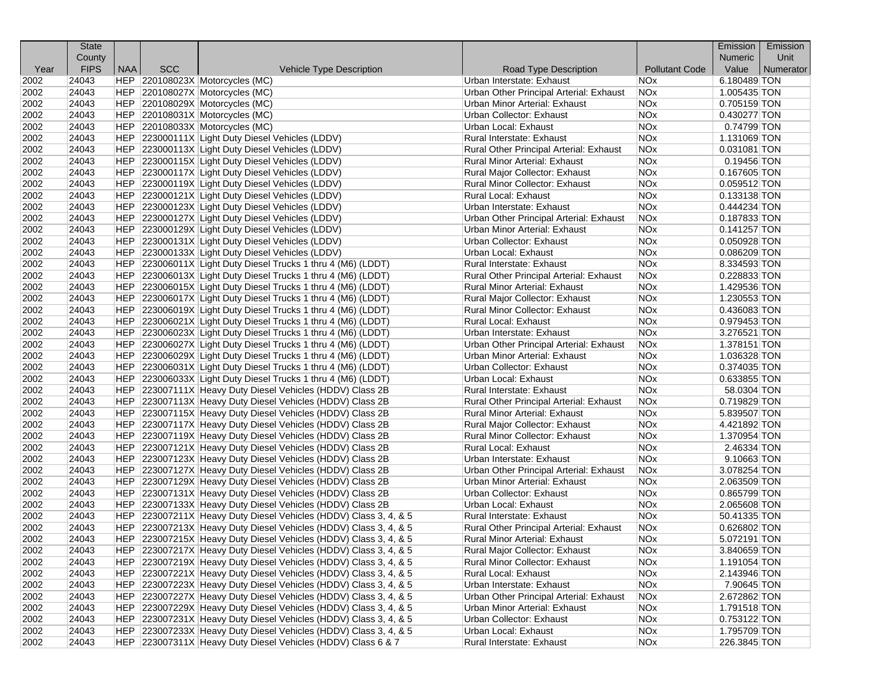|      | <b>State</b> |            |            |                                                                  |                                         |                       | Emission       | Emission  |
|------|--------------|------------|------------|------------------------------------------------------------------|-----------------------------------------|-----------------------|----------------|-----------|
|      | County       |            |            |                                                                  |                                         |                       | <b>Numeric</b> | Unit      |
| Year | <b>FIPS</b>  | <b>NAA</b> | <b>SCC</b> | Vehicle Type Description                                         | Road Type Description                   | <b>Pollutant Code</b> | Value          | Numerator |
| 2002 | 24043        |            |            | HEP 220108023X Motorcycles (MC)                                  | Urban Interstate: Exhaust               | <b>NOx</b>            | 6.180489 TON   |           |
| 2002 | 24043        |            |            | HEP 220108027X Motorcycles (MC)                                  | Urban Other Principal Arterial: Exhaust | NO <sub>x</sub>       | 1.005435 TON   |           |
| 2002 | 24043        |            |            | HEP 220108029X Motorcycles (MC)                                  | Urban Minor Arterial: Exhaust           | <b>NO<sub>x</sub></b> | 0.705159 TON   |           |
| 2002 | 24043        |            |            | HEP 220108031X Motorcycles (MC)                                  | Urban Collector: Exhaust                | NO <sub>x</sub>       | 0.430277 TON   |           |
| 2002 | 24043        |            |            | HEP 220108033X Motorcycles (MC)                                  | Urban Local: Exhaust                    | <b>NOx</b>            | 0.74799 TON    |           |
| 2002 | 24043        |            |            | HEP 223000111X Light Duty Diesel Vehicles (LDDV)                 | Rural Interstate: Exhaust               | <b>NO<sub>x</sub></b> | 1.131069 TON   |           |
| 2002 | 24043        |            |            | HEP 223000113X Light Duty Diesel Vehicles (LDDV)                 | Rural Other Principal Arterial: Exhaust | <b>NOx</b>            | 0.031081 TON   |           |
| 2002 | 24043        |            |            | HEP 223000115X Light Duty Diesel Vehicles (LDDV)                 | <b>Rural Minor Arterial: Exhaust</b>    | NO <sub>x</sub>       | $0.19456$ TON  |           |
| 2002 | 24043        |            |            | HEP 223000117X Light Duty Diesel Vehicles (LDDV)                 | Rural Major Collector: Exhaust          | <b>NOx</b>            | 0.167605 TON   |           |
| 2002 | 24043        |            |            | HEP 223000119X Light Duty Diesel Vehicles (LDDV)                 | Rural Minor Collector: Exhaust          | NOx                   | 0.059512 TON   |           |
| 2002 | 24043        |            |            | HEP 223000121X Light Duty Diesel Vehicles (LDDV)                 | Rural Local: Exhaust                    | <b>NO<sub>x</sub></b> | 0.133138 TON   |           |
| 2002 | 24043        |            |            | HEP 223000123X Light Duty Diesel Vehicles (LDDV)                 | Urban Interstate: Exhaust               | <b>NO<sub>x</sub></b> | 0.444234 TON   |           |
| 2002 | 24043        |            |            | HEP 223000127X Light Duty Diesel Vehicles (LDDV)                 | Urban Other Principal Arterial: Exhaust | <b>NOx</b>            | 0.187833 TON   |           |
| 2002 | 24043        |            |            | HEP 223000129X Light Duty Diesel Vehicles (LDDV)                 | <b>Urban Minor Arterial: Exhaust</b>    | <b>NO<sub>x</sub></b> | $0.141257$ TON |           |
| 2002 | 24043        |            |            | HEP 223000131X Light Duty Diesel Vehicles (LDDV)                 | Urban Collector: Exhaust                | <b>NOx</b>            | $0.050928$ TON |           |
| 2002 | 24043        |            |            | HEP 223000133X Light Duty Diesel Vehicles (LDDV)                 | Urban Local: Exhaust                    | <b>NO<sub>x</sub></b> | 0.086209 TON   |           |
| 2002 | 24043        |            |            | HEP 223006011X Light Duty Diesel Trucks 1 thru 4 (M6) (LDDT)     | Rural Interstate: Exhaust               | <b>NO<sub>x</sub></b> | 8.334593 TON   |           |
| 2002 | 24043        |            |            | HEP 223006013X Light Duty Diesel Trucks 1 thru 4 (M6) (LDDT)     | Rural Other Principal Arterial: Exhaust | NO <sub>x</sub>       | 0.228833 TON   |           |
| 2002 | 24043        |            |            | HEP 223006015X Light Duty Diesel Trucks 1 thru 4 (M6) (LDDT)     | Rural Minor Arterial: Exhaust           | <b>NO<sub>x</sub></b> | 1.429536 TON   |           |
| 2002 | 24043        |            |            | HEP 223006017X Light Duty Diesel Trucks 1 thru 4 (M6) (LDDT)     | Rural Major Collector: Exhaust          | <b>NOx</b>            | 1.230553 TON   |           |
| 2002 | 24043        |            |            | HEP 223006019X Light Duty Diesel Trucks 1 thru 4 (M6) (LDDT)     | <b>Rural Minor Collector: Exhaust</b>   | <b>NO<sub>x</sub></b> | 0.436083 TON   |           |
| 2002 | 24043        |            |            | HEP 223006021X Light Duty Diesel Trucks 1 thru 4 (M6) (LDDT)     | <b>Rural Local: Exhaust</b>             | <b>NO<sub>x</sub></b> | 0.979453 TON   |           |
| 2002 | 24043        |            |            | HEP 223006023X Light Duty Diesel Trucks 1 thru 4 (M6) (LDDT)     | Urban Interstate: Exhaust               | <b>NO<sub>x</sub></b> | 3.276521 TON   |           |
| 2002 | 24043        |            |            | HEP 223006027X Light Duty Diesel Trucks 1 thru 4 (M6) (LDDT)     | Urban Other Principal Arterial: Exhaust | <b>NO<sub>x</sub></b> | 1.378151 TON   |           |
| 2002 | 24043        |            |            | HEP 223006029X Light Duty Diesel Trucks 1 thru 4 (M6) (LDDT)     | Urban Minor Arterial: Exhaust           | <b>NOx</b>            | 1.036328 TON   |           |
| 2002 | 24043        |            |            | HEP 223006031X Light Duty Diesel Trucks 1 thru 4 (M6) (LDDT)     | Urban Collector: Exhaust                | <b>NO<sub>x</sub></b> | 0.374035 TON   |           |
| 2002 | 24043        |            |            | HEP 223006033X Light Duty Diesel Trucks 1 thru 4 (M6) (LDDT)     | Urban Local: Exhaust                    | <b>NO<sub>x</sub></b> | 0.633855 TON   |           |
| 2002 | 24043        |            |            | HEP 223007111X Heavy Duty Diesel Vehicles (HDDV) Class 2B        | Rural Interstate: Exhaust               | <b>NO<sub>x</sub></b> | 58.0304 TON    |           |
| 2002 | 24043        |            |            | HEP 223007113X Heavy Duty Diesel Vehicles (HDDV) Class 2B        | Rural Other Principal Arterial: Exhaust | <b>NOx</b>            | 0.719829 TON   |           |
| 2002 | 24043        |            |            | HEP 223007115X Heavy Duty Diesel Vehicles (HDDV) Class 2B        | <b>Rural Minor Arterial: Exhaust</b>    | <b>NOx</b>            | 5.839507 TON   |           |
| 2002 | 24043        |            |            | HEP 223007117X Heavy Duty Diesel Vehicles (HDDV) Class 2B        | Rural Major Collector: Exhaust          | NO <sub>x</sub>       | 4.421892 TON   |           |
| 2002 | 24043        |            |            | HEP 223007119X Heavy Duty Diesel Vehicles (HDDV) Class 2B        | Rural Minor Collector: Exhaust          | <b>NOx</b>            | 1.370954 TON   |           |
| 2002 | 24043        |            |            | HEP 223007121X Heavy Duty Diesel Vehicles (HDDV) Class 2B        | <b>Rural Local: Exhaust</b>             | <b>NO<sub>x</sub></b> | 2.46334 TON    |           |
| 2002 | 24043        |            |            | HEP 223007123X Heavy Duty Diesel Vehicles (HDDV) Class 2B        | Urban Interstate: Exhaust               | <b>NO<sub>x</sub></b> | 9.10663 TON    |           |
| 2002 | 24043        |            |            | HEP 223007127X Heavy Duty Diesel Vehicles (HDDV) Class 2B        | Urban Other Principal Arterial: Exhaust | <b>NOx</b>            | 3.078254 TON   |           |
| 2002 | 24043        |            |            | HEP 223007129X Heavy Duty Diesel Vehicles (HDDV) Class 2B        | <b>Urban Minor Arterial: Exhaust</b>    | <b>NOx</b>            | 2.063509 TON   |           |
| 2002 | 24043        |            |            | HEP 223007131X Heavy Duty Diesel Vehicles (HDDV) Class 2B        | Urban Collector: Exhaust                | NO <sub>x</sub>       | 0.865799 TON   |           |
| 2002 | 24043        |            |            | HEP 223007133X Heavy Duty Diesel Vehicles (HDDV) Class 2B        | Urban Local: Exhaust                    | NO <sub>x</sub>       | 2.065608 TON   |           |
| 2002 | 24043        |            |            | HEP 223007211X Heavy Duty Diesel Vehicles (HDDV) Class 3, 4, & 5 | Rural Interstate: Exhaust               | <b>NO<sub>x</sub></b> | 50.41335 TON   |           |
| 2002 | 24043        |            |            | HEP 223007213X Heavy Duty Diesel Vehicles (HDDV) Class 3, 4, & 5 | Rural Other Principal Arterial: Exhaust | <b>NO<sub>x</sub></b> | 0.626802 TON   |           |
| 2002 | 24043        |            |            | HEP 223007215X Heavy Duty Diesel Vehicles (HDDV) Class 3, 4, & 5 | Rural Minor Arterial: Exhaust           | <b>NOx</b>            | 5.072191 TON   |           |
| 2002 | 24043        |            |            | HEP 223007217X Heavy Duty Diesel Vehicles (HDDV) Class 3, 4, & 5 | Rural Major Collector: Exhaust          | <b>NOx</b>            | 3.840659 TON   |           |
| 2002 | 24043        |            |            | HEP 223007219X Heavy Duty Diesel Vehicles (HDDV) Class 3, 4, & 5 | Rural Minor Collector: Exhaust          | <b>NOx</b>            | 1.191054 TON   |           |
| 2002 | 24043        |            |            | HEP 223007221X Heavy Duty Diesel Vehicles (HDDV) Class 3, 4, & 5 | Rural Local: Exhaust                    | <b>NOx</b>            | 2.143946 TON   |           |
| 2002 | 24043        |            |            | HEP 223007223X Heavy Duty Diesel Vehicles (HDDV) Class 3, 4, & 5 | Urban Interstate: Exhaust               | <b>NOx</b>            | 7.90645 TON    |           |
| 2002 | 24043        |            |            | HEP 223007227X Heavy Duty Diesel Vehicles (HDDV) Class 3, 4, & 5 | Urban Other Principal Arterial: Exhaust | <b>NOx</b>            | 2.672862 TON   |           |
| 2002 | 24043        |            |            | HEP 223007229X Heavy Duty Diesel Vehicles (HDDV) Class 3, 4, & 5 | Urban Minor Arterial: Exhaust           | <b>NOx</b>            | 1.791518 TON   |           |
| 2002 | 24043        |            |            | HEP 223007231X Heavy Duty Diesel Vehicles (HDDV) Class 3, 4, & 5 | Urban Collector: Exhaust                | NOx                   | 0.753122 TON   |           |
| 2002 | 24043        |            |            | HEP 223007233X Heavy Duty Diesel Vehicles (HDDV) Class 3, 4, & 5 | Urban Local: Exhaust                    | <b>NOx</b>            | 1.795709 TON   |           |
| 2002 | 24043        |            |            | HEP 223007311X Heavy Duty Diesel Vehicles (HDDV) Class 6 & 7     | Rural Interstate: Exhaust               | <b>NOx</b>            | 226.3845 TON   |           |
|      |              |            |            |                                                                  |                                         |                       |                |           |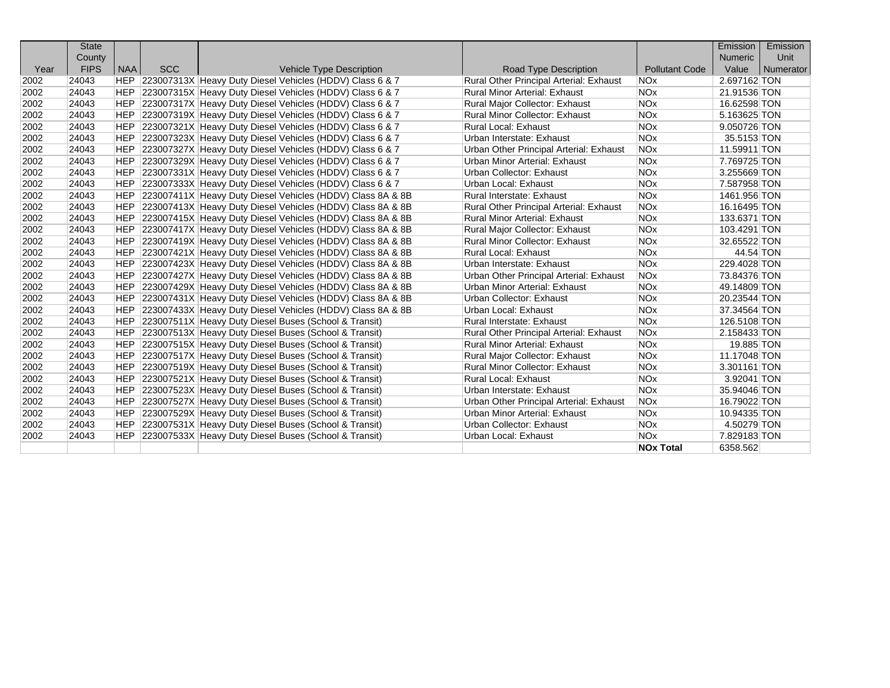|      | <b>State</b> |            |            |                                                                |                                         |                       | Emission       | Emission  |
|------|--------------|------------|------------|----------------------------------------------------------------|-----------------------------------------|-----------------------|----------------|-----------|
|      | County       |            |            |                                                                |                                         |                       | <b>Numeric</b> | Unit      |
| Year | <b>FIPS</b>  | <b>NAA</b> | <b>SCC</b> | <b>Vehicle Type Description</b>                                | <b>Road Type Description</b>            | <b>Pollutant Code</b> | Value          | Numerator |
| 2002 | 24043        |            |            | HEP 223007313X Heavy Duty Diesel Vehicles (HDDV) Class 6 & 7   | Rural Other Principal Arterial: Exhaust | <b>NOx</b>            | 2.697162 TON   |           |
| 2002 | 24043        |            |            | HEP 223007315X Heavy Duty Diesel Vehicles (HDDV) Class 6 & 7   | <b>Rural Minor Arterial: Exhaust</b>    | <b>NOx</b>            | 21.91536 TON   |           |
| 2002 | 24043        |            |            | HEP 223007317X Heavy Duty Diesel Vehicles (HDDV) Class 6 & 7   | Rural Major Collector: Exhaust          | <b>NOx</b>            | 16.62598 TON   |           |
| 2002 | 24043        |            |            | HEP 223007319X Heavy Duty Diesel Vehicles (HDDV) Class 6 & 7   | <b>Rural Minor Collector: Exhaust</b>   | <b>NOx</b>            | 5.163625 TON   |           |
| 2002 | 24043        |            |            | HEP 223007321X Heavy Duty Diesel Vehicles (HDDV) Class 6 & 7   | <b>Rural Local: Exhaust</b>             | <b>NOx</b>            | 9.050726 TON   |           |
| 2002 | 24043        | <b>HEP</b> |            | 223007323X Heavy Duty Diesel Vehicles (HDDV) Class 6 & 7       | Urban Interstate: Exhaust               | <b>NOx</b>            | 35.5153 TON    |           |
| 2002 | 24043        | <b>HEP</b> |            | 223007327X Heavy Duty Diesel Vehicles (HDDV) Class 6 & 7       | Urban Other Principal Arterial: Exhaust | <b>NOx</b>            | 11.59911 TON   |           |
| 2002 | 24043        | <b>HEP</b> |            | 223007329X Heavy Duty Diesel Vehicles (HDDV) Class 6 & 7       | Urban Minor Arterial: Exhaust           | <b>NOx</b>            | 7.769725 TON   |           |
| 2002 | 24043        | <b>HEP</b> |            | 223007331X Heavy Duty Diesel Vehicles (HDDV) Class 6 & 7       | Urban Collector: Exhaust                | <b>NOx</b>            | 3.255669 TON   |           |
| 2002 | 24043        | <b>HEP</b> |            | 223007333X Heavy Duty Diesel Vehicles (HDDV) Class 6 & 7       | Urban Local: Exhaust                    | <b>NOx</b>            | 7.587958 TON   |           |
| 2002 | 24043        | <b>HEP</b> |            | 223007411X Heavy Duty Diesel Vehicles (HDDV) Class 8A & 8B     | Rural Interstate: Exhaust               | <b>NOx</b>            | 1461.956 TON   |           |
| 2002 | 24043        | <b>HEP</b> |            | 223007413X Heavy Duty Diesel Vehicles (HDDV) Class 8A & 8B     | Rural Other Principal Arterial: Exhaust | <b>NOx</b>            | 16.16495 TON   |           |
| 2002 | 24043        | HEP        |            | 223007415X Heavy Duty Diesel Vehicles (HDDV) Class 8A & 8B     | <b>Rural Minor Arterial: Exhaust</b>    | <b>NOx</b>            | 133.6371 TON   |           |
| 2002 | 24043        | HEP        |            | 223007417X Heavy Duty Diesel Vehicles (HDDV) Class 8A & 8B     | Rural Major Collector: Exhaust          | <b>NOx</b>            | 103.4291 TON   |           |
| 2002 | 24043        | <b>HEP</b> |            | 223007419X Heavy Duty Diesel Vehicles (HDDV) Class 8A & 8B     | <b>Rural Minor Collector: Exhaust</b>   | <b>NOx</b>            | 32.65522 TON   |           |
| 2002 | 24043        | <b>HEP</b> |            | 223007421X Heavy Duty Diesel Vehicles (HDDV) Class 8A & 8B     | <b>Rural Local: Exhaust</b>             | <b>NOx</b>            | 44.54 TON      |           |
| 2002 | 24043        | <b>HEP</b> |            | 223007423X Heavy Duty Diesel Vehicles (HDDV) Class 8A & 8B     | Urban Interstate: Exhaust               | <b>NO<sub>x</sub></b> | 229.4028 TON   |           |
| 2002 | 24043        | <b>HEP</b> |            | 223007427X Heavy Duty Diesel Vehicles (HDDV) Class 8A & 8B     | Urban Other Principal Arterial: Exhaust | <b>NOx</b>            | 73.84376 TON   |           |
| 2002 | 24043        |            |            | HEP 223007429X Heavy Duty Diesel Vehicles (HDDV) Class 8A & 8B | Urban Minor Arterial: Exhaust           | <b>NOx</b>            | 49.14809 TON   |           |
| 2002 | 24043        |            |            | HEP 223007431X Heavy Duty Diesel Vehicles (HDDV) Class 8A & 8B | Urban Collector: Exhaust                | <b>NOx</b>            | 20.23544 TON   |           |
| 2002 | 24043        | HEP.       |            | 223007433X Heavy Duty Diesel Vehicles (HDDV) Class 8A & 8B     | Urban Local: Exhaust                    | <b>NOx</b>            | 37.34564 TON   |           |
| 2002 | 24043        | HEP        |            | 223007511X Heavy Duty Diesel Buses (School & Transit)          | <b>Rural Interstate: Exhaust</b>        | <b>NO<sub>x</sub></b> | 126.5108 TON   |           |
| 2002 | 24043        | <b>HEP</b> |            | 223007513X Heavy Duty Diesel Buses (School & Transit)          | Rural Other Principal Arterial: Exhaust | <b>NOx</b>            | 2.158433 TON   |           |
| 2002 | 24043        | <b>HEP</b> |            | 223007515X Heavy Duty Diesel Buses (School & Transit)          | <b>Rural Minor Arterial: Exhaust</b>    | <b>NOx</b>            | 19.885 TON     |           |
| 2002 | 24043        | <b>HEP</b> |            | 223007517X Heavy Duty Diesel Buses (School & Transit)          | Rural Major Collector: Exhaust          | <b>NOx</b>            | 11.17048 TON   |           |
| 2002 | 24043        | <b>HEP</b> |            | 223007519X Heavy Duty Diesel Buses (School & Transit)          | <b>Rural Minor Collector: Exhaust</b>   | <b>NOx</b>            | 3.301161 TON   |           |
| 2002 | 24043        | HEP        |            | 223007521X Heavy Duty Diesel Buses (School & Transit)          | <b>Rural Local: Exhaust</b>             | <b>NOx</b>            | 3.92041 TON    |           |
| 2002 | 24043        |            |            | HEP 223007523X Heavy Duty Diesel Buses (School & Transit)      | Urban Interstate: Exhaust               | <b>NO<sub>x</sub></b> | 35.94046 TON   |           |
| 2002 | 24043        |            |            | HEP 223007527X Heavy Duty Diesel Buses (School & Transit)      | Urban Other Principal Arterial: Exhaust | <b>NOx</b>            | 16.79022 TON   |           |
| 2002 | 24043        |            |            | HEP 223007529X Heavy Duty Diesel Buses (School & Transit)      | Urban Minor Arterial: Exhaust           | <b>NOx</b>            | 10.94335 TON   |           |
| 2002 | 24043        | <b>HEP</b> |            | 223007531X Heavy Duty Diesel Buses (School & Transit)          | Urban Collector: Exhaust                | <b>NO<sub>x</sub></b> | 4.50279 TON    |           |
| 2002 | 24043        | <b>HEP</b> |            | 223007533X Heavy Duty Diesel Buses (School & Transit)          | Urban Local: Exhaust                    | <b>NOx</b>            | 7.829183 TON   |           |
|      |              |            |            |                                                                |                                         | <b>NOx Total</b>      | 6358.562       |           |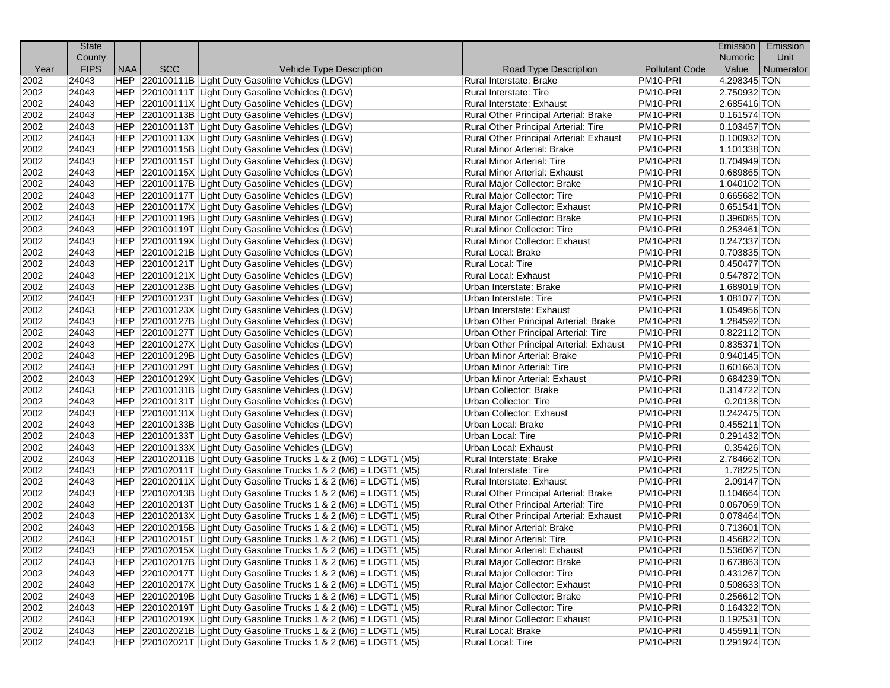|      | <b>State</b> |            |            |                                                                                                                                                |                                              |                       | Emission       | Emission  |
|------|--------------|------------|------------|------------------------------------------------------------------------------------------------------------------------------------------------|----------------------------------------------|-----------------------|----------------|-----------|
|      | County       |            |            |                                                                                                                                                |                                              |                       | Numeric        | Unit      |
| Year | <b>FIPS</b>  | <b>NAA</b> | <b>SCC</b> | Vehicle Type Description                                                                                                                       | Road Type Description                        | <b>Pollutant Code</b> | Value          | Numerator |
| 2002 | 24043        |            |            | HEP 220100111B Light Duty Gasoline Vehicles (LDGV)                                                                                             | Rural Interstate: Brake                      | PM <sub>10</sub> -PRI | 4.298345 TON   |           |
| 2002 | 24043        |            |            | HEP 220100111T Light Duty Gasoline Vehicles (LDGV)                                                                                             | Rural Interstate: Tire                       | PM10-PRI              | 2.750932 TON   |           |
| 2002 | 24043        |            |            | HEP 220100111X Light Duty Gasoline Vehicles (LDGV)                                                                                             | Rural Interstate: Exhaust                    | PM10-PRI              | 2.685416 TON   |           |
| 2002 | 24043        |            |            | HEP 220100113B Light Duty Gasoline Vehicles (LDGV)                                                                                             | Rural Other Principal Arterial: Brake        | PM10-PRI              | $0.161574$ TON |           |
| 2002 | 24043        |            |            | HEP 220100113T Light Duty Gasoline Vehicles (LDGV)                                                                                             | Rural Other Principal Arterial: Tire         | PM10-PRI              | $0.103457$ TON |           |
| 2002 | 24043        |            |            | HEP 220100113X Light Duty Gasoline Vehicles (LDGV)                                                                                             | Rural Other Principal Arterial: Exhaust      | PM10-PRI              | 0.100932 TON   |           |
| 2002 | 24043        |            |            | HEP 220100115B Light Duty Gasoline Vehicles (LDGV)                                                                                             | Rural Minor Arterial: Brake                  | PM10-PRI              | 1.101338 TON   |           |
| 2002 | 24043        |            |            | HEP 220100115T Light Duty Gasoline Vehicles (LDGV)                                                                                             | <b>Rural Minor Arterial: Tire</b>            | PM10-PRI              | 0.704949 TON   |           |
| 2002 | 24043        |            |            | HEP 220100115X Light Duty Gasoline Vehicles (LDGV)                                                                                             | Rural Minor Arterial: Exhaust                | PM10-PRI              | 0.689865 TON   |           |
| 2002 | 24043        |            |            | HEP 220100117B Light Duty Gasoline Vehicles (LDGV)                                                                                             | Rural Major Collector: Brake                 | PM10-PRI              | 1.040102 TON   |           |
| 2002 | 24043        |            |            | HEP 220100117T Light Duty Gasoline Vehicles (LDGV)                                                                                             | Rural Major Collector: Tire                  | PM10-PRI              | 0.665682 TON   |           |
| 2002 | 24043        |            |            | HEP 220100117X Light Duty Gasoline Vehicles (LDGV)                                                                                             | Rural Major Collector: Exhaust               | PM10-PRI              | $0.651541$ TON |           |
| 2002 | 24043        |            |            | HEP 220100119B Light Duty Gasoline Vehicles (LDGV)                                                                                             | Rural Minor Collector: Brake                 | PM10-PRI              | 0.396085 TON   |           |
| 2002 | 24043        |            |            | HEP 220100119T Light Duty Gasoline Vehicles (LDGV)                                                                                             | <b>Rural Minor Collector: Tire</b>           | PM10-PRI              | $0.253461$ TON |           |
| 2002 | 24043        |            |            | HEP 220100119X Light Duty Gasoline Vehicles (LDGV)                                                                                             | Rural Minor Collector: Exhaust               | PM10-PRI              | 0.247337 TON   |           |
| 2002 | 24043        |            |            | HEP 220100121B Light Duty Gasoline Vehicles (LDGV)                                                                                             | Rural Local: Brake                           | PM10-PRI              | 0.703835 TON   |           |
| 2002 | 24043        |            |            | HEP 220100121T Light Duty Gasoline Vehicles (LDGV)                                                                                             | Rural Local: Tire                            | PM10-PRI              | 0.450477 TON   |           |
| 2002 | 24043        |            |            | HEP 220100121X Light Duty Gasoline Vehicles (LDGV)                                                                                             | Rural Local: Exhaust                         | PM10-PRI              | 0.547872 TON   |           |
| 2002 | 24043        |            |            | HEP 220100123B Light Duty Gasoline Vehicles (LDGV)                                                                                             | Urban Interstate: Brake                      | PM10-PRI              | 1.689019 TON   |           |
| 2002 | 24043        |            |            | HEP 220100123T Light Duty Gasoline Vehicles (LDGV)                                                                                             | Urban Interstate: Tire                       | PM10-PRI              | 1.081077 TON   |           |
| 2002 | 24043        |            |            | HEP 220100123X Light Duty Gasoline Vehicles (LDGV)                                                                                             | Urban Interstate: Exhaust                    | PM10-PRI              | 1.054956 TON   |           |
| 2002 | 24043        |            |            | HEP 220100127B Light Duty Gasoline Vehicles (LDGV)                                                                                             | <b>Urban Other Principal Arterial: Brake</b> | PM10-PRI              | 1.284592 TON   |           |
| 2002 | 24043        |            |            | HEP 220100127T Light Duty Gasoline Vehicles (LDGV)                                                                                             | Urban Other Principal Arterial: Tire         | PM10-PRI              | 0.822112 TON   |           |
| 2002 | 24043        |            |            | HEP 220100127X Light Duty Gasoline Vehicles (LDGV)                                                                                             | Urban Other Principal Arterial: Exhaust      | PM10-PRI              | $0.835371$ TON |           |
| 2002 | 24043        |            |            | HEP 220100129B Light Duty Gasoline Vehicles (LDGV)                                                                                             | <b>Urban Minor Arterial: Brake</b>           | PM10-PRI              | 0.940145 TON   |           |
| 2002 | 24043        |            |            | HEP 220100129T Light Duty Gasoline Vehicles (LDGV)                                                                                             | Urban Minor Arterial: Tire                   | PM10-PRI              | $0.601663$ TON |           |
| 2002 | 24043        |            |            | HEP 220100129X Light Duty Gasoline Vehicles (LDGV)                                                                                             | Urban Minor Arterial: Exhaust                | PM10-PRI              | 0.684239 TON   |           |
| 2002 | 24043        |            |            | HEP 220100131B Light Duty Gasoline Vehicles (LDGV)                                                                                             | Urban Collector: Brake                       | PM10-PRI              | 0.314722 TON   |           |
| 2002 | 24043        |            |            | HEP 220100131T Light Duty Gasoline Vehicles (LDGV)                                                                                             | <b>Urban Collector: Tire</b>                 | PM10-PRI              | $0.20138$ TON  |           |
| 2002 | 24043        |            |            | HEP 220100131X Light Duty Gasoline Vehicles (LDGV)                                                                                             | Urban Collector: Exhaust                     | PM10-PRI              | 0.242475 TON   |           |
| 2002 | 24043        |            |            | HEP 220100133B Light Duty Gasoline Vehicles (LDGV)                                                                                             | Urban Local: Brake                           | PM10-PRI              | 0.455211 TON   |           |
| 2002 | 24043        |            |            | HEP 220100133T Light Duty Gasoline Vehicles (LDGV)                                                                                             | Urban Local: Tire                            | PM10-PRI              | 0.291432 TON   |           |
| 2002 | 24043        |            |            | HEP 220100133X Light Duty Gasoline Vehicles (LDGV)                                                                                             | Urban Local: Exhaust                         | PM10-PRI              | 0.35426 TON    |           |
| 2002 | 24043        |            |            | HEP $ 220102011B $ Light Duty Gasoline Trucks 1 & 2 (M6) = LDGT1 (M5)                                                                          | Rural Interstate: Brake                      | PM10-PRI              | 2.784662 TON   |           |
| 2002 | 24043        |            |            | HEP $ 220102011T $ Light Duty Gasoline Trucks 1 & 2 (M6) = LDGT1 (M5)                                                                          | <b>Rural Interstate: Tire</b>                | PM10-PRI              | 1.78225 TON    |           |
| 2002 | 24043        |            |            | $HEP$ 220102011X Light Duty Gasoline Trucks 1 & 2 (M6) = LDGT1 (M5)                                                                            | Rural Interstate: Exhaust                    | PM10-PRI              | 2.09147 TON    |           |
| 2002 | 24043        |            |            | $ HEP $ 220102013B Light Duty Gasoline Trucks 1 & 2 (M6) = LDGT1 (M5)                                                                          | Rural Other Principal Arterial: Brake        | PM10-PRI              | 0.104664 TON   |           |
| 2002 | 24043        |            |            | HEP $ 220102013T $ Light Duty Gasoline Trucks 1 & 2 (M6) = LDGT1 (M5)                                                                          | Rural Other Principal Arterial: Tire         | PM10-PRI              | 0.067069 TON   |           |
| 2002 | 24043        |            |            | $ HEP $ 220102013X Light Duty Gasoline Trucks 1 & 2 (M6) = LDGT1 (M5)                                                                          | Rural Other Principal Arterial: Exhaust      | PM10-PRI              | 0.078464 TON   |           |
| 2002 | 24043        |            |            | HEP $ 220102015B $ Light Duty Gasoline Trucks 1 & 2 (M6) = LDGT1 (M5)                                                                          | Rural Minor Arterial: Brake                  | PM <sub>10</sub> -PRI | 0.713601 TON   |           |
| 2002 | 24043        |            |            | HEP 220102015T Light Duty Gasoline Trucks 1 & 2 (M6) = LDGT1 (M5)                                                                              | Rural Minor Arterial: Tire                   | PM10-PRI              | 0.456822 TON   |           |
| 2002 | 24043        |            |            | HEP 220102015X Light Duty Gasoline Trucks 1 & 2 (M6) = LDGT1 (M5)                                                                              | Rural Minor Arterial: Exhaust                | PM10-PRI              | 0.536067 TON   |           |
| 2002 | 24043        |            |            | $ HEP $ 220102017B Light Duty Gasoline Trucks 1 & 2 (M6) = LDGT1 (M5)                                                                          | Rural Major Collector: Brake                 | PM10-PRI              | 0.673863 TON   |           |
| 2002 | 24043        |            |            | $ HEP $ 220102017T Light Duty Gasoline Trucks 1 & 2 (M6) = LDGT1 (M5)                                                                          | Rural Major Collector: Tire                  | PM10-PRI              | 0.431267 TON   |           |
| 2002 | 24043        |            |            |                                                                                                                                                | Rural Major Collector: Exhaust               | PM10-PRI              | 0.508633 TON   |           |
|      |              |            |            | HEP $ 220102017X $ Light Duty Gasoline Trucks 1 & 2 (M6) = LDGT1 (M5)                                                                          | Rural Minor Collector: Brake                 | PM10-PRI              | 0.256612 TON   |           |
| 2002 | 24043        |            |            | HEP $ 220102019B $ Light Duty Gasoline Trucks 1 & 2 (M6) = LDGT1 (M5)<br>HEP $ 220102019T $ Light Duty Gasoline Trucks 1 & 2 (M6) = LDGT1 (M5) |                                              |                       |                |           |
| 2002 | 24043        |            |            | $HEP$ 220102019X Light Duty Gasoline Trucks 1 & 2 (M6) = LDGT1 (M5)                                                                            | Rural Minor Collector: Tire                  | PM10-PRI              | 0.164322 TON   |           |
| 2002 | 24043        |            |            |                                                                                                                                                | Rural Minor Collector: Exhaust               | PM10-PRI              | $0.192531$ TON |           |
| 2002 | 24043        |            |            | $ HEP $ 220102021B Light Duty Gasoline Trucks 1 & 2 (M6) = LDGT1 (M5)                                                                          | Rural Local: Brake                           | PM10-PRI              | $0.455911$ TON |           |
| 2002 | 24043        |            |            | HEP $ 220102021T $ Light Duty Gasoline Trucks 1 & 2 (M6) = LDGT1 (M5)                                                                          | Rural Local: Tire                            | PM10-PRI              | 0.291924 TON   |           |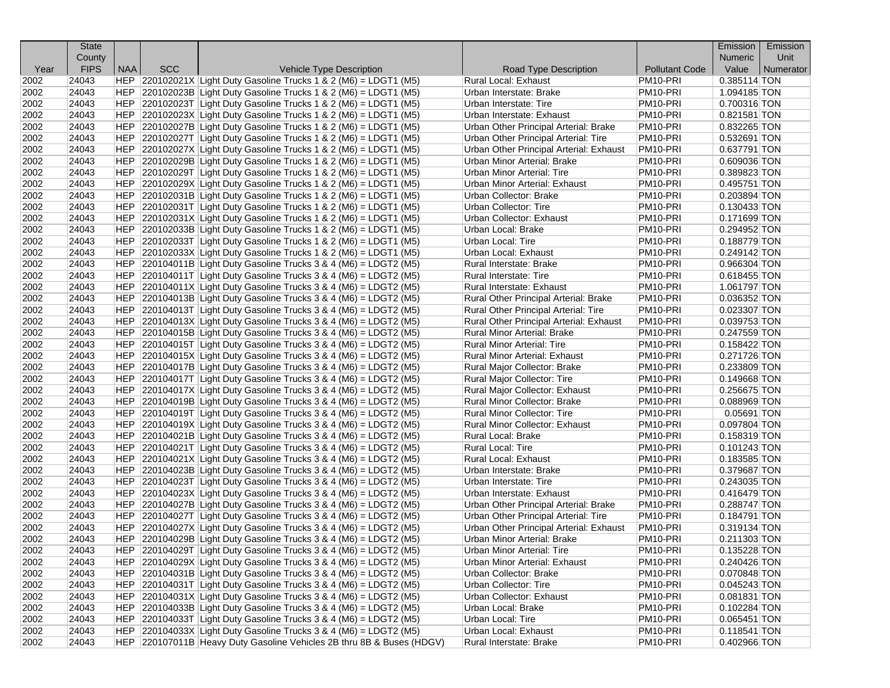|      | <b>State</b> |            |            |                                                                           |                                         |                       | Emission                  | Emission  |
|------|--------------|------------|------------|---------------------------------------------------------------------------|-----------------------------------------|-----------------------|---------------------------|-----------|
|      | County       |            |            |                                                                           |                                         |                       | Numeric                   | Unit      |
| Year | <b>FIPS</b>  | <b>NAA</b> | <b>SCC</b> | <b>Vehicle Type Description</b>                                           | Road Type Description                   | <b>Pollutant Code</b> | Value                     | Numerator |
| 2002 | 24043        |            |            | HEP 220102021X Light Duty Gasoline Trucks 1 & 2 (M6) = LDGT1 (M5)         | <b>Rural Local: Exhaust</b>             | PM <sub>10-PRI</sub>  | 0.385114 TON              |           |
| 2002 | 24043        |            |            | HEP 220102023B Light Duty Gasoline Trucks 1 & 2 (M6) = LDGT1 (M5)         | Urban Interstate: Brake                 | PM <sub>10</sub> -PRI | 1.094185 TON              |           |
| 2002 | 24043        |            |            | $ HEP $ 220102023T Light Duty Gasoline Trucks 1 & 2 (M6) = LDGT1 (M5)     | Urban Interstate: Tire                  | PM10-PRI              | 0.700316 TON              |           |
| 2002 | 24043        |            |            | $ HEP $ 220102023X Light Duty Gasoline Trucks 1 & 2 (M6) = LDGT1 (M5)     | Urban Interstate: Exhaust               | PM10-PRI              | 0.821581 TON              |           |
| 2002 | 24043        |            |            | $ HEP $ 220102027B Light Duty Gasoline Trucks 1 & 2 (M6) = LDGT1 (M5)     | Urban Other Principal Arterial: Brake   | PM <sub>10</sub> -PRI | 0.832265 TON              |           |
| 2002 | 24043        |            |            | HEP 220102027T Light Duty Gasoline Trucks 1 & 2 (M6) = LDGT1 (M5)         | Urban Other Principal Arterial: Tire    | PM10-PRI              | 0.532691 TON              |           |
| 2002 | 24043        |            |            | $ HEP $ 220102027X Light Duty Gasoline Trucks 1 & 2 (M6) = LDGT1 (M5)     | Urban Other Principal Arterial: Exhaust | PM10-PRI              | 0.637791 TON              |           |
| 2002 | 24043        |            |            | $ HEP $ 220102029B Light Duty Gasoline Trucks 1 & 2 (M6) = LDGT1 (M5)     | Urban Minor Arterial: Brake             | PM <sub>10-PRI</sub>  | 0.609036 TON              |           |
| 2002 | 24043        |            |            | $ HEP 220102029T Light Duty Gasoline Trucks 1 & 2 (M6) = LDGT1 (M5)$      | <b>Urban Minor Arterial: Tire</b>       | PM <sub>10</sub> -PRI | 0.389823 TON              |           |
| 2002 | 24043        |            |            | $ HEP $ 220102029X Light Duty Gasoline Trucks 1 & 2 (M6) = LDGT1 (M5)     | <b>Urban Minor Arterial: Exhaust</b>    | PM10-PRI              | 0.495751 TON              |           |
| 2002 | 24043        |            |            | $ HEP $ 220102031B Light Duty Gasoline Trucks 1 & 2 (M6) = LDGT1 (M5)     | <b>Urban Collector: Brake</b>           | PM10-PRI              | $0.203894$ TON            |           |
| 2002 | 24043        |            |            | HEP 220102031T Light Duty Gasoline Trucks 1 & 2 (M6) = LDGT1 (M5)         | <b>Urban Collector: Tire</b>            | PM10-PRI              | $\overline{0.130433}$ TON |           |
| 2002 | 24043        |            |            | $ HEP $ 220102031X Light Duty Gasoline Trucks 1 & 2 (M6) = LDGT1 (M5)     | Urban Collector: Exhaust                | PM10-PRI              | 0.171699 TON              |           |
| 2002 | 24043        |            |            | $ HEP $ 220102033B Light Duty Gasoline Trucks 1 & 2 (M6) = LDGT1 (M5)     | Urban Local: Brake                      | PM10-PRI              | 0.294952 TON              |           |
| 2002 | 24043        |            |            | HEP 220102033T Light Duty Gasoline Trucks 1 & 2 (M6) = LDGT1 (M5)         | Urban Local: Tire                       | PM <sub>10</sub> -PRI | 0.188779 TON              |           |
| 2002 | 24043        |            |            | HEP 220102033X Light Duty Gasoline Trucks 1 & 2 (M6) = LDGT1 (M5)         | Urban Local: Exhaust                    | PM10-PRI              | 0.249142 TON              |           |
| 2002 | 24043        |            |            | $ HEP $ 220104011B Light Duty Gasoline Trucks 3 & 4 (M6) = LDGT2 (M5)     | Rural Interstate: Brake                 | PM <sub>10</sub> -PRI | 0.966304 TON              |           |
| 2002 | 24043        |            |            | $ HEP $ 220104011T Light Duty Gasoline Trucks 3 & 4 (M6) = LDGT2 (M5)     | Rural Interstate: Tire                  | PM <sub>10</sub> -PRI | 0.618455 TON              |           |
| 2002 | 24043        |            |            | $ HEP $ 220104011X Light Duty Gasoline Trucks 3 & 4 (M6) = LDGT2 (M5)     | Rural Interstate: Exhaust               | PM10-PRI              | 1.061797 TON              |           |
| 2002 | 24043        |            |            | $ HEP $ 220104013B Light Duty Gasoline Trucks 3 & 4 (M6) = LDGT2 (M5)     | Rural Other Principal Arterial: Brake   | PM10-PRI              | 0.036352 TON              |           |
| 2002 | 24043        |            |            | $ HEP $ 220104013T Light Duty Gasoline Trucks 3 & 4 (M6) = LDGT2 (M5)     | Rural Other Principal Arterial: Tire    | PM10-PRI              | 0.023307 TON              |           |
| 2002 | 24043        |            |            | $ HEP $ 220104013X Light Duty Gasoline Trucks 3 & 4 (M6) = LDGT2 (M5)     | Rural Other Principal Arterial: Exhaust | PM10-PRI              | 0.039753 TON              |           |
| 2002 | 24043        |            |            | $ HEP $ 220104015B Light Duty Gasoline Trucks 3 & 4 (M6) = LDGT2 (M5)     | Rural Minor Arterial: Brake             | PM10-PRI              | 0.247559 TON              |           |
| 2002 | 24043        |            |            | $ HEP $ 220104015T Light Duty Gasoline Trucks 3 & 4 (M6) = LDGT2 (M5)     | Rural Minor Arterial: Tire              | PM10-PRI              | 0.158422 TON              |           |
| 2002 | 24043        |            |            | $ HEP $ 220104015X Light Duty Gasoline Trucks 3 & 4 (M6) = LDGT2 (M5)     | Rural Minor Arterial: Exhaust           | PM10-PRI              | 0.271726 TON              |           |
| 2002 | 24043        |            |            | $ HEP $ 220104017B Light Duty Gasoline Trucks 3 & 4 (M6) = LDGT2 (M5)     | Rural Major Collector: Brake            | PM10-PRI              | 0.233809 TON              |           |
| 2002 | 24043        |            |            | $ HEP $ 220104017T Light Duty Gasoline Trucks 3 & 4 (M6) = LDGT2 (M5)     | Rural Major Collector: Tire             | PM10-PRI              | 0.149668 TON              |           |
| 2002 | 24043        |            |            | $ HEP $ 220104017X Light Duty Gasoline Trucks 3 & 4 (M6) = LDGT2 (M5)     | Rural Major Collector: Exhaust          | PM10-PRI              | 0.256675 TON              |           |
| 2002 | 24043        |            |            | $ HEP $ 220104019B Light Duty Gasoline Trucks 3 & 4 (M6) = LDGT2 (M5)     | Rural Minor Collector: Brake            | PM <sub>10</sub> -PRI | 0.088969 TON              |           |
| 2002 | 24043        |            |            | $ HEP $ 220104019T Light Duty Gasoline Trucks 3 & 4 (M6) = LDGT2 (M5)     | <b>Rural Minor Collector: Tire</b>      | PM10-PRI              | $0.05691$ TON             |           |
| 2002 | 24043        |            |            | $ HEP $ 220104019X Light Duty Gasoline Trucks 3 & 4 (M6) = LDGT2 (M5)     | <b>Rural Minor Collector: Exhaust</b>   | PM10-PRI              | 0.097804 TON              |           |
| 2002 | 24043        |            |            | $ HEP $ 220104021B Light Duty Gasoline Trucks 3 & 4 (M6) = LDGT2 (M5)     | Rural Local: Brake                      | PM10-PRI              | 0.158319 TON              |           |
| 2002 | 24043        |            |            | $ HEP 220104021T Light Duty Gasoline TruckS 3 & 4 (M6) = LDGT2 (M5)$      | Rural Local: Tire                       | PM10-PRI              | $0.101243$ TON            |           |
| 2002 | 24043        |            |            | $ HEP $ 220104021X Light Duty Gasoline Trucks 3 & 4 (M6) = LDGT2 (M5)     | Rural Local: Exhaust                    | PM10-PRI              | 0.183585 TON              |           |
| 2002 | 24043        |            |            | $ HEP $ 220104023B Light Duty Gasoline Trucks 3 & 4 (M6) = LDGT2 (M5)     | Urban Interstate: Brake                 | PM10-PRI              | 0.379687 TON              |           |
| 2002 | 24043        |            |            | $ HEP $ 220104023T Light Duty Gasoline Trucks 3 & 4 (M6) = LDGT2 (M5)     | Urban Interstate: Tire                  | PM10-PRI              | 0.243035 TON              |           |
| 2002 | 24043        |            |            | $ HEP $ 220104023X Light Duty Gasoline Trucks 3 & 4 (M6) = LDGT2 (M5)     | Urban Interstate: Exhaust               | PM10-PRI              | 0.416479 TON              |           |
| 2002 | 24043        |            |            | $ HEP $ 220104027B Light Duty Gasoline Trucks 3 & 4 (M6) = LDGT2 (M5)     | Urban Other Principal Arterial: Brake   | PM10-PRI              | 0.288747 TON              |           |
| 2002 | 24043        |            |            | $ HEP $ 220104027T Light Duty Gasoline Trucks 3 & 4 (M6) = LDGT2 (M5)     | Urban Other Principal Arterial: Tire    | PM10-PRI              | 0.184791 TON              |           |
| 2002 | 24043        |            |            | $ HEP $ 220104027X Light Duty Gasoline Trucks 3 & 4 (M6) = LDGT2 (M5)     | Urban Other Principal Arterial: Exhaust | PM10-PRI              | $0.319134$ TON            |           |
| 2002 | 24043        |            |            | HEP 220104029B Light Duty Gasoline Trucks 3 & 4 (M6) = LDGT2 (M5)         | Urban Minor Arterial: Brake             | PM10-PRI              | 0.211303 TON              |           |
| 2002 | 24043        |            |            | HEP $\vert$ 220104029T Light Duty Gasoline Trucks 3 & 4 (M6) = LDGT2 (M5) | <b>Urban Minor Arterial: Tire</b>       | PM10-PRI              | 0.135228 TON              |           |
| 2002 | 24043        |            |            | $ HEP $ 220104029X Light Duty Gasoline Trucks 3 & 4 (M6) = LDGT2 (M5)     | <b>Urban Minor Arterial: Exhaust</b>    | PM10-PRI              | 0.240426 TON              |           |
| 2002 | 24043        |            |            | $ HEP $ 220104031B Light Duty Gasoline Trucks 3 & 4 (M6) = LDGT2 (M5)     | Urban Collector: Brake                  | PM10-PRI              | 0.070848 TON              |           |
| 2002 | 24043        |            |            | $ HEP $ 220104031T Light Duty Gasoline Trucks 3 & 4 (M6) = LDGT2 (M5)     | <b>Urban Collector: Tire</b>            | PM10-PRI              | 0.045243 TON              |           |
| 2002 | 24043        |            |            | $ HEP $ 220104031X Light Duty Gasoline Trucks 3 & 4 (M6) = LDGT2 (M5)     | <b>Urban Collector: Exhaust</b>         | PM10-PRI              | 0.081831 TON              |           |
| 2002 | 24043        |            |            | $ HEP $ 220104033B Light Duty Gasoline Trucks 3 & 4 (M6) = LDGT2 (M5)     | Urban Local: Brake                      | PM10-PRI              | 0.102284 TON              |           |
| 2002 | 24043        |            |            | $ HEP $ 220104033T Light Duty Gasoline Trucks 3 & 4 (M6) = LDGT2 (M5)     | Urban Local: Tire                       | PM10-PRI              | $0.065451$ TON            |           |
| 2002 | 24043        |            |            | HEP $ 220104033X $ Light Duty Gasoline Trucks 3 & 4 (M6) = LDGT2 (M5)     | Urban Local: Exhaust                    | PM10-PRI              | $0.118541$ TON            |           |
| 2002 | 24043        |            |            | HEP 220107011B Heavy Duty Gasoline Vehicles 2B thru 8B & Buses (HDGV)     | Rural Interstate: Brake                 | PM10-PRI              | 0.402966 TON              |           |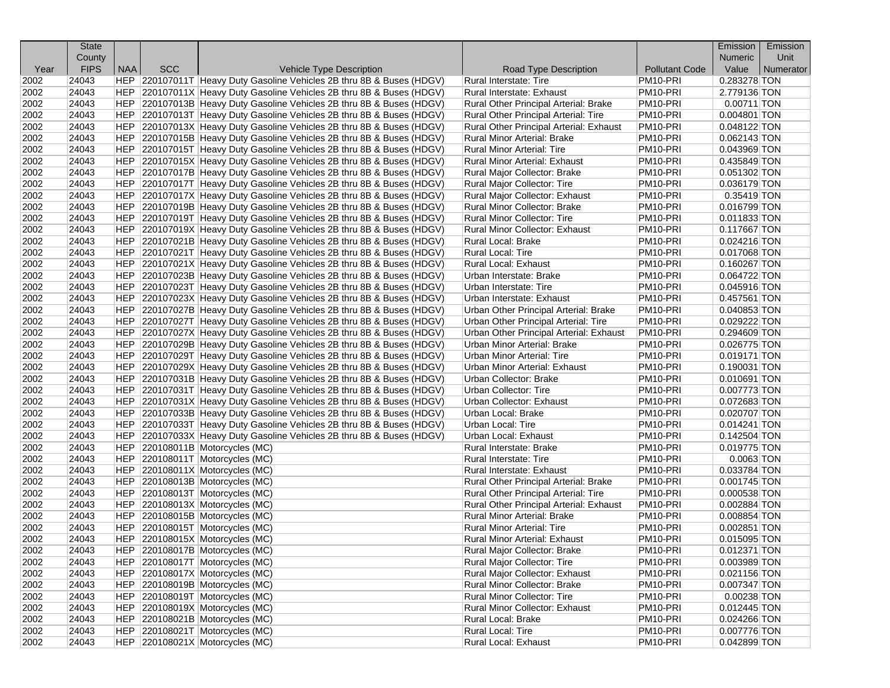|      | <b>State</b> |     |            |                                                                       |                                         |                       | Emission                 | Emission  |
|------|--------------|-----|------------|-----------------------------------------------------------------------|-----------------------------------------|-----------------------|--------------------------|-----------|
|      | County       |     |            |                                                                       |                                         |                       | <b>Numeric</b>           | Unit      |
| Year | <b>FIPS</b>  | NAA | <b>SCC</b> | Vehicle Type Description                                              | Road Type Description                   | <b>Pollutant Code</b> | Value                    | Numerator |
| 2002 | 24043        |     |            | HEP 220107011T Heavy Duty Gasoline Vehicles 2B thru 8B & Buses (HDGV) | Rural Interstate: Tire                  | PM <sub>10-PRI</sub>  | 0.283278 TON             |           |
| 2002 | 24043        |     |            | HEP 220107011X Heavy Duty Gasoline Vehicles 2B thru 8B & Buses (HDGV) | Rural Interstate: Exhaust               | PM10-PRI              | 2.779136 TON             |           |
| 2002 | 24043        |     |            | HEP 220107013B Heavy Duty Gasoline Vehicles 2B thru 8B & Buses (HDGV) | Rural Other Principal Arterial: Brake   | PM10-PRI              | $0.00711$ TON            |           |
| 2002 | 24043        |     |            | HEP 220107013T Heavy Duty Gasoline Vehicles 2B thru 8B & Buses (HDGV) | Rural Other Principal Arterial: Tire    | PM10-PRI              | $0.004801$ TON           |           |
| 2002 | 24043        |     |            | HEP 220107013X Heavy Duty Gasoline Vehicles 2B thru 8B & Buses (HDGV) | Rural Other Principal Arterial: Exhaust | PM10-PRI              | 0.048122 TON             |           |
| 2002 | 24043        |     |            | HEP 220107015B Heavy Duty Gasoline Vehicles 2B thru 8B & Buses (HDGV) | Rural Minor Arterial: Brake             | PM10-PRI              | 0.062143 TON             |           |
| 2002 | 24043        |     |            | HEP 220107015T Heavy Duty Gasoline Vehicles 2B thru 8B & Buses (HDGV) | Rural Minor Arterial: Tire              | PM10-PRI              | 0.043969 TON             |           |
| 2002 | 24043        |     |            | HEP 220107015X Heavy Duty Gasoline Vehicles 2B thru 8B & Buses (HDGV) | Rural Minor Arterial: Exhaust           | PM <sub>10-PRI</sub>  | 0.435849 TON             |           |
| 2002 | 24043        |     |            | HEP 220107017B Heavy Duty Gasoline Vehicles 2B thru 8B & Buses (HDGV) | Rural Major Collector: Brake            | PM <sub>10</sub> -PRI | 0.051302 TON             |           |
| 2002 | 24043        |     |            | HEP 220107017T Heavy Duty Gasoline Vehicles 2B thru 8B & Buses (HDGV) | Rural Major Collector: Tire             | PM10-PRI              | 0.036179 TON             |           |
| 2002 | 24043        |     |            | HEP 220107017X Heavy Duty Gasoline Vehicles 2B thru 8B & Buses (HDGV) | Rural Major Collector: Exhaust          | PM10-PRI              | $\overline{0.35419}$ TON |           |
| 2002 | 24043        |     |            | HEP 220107019B Heavy Duty Gasoline Vehicles 2B thru 8B & Buses (HDGV) | Rural Minor Collector: Brake            | PM10-PRI              | $0.016799$ TON           |           |
| 2002 | 24043        |     |            | HEP 220107019T Heavy Duty Gasoline Vehicles 2B thru 8B & Buses (HDGV) | Rural Minor Collector: Tire             | PM <sub>10</sub> -PRI | $0.011833$ TON           |           |
| 2002 | 24043        |     |            | HEP 220107019X Heavy Duty Gasoline Vehicles 2B thru 8B & Buses (HDGV) | Rural Minor Collector: Exhaust          | PM <sub>10</sub> -PRI | $0.117667$ TON           |           |
| 2002 | 24043        |     |            | HEP 220107021B Heavy Duty Gasoline Vehicles 2B thru 8B & Buses (HDGV) | Rural Local: Brake                      | PM10-PRI              | $0.024216$ TON           |           |
| 2002 | 24043        |     |            | HEP 220107021T Heavy Duty Gasoline Vehicles 2B thru 8B & Buses (HDGV) | Rural Local: Tire                       | PM <sub>10</sub> -PRI | 0.017068 TON             |           |
| 2002 | 24043        |     |            | HEP 220107021X Heavy Duty Gasoline Vehicles 2B thru 8B & Buses (HDGV) | Rural Local: Exhaust                    | PM10-PRI              | 0.160267 TON             |           |
| 2002 | 24043        |     |            | HEP 220107023B Heavy Duty Gasoline Vehicles 2B thru 8B & Buses (HDGV) | Urban Interstate: Brake                 | PM <sub>10</sub> -PRI | 0.064722 TON             |           |
| 2002 | 24043        |     |            | HEP 220107023T Heavy Duty Gasoline Vehicles 2B thru 8B & Buses (HDGV) | Urban Interstate: Tire                  | PM <sub>10</sub> -PRI | $0.045916$ TON           |           |
| 2002 | 24043        |     |            | HEP 220107023X Heavy Duty Gasoline Vehicles 2B thru 8B & Buses (HDGV) | Urban Interstate: Exhaust               | PM10-PRI              | 0.457561 TON             |           |
| 2002 | 24043        |     |            | HEP 220107027B Heavy Duty Gasoline Vehicles 2B thru 8B & Buses (HDGV) | Urban Other Principal Arterial: Brake   | PM10-PRI              | 0.040853 TON             |           |
| 2002 | 24043        |     |            | HEP 220107027T Heavy Duty Gasoline Vehicles 2B thru 8B & Buses (HDGV) | Urban Other Principal Arterial: Tire    | PM10-PRI              | 0.029222 TON             |           |
| 2002 | 24043        |     |            | HEP 220107027X Heavy Duty Gasoline Vehicles 2B thru 8B & Buses (HDGV) | Urban Other Principal Arterial: Exhaust | PM <sub>10</sub> -PRI | 0.294609 TON             |           |
| 2002 | 24043        |     |            | HEP 220107029B Heavy Duty Gasoline Vehicles 2B thru 8B & Buses (HDGV) | Urban Minor Arterial: Brake             | PM <sub>10</sub> -PRI | 0.026775 TON             |           |
| 2002 | 24043        |     |            | HEP 220107029T Heavy Duty Gasoline Vehicles 2B thru 8B & Buses (HDGV) | Urban Minor Arterial: Tire              | PM10-PRI              | $0.019171$ TON           |           |
| 2002 | 24043        |     |            | HEP 220107029X Heavy Duty Gasoline Vehicles 2B thru 8B & Buses (HDGV) | Urban Minor Arterial: Exhaust           | PM10-PRI              | 0.190031 TON             |           |
| 2002 | 24043        |     |            | HEP 220107031B Heavy Duty Gasoline Vehicles 2B thru 8B & Buses (HDGV) | Urban Collector: Brake                  | PM10-PRI              | 0.010691 TON             |           |
| 2002 | 24043        |     |            | HEP 220107031T Heavy Duty Gasoline Vehicles 2B thru 8B & Buses (HDGV) | Urban Collector: Tire                   | PM <sub>10</sub> -PRI | 0.007773 TON             |           |
| 2002 | 24043        |     |            | HEP 220107031X Heavy Duty Gasoline Vehicles 2B thru 8B & Buses (HDGV) | Urban Collector: Exhaust                | PM <sub>10</sub> -PRI | 0.072683 TON             |           |
| 2002 | 24043        |     |            | HEP 220107033B Heavy Duty Gasoline Vehicles 2B thru 8B & Buses (HDGV) | Urban Local: Brake                      | PM10-PRI              | 0.020707 TON             |           |
| 2002 | 24043        |     |            | HEP 220107033T Heavy Duty Gasoline Vehicles 2B thru 8B & Buses (HDGV) | Urban Local: Tire                       | PM10-PRI              | $0.014241$ TON           |           |
| 2002 | 24043        |     |            | HEP 220107033X Heavy Duty Gasoline Vehicles 2B thru 8B & Buses (HDGV) | Urban Local: Exhaust                    | PM10-PRI              | $0.142504$ TON           |           |
| 2002 | 24043        |     |            | HEP 220108011B Motorcycles (MC)                                       | Rural Interstate: Brake                 | PM <sub>10</sub> -PRI | $0.019775$ TON           |           |
| 2002 | 24043        |     |            | HEP 220108011T Motorcycles (MC)                                       | Rural Interstate: Tire                  | PM10-PRI              | $0.0063$ TON             |           |
| 2002 | 24043        |     |            | HEP 220108011X Motorcycles (MC)                                       | Rural Interstate: Exhaust               | PM10-PRI              | 0.033784 TON             |           |
| 2002 | 24043        |     |            | HEP 220108013B Motorcycles (MC)                                       | Rural Other Principal Arterial: Brake   | PM10-PRI              | $0.001745$ TON           |           |
| 2002 | 24043        |     |            | HEP 220108013T Motorcycles (MC)                                       | Rural Other Principal Arterial: Tire    | PM10-PRI              | 0.000538 TON             |           |
| 2002 | 24043        |     |            | HEP 220108013X Motorcycles (MC)                                       | Rural Other Principal Arterial: Exhaust | PM <sub>10</sub> -PRI | 0.002884 TON             |           |
| 2002 | 24043        |     |            | HEP 220108015B Motorcycles (MC)                                       | Rural Minor Arterial: Brake             | PM <sub>10</sub> -PRI | $0.008854$ TON           |           |
| 2002 | 24043        |     |            | HEP 220108015T Motorcycles (MC)                                       | <b>Rural Minor Arterial: Tire</b>       | PM10-PRI              | 0.002851 TON             |           |
| 2002 | 24043        |     |            | HEP 220108015X Motorcycles (MC)                                       | <b>Rural Minor Arterial: Exhaust</b>    | PM10-PRI              | 0.015095 TON             |           |
| 2002 | 24043        |     |            | HEP 220108017B Motorcycles (MC)                                       | Rural Major Collector: Brake            | PM10-PRI              | 0.012371 TON             |           |
| 2002 | 24043        |     |            | HEP 220108017T Motorcycles (MC)                                       | Rural Major Collector: Tire             | PM10-PRI              | 0.003989 TON             |           |
| 2002 | 24043        |     |            | HEP 220108017X Motorcycles (MC)                                       | Rural Major Collector: Exhaust          | PM10-PRI              | $0.021156$ TON           |           |
| 2002 | 24043        |     |            | HEP 220108019B Motorcycles (MC)                                       | Rural Minor Collector: Brake            | PM10-PRI              | 0.007347 TON             |           |
| 2002 | 24043        |     |            | HEP 220108019T Motorcycles (MC)                                       | Rural Minor Collector: Tire             | PM10-PRI              | 0.00238 TON              |           |
| 2002 | 24043        |     |            | HEP 220108019X Motorcycles (MC)                                       | Rural Minor Collector: Exhaust          | PM10-PRI              | 0.012445 TON             |           |
| 2002 | 24043        |     |            | HEP 220108021B Motorcycles (MC)                                       | Rural Local: Brake                      | PM10-PRI              | 0.024266 TON             |           |
| 2002 | 24043        |     |            | HEP 220108021T Motorcycles (MC)                                       | Rural Local: Tire                       | PM10-PRI              | 0.007776 TON             |           |
| 2002 | 24043        |     |            | HEP 220108021X Motorcycles (MC)                                       | Rural Local: Exhaust                    | PM10-PRI              | 0.042899 TON             |           |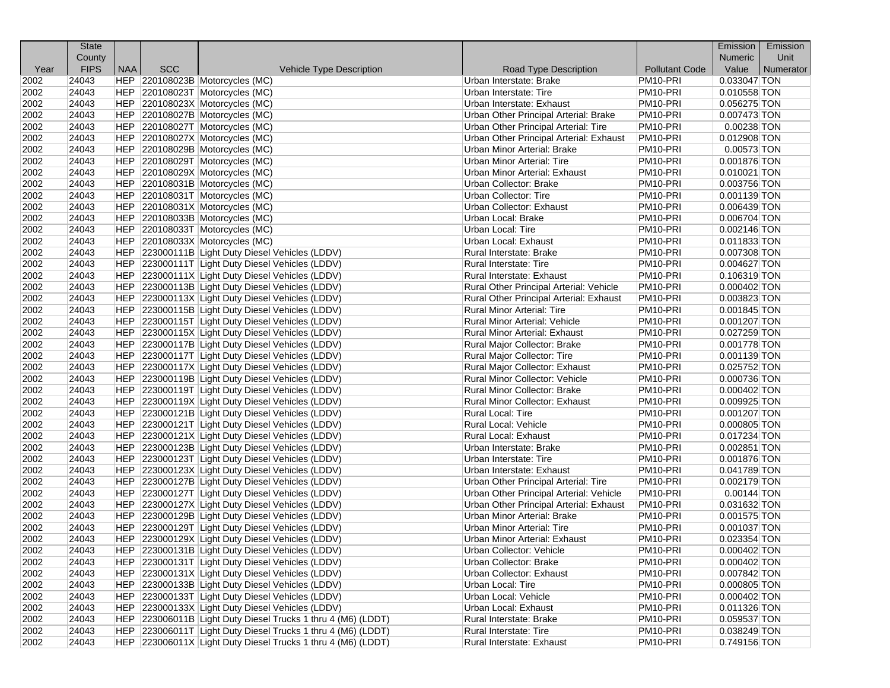|      | <b>State</b> |            |            |                                                              |                                         |                       | Emission       | Emission  |
|------|--------------|------------|------------|--------------------------------------------------------------|-----------------------------------------|-----------------------|----------------|-----------|
|      | County       |            |            |                                                              |                                         |                       | <b>Numeric</b> | Unit      |
| Year | <b>FIPS</b>  | <b>NAA</b> | <b>SCC</b> | Vehicle Type Description                                     | Road Type Description                   | <b>Pollutant Code</b> | Value          | Numerator |
| 2002 | 24043        |            |            | HEP 220108023B Motorcycles (MC)                              | Urban Interstate: Brake                 | PM10-PRI              | 0.033047 TON   |           |
| 2002 | 24043        |            |            | HEP 220108023T Motorcycles (MC)                              | Urban Interstate: Tire                  | PM <sub>10</sub> -PRI | 0.010558 TON   |           |
| 2002 | 24043        |            |            | HEP 220108023X Motorcycles (MC)                              | Urban Interstate: Exhaust               | PM10-PRI              | 0.056275 TON   |           |
| 2002 | 24043        |            |            | HEP 220108027B Motorcycles (MC)                              | Urban Other Principal Arterial: Brake   | PM10-PRI              | 0.007473 TON   |           |
| 2002 | 24043        |            |            | HEP 220108027T Motorcycles (MC)                              | Urban Other Principal Arterial: Tire    | PM10-PRI              | $0.00238$ TON  |           |
| 2002 | 24043        |            |            | HEP 220108027X Motorcycles (MC)                              | Urban Other Principal Arterial: Exhaust | PM10-PRI              | 0.012908 TON   |           |
| 2002 | 24043        |            |            | HEP 220108029B Motorcycles (MC)                              | Urban Minor Arterial: Brake             | PM10-PRI              | $0.00573$ TON  |           |
| 2002 | 24043        |            |            | HEP 220108029T Motorcycles (MC)                              | Urban Minor Arterial: Tire              | PM10-PRI              | 0.001876 TON   |           |
| 2002 | 24043        |            |            | HEP 220108029X Motorcycles (MC)                              | Urban Minor Arterial: Exhaust           | PM10-PRI              | $0.010021$ TON |           |
| 2002 | 24043        |            |            | HEP 220108031B Motorcycles (MC)                              | Urban Collector: Brake                  | PM10-PRI              | 0.003756 TON   |           |
| 2002 | 24043        |            |            | HEP 220108031T Motorcycles (MC)                              | Urban Collector: Tire                   | PM10-PRI              | 0.001139 TON   |           |
| 2002 | 24043        |            |            | HEP 220108031X Motorcycles (MC)                              | Urban Collector: Exhaust                | PM10-PRI              | $0.006439$ TON |           |
| 2002 | 24043        |            |            | HEP 220108033B Motorcycles (MC)                              | Urban Local: Brake                      | PM10-PRI              | 0.006704 TON   |           |
| 2002 | 24043        |            |            | HEP 220108033T Motorcycles (MC)                              | Urban Local: Tire                       | PM10-PRI              | 0.002146 TON   |           |
| 2002 | 24043        |            |            | HEP 220108033X Motorcycles (MC)                              | Urban Local: Exhaust                    | PM10-PRI              | 0.011833 TON   |           |
| 2002 | 24043        |            |            | HEP 223000111B Light Duty Diesel Vehicles (LDDV)             | Rural Interstate: Brake                 | PM10-PRI              | 0.007308 TON   |           |
| 2002 | 24043        |            |            | HEP 223000111T Light Duty Diesel Vehicles (LDDV)             | Rural Interstate: Tire                  | PM10-PRI              | $0.004627$ TON |           |
| 2002 | 24043        |            |            | HEP 223000111X Light Duty Diesel Vehicles (LDDV)             | Rural Interstate: Exhaust               | PM10-PRI              | 0.106319 TON   |           |
| 2002 | 24043        |            |            | HEP 223000113B Light Duty Diesel Vehicles (LDDV)             | Rural Other Principal Arterial: Vehicle | PM10-PRI              | $0.000402$ TON |           |
| 2002 | 24043        |            |            | HEP 223000113X Light Duty Diesel Vehicles (LDDV)             | Rural Other Principal Arterial: Exhaust | PM10-PRI              | 0.003823 TON   |           |
| 2002 | 24043        |            |            | HEP 223000115B Light Duty Diesel Vehicles (LDDV)             | <b>Rural Minor Arterial: Tire</b>       | PM10-PRI              | 0.001845 TON   |           |
| 2002 | 24043        |            |            | HEP 223000115T Light Duty Diesel Vehicles (LDDV)             | <b>Rural Minor Arterial: Vehicle</b>    | PM10-PRI              | 0.001207 TON   |           |
| 2002 | 24043        |            |            | HEP 223000115X Light Duty Diesel Vehicles (LDDV)             | <b>Rural Minor Arterial: Exhaust</b>    | PM10-PRI              | $0.027259$ TON |           |
| 2002 | 24043        |            |            | HEP 223000117B Light Duty Diesel Vehicles (LDDV)             | Rural Major Collector: Brake            | PM10-PRI              | 0.001778 TON   |           |
| 2002 | 24043        |            |            | HEP 223000117T Light Duty Diesel Vehicles (LDDV)             | Rural Major Collector: Tire             | PM10-PRI              | 0.001139 TON   |           |
| 2002 | 24043        |            |            | HEP 223000117X Light Duty Diesel Vehicles (LDDV)             | Rural Major Collector: Exhaust          | PM10-PRI              | 0.025752 TON   |           |
| 2002 | 24043        |            |            | HEP 223000119B Light Duty Diesel Vehicles (LDDV)             | Rural Minor Collector: Vehicle          | PM10-PRI              | 0.000736 TON   |           |
| 2002 | 24043        |            |            | HEP 223000119T Light Duty Diesel Vehicles (LDDV)             | Rural Minor Collector: Brake            | PM10-PRI              | $0.000402$ TON |           |
| 2002 | 24043        |            |            | HEP 223000119X Light Duty Diesel Vehicles (LDDV)             | Rural Minor Collector: Exhaust          | PM10-PRI              | $0.009925$ TON |           |
| 2002 | 24043        |            |            | HEP 223000121B Light Duty Diesel Vehicles (LDDV)             | Rural Local: Tire                       | PM10-PRI              | $0.001207$ TON |           |
| 2002 | 24043        |            |            | HEP 223000121T Light Duty Diesel Vehicles (LDDV)             | Rural Local: Vehicle                    | PM10-PRI              | 0.000805 TON   |           |
| 2002 | 24043        |            |            | HEP 223000121X Light Duty Diesel Vehicles (LDDV)             | Rural Local: Exhaust                    | PM10-PRI              | $0.017234$ TON |           |
| 2002 | 24043        |            |            | HEP 223000123B Light Duty Diesel Vehicles (LDDV)             | Urban Interstate: Brake                 | PM10-PRI              | $0.002851$ TON |           |
| 2002 | 24043        |            |            | HEP 223000123T Light Duty Diesel Vehicles (LDDV)             | Urban Interstate: Tire                  | PM10-PRI              | $0.001876$ TON |           |
| 2002 | 24043        |            |            | HEP 223000123X Light Duty Diesel Vehicles (LDDV)             | Urban Interstate: Exhaust               | PM10-PRI              | 0.041789 TON   |           |
| 2002 | 24043        |            |            | HEP 223000127B Light Duty Diesel Vehicles (LDDV)             | Urban Other Principal Arterial: Tire    | PM10-PRI              | 0.002179 TON   |           |
| 2002 | 24043        |            |            | HEP 223000127T Light Duty Diesel Vehicles (LDDV)             | Urban Other Principal Arterial: Vehicle | PM10-PRI              | $0.00144$ TON  |           |
| 2002 | 24043        |            |            | HEP 223000127X Light Duty Diesel Vehicles (LDDV)             | Urban Other Principal Arterial: Exhaust | PM10-PRI              | 0.031632 TON   |           |
| 2002 | 24043        |            |            | HEP 223000129B Light Duty Diesel Vehicles (LDDV)             | Urban Minor Arterial: Brake             | PM10-PRI              | $0.001575$ TON |           |
| 2002 | 24043        |            |            | HEP 223000129T Light Duty Diesel Vehicles (LDDV)             | Urban Minor Arterial: Tire              | PM10-PRI              | 0.001037 TON   |           |
| 2002 | 24043        |            |            | HEP 223000129X Light Duty Diesel Vehicles (LDDV)             | <b>Urban Minor Arterial: Exhaust</b>    | PM10-PRI              | 0.023354 TON   |           |
| 2002 | 24043        |            |            | HEP 223000131B Light Duty Diesel Vehicles (LDDV)             | Urban Collector: Vehicle                | PM10-PRI              | $0.000402$ TON |           |
| 2002 | 24043        |            |            | HEP 223000131T Light Duty Diesel Vehicles (LDDV)             | Urban Collector: Brake                  | PM10-PRI              | $0.000402$ TON |           |
| 2002 | 24043        |            |            | HEP 223000131X Light Duty Diesel Vehicles (LDDV)             | Urban Collector: Exhaust                | PM10-PRI              | 0.007842 TON   |           |
| 2002 | 24043        |            |            | HEP 223000133B Light Duty Diesel Vehicles (LDDV)             | Urban Local: Tire                       | PM10-PRI              | $0.000805$ TON |           |
| 2002 | 24043        |            |            | HEP 223000133T Light Duty Diesel Vehicles (LDDV)             | Urban Local: Vehicle                    | PM10-PRI              | $0.000402$ TON |           |
| 2002 | 24043        |            |            | HEP 223000133X Light Duty Diesel Vehicles (LDDV)             | Urban Local: Exhaust                    | PM10-PRI              | $0.011326$ TON |           |
| 2002 | 24043        |            |            | HEP 223006011B Light Duty Diesel Trucks 1 thru 4 (M6) (LDDT) | Rural Interstate: Brake                 | PM10-PRI              | 0.059537 TON   |           |
| 2002 | 24043        |            |            | HEP 223006011T Light Duty Diesel Trucks 1 thru 4 (M6) (LDDT) | Rural Interstate: Tire                  | PM10-PRI              | 0.038249 TON   |           |
| 2002 | 24043        |            |            | HEP 223006011X Light Duty Diesel Trucks 1 thru 4 (M6) (LDDT) | Rural Interstate: Exhaust               | PM10-PRI              | 0.749156 TON   |           |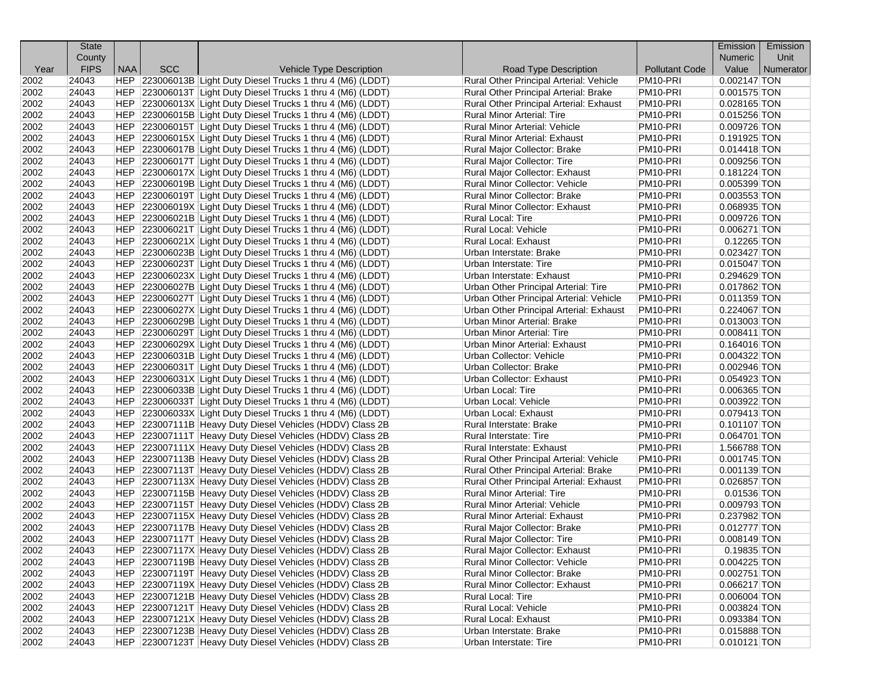|              | <b>State</b> |            |            |                                                              |                                                     |                       | Emission       | Emission  |
|--------------|--------------|------------|------------|--------------------------------------------------------------|-----------------------------------------------------|-----------------------|----------------|-----------|
|              | County       |            |            |                                                              |                                                     |                       | <b>Numeric</b> | Unit      |
| Year         | <b>FIPS</b>  | <b>NAA</b> | <b>SCC</b> | Vehicle Type Description                                     | Road Type Description                               | <b>Pollutant Code</b> | Value          | Numerator |
| 2002         | 24043        |            |            | HEP 223006013B Light Duty Diesel Trucks 1 thru 4 (M6) (LDDT) | Rural Other Principal Arterial: Vehicle             | PM <sub>10</sub> -PRI | 0.002147 TON   |           |
| 2002         | 24043        |            |            | HEP 223006013T Light Duty Diesel Trucks 1 thru 4 (M6) (LDDT) | Rural Other Principal Arterial: Brake               | PM10-PRI              | $0.001575$ TON |           |
| 2002         | 24043        |            |            | HEP 223006013X Light Duty Diesel Trucks 1 thru 4 (M6) (LDDT) | Rural Other Principal Arterial: Exhaust             | PM10-PRI              | 0.028165 TON   |           |
| 2002         | 24043        |            |            | HEP 223006015B Light Duty Diesel Trucks 1 thru 4 (M6) (LDDT) | Rural Minor Arterial: Tire                          | PM <sub>10</sub> -PRI | $0.015256$ TON |           |
| 2002         | 24043        |            |            | HEP 223006015T Light Duty Diesel Trucks 1 thru 4 (M6) (LDDT) | Rural Minor Arterial: Vehicle                       | PM10-PRI              | 0.009726 TON   |           |
| 2002         | 24043        |            |            | HEP 223006015X Light Duty Diesel Trucks 1 thru 4 (M6) (LDDT) | <b>Rural Minor Arterial: Exhaust</b>                | PM10-PRI              | $0.191925$ TON |           |
| 2002         | 24043        |            |            | HEP 223006017B Light Duty Diesel Trucks 1 thru 4 (M6) (LDDT) | Rural Major Collector: Brake                        | PM10-PRI              | $0.014418$ TON |           |
| 2002         | 24043        |            |            | HEP 223006017T Light Duty Diesel Trucks 1 thru 4 (M6) (LDDT) | Rural Major Collector: Tire                         | PM <sub>10</sub> -PRI | 0.009256 TON   |           |
| 2002         | 24043        |            |            | HEP 223006017X Light Duty Diesel Trucks 1 thru 4 (M6) (LDDT) | Rural Major Collector: Exhaust                      | PM <sub>10</sub> -PRI | $0.181224$ TON |           |
| 2002         | 24043        |            |            | HEP 223006019B Light Duty Diesel Trucks 1 thru 4 (M6) (LDDT) | Rural Minor Collector: Vehicle                      | PM10-PRI              | 0.005399 TON   |           |
| 2002         | 24043        |            |            | HEP 223006019T Light Duty Diesel Trucks 1 thru 4 (M6) (LDDT) | Rural Minor Collector: Brake                        | PM10-PRI              | $0.003553$ TON |           |
| 2002         | 24043        |            |            | HEP 223006019X Light Duty Diesel Trucks 1 thru 4 (M6) (LDDT) | Rural Minor Collector: Exhaust                      | PM10-PRI              | 0.068935 TON   |           |
| 2002         | 24043        |            |            | HEP 223006021B Light Duty Diesel Trucks 1 thru 4 (M6) (LDDT) | Rural Local: Tire                                   | PM <sub>10</sub> -PRI | 0.009726 TON   |           |
| 2002         | 24043        |            |            | HEP 223006021T Light Duty Diesel Trucks 1 thru 4 (M6) (LDDT) | Rural Local: Vehicle                                | PM <sub>10</sub> -PRI | $0.006271$ TON |           |
| 2002         | 24043        |            |            | HEP 223006021X Light Duty Diesel Trucks 1 thru 4 (M6) (LDDT) | Rural Local: Exhaust                                | PM10-PRI              | $0.12265$ TON  |           |
| 2002         | 24043        |            |            | HEP 223006023B Light Duty Diesel Trucks 1 thru 4 (M6) (LDDT) | Urban Interstate: Brake                             | PM <sub>10</sub> -PRI | 0.023427 TON   |           |
| 2002         | 24043        |            |            | HEP 223006023T Light Duty Diesel Trucks 1 thru 4 (M6) (LDDT) | Urban Interstate: Tire                              | PM10-PRI              | $0.015047$ TON |           |
| 2002         | 24043        |            |            | HEP 223006023X Light Duty Diesel Trucks 1 thru 4 (M6) (LDDT) | Urban Interstate: Exhaust                           | PM10-PRI              | 0.294629 TON   |           |
| 2002         | 24043        |            |            | HEP 223006027B Light Duty Diesel Trucks 1 thru 4 (M6) (LDDT) | Urban Other Principal Arterial: Tire                | PM10-PRI              | $0.017862$ TON |           |
| 2002         | 24043        |            |            | HEP 223006027T Light Duty Diesel Trucks 1 thru 4 (M6) (LDDT) | Urban Other Principal Arterial: Vehicle             | PM10-PRI              | $0.011359$ TON |           |
| 2002         | 24043        |            |            | HEP 223006027X Light Duty Diesel Trucks 1 thru 4 (M6) (LDDT) | Urban Other Principal Arterial: Exhaust             | PM10-PRI              | 0.224067 TON   |           |
| 2002         | 24043        |            |            | HEP 223006029B Light Duty Diesel Trucks 1 thru 4 (M6) (LDDT) | Urban Minor Arterial: Brake                         | PM10-PRI              | 0.013003 TON   |           |
| 2002         | 24043        |            |            | HEP 223006029T Light Duty Diesel Trucks 1 thru 4 (M6) (LDDT) | Urban Minor Arterial: Tire                          | PM <sub>10</sub> -PRI | 0.008411 TON   |           |
| 2002         | 24043        |            |            | HEP 223006029X Light Duty Diesel Trucks 1 thru 4 (M6) (LDDT) | Urban Minor Arterial: Exhaust                       | PM10-PRI              | $0.164016$ TON |           |
| 2002         | 24043        |            |            | HEP 223006031B Light Duty Diesel Trucks 1 thru 4 (M6) (LDDT) | Urban Collector: Vehicle                            | PM10-PRI              | 0.004322 TON   |           |
| 2002         | 24043        |            |            | HEP 223006031T Light Duty Diesel Trucks 1 thru 4 (M6) (LDDT) | Urban Collector: Brake                              | PM10-PRI              | 0.002946 TON   |           |
| 2002         | 24043        |            |            | HEP 223006031X Light Duty Diesel Trucks 1 thru 4 (M6) (LDDT) | Urban Collector: Exhaust                            | PM10-PRI              | 0.054923 TON   |           |
| 2002         | 24043        |            |            | HEP 223006033B Light Duty Diesel Trucks 1 thru 4 (M6) (LDDT) | Urban Local: Tire                                   | PM <sub>10</sub> -PRI | 0.006365 TON   |           |
| 2002         | 24043        |            |            | HEP 223006033T Light Duty Diesel Trucks 1 thru 4 (M6) (LDDT) | Urban Local: Vehicle                                | PM10-PRI              | 0.003922 TON   |           |
| 2002         | 24043        |            |            | HEP 223006033X Light Duty Diesel Trucks 1 thru 4 (M6) (LDDT) | Urban Local: Exhaust                                | PM10-PRI              | 0.079413 TON   |           |
| 2002         | 24043        |            |            | HEP 223007111B Heavy Duty Diesel Vehicles (HDDV) Class 2B    | Rural Interstate: Brake                             | PM10-PRI              | $0.101107$ TON |           |
| 2002         | 24043        |            |            | HEP 223007111T Heavy Duty Diesel Vehicles (HDDV) Class 2B    | Rural Interstate: Tire                              | PM10-PRI              | $0.064701$ TON |           |
| 2002         | 24043        |            |            | HEP 223007111X Heavy Duty Diesel Vehicles (HDDV) Class 2B    | Rural Interstate: Exhaust                           | PM <sub>10</sub> -PRI | 1.566788 TON   |           |
| 2002         | 24043        |            |            | HEP 223007113B Heavy Duty Diesel Vehicles (HDDV) Class 2B    | Rural Other Principal Arterial: Vehicle             | PM10-PRI              | $0.001745$ TON |           |
| 2002         | 24043        |            |            | HEP 223007113T Heavy Duty Diesel Vehicles (HDDV) Class 2B    | Rural Other Principal Arterial: Brake               | PM10-PRI              | $0.001139$ TON |           |
| 2002         | 24043        |            |            | HEP 223007113X Heavy Duty Diesel Vehicles (HDDV) Class 2B    | Rural Other Principal Arterial: Exhaust             | PM10-PRI              | 0.026857 TON   |           |
| 2002         | 24043        |            |            | HEP 223007115B Heavy Duty Diesel Vehicles (HDDV) Class 2B    | Rural Minor Arterial: Tire                          | PM10-PRI              | $0.01536$ TON  |           |
| 2002         | 24043        |            |            | HEP 223007115T Heavy Duty Diesel Vehicles (HDDV) Class 2B    | Rural Minor Arterial: Vehicle                       | PM10-PRI              | 0.009793 TON   |           |
| 2002         | 24043        |            |            | HEP 223007115X Heavy Duty Diesel Vehicles (HDDV) Class 2B    | <b>Rural Minor Arterial: Exhaust</b>                | PM10-PRI              | 0.237982 TON   |           |
| 2002         | 24043        |            |            | HEP 223007117B Heavy Duty Diesel Vehicles (HDDV) Class 2B    | Rural Major Collector: Brake                        | PM <sub>10</sub> -PRI | $0.012777$ TON |           |
| 2002         | 24043        |            |            | HEP 223007117T Heavy Duty Diesel Vehicles (HDDV) Class 2B    | <b>Rural Maior Collector: Tire</b>                  | PM10-PRI              | $0.008149$ TON |           |
| 2002         | 24043        |            |            | HEP 223007117X Heavy Duty Diesel Vehicles (HDDV) Class 2B    | Rural Major Collector: Exhaust                      | PM10-PRI              | 0.19835 TON    |           |
| 2002         | 24043        |            |            | HEP 223007119B Heavy Duty Diesel Vehicles (HDDV) Class 2B    | Rural Minor Collector: Vehicle                      | PM10-PRI              | $0.004225$ TON |           |
| 2002         | 24043        |            |            | HEP 223007119T Heavy Duty Diesel Vehicles (HDDV) Class 2B    | Rural Minor Collector: Brake                        | PM10-PRI              | $0.002751$ TON |           |
| 2002         | 24043        |            |            | HEP 223007119X Heavy Duty Diesel Vehicles (HDDV) Class 2B    | Rural Minor Collector: Exhaust                      | PM10-PRI              | 0.066217 TON   |           |
| 2002         | 24043        |            |            | HEP 223007121B Heavy Duty Diesel Vehicles (HDDV) Class 2B    | Rural Local: Tire                                   | PM10-PRI              | $0.006004$ TON |           |
| 2002         | 24043        |            |            | HEP 223007121T Heavy Duty Diesel Vehicles (HDDV) Class 2B    |                                                     | PM10-PRI              | 0.003824 TON   |           |
|              | 24043        |            |            | HEP 223007121X Heavy Duty Diesel Vehicles (HDDV) Class 2B    | Rural Local: Vehicle<br><b>Rural Local: Exhaust</b> | PM10-PRI              | 0.093384 TON   |           |
| 2002<br>2002 | 24043        |            |            | HEP 223007123B Heavy Duty Diesel Vehicles (HDDV) Class 2B    |                                                     | PM10-PRI              | 0.015888 TON   |           |
|              | 24043        |            |            | HEP 223007123T Heavy Duty Diesel Vehicles (HDDV) Class 2B    | Urban Interstate: Brake                             | PM10-PRI              |                |           |
| 2002         |              |            |            |                                                              | Urban Interstate: Tire                              |                       | $0.010121$ TON |           |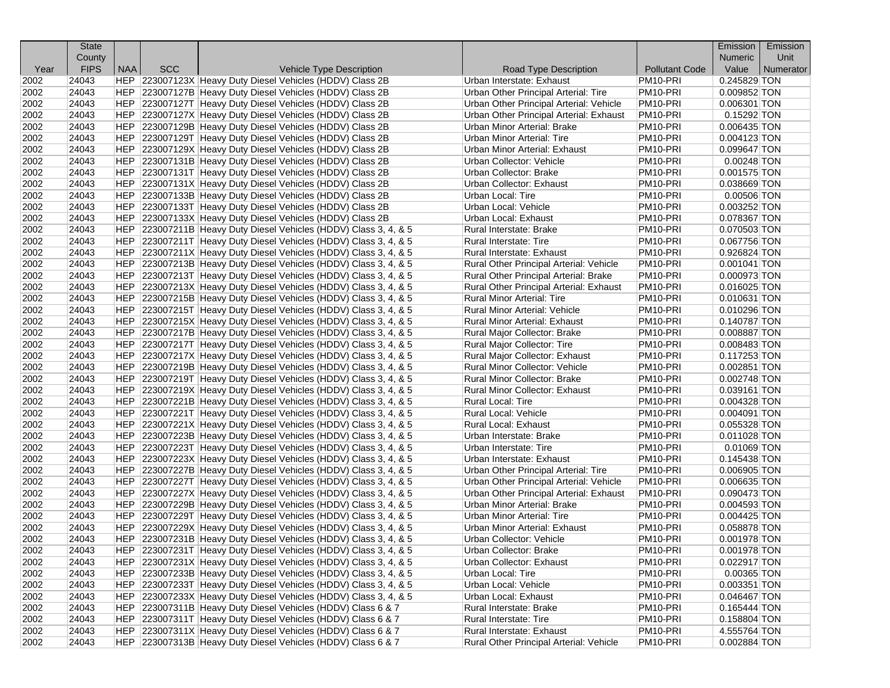|      | <b>State</b> |            |            |                                                                  |                                         |                       | Emission       | Emission  |
|------|--------------|------------|------------|------------------------------------------------------------------|-----------------------------------------|-----------------------|----------------|-----------|
|      | County       |            |            |                                                                  |                                         |                       | Numeric        | Unit      |
| Year | <b>FIPS</b>  | <b>NAA</b> | <b>SCC</b> | <b>Vehicle Type Description</b>                                  | Road Type Description                   | <b>Pollutant Code</b> | Value          | Numerator |
| 2002 | 24043        |            |            | HEP 223007123X Heavy Duty Diesel Vehicles (HDDV) Class 2B        | Urban Interstate: Exhaust               | PM <sub>10</sub> -PRI | 0.245829 TON   |           |
| 2002 | 24043        |            |            | HEP 223007127B Heavy Duty Diesel Vehicles (HDDV) Class 2B        | Urban Other Principal Arterial: Tire    | PM10-PRI              | 0.009852 TON   |           |
| 2002 | 24043        |            |            | HEP 223007127T Heavy Duty Diesel Vehicles (HDDV) Class 2B        | Urban Other Principal Arterial: Vehicle | PM <sub>10</sub> -PRI | 0.006301 TON   |           |
| 2002 | 24043        |            |            | HEP 223007127X Heavy Duty Diesel Vehicles (HDDV) Class 2B        | Urban Other Principal Arterial: Exhaust | PM10-PRI              | 0.15292 TON    |           |
| 2002 | 24043        |            |            | HEP 223007129B Heavy Duty Diesel Vehicles (HDDV) Class 2B        | <b>Urban Minor Arterial: Brake</b>      | PM10-PRI              | 0.006435 TON   |           |
| 2002 | 24043        |            |            | HEP 223007129T Heavy Duty Diesel Vehicles (HDDV) Class 2B        | Urban Minor Arterial: Tire              | PM10-PRI              | $0.004123$ TON |           |
| 2002 | 24043        |            |            | HEP 223007129X Heavy Duty Diesel Vehicles (HDDV) Class 2B        | <b>Urban Minor Arterial: Exhaust</b>    | PM10-PRI              | 0.099647 TON   |           |
| 2002 | 24043        |            |            | HEP 223007131B Heavy Duty Diesel Vehicles (HDDV) Class 2B        | Urban Collector: Vehicle                | PM <sub>10-PRI</sub>  | $0.00248$ TON  |           |
| 2002 | 24043        |            |            | HEP 223007131T Heavy Duty Diesel Vehicles (HDDV) Class 2B        | Urban Collector: Brake                  | PM <sub>10-PRI</sub>  | $0.001575$ TON |           |
| 2002 | 24043        |            |            | HEP 223007131X Heavy Duty Diesel Vehicles (HDDV) Class 2B        | Urban Collector: Exhaust                | PM10-PRI              | 0.038669 TON   |           |
| 2002 | 24043        |            |            | HEP 223007133B Heavy Duty Diesel Vehicles (HDDV) Class 2B        | Urban Local: Tire                       | PM <sub>10-PRI</sub>  | 0.00506 TON    |           |
| 2002 | 24043        |            |            | HEP 223007133T Heavy Duty Diesel Vehicles (HDDV) Class 2B        | Urban Local: Vehicle                    | PM10-PRI              | 0.003252 TON   |           |
| 2002 | 24043        |            |            | HEP 223007133X Heavy Duty Diesel Vehicles (HDDV) Class 2B        | Urban Local: Exhaust                    | PM <sub>10-PRI</sub>  | 0.078367 TON   |           |
| 2002 | 24043        |            |            | HEP 223007211B Heavy Duty Diesel Vehicles (HDDV) Class 3, 4, & 5 | Rural Interstate: Brake                 | PM <sub>10</sub> -PRI | 0.070503 TON   |           |
| 2002 | 24043        |            |            | HEP 223007211T Heavy Duty Diesel Vehicles (HDDV) Class 3, 4, & 5 | Rural Interstate: Tire                  | PM10-PRI              | 0.067756 TON   |           |
| 2002 | 24043        |            |            | HEP 223007211X Heavy Duty Diesel Vehicles (HDDV) Class 3, 4, & 5 | Rural Interstate: Exhaust               | PM <sub>10-PRI</sub>  | 0.926824 TON   |           |
| 2002 | 24043        |            |            | HEP 223007213B Heavy Duty Diesel Vehicles (HDDV) Class 3, 4, & 5 | Rural Other Principal Arterial: Vehicle | PM10-PRI              | $0.001041$ TON |           |
| 2002 | 24043        |            |            | HEP 223007213T Heavy Duty Diesel Vehicles (HDDV) Class 3, 4, & 5 | Rural Other Principal Arterial: Brake   | PM10-PRI              | 0.000973 TON   |           |
| 2002 | 24043        |            |            | HEP 223007213X Heavy Duty Diesel Vehicles (HDDV) Class 3, 4, & 5 | Rural Other Principal Arterial: Exhaust | PM10-PRI              | $0.016025$ TON |           |
| 2002 | 24043        |            |            | HEP 223007215B Heavy Duty Diesel Vehicles (HDDV) Class 3, 4, & 5 | Rural Minor Arterial: Tire              | PM10-PRI              | $0.010631$ TON |           |
| 2002 | 24043        |            |            | HEP 223007215T Heavy Duty Diesel Vehicles (HDDV) Class 3, 4, & 5 | Rural Minor Arterial: Vehicle           | PM10-PRI              | 0.010296 TON   |           |
| 2002 | 24043        |            |            | HEP 223007215X Heavy Duty Diesel Vehicles (HDDV) Class 3, 4, & 5 | Rural Minor Arterial: Exhaust           | PM10-PRI              | 0.140787 TON   |           |
| 2002 | 24043        |            |            | HEP 223007217B Heavy Duty Diesel Vehicles (HDDV) Class 3, 4, & 5 | Rural Major Collector: Brake            | PM <sub>10-PRI</sub>  | 0.008887 TON   |           |
| 2002 | 24043        |            |            | HEP 223007217T Heavy Duty Diesel Vehicles (HDDV) Class 3, 4, & 5 | Rural Major Collector: Tire             | PM <sub>10</sub> -PRI | 0.008483 TON   |           |
| 2002 | 24043        |            |            | HEP 223007217X Heavy Duty Diesel Vehicles (HDDV) Class 3, 4, & 5 | Rural Major Collector: Exhaust          | PM10-PRI              | $0.117253$ TON |           |
| 2002 | 24043        |            |            | HEP 223007219B Heavy Duty Diesel Vehicles (HDDV) Class 3, 4, & 5 | Rural Minor Collector: Vehicle          | PM <sub>10-PRI</sub>  | 0.002851 TON   |           |
| 2002 | 24043        |            |            | HEP 223007219T Heavy Duty Diesel Vehicles (HDDV) Class 3, 4, & 5 | Rural Minor Collector: Brake            | PM10-PRI              | $0.002748$ TON |           |
| 2002 | 24043        |            |            | HEP 223007219X Heavy Duty Diesel Vehicles (HDDV) Class 3, 4, & 5 | Rural Minor Collector: Exhaust          | PM <sub>10-PRI</sub>  | $0.039161$ TON |           |
| 2002 | 24043        |            |            | HEP 223007221B Heavy Duty Diesel Vehicles (HDDV) Class 3, 4, & 5 | Rural Local: Tire                       | PM <sub>10-PRI</sub>  | $0.004328$ TON |           |
| 2002 | 24043        |            |            | HEP 223007221T Heavy Duty Diesel Vehicles (HDDV) Class 3, 4, & 5 | Rural Local: Vehicle                    | PM10-PRI              | $0.004091$ TON |           |
| 2002 | 24043        |            |            | HEP 223007221X Heavy Duty Diesel Vehicles (HDDV) Class 3, 4, & 5 | Rural Local: Exhaust                    | PM <sub>10</sub> -PRI | 0.055328 TON   |           |
| 2002 | 24043        |            |            | HEP 223007223B Heavy Duty Diesel Vehicles (HDDV) Class 3, 4, & 5 | Urban Interstate: Brake                 | PM10-PRI              | $0.011028$ TON |           |
| 2002 | 24043        |            |            | HEP 223007223T Heavy Duty Diesel Vehicles (HDDV) Class 3, 4, & 5 | Urban Interstate: Tire                  | PM <sub>10-PRI</sub>  | $0.01069$ TON  |           |
| 2002 | 24043        |            |            | HEP 223007223X Heavy Duty Diesel Vehicles (HDDV) Class 3, 4, & 5 | Urban Interstate: Exhaust               | PM <sub>10</sub> -PRI | 0.145438 TON   |           |
| 2002 | 24043        |            |            | HEP 223007227B Heavy Duty Diesel Vehicles (HDDV) Class 3, 4, & 5 | Urban Other Principal Arterial: Tire    | PM10-PRI              | $0.006905$ TON |           |
| 2002 | 24043        |            |            | HEP 223007227T Heavy Duty Diesel Vehicles (HDDV) Class 3, 4, & 5 | Urban Other Principal Arterial: Vehicle | PM10-PRI              | 0.006635 TON   |           |
| 2002 | 24043        |            |            | HEP 223007227X Heavy Duty Diesel Vehicles (HDDV) Class 3, 4, & 5 | Urban Other Principal Arterial: Exhaust | PM10-PRI              | 0.090473 TON   |           |
| 2002 | 24043        |            |            | HEP 223007229B Heavy Duty Diesel Vehicles (HDDV) Class 3, 4, & 5 | Urban Minor Arterial: Brake             | PM10-PRI              | 0.004593 TON   |           |
| 2002 | 24043        |            |            | HEP 223007229T Heavy Duty Diesel Vehicles (HDDV) Class 3, 4, & 5 | Urban Minor Arterial: Tire              | PM10-PRI              | $0.004425$ TON |           |
| 2002 | 24043        |            |            | HEP 223007229X Heavy Duty Diesel Vehicles (HDDV) Class 3, 4, & 5 | Urban Minor Arterial: Exhaust           | PM <sub>10-PRI</sub>  | 0.058878 TON   |           |
| 2002 | 24043        |            |            | HEP 223007231B Heavy Duty Diesel Vehicles (HDDV) Class 3, 4, & 5 | Urban Collector: Vehicle                | PM10-PRI              | 0.001978 TON   |           |
| 2002 | 24043        |            |            | HEP 223007231T Heavy Duty Diesel Vehicles (HDDV) Class 3, 4, & 5 | Urban Collector: Brake                  | PM10-PRI              | 0.001978 TON   |           |
| 2002 | 24043        |            |            | HEP 223007231X Heavy Duty Diesel Vehicles (HDDV) Class 3, 4, & 5 | Urban Collector: Exhaust                | PM10-PRI              | 0.022917 TON   |           |
| 2002 | 24043        |            |            | HEP 223007233B Heavy Duty Diesel Vehicles (HDDV) Class 3, 4, & 5 | Urban Local: Tire                       | PM10-PRI              | 0.00365 TON    |           |
| 2002 | 24043        |            |            | HEP 223007233T Heavy Duty Diesel Vehicles (HDDV) Class 3, 4, & 5 | Urban Local: Vehicle                    | PM10-PRI              | $0.003351$ TON |           |
| 2002 | 24043        |            |            | HEP 223007233X Heavy Duty Diesel Vehicles (HDDV) Class 3, 4, & 5 | Urban Local: Exhaust                    | PM10-PRI              | 0.046467 TON   |           |
| 2002 | 24043        |            |            | HEP 223007311B Heavy Duty Diesel Vehicles (HDDV) Class 6 & 7     | Rural Interstate: Brake                 | PM10-PRI              | 0.165444 TON   |           |
| 2002 | 24043        |            |            | HEP 223007311T Heavy Duty Diesel Vehicles (HDDV) Class 6 & 7     | Rural Interstate: Tire                  | PM10-PRI              | $0.158804$ TON |           |
| 2002 | 24043        |            |            | HEP 223007311X Heavy Duty Diesel Vehicles (HDDV) Class 6 & 7     | Rural Interstate: Exhaust               | PM10-PRI              | 4.555764 TON   |           |
| 2002 | 24043        |            |            | HEP 223007313B Heavy Duty Diesel Vehicles (HDDV) Class 6 & 7     | Rural Other Principal Arterial: Vehicle | PM10-PRI              | 0.002884 TON   |           |
|      |              |            |            |                                                                  |                                         |                       |                |           |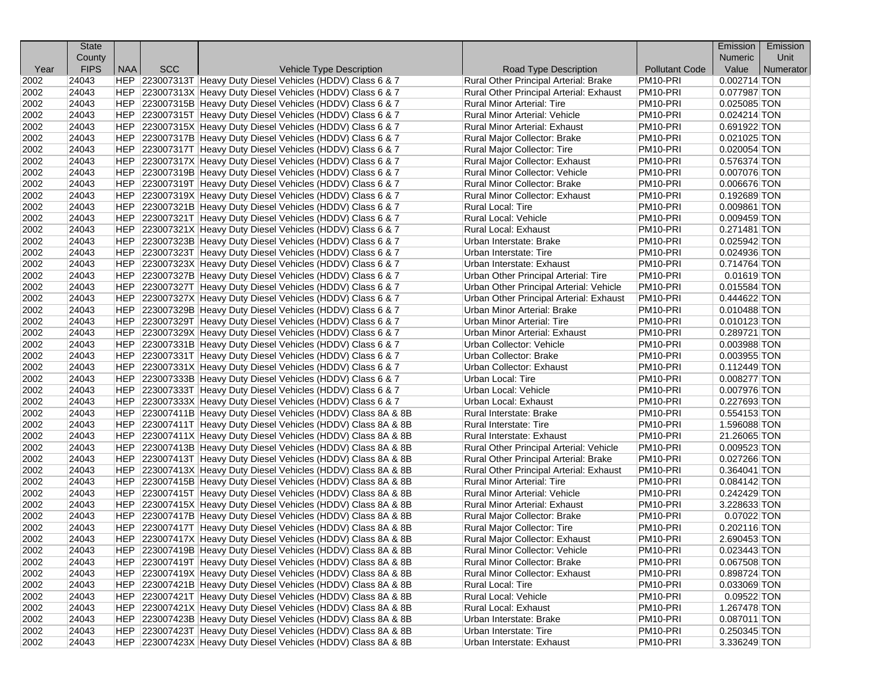|      | <b>State</b> |            |            |                                                                |                                         |                       | Emission       | Emission  |
|------|--------------|------------|------------|----------------------------------------------------------------|-----------------------------------------|-----------------------|----------------|-----------|
|      | County       |            |            |                                                                |                                         |                       | Numeric        | Unit      |
| Year | <b>FIPS</b>  | <b>NAA</b> | <b>SCC</b> | <b>Vehicle Type Description</b>                                | Road Type Description                   | <b>Pollutant Code</b> | Value          | Numerator |
| 2002 | 24043        |            |            | HEP 223007313T Heavy Duty Diesel Vehicles (HDDV) Class 6 & 7   | Rural Other Principal Arterial: Brake   | PM <sub>10-PRI</sub>  | $0.002714$ TON |           |
| 2002 | 24043        |            |            | HEP 223007313X Heavy Duty Diesel Vehicles (HDDV) Class 6 & 7   | Rural Other Principal Arterial: Exhaust | PM10-PRI              | 0.077987 TON   |           |
| 2002 | 24043        |            |            | HEP 223007315B Heavy Duty Diesel Vehicles (HDDV) Class 6 & 7   | <b>Rural Minor Arterial: Tire</b>       | PM <sub>10-PRI</sub>  | $0.025085$ TON |           |
| 2002 | 24043        |            |            | HEP 223007315T Heavy Duty Diesel Vehicles (HDDV) Class 6 & 7   | Rural Minor Arterial: Vehicle           | PM <sub>10</sub> -PRI | $0.024214$ TON |           |
| 2002 | 24043        |            |            | HEP 223007315X Heavy Duty Diesel Vehicles (HDDV) Class 6 & 7   | Rural Minor Arterial: Exhaust           | PM10-PRI              | 0.691922 TON   |           |
| 2002 | 24043        |            |            | HEP 223007317B Heavy Duty Diesel Vehicles (HDDV) Class 6 & 7   | Rural Major Collector: Brake            | PM <sub>10-PRI</sub>  | $0.021025$ TON |           |
| 2002 | 24043        |            |            | HEP 223007317T Heavy Duty Diesel Vehicles (HDDV) Class 6 & 7   | Rural Major Collector: Tire             | PM10-PRI              | $0.020054$ TON |           |
| 2002 | 24043        |            |            | HEP 223007317X Heavy Duty Diesel Vehicles (HDDV) Class 6 & 7   | Rural Major Collector: Exhaust          | PM <sub>10</sub> -PRI | 0.576374 TON   |           |
| 2002 | 24043        |            |            | HEP 223007319B Heavy Duty Diesel Vehicles (HDDV) Class 6 & 7   | Rural Minor Collector: Vehicle          | PM <sub>10-PRI</sub>  | 0.007076 TON   |           |
| 2002 | 24043        |            |            | HEP 223007319T Heavy Duty Diesel Vehicles (HDDV) Class 6 & 7   | Rural Minor Collector: Brake            | PM10-PRI              | 0.006676 TON   |           |
| 2002 | 24043        |            |            | HEP 223007319X Heavy Duty Diesel Vehicles (HDDV) Class 6 & 7   | Rural Minor Collector: Exhaust          | PM <sub>10</sub> -PRI | 0.192689 TON   |           |
| 2002 | 24043        |            |            | HEP 223007321B Heavy Duty Diesel Vehicles (HDDV) Class 6 & 7   | Rural Local: Tire                       | PM10-PRI              | $0.009861$ TON |           |
| 2002 | 24043        |            |            | HEP 223007321T Heavy Duty Diesel Vehicles (HDDV) Class 6 & 7   | Rural Local: Vehicle                    | PM <sub>10-PRI</sub>  | $0.009459$ TON |           |
| 2002 | 24043        |            |            | HEP 223007321X Heavy Duty Diesel Vehicles (HDDV) Class 6 & 7   | Rural Local: Exhaust                    | PM <sub>10</sub> -PRI | $0.271481$ TON |           |
| 2002 | 24043        |            |            | HEP 223007323B Heavy Duty Diesel Vehicles (HDDV) Class 6 & 7   | Urban Interstate: Brake                 | PM10-PRI              | 0.025942 TON   |           |
| 2002 | 24043        |            |            | HEP 223007323T Heavy Duty Diesel Vehicles (HDDV) Class 6 & 7   | Urban Interstate: Tire                  | PM <sub>10-PRI</sub>  | 0.024936 TON   |           |
| 2002 | 24043        |            |            | HEP 223007323X Heavy Duty Diesel Vehicles (HDDV) Class 6 & 7   | Urban Interstate: Exhaust               | PM10-PRI              | 0.714764 TON   |           |
| 2002 | 24043        |            |            | HEP 223007327B Heavy Duty Diesel Vehicles (HDDV) Class 6 & 7   | Urban Other Principal Arterial: Tire    | PM <sub>10-PRI</sub>  | $0.01619$ TON  |           |
| 2002 | 24043        |            |            | HEP 223007327T Heavy Duty Diesel Vehicles (HDDV) Class 6 & 7   | Urban Other Principal Arterial: Vehicle | PM10-PRI              | 0.015584 TON   |           |
| 2002 | 24043        |            |            | HEP 223007327X Heavy Duty Diesel Vehicles (HDDV) Class 6 & 7   | Urban Other Principal Arterial: Exhaust | PM10-PRI              | 0.444622 TON   |           |
| 2002 | 24043        |            |            | HEP 223007329B Heavy Duty Diesel Vehicles (HDDV) Class 6 & 7   | Urban Minor Arterial: Brake             | PM <sub>10-PRI</sub>  | $0.010488$ TON |           |
| 2002 | 24043        |            |            | HEP 223007329T Heavy Duty Diesel Vehicles (HDDV) Class 6 & 7   | Urban Minor Arterial: Tire              | PM10-PRI              | $0.010123$ TON |           |
| 2002 | 24043        |            |            | HEP 223007329X Heavy Duty Diesel Vehicles (HDDV) Class 6 & 7   | Urban Minor Arterial: Exhaust           | PM <sub>10-PRI</sub>  | 0.289721 TON   |           |
| 2002 | 24043        |            |            | HEP 223007331B Heavy Duty Diesel Vehicles (HDDV) Class 6 & 7   | Urban Collector: Vehicle                | PM <sub>10</sub> -PRI | 0.003988 TON   |           |
| 2002 | 24043        |            |            | HEP 223007331T Heavy Duty Diesel Vehicles (HDDV) Class 6 & 7   | Urban Collector: Brake                  | PM10-PRI              | 0.003955 TON   |           |
| 2002 | 24043        |            |            | HEP 223007331X Heavy Duty Diesel Vehicles (HDDV) Class 6 & 7   | Urban Collector: Exhaust                | PM <sub>10-PRI</sub>  | $0.112449$ TON |           |
| 2002 | 24043        |            |            | HEP 223007333B Heavy Duty Diesel Vehicles (HDDV) Class 6 & 7   | Urban Local: Tire                       | PM10-PRI              | 0.008277 TON   |           |
| 2002 | 24043        |            |            | HEP 223007333T Heavy Duty Diesel Vehicles (HDDV) Class 6 & 7   | Urban Local: Vehicle                    | PM <sub>10</sub> -PRI | 0.007976 TON   |           |
| 2002 | 24043        |            |            | HEP 223007333X Heavy Duty Diesel Vehicles (HDDV) Class 6 & 7   | Urban Local: Exhaust                    | PM <sub>10</sub> -PRI | 0.227693 TON   |           |
| 2002 | 24043        |            |            | HEP 223007411B Heavy Duty Diesel Vehicles (HDDV) Class 8A & 8B | Rural Interstate: Brake                 | PM10-PRI              | $0.554153$ TON |           |
| 2002 | 24043        |            |            | HEP 223007411T Heavy Duty Diesel Vehicles (HDDV) Class 8A & 8B | Rural Interstate: Tire                  | PM <sub>10</sub> -PRI | 1.596088 TON   |           |
| 2002 | 24043        |            |            | HEP 223007411X Heavy Duty Diesel Vehicles (HDDV) Class 8A & 8B | Rural Interstate: Exhaust               | PM10-PRI              | 21.26065 TON   |           |
| 2002 | 24043        |            |            | HEP 223007413B Heavy Duty Diesel Vehicles (HDDV) Class 8A & 8B | Rural Other Principal Arterial: Vehicle | PM <sub>10</sub> -PRI | $0.009523$ TON |           |
| 2002 | 24043        |            |            | HEP 223007413T Heavy Duty Diesel Vehicles (HDDV) Class 8A & 8B | Rural Other Principal Arterial: Brake   | PM10-PRI              | 0.027266 TON   |           |
| 2002 | 24043        |            |            | HEP 223007413X Heavy Duty Diesel Vehicles (HDDV) Class 8A & 8B | Rural Other Principal Arterial: Exhaust | PM10-PRI              | $0.364041$ TON |           |
| 2002 | 24043        |            |            | HEP 223007415B Heavy Duty Diesel Vehicles (HDDV) Class 8A & 8B | Rural Minor Arterial: Tire              | PM <sub>10</sub> -PRI | $0.084142$ TON |           |
| 2002 | 24043        |            |            | HEP 223007415T Heavy Duty Diesel Vehicles (HDDV) Class 8A & 8B | <b>Rural Minor Arterial: Vehicle</b>    | PM10-PRI              | 0.242429 TON   |           |
| 2002 | 24043        |            |            | HEP 223007415X Heavy Duty Diesel Vehicles (HDDV) Class 8A & 8B | Rural Minor Arterial: Exhaust           | PM10-PRI              | 3.228633 TON   |           |
| 2002 | 24043        |            |            | HEP 223007417B Heavy Duty Diesel Vehicles (HDDV) Class 8A & 8B | Rural Major Collector: Brake            | PM10-PRI              | 0.07022 TON    |           |
| 2002 | 24043        |            |            | HEP 223007417T Heavy Duty Diesel Vehicles (HDDV) Class 8A & 8B | <b>Rural Major Collector: Tire</b>      | PM <sub>10</sub> -PRI | 0.202116 TON   |           |
| 2002 | 24043        |            |            | HEP 223007417X Heavy Duty Diesel Vehicles (HDDV) Class 8A & 8B | Rural Major Collector: Exhaust          | PM10-PRI              | 2.690453 TON   |           |
| 2002 | 24043        |            |            | HEP 223007419B Heavy Duty Diesel Vehicles (HDDV) Class 8A & 8B | Rural Minor Collector: Vehicle          | PM10-PRI              | 0.023443 TON   |           |
| 2002 | 24043        |            |            | HEP 223007419T Heavy Duty Diesel Vehicles (HDDV) Class 8A & 8B | Rural Minor Collector: Brake            | PM10-PRI              | 0.067508 TON   |           |
| 2002 | 24043        |            |            | HEP 223007419X Heavy Duty Diesel Vehicles (HDDV) Class 8A & 8B | Rural Minor Collector: Exhaust          | PM10-PRI              | 0.898724 TON   |           |
| 2002 | 24043        |            |            | HEP 223007421B Heavy Duty Diesel Vehicles (HDDV) Class 8A & 8B | Rural Local: Tire                       | PM10-PRI              | 0.033069 TON   |           |
| 2002 | 24043        |            |            | HEP 223007421T Heavy Duty Diesel Vehicles (HDDV) Class 8A & 8B | Rural Local: Vehicle                    | PM10-PRI              | 0.09522 TON    |           |
| 2002 | 24043        |            |            | HEP 223007421X Heavy Duty Diesel Vehicles (HDDV) Class 8A & 8B | Rural Local: Exhaust                    | PM10-PRI              | 1.267478 TON   |           |
| 2002 | 24043        |            |            | HEP 223007423B Heavy Duty Diesel Vehicles (HDDV) Class 8A & 8B | Urban Interstate: Brake                 | PM10-PRI              | $0.087011$ TON |           |
| 2002 | 24043        |            |            | HEP 223007423T Heavy Duty Diesel Vehicles (HDDV) Class 8A & 8B | Urban Interstate: Tire                  | PM10-PRI              | 0.250345 TON   |           |
| 2002 | 24043        |            |            | HEP 223007423X Heavy Duty Diesel Vehicles (HDDV) Class 8A & 8B | Urban Interstate: Exhaust               | PM10-PRI              | 3.336249 TON   |           |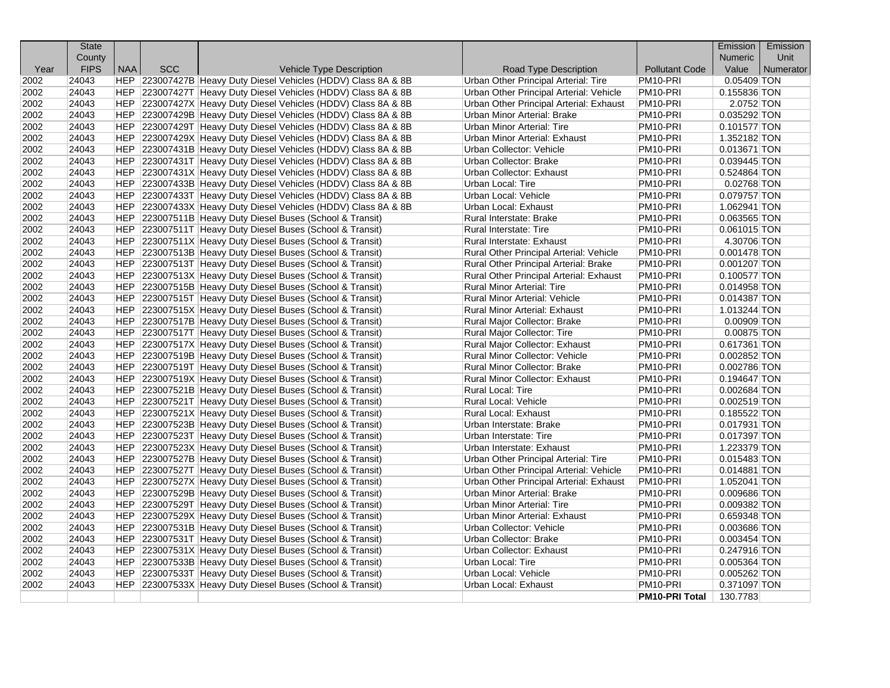|              | <b>State</b>   |     |            |                                                                                                                                  |                                         |                                              | Emission       | Emission  |
|--------------|----------------|-----|------------|----------------------------------------------------------------------------------------------------------------------------------|-----------------------------------------|----------------------------------------------|----------------|-----------|
|              | County         |     |            |                                                                                                                                  |                                         |                                              | <b>Numeric</b> | Unit      |
| Year         | <b>FIPS</b>    | NAA | <b>SCC</b> | <b>Vehicle Type Description</b>                                                                                                  | Road Type Description                   | <b>Pollutant Code</b>                        | Value          | Numerator |
| 2002         | 24043          |     |            | HEP 223007427B Heavy Duty Diesel Vehicles (HDDV) Class 8A & 8B                                                                   | Urban Other Principal Arterial: Tire    | PM <sub>10-PRI</sub>                         | 0.05409 TON    |           |
| 2002         | 24043          |     |            | HEP 223007427T Heavy Duty Diesel Vehicles (HDDV) Class 8A & 8B                                                                   | Urban Other Principal Arterial: Vehicle | PM <sub>10-PRI</sub>                         | 0.155836 TON   |           |
| 2002         | 24043          |     |            | HEP 223007427X Heavy Duty Diesel Vehicles (HDDV) Class 8A & 8B                                                                   | Urban Other Principal Arterial: Exhaust | PM <sub>10-PRI</sub>                         | 2.0752 TON     |           |
| 2002         | 24043          |     |            | HEP 223007429B Heavy Duty Diesel Vehicles (HDDV) Class 8A & 8B                                                                   | Urban Minor Arterial: Brake             | PM <sub>10-PRI</sub>                         | 0.035292 TON   |           |
| 2002         | 24043          |     |            | HEP 223007429T Heavy Duty Diesel Vehicles (HDDV) Class 8A & 8B                                                                   | Urban Minor Arterial: Tire              | PM10-PRI                                     | $0.101577$ TON |           |
| 2002         | 24043          |     |            | HEP 223007429X Heavy Duty Diesel Vehicles (HDDV) Class 8A & 8B                                                                   | Urban Minor Arterial: Exhaust           | PM10-PRI                                     | 1.352182 TON   |           |
| 2002<br>2002 | 24043<br>24043 |     |            | HEP 223007431B Heavy Duty Diesel Vehicles (HDDV) Class 8A & 8B                                                                   | Urban Collector: Vehicle                | PM10-PRI                                     | 0.013671 TON   |           |
|              | 24043          |     |            | HEP 223007431T Heavy Duty Diesel Vehicles (HDDV) Class 8A & 8B                                                                   | Urban Collector: Brake                  | PM <sub>10-PRI</sub><br>PM <sub>10-PRI</sub> | 0.039445 TON   |           |
| 2002         |                |     |            | HEP 223007431X Heavy Duty Diesel Vehicles (HDDV) Class 8A & 8B                                                                   | Urban Collector: Exhaust                |                                              | 0.524864 TON   |           |
| 2002         | 24043<br>24043 |     |            | HEP 223007433B Heavy Duty Diesel Vehicles (HDDV) Class 8A & 8B                                                                   | Urban Local: Tire                       | PM10-PRI                                     | 0.02768 TON    |           |
| 2002<br>2002 |                |     |            | HEP 223007433T Heavy Duty Diesel Vehicles (HDDV) Class 8A & 8B<br>HEP 223007433X Heavy Duty Diesel Vehicles (HDDV) Class 8A & 8B | Urban Local: Vehicle                    | PM10-PRI<br>PM10-PRI                         | 0.079757 TON   |           |
|              | 24043          |     |            |                                                                                                                                  | Urban Local: Exhaust                    |                                              | 1.062941 TON   |           |
| 2002         | 24043          |     |            | HEP 223007511B Heavy Duty Diesel Buses (School & Transit)                                                                        | Rural Interstate: Brake                 | PM <sub>10-PRI</sub>                         | 0.063565 TON   |           |
| 2002         | 24043          |     |            | HEP 223007511T Heavy Duty Diesel Buses (School & Transit)                                                                        | Rural Interstate: Tire                  | PM <sub>10-PRI</sub>                         | $0.061015$ TON |           |
| 2002         | 24043          |     |            | HEP 223007511X Heavy Duty Diesel Buses (School & Transit)                                                                        | Rural Interstate: Exhaust               | PM <sub>10-PRI</sub>                         | 4.30706 TON    |           |
| 2002         | 24043          |     |            | HEP 223007513B Heavy Duty Diesel Buses (School & Transit)                                                                        | Rural Other Principal Arterial: Vehicle | PM10-PRI                                     | $0.001478$ TON |           |
| 2002         | 24043          |     |            | HEP 223007513T Heavy Duty Diesel Buses (School & Transit)                                                                        | Rural Other Principal Arterial: Brake   | PM <sub>10</sub> -PRI                        | 0.001207 TON   |           |
| 2002         | 24043          |     |            | HEP 223007513X Heavy Duty Diesel Buses (School & Transit)                                                                        | Rural Other Principal Arterial: Exhaust | PM10-PRI                                     | 0.100577 TON   |           |
| 2002         | 24043          |     |            | HEP 223007515B Heavy Duty Diesel Buses (School & Transit)                                                                        | Rural Minor Arterial: Tire              | PM10-PRI                                     | 0.014958 TON   |           |
| 2002         | 24043          |     |            | HEP 223007515T Heavy Duty Diesel Buses (School & Transit)                                                                        | Rural Minor Arterial: Vehicle           | PM10-PRI                                     | 0.014387 TON   |           |
| 2002         | 24043          |     |            | HEP 223007515X Heavy Duty Diesel Buses (School & Transit)                                                                        | Rural Minor Arterial: Exhaust           | PM <sub>10-PRI</sub>                         | 1.013244 TON   |           |
| 2002         | 24043          |     |            | HEP 223007517B Heavy Duty Diesel Buses (School & Transit)                                                                        | Rural Major Collector: Brake            | PM10-PRI                                     | 0.00909 TON    |           |
| 2002         | 24043          |     |            | HEP 223007517T Heavy Duty Diesel Buses (School & Transit)                                                                        | <b>Rural Major Collector: Tire</b>      | PM <sub>10</sub> -PRI                        | $0.00875$ TON  |           |
| 2002         | 24043          |     |            | HEP 223007517X Heavy Duty Diesel Buses (School & Transit)                                                                        | Rural Major Collector: Exhaust          | PM <sub>10-PRI</sub>                         | 0.617361 TON   |           |
| 2002         | 24043          |     |            | HEP 223007519B Heavy Duty Diesel Buses (School & Transit)                                                                        | Rural Minor Collector: Vehicle          | PM <sub>10-PRI</sub>                         | 0.002852 TON   |           |
| 2002         | 24043          |     |            | HEP 223007519T Heavy Duty Diesel Buses (School & Transit)                                                                        | Rural Minor Collector: Brake            | PM <sub>10-PRI</sub>                         | 0.002786 TON   |           |
| 2002         | 24043          |     |            | HEP 223007519X Heavy Duty Diesel Buses (School & Transit)                                                                        | <b>Rural Minor Collector: Exhaust</b>   | PM <sub>10-PRI</sub>                         | 0.194647 TON   |           |
| 2002         | 24043          |     |            | HEP 223007521B Heavy Duty Diesel Buses (School & Transit)                                                                        | Rural Local: Tire                       | PM <sub>10-PRI</sub>                         | 0.002684 TON   |           |
| 2002         | 24043          |     |            | HEP 223007521T Heavy Duty Diesel Buses (School & Transit)                                                                        | Rural Local: Vehicle                    | PM10-PRI                                     | 0.002519 TON   |           |
| 2002         | 24043          |     |            | HEP 223007521X Heavy Duty Diesel Buses (School & Transit)                                                                        | Rural Local: Exhaust                    | PM10-PRI                                     | 0.185522 TON   |           |
| 2002         | 24043          |     |            | HEP 223007523B Heavy Duty Diesel Buses (School & Transit)                                                                        | Urban Interstate: Brake                 | PM <sub>10-PRI</sub>                         | 0.017931 TON   |           |
| 2002         | 24043          |     |            | HEP 223007523T Heavy Duty Diesel Buses (School & Transit)                                                                        | Urban Interstate: Tire                  | PM <sub>10-PRI</sub>                         | 0.017397 TON   |           |
| 2002         | 24043          |     |            | HEP 223007523X Heavy Duty Diesel Buses (School & Transit)                                                                        | Urban Interstate: Exhaust               | PM10-PRI                                     | 1.223379 TON   |           |
| 2002         | 24043          |     |            | HEP 223007527B Heavy Duty Diesel Buses (School & Transit)                                                                        | Urban Other Principal Arterial: Tire    | PM <sub>10</sub> -PRI                        | 0.015483 TON   |           |
| 2002         | 24043          |     |            | HEP 223007527T Heavy Duty Diesel Buses (School & Transit)                                                                        | Urban Other Principal Arterial: Vehicle | PM10-PRI                                     | 0.014881 TON   |           |
| 2002         | 24043          |     |            | HEP 223007527X Heavy Duty Diesel Buses (School & Transit)                                                                        | Urban Other Principal Arterial: Exhaust | PM <sub>10-PRI</sub>                         | 1.052041 TON   |           |
| 2002         | 24043          |     |            | HEP 223007529B Heavy Duty Diesel Buses (School & Transit)                                                                        | Urban Minor Arterial: Brake             | PM10-PRI                                     | 0.009686 TON   |           |
| 2002         | 24043          |     |            | HEP 223007529T Heavy Duty Diesel Buses (School & Transit)                                                                        | Urban Minor Arterial: Tire              | PM <sub>10-PRI</sub>                         | 0.009382 TON   |           |
| 2002         | 24043          |     |            | HEP 223007529X Heavy Duty Diesel Buses (School & Transit)                                                                        | Urban Minor Arterial: Exhaust           | PM10-PRI                                     | 0.659348 TON   |           |
| 2002         | 24043          |     |            | HEP 223007531B Heavy Duty Diesel Buses (School & Transit)                                                                        | Urban Collector: Vehicle                | PM10-PRI                                     | 0.003686 TON   |           |
| 2002         | 24043          |     |            | HEP 223007531T Heavy Duty Diesel Buses (School & Transit)                                                                        | Urban Collector: Brake                  | PM10-PRI                                     | 0.003454 TON   |           |
| 2002         | 24043          |     |            | HEP 223007531X Heavy Duty Diesel Buses (School & Transit)                                                                        | Urban Collector: Exhaust                | PM <sub>10-PRI</sub>                         | 0.247916 TON   |           |
| 2002         | 24043          |     |            | HEP 223007533B Heavy Duty Diesel Buses (School & Transit)                                                                        | Urban Local: Tire                       | PM10-PRI                                     | $0.005364$ TON |           |
| 2002         | 24043          |     |            | HEP 223007533T Heavy Duty Diesel Buses (School & Transit)                                                                        | Urban Local: Vehicle                    | PM10-PRI                                     | $0.005262$ TON |           |
| 2002         | 24043          |     |            | HEP 223007533X Heavy Duty Diesel Buses (School & Transit)                                                                        | Urban Local: Exhaust                    | PM10-PRI                                     | 0.371097 TON   |           |
|              |                |     |            |                                                                                                                                  |                                         | <b>PM10-PRI Total</b>                        | 130.7783       |           |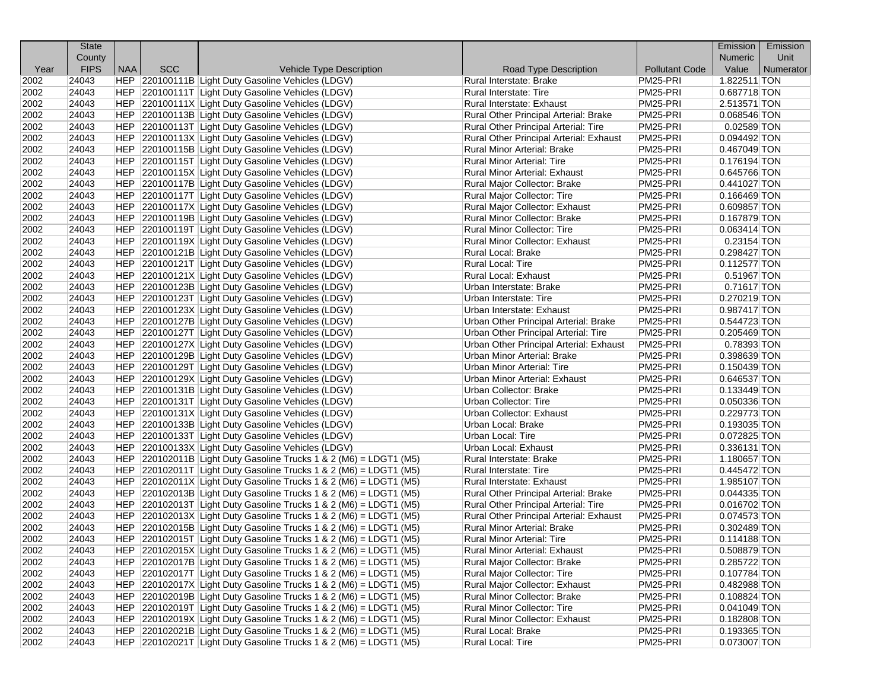|      | <b>State</b> |            |            |                                                                           |                                              |                       | Emission       | Emission  |
|------|--------------|------------|------------|---------------------------------------------------------------------------|----------------------------------------------|-----------------------|----------------|-----------|
|      | County       |            |            |                                                                           |                                              |                       | <b>Numeric</b> | Unit      |
| Year | <b>FIPS</b>  | <b>NAA</b> | <b>SCC</b> | Vehicle Type Description                                                  | Road Type Description                        | <b>Pollutant Code</b> | Value          | Numerator |
| 2002 | 24043        |            |            | HEP 220100111B Light Duty Gasoline Vehicles (LDGV)                        | Rural Interstate: Brake                      | PM25-PRI              | 1.822511 TON   |           |
| 2002 | 24043        |            |            | HEP 220100111T Light Duty Gasoline Vehicles (LDGV)                        | Rural Interstate: Tire                       | PM25-PRI              | 0.687718 TON   |           |
| 2002 | 24043        |            |            | HEP 220100111X Light Duty Gasoline Vehicles (LDGV)                        | Rural Interstate: Exhaust                    | PM25-PRI              | 2.513571 TON   |           |
| 2002 | 24043        |            |            | HEP 220100113B Light Duty Gasoline Vehicles (LDGV)                        | Rural Other Principal Arterial: Brake        | PM25-PRI              | 0.068546 TON   |           |
| 2002 | 24043        |            |            | HEP 220100113T Light Duty Gasoline Vehicles (LDGV)                        | Rural Other Principal Arterial: Tire         | PM25-PRI              | $0.02589$ TON  |           |
| 2002 | 24043        |            |            | HEP 220100113X Light Duty Gasoline Vehicles (LDGV)                        | Rural Other Principal Arterial: Exhaust      | PM25-PRI              | 0.094492 TON   |           |
| 2002 | 24043        |            |            | HEP 220100115B Light Duty Gasoline Vehicles (LDGV)                        | Rural Minor Arterial: Brake                  | PM25-PRI              | 0.467049 TON   |           |
| 2002 | 24043        |            |            | HEP 220100115T Light Duty Gasoline Vehicles (LDGV)                        | <b>Rural Minor Arterial: Tire</b>            | PM25-PRI              | $0.176194$ TON |           |
| 2002 | 24043        |            |            | HEP 220100115X Light Duty Gasoline Vehicles (LDGV)                        | Rural Minor Arterial: Exhaust                | PM25-PRI              | 0.645766 TON   |           |
| 2002 | 24043        |            |            | HEP 220100117B Light Duty Gasoline Vehicles (LDGV)                        | Rural Major Collector: Brake                 | PM25-PRI              | 0.441027 TON   |           |
| 2002 | 24043        |            |            | HEP 220100117T Light Duty Gasoline Vehicles (LDGV)                        | Rural Major Collector: Tire                  | PM25-PRI              | $0.166469$ TON |           |
| 2002 | 24043        |            |            | HEP 220100117X Light Duty Gasoline Vehicles (LDGV)                        | Rural Major Collector: Exhaust               | PM25-PRI              | 0.609857 TON   |           |
| 2002 | 24043        |            |            | HEP 220100119B Light Duty Gasoline Vehicles (LDGV)                        | Rural Minor Collector: Brake                 | PM25-PRI              | $0.167879$ TON |           |
| 2002 | 24043        |            |            | HEP 220100119T Light Duty Gasoline Vehicles (LDGV)                        | <b>Rural Minor Collector: Tire</b>           | PM25-PRI              | $0.063414$ TON |           |
| 2002 | 24043        |            |            | HEP 220100119X Light Duty Gasoline Vehicles (LDGV)                        | Rural Minor Collector: Exhaust               | PM25-PRI              | $0.23154$ TON  |           |
| 2002 | 24043        |            |            | HEP 220100121B Light Duty Gasoline Vehicles (LDGV)                        | Rural Local: Brake                           | PM25-PRI              | 0.298427 TON   |           |
| 2002 | 24043        |            |            | HEP 220100121T Light Duty Gasoline Vehicles (LDGV)                        | Rural Local: Tire                            | PM25-PRI              | $0.112577$ TON |           |
| 2002 | 24043        |            |            | HEP 220100121X Light Duty Gasoline Vehicles (LDGV)                        | Rural Local: Exhaust                         | PM25-PRI              | 0.51967 TON    |           |
| 2002 | 24043        |            |            | HEP 220100123B Light Duty Gasoline Vehicles (LDGV)                        | Urban Interstate: Brake                      | PM25-PRI              | $0.71617$ TON  |           |
| 2002 | 24043        |            |            | HEP 220100123T Light Duty Gasoline Vehicles (LDGV)                        | Urban Interstate: Tire                       | PM25-PRI              | 0.270219 TON   |           |
| 2002 | 24043        |            |            | HEP 220100123X Light Duty Gasoline Vehicles (LDGV)                        | Urban Interstate: Exhaust                    | PM25-PRI              | 0.987417 TON   |           |
| 2002 | 24043        |            |            | HEP 220100127B Light Duty Gasoline Vehicles (LDGV)                        | <b>Urban Other Principal Arterial: Brake</b> | PM25-PRI              | 0.544723 TON   |           |
| 2002 | 24043        |            |            | HEP 220100127T Light Duty Gasoline Vehicles (LDGV)                        | Urban Other Principal Arterial: Tire         | PM25-PRI              | 0.205469 TON   |           |
| 2002 | 24043        |            |            | HEP 220100127X Light Duty Gasoline Vehicles (LDGV)                        | Urban Other Principal Arterial: Exhaust      | PM25-PRI              | 0.78393 TON    |           |
| 2002 | 24043        |            |            | HEP 220100129B Light Duty Gasoline Vehicles (LDGV)                        | <b>Urban Minor Arterial: Brake</b>           | PM25-PRI              | 0.398639 TON   |           |
| 2002 | 24043        |            |            | HEP 220100129T Light Duty Gasoline Vehicles (LDGV)                        | Urban Minor Arterial: Tire                   | PM25-PRI              | 0.150439 TON   |           |
| 2002 | 24043        |            |            | HEP 220100129X Light Duty Gasoline Vehicles (LDGV)                        | Urban Minor Arterial: Exhaust                | PM25-PRI              | 0.646537 TON   |           |
| 2002 | 24043        |            |            | HEP 220100131B Light Duty Gasoline Vehicles (LDGV)                        | Urban Collector: Brake                       | PM25-PRI              | 0.133449 TON   |           |
| 2002 | 24043        |            |            | HEP 220100131T Light Duty Gasoline Vehicles (LDGV)                        | <b>Urban Collector: Tire</b>                 | PM25-PRI              | 0.050336 TON   |           |
| 2002 | 24043        |            |            | HEP 220100131X Light Duty Gasoline Vehicles (LDGV)                        | Urban Collector: Exhaust                     | PM25-PRI              | 0.229773 TON   |           |
| 2002 | 24043        |            |            | HEP 220100133B Light Duty Gasoline Vehicles (LDGV)                        | Urban Local: Brake                           | PM25-PRI              | 0.193035 TON   |           |
| 2002 | 24043        |            |            | HEP 220100133T Light Duty Gasoline Vehicles (LDGV)                        | Urban Local: Tire                            | PM25-PRI              | 0.072825 TON   |           |
| 2002 | 24043        |            |            | HEP 220100133X Light Duty Gasoline Vehicles (LDGV)                        | Urban Local: Exhaust                         | PM25-PRI              | 0.336131 TON   |           |
| 2002 | 24043        |            |            | HEP $ 220102011B $ Light Duty Gasoline Trucks 1 & 2 (M6) = LDGT1 (M5)     | Rural Interstate: Brake                      | PM25-PRI              | 1.180657 TON   |           |
| 2002 | 24043        |            |            | HEP $ 220102011T $ Light Duty Gasoline Trucks 1 & 2 (M6) = LDGT1 (M5)     | <b>Rural Interstate: Tire</b>                | PM25-PRI              | 0.445472 TON   |           |
| 2002 | 24043        |            |            | $HEP$ 220102011X Light Duty Gasoline Trucks 1 & 2 (M6) = LDGT1 (M5)       | Rural Interstate: Exhaust                    | PM25-PRI              | 1.985107 TON   |           |
| 2002 | 24043        |            |            | $ HEP $ 220102013B Light Duty Gasoline Trucks 1 & 2 (M6) = LDGT1 (M5)     | Rural Other Principal Arterial: Brake        | PM25-PRI              | $0.044335$ TON |           |
| 2002 | 24043        |            |            | HEP $ 220102013T $ Light Duty Gasoline Trucks 1 & 2 (M6) = LDGT1 (M5)     | Rural Other Principal Arterial: Tire         | PM25-PRI              | $0.016702$ TON |           |
| 2002 | 24043        |            |            | $ HEP $ 220102013X Light Duty Gasoline Trucks 1 & 2 (M6) = LDGT1 (M5)     | Rural Other Principal Arterial: Exhaust      | PM25-PRI              | 0.074573 TON   |           |
| 2002 | 24043        |            |            | HEP $ 220102015B $ Light Duty Gasoline Trucks 1 & 2 (M6) = LDGT1 (M5)     | Rural Minor Arterial: Brake                  | PM25-PRI              | 0.302489 TON   |           |
| 2002 | 24043        |            |            | HEP 220102015T Light Duty Gasoline Trucks 1 & 2 (M6) = LDGT1 (M5)         | Rural Minor Arterial: Tire                   | PM25-PRI              | $0.114188$ TON |           |
| 2002 | 24043        |            |            | HEP 220102015X Light Duty Gasoline Trucks 1 & 2 (M6) = LDGT1 (M5)         | Rural Minor Arterial: Exhaust                | PM25-PRI              | 0.508879 TON   |           |
| 2002 | 24043        |            |            | $ HEP $ 220102017B Light Duty Gasoline Trucks 1 & 2 (M6) = LDGT1 (M5)     | Rural Major Collector: Brake                 | PM25-PRI              | 0.285722 TON   |           |
| 2002 | 24043        |            |            | HEP $\vert$ 220102017T Light Duty Gasoline Trucks 1 & 2 (M6) = LDGT1 (M5) | Rural Major Collector: Tire                  | PM25-PRI              | 0.107784 TON   |           |
| 2002 | 24043        |            |            | HEP $ 220102017X $ Light Duty Gasoline Trucks 1 & 2 (M6) = LDGT1 (M5)     | Rural Major Collector: Exhaust               | PM25-PRI              | 0.482988 TON   |           |
| 2002 | 24043        |            |            | HEP $ 220102019B $ Light Duty Gasoline Trucks 1 & 2 (M6) = LDGT1 (M5)     | Rural Minor Collector: Brake                 | PM25-PRI              | 0.108824 TON   |           |
| 2002 | 24043        |            |            | HEP $ 220102019T $ Light Duty Gasoline Trucks 1 & 2 (M6) = LDGT1 (M5)     | Rural Minor Collector: Tire                  | PM25-PRI              | 0.041049 TON   |           |
| 2002 | 24043        |            |            | $HEP$ 220102019X Light Duty Gasoline Trucks 1 & 2 (M6) = LDGT1 (M5)       | Rural Minor Collector: Exhaust               | PM25-PRI              | 0.182808 TON   |           |
| 2002 | 24043        |            |            | $ HEP $ 220102021B Light Duty Gasoline Trucks 1 & 2 (M6) = LDGT1 (M5)     | Rural Local: Brake                           | PM25-PRI              | 0.193365 TON   |           |
| 2002 | 24043        |            |            | HEP $ 220102021T $ Light Duty Gasoline Trucks 1 & 2 (M6) = LDGT1 (M5)     | Rural Local: Tire                            | PM25-PRI              | 0.073007 TON   |           |
|      |              |            |            |                                                                           |                                              |                       |                |           |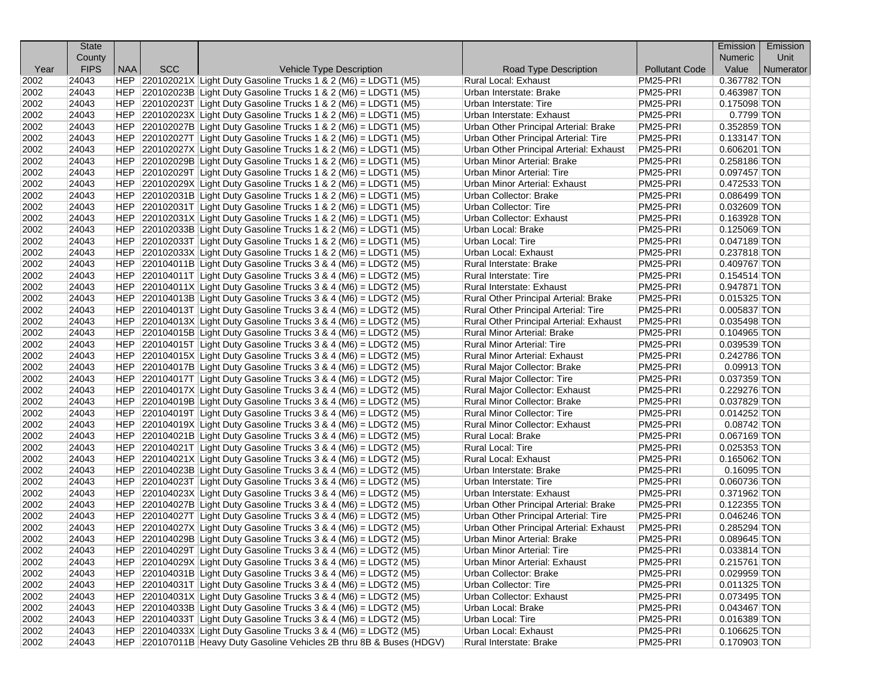|      | <b>State</b> |            |            |                                                                                                                                                |                                                                    |                       | <b>Emission</b>              | Emission  |
|------|--------------|------------|------------|------------------------------------------------------------------------------------------------------------------------------------------------|--------------------------------------------------------------------|-----------------------|------------------------------|-----------|
|      | County       |            |            |                                                                                                                                                |                                                                    |                       | <b>Numeric</b>               | Unit      |
| Year | <b>FIPS</b>  | <b>NAA</b> | <b>SCC</b> | <b>Vehicle Type Description</b>                                                                                                                | Road Type Description                                              | <b>Pollutant Code</b> | Value                        | Numerator |
| 2002 | 24043        |            |            | $ HEP $ 220102021X Light Duty Gasoline Trucks 1 & 2 (M6) = LDGT1 (M5)                                                                          | <b>Rural Local: Exhaust</b>                                        | PM25-PRI              | 0.367782 TON                 |           |
| 2002 | 24043        |            |            | $ HEP $ 220102023B Light Duty Gasoline Trucks 1 & 2 (M6) = LDGT1 (M5)                                                                          | Urban Interstate: Brake                                            | PM25-PRI              | 0.463987 TON                 |           |
| 2002 | 24043        |            |            | $ HEP $ 220102023T Light Duty Gasoline Trucks 1 & 2 (M6) = LDGT1 (M5)                                                                          | Urban Interstate: Tire                                             | PM25-PRI              | 0.175098 TON                 |           |
| 2002 | 24043        |            |            | $ HEP $ 220102023X Light Duty Gasoline Trucks 1 & 2 (M6) = LDGT1 (M5)                                                                          | Urban Interstate: Exhaust                                          | PM25-PRI              | 0.7799 TON                   |           |
| 2002 | 24043        |            |            | HEP 220102027B Light Duty Gasoline Trucks 1 & 2 (M6) = LDGT1 (M5)                                                                              | Urban Other Principal Arterial: Brake                              | PM25-PRI              | 0.352859 TON                 |           |
| 2002 | 24043        |            |            | $ HEP $ 220102027T Light Duty Gasoline Trucks 1 & 2 (M6) = LDGT1 (M5)                                                                          | Urban Other Principal Arterial: Tire                               | PM25-PRI              | 0.133147 TON                 |           |
| 2002 | 24043        |            |            | $ HEP $ 220102027X Light Duty Gasoline Trucks 1 & 2 (M6) = LDGT1 (M5)                                                                          | Urban Other Principal Arterial: Exhaust                            | PM25-PRI              | 0.606201 TON                 |           |
| 2002 | 24043        |            |            | $ HEP $ 220102029B Light Duty Gasoline Trucks 1 & 2 (M6) = LDGT1 (M5)                                                                          | Urban Minor Arterial: Brake                                        | PM25-PRI              | 0.258186 TON                 |           |
| 2002 | 24043        |            |            | $ HEP 220102029T Light Duty Gasoline Trucks 1 & 2 (M6) = LDGT1 (M5)$                                                                           | Urban Minor Arterial: Tire                                         | PM25-PRI              | 0.097457 TON                 |           |
| 2002 | 24043        |            |            | $ HEP $ 220102029X Light Duty Gasoline Trucks 1 & 2 (M6) = LDGT1 (M5)                                                                          | Urban Minor Arterial: Exhaust                                      | PM25-PRI              | 0.472533 TON                 |           |
| 2002 | 24043        |            |            | $ HEP $ 220102031B Light Duty Gasoline Trucks 1 & 2 (M6) = LDGT1 (M5)                                                                          | Urban Collector: Brake                                             | PM25-PRI              | 0.086499 TON                 |           |
| 2002 | 24043        |            |            | $ HEP 220102031T Light Duty Gasoline Trucks 1 & 2 (M6) = LDGT1 (M5)$                                                                           | Urban Collector: Tire                                              | PM25-PRI              | 0.032609 TON                 |           |
| 2002 | 24043        |            |            | $ HEP $ 220102031X Light Duty Gasoline Trucks 1 & 2 (M6) = LDGT1 (M5)                                                                          | Urban Collector: Exhaust                                           | PM25-PRI              | 0.163928 TON                 |           |
| 2002 | 24043        |            |            | $ HEP $ 220102033B Light Duty Gasoline Trucks 1 & 2 (M6) = LDGT1 (M5)                                                                          | Urban Local: Brake                                                 | PM25-PRI              | 0.125069 TON                 |           |
| 2002 | 24043        |            |            | HEP 220102033T Light Duty Gasoline Trucks 1 & 2 (M6) = LDGT1 (M5)                                                                              | Urban Local: Tire                                                  | PM25-PRI              | 0.047189 TON                 |           |
| 2002 | 24043        |            |            | $ HEP $ 220102033X Light Duty Gasoline Trucks 1 & 2 (M6) = LDGT1 (M5)                                                                          | Urban Local: Exhaust                                               | PM25-PRI              | 0.237818 TON                 |           |
| 2002 | 24043        |            |            | $ HEP $ 220104011B Light Duty Gasoline Trucks 3 & 4 (M6) = LDGT2 (M5)                                                                          | Rural Interstate: Brake                                            | PM25-PRI              | 0.409767 TON                 |           |
| 2002 | 24043        |            |            | $ HEP $ 220104011T Light Duty Gasoline Trucks 3 & 4 (M6) = LDGT2 (M5)                                                                          | Rural Interstate: Tire                                             | PM25-PRI              | $0.154514$ TON               |           |
| 2002 | 24043        |            |            | $ HEP $ 220104011X Light Duty Gasoline Trucks 3 & 4 (M6) = LDGT2 (M5)                                                                          | Rural Interstate: Exhaust                                          | PM25-PRI              | 0.947871 TON                 |           |
| 2002 | 24043        |            |            | $ HEP $ 220104013B Light Duty Gasoline Trucks 3 & 4 (M6) = LDGT2 (M5)                                                                          | Rural Other Principal Arterial: Brake                              | PM25-PRI              | 0.015325 TON                 |           |
| 2002 | 24043        |            |            | $ HEP $ 220104013T Light Duty Gasoline Trucks 3 & 4 (M6) = LDGT2 (M5)                                                                          | Rural Other Principal Arterial: Tire                               | PM25-PRI              | 0.005837 TON                 |           |
| 2002 | 24043        |            |            | $ HEP $ 220104013X Light Duty Gasoline Trucks 3 & 4 (M6) = LDGT2 (M5)                                                                          | Rural Other Principal Arterial: Exhaust                            | PM25-PRI              | 0.035498 TON                 |           |
| 2002 | 24043        |            |            | $ HEP $ 220104015B Light Duty Gasoline Trucks 3 & 4 (M6) = LDGT2 (M5)                                                                          | <b>Rural Minor Arterial: Brake</b>                                 | PM25-PRI              | 0.104965 TON                 |           |
| 2002 | 24043        |            |            | $ HEP $ 220104015T Light Duty Gasoline Trucks 3 & 4 (M6) = LDGT2 (M5)                                                                          | Rural Minor Arterial: Tire                                         | PM25-PRI              | 0.039539 TON                 |           |
| 2002 | 24043        |            |            | $ HEP $ 220104015X Light Duty Gasoline Trucks 3 & 4 (M6) = LDGT2 (M5)                                                                          | Rural Minor Arterial: Exhaust                                      | PM25-PRI              | 0.242786 TON                 |           |
| 2002 | 24043        |            |            | $ HEP $ 220104017B Light Duty Gasoline Trucks 3 & 4 (M6) = LDGT2 (M5)                                                                          | Rural Major Collector: Brake                                       | PM25-PRI              | 0.09913 TON                  |           |
| 2002 | 24043        |            |            | $ HEP $ 220104017T Light Duty Gasoline Trucks 3 & 4 (M6) = LDGT2 (M5)                                                                          | Rural Major Collector: Tire                                        | PM25-PRI              | 0.037359 TON                 |           |
| 2002 | 24043        |            |            | $ HEP $ 220104017X Light Duty Gasoline Trucks 3 & 4 (M6) = LDGT2 (M5)                                                                          | Rural Major Collector: Exhaust                                     | PM25-PRI              | 0.229276 TON                 |           |
| 2002 | 24043        |            |            | $ HEP $ 220104019B Light Duty Gasoline Trucks 3 & 4 (M6) = LDGT2 (M5)                                                                          | Rural Minor Collector: Brake                                       | PM25-PRI              | 0.037829 TON                 |           |
| 2002 | 24043        |            |            | $ HEP $ 220104019T Light Duty Gasoline Trucks 3 & 4 (M6) = LDGT2 (M5)                                                                          | <b>Rural Minor Collector: Tire</b>                                 | PM25-PRI              | $0.014252$ TON               |           |
| 2002 | 24043        |            |            | $ HEP $ 220104019X Light Duty Gasoline Trucks 3 & 4 (M6) = LDGT2 (M5)                                                                          | <b>Rural Minor Collector: Exhaust</b>                              | PM25-PRI              | $\overline{0.08742}$ TON     |           |
| 2002 | 24043        |            |            |                                                                                                                                                | Rural Local: Brake                                                 | PM25-PRI              | 0.067169 TON                 |           |
| 2002 | 24043        |            |            | $ HEP $ 220104021B Light Duty Gasoline Trucks 3 & 4 (M6) = LDGT2 (M5)                                                                          | Rural Local: Tire                                                  | PM25-PRI              | 0.025353 TON                 |           |
| 2002 | 24043        |            |            | $ HEP 220104021T Light Duty Gasoline TruckS 3 & 4 (M6) = LDGT2 (M5)$                                                                           | <b>Rural Local: Exhaust</b>                                        | PM25-PRI              | $0.165062$ TON               |           |
| 2002 | 24043        |            |            | $ HEP $ 220104021X Light Duty Gasoline Trucks 3 & 4 (M6) = LDGT2 (M5)<br>HEP $ 220104023B $ Light Duty Gasoline Trucks 3 & 4 (M6) = LDGT2 (M5) |                                                                    | PM25-PRI              | $0.16095$ TON                |           |
|      |              |            |            |                                                                                                                                                | Urban Interstate: Brake                                            | PM25-PRI              |                              |           |
| 2002 | 24043        |            |            | $ HEP $ 220104023T Light Duty Gasoline Trucks 3 & 4 (M6) = LDGT2 (M5)<br>$ HEP $ 220104023X Light Duty Gasoline Trucks 3 & 4 (M6) = LDGT2 (M5) | Urban Interstate: Tire                                             | PM25-PRI              | 0.060736 TON                 |           |
| 2002 | 24043        |            |            |                                                                                                                                                | Urban Interstate: Exhaust<br>Urban Other Principal Arterial: Brake | PM25-PRI              | 0.371962 TON                 |           |
| 2002 | 24043        |            |            | $ HEP $ 220104027B Light Duty Gasoline Trucks 3 & 4 (M6) = LDGT2 (M5)                                                                          |                                                                    | PM25-PRI              | 0.122355 TON<br>0.046246 TON |           |
| 2002 | 24043        |            |            | $ HEP $ 220104027T Light Duty Gasoline Trucks 3 & 4 (M6) = LDGT2 (M5)                                                                          | Urban Other Principal Arterial: Tire                               |                       | 0.285294 TON                 |           |
| 2002 | 24043        |            |            | $ HEP $ 220104027X Light Duty Gasoline Trucks 3 & 4 (M6) = LDGT2 (M5)                                                                          | Urban Other Principal Arterial: Exhaust                            | PM25-PRI              |                              |           |
| 2002 | 24043        |            |            | HEP $ 220104029B $ Light Duty Gasoline Trucks 3 & 4 (M6) = LDGT2 (M5)                                                                          | Urban Minor Arterial: Brake                                        | PM25-PRI              | 0.089645 TON                 |           |
| 2002 | 24043        |            |            | HEP $\vert$ 220104029T Light Duty Gasoline Trucks 3 & 4 (M6) = LDGT2 (M5)                                                                      | Urban Minor Arterial: Tire                                         | PM25-PRI              | 0.033814 TON                 |           |
| 2002 | 24043        |            |            | $ HEP $ 220104029X Light Duty Gasoline Trucks 3 & 4 (M6) = LDGT2 (M5)                                                                          | Urban Minor Arterial: Exhaust                                      | PM25-PRI              | $0.215761$ TON               |           |
| 2002 | 24043        |            |            | $ HEP $ 220104031B Light Duty Gasoline Trucks 3 & 4 (M6) = LDGT2 (M5)                                                                          | Urban Collector: Brake                                             | PM25-PRI              | 0.029959 TON                 |           |
| 2002 | 24043        |            |            | $ HEP $ 220104031T Light Duty Gasoline Trucks 3 & 4 (M6) = LDGT2 (M5)                                                                          | Urban Collector: Tire                                              | PM25-PRI              | $0.011325$ TON               |           |
| 2002 | 24043        |            |            | $ HEP $ 220104031X Light Duty Gasoline Trucks 3 & 4 (M6) = LDGT2 (M5)                                                                          | Urban Collector: Exhaust                                           | PM25-PRI              | 0.073495 TON                 |           |
| 2002 | 24043        |            |            | $ HEP $ 220104033B Light Duty Gasoline Trucks 3 & 4 (M6) = LDGT2 (M5)                                                                          | Urban Local: Brake                                                 | PM25-PRI              | 0.043467 TON                 |           |
| 2002 | 24043        |            |            | $ HEP $ 220104033T Light Duty Gasoline Trucks 3 & 4 (M6) = LDGT2 (M5)                                                                          | Urban Local: Tire                                                  | PM25-PRI              | 0.016389 TON                 |           |
| 2002 | 24043        |            |            | $ HEP $ 220104033X Light Duty Gasoline Trucks 3 & 4 (M6) = LDGT2 (M5)                                                                          | Urban Local: Exhaust                                               | PM25-PRI              | 0.106625 TON                 |           |
| 2002 | 24043        |            |            | HEP 220107011B Heavy Duty Gasoline Vehicles 2B thru 8B & Buses (HDGV)                                                                          | Rural Interstate: Brake                                            | PM25-PRI              | 0.170903 TON                 |           |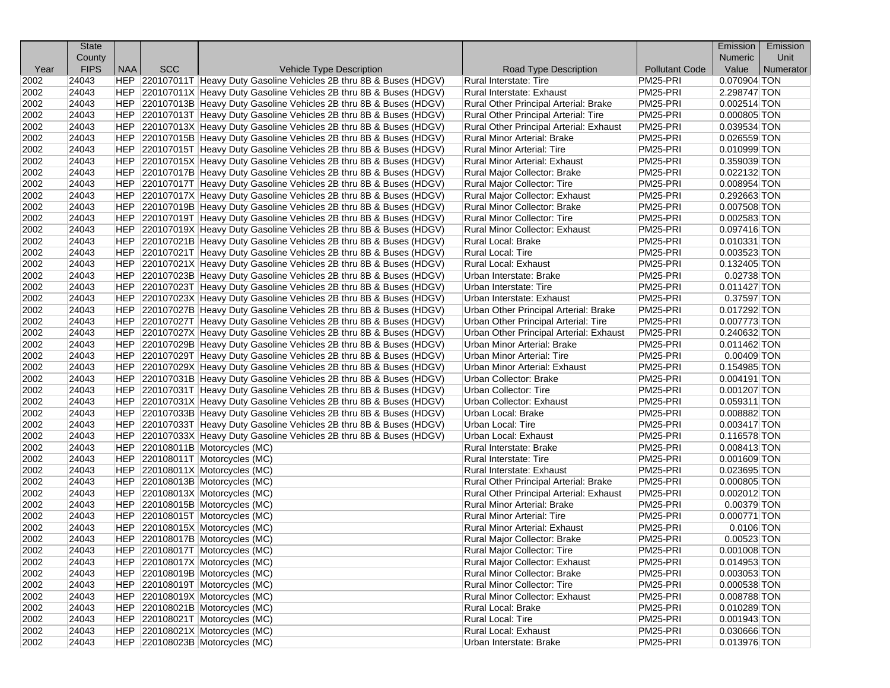|      | <b>State</b> |     |            |                                                                       |                                         |                       | Emission       | Emission  |
|------|--------------|-----|------------|-----------------------------------------------------------------------|-----------------------------------------|-----------------------|----------------|-----------|
|      | County       |     |            |                                                                       |                                         |                       | <b>Numeric</b> | Unit      |
| Year | <b>FIPS</b>  | NAA | <b>SCC</b> | Vehicle Type Description                                              | Road Type Description                   | <b>Pollutant Code</b> | Value          | Numerator |
| 2002 | 24043        |     |            | HEP 220107011T Heavy Duty Gasoline Vehicles 2B thru 8B & Buses (HDGV) | Rural Interstate: Tire                  | PM25-PRI              | 0.070904 TON   |           |
| 2002 | 24043        |     |            | HEP 220107011X Heavy Duty Gasoline Vehicles 2B thru 8B & Buses (HDGV) | Rural Interstate: Exhaust               | PM25-PRI              | 2.298747 TON   |           |
| 2002 | 24043        |     |            | HEP 220107013B Heavy Duty Gasoline Vehicles 2B thru 8B & Buses (HDGV) | Rural Other Principal Arterial: Brake   | PM25-PRI              | $0.002514$ TON |           |
| 2002 | 24043        |     |            | HEP 220107013T Heavy Duty Gasoline Vehicles 2B thru 8B & Buses (HDGV) | Rural Other Principal Arterial: Tire    | PM25-PRI              | $0.000805$ TON |           |
| 2002 | 24043        |     |            | HEP 220107013X Heavy Duty Gasoline Vehicles 2B thru 8B & Buses (HDGV) | Rural Other Principal Arterial: Exhaust | PM25-PRI              | 0.039534 TON   |           |
| 2002 | 24043        |     |            | HEP 220107015B Heavy Duty Gasoline Vehicles 2B thru 8B & Buses (HDGV) | Rural Minor Arterial: Brake             | PM25-PRI              | 0.026559 TON   |           |
| 2002 | 24043        |     |            | HEP 220107015T Heavy Duty Gasoline Vehicles 2B thru 8B & Buses (HDGV) | Rural Minor Arterial: Tire              | PM25-PRI              | 0.010999 TON   |           |
| 2002 | 24043        |     |            | HEP 220107015X Heavy Duty Gasoline Vehicles 2B thru 8B & Buses (HDGV) | Rural Minor Arterial: Exhaust           | PM25-PRI              | 0.359039 TON   |           |
| 2002 | 24043        |     |            | HEP 220107017B Heavy Duty Gasoline Vehicles 2B thru 8B & Buses (HDGV) | Rural Major Collector: Brake            | PM25-PRI              | 0.022132 TON   |           |
| 2002 | 24043        |     |            | HEP 220107017T Heavy Duty Gasoline Vehicles 2B thru 8B & Buses (HDGV) | Rural Major Collector: Tire             | PM25-PRI              | 0.008954 TON   |           |
| 2002 | 24043        |     |            | HEP 220107017X Heavy Duty Gasoline Vehicles 2B thru 8B & Buses (HDGV) | Rural Major Collector: Exhaust          | PM25-PRI              | 0.292663 TON   |           |
| 2002 | 24043        |     |            | HEP 220107019B Heavy Duty Gasoline Vehicles 2B thru 8B & Buses (HDGV) | Rural Minor Collector: Brake            | PM25-PRI              | 0.007508 TON   |           |
| 2002 | 24043        |     |            | HEP 220107019T Heavy Duty Gasoline Vehicles 2B thru 8B & Buses (HDGV) | Rural Minor Collector: Tire             | PM25-PRI              | $0.002583$ TON |           |
| 2002 | 24043        |     |            | HEP 220107019X Heavy Duty Gasoline Vehicles 2B thru 8B & Buses (HDGV) | Rural Minor Collector: Exhaust          | PM25-PRI              | 0.097416 TON   |           |
| 2002 | 24043        |     |            | HEP 220107021B Heavy Duty Gasoline Vehicles 2B thru 8B & Buses (HDGV) | Rural Local: Brake                      | PM25-PRI              | 0.010331 TON   |           |
| 2002 | 24043        |     |            | HEP 220107021T Heavy Duty Gasoline Vehicles 2B thru 8B & Buses (HDGV) | Rural Local: Tire                       | PM25-PRI              | $0.003523$ TON |           |
| 2002 | 24043        |     |            | HEP 220107021X Heavy Duty Gasoline Vehicles 2B thru 8B & Buses (HDGV) | Rural Local: Exhaust                    | PM25-PRI              | 0.132405 TON   |           |
| 2002 | 24043        |     |            | HEP 220107023B Heavy Duty Gasoline Vehicles 2B thru 8B & Buses (HDGV) | Urban Interstate: Brake                 | PM25-PRI              | 0.02738 TON    |           |
| 2002 | 24043        |     |            | HEP 220107023T Heavy Duty Gasoline Vehicles 2B thru 8B & Buses (HDGV) | Urban Interstate: Tire                  | PM25-PRI              | $0.011427$ TON |           |
| 2002 | 24043        |     |            | HEP 220107023X Heavy Duty Gasoline Vehicles 2B thru 8B & Buses (HDGV) | Urban Interstate: Exhaust               | PM25-PRI              | 0.37597 TON    |           |
| 2002 | 24043        |     |            | HEP 220107027B Heavy Duty Gasoline Vehicles 2B thru 8B & Buses (HDGV) | Urban Other Principal Arterial: Brake   | PM25-PRI              | 0.017292 TON   |           |
| 2002 | 24043        |     |            | HEP 220107027T Heavy Duty Gasoline Vehicles 2B thru 8B & Buses (HDGV) | Urban Other Principal Arterial: Tire    | PM25-PRI              | 0.007773 TON   |           |
| 2002 | 24043        |     |            | HEP 220107027X Heavy Duty Gasoline Vehicles 2B thru 8B & Buses (HDGV) | Urban Other Principal Arterial: Exhaust | PM25-PRI              | 0.240632 TON   |           |
| 2002 | 24043        |     |            | HEP 220107029B Heavy Duty Gasoline Vehicles 2B thru 8B & Buses (HDGV) | Urban Minor Arterial: Brake             | PM25-PRI              | $0.011462$ TON |           |
| 2002 | 24043        |     |            | HEP 220107029T Heavy Duty Gasoline Vehicles 2B thru 8B & Buses (HDGV) | Urban Minor Arterial: Tire              | PM25-PRI              | $0.00409$ TON  |           |
| 2002 | 24043        |     |            | HEP 220107029X Heavy Duty Gasoline Vehicles 2B thru 8B & Buses (HDGV) | Urban Minor Arterial: Exhaust           | PM25-PRI              | 0.154985 TON   |           |
| 2002 | 24043        |     |            | HEP 220107031B Heavy Duty Gasoline Vehicles 2B thru 8B & Buses (HDGV) | Urban Collector: Brake                  | PM25-PRI              | 0.004191 TON   |           |
| 2002 | 24043        |     |            | HEP 220107031T Heavy Duty Gasoline Vehicles 2B thru 8B & Buses (HDGV) | Urban Collector: Tire                   | PM25-PRI              | 0.001207 TON   |           |
| 2002 | 24043        |     |            | HEP 220107031X Heavy Duty Gasoline Vehicles 2B thru 8B & Buses (HDGV) | Urban Collector: Exhaust                | PM25-PRI              | $0.059311$ TON |           |
| 2002 | 24043        |     |            | HEP 220107033B Heavy Duty Gasoline Vehicles 2B thru 8B & Buses (HDGV) | Urban Local: Brake                      | PM25-PRI              | 0.008882 TON   |           |
| 2002 | 24043        |     |            | HEP 220107033T Heavy Duty Gasoline Vehicles 2B thru 8B & Buses (HDGV) | Urban Local: Tire                       | PM25-PRI              | 0.003417 TON   |           |
| 2002 | 24043        |     |            | HEP 220107033X Heavy Duty Gasoline Vehicles 2B thru 8B & Buses (HDGV) | Urban Local: Exhaust                    | PM25-PRI              | $0.116578$ TON |           |
| 2002 | 24043        |     |            | HEP 220108011B Motorcycles (MC)                                       | Rural Interstate: Brake                 | PM25-PRI              | 0.008413 TON   |           |
| 2002 | 24043        |     |            | HEP 220108011T Motorcycles (MC)                                       | Rural Interstate: Tire                  | PM25-PRI              | $0.001609$ TON |           |
| 2002 | 24043        |     |            | HEP 220108011X Motorcycles (MC)                                       | Rural Interstate: Exhaust               | PM25-PRI              | 0.023695 TON   |           |
| 2002 | 24043        |     |            | HEP 220108013B Motorcycles (MC)                                       | Rural Other Principal Arterial: Brake   | PM25-PRI              | 0.000805 TON   |           |
| 2002 | 24043        |     |            | HEP 220108013X Motorcycles (MC)                                       | Rural Other Principal Arterial: Exhaust | PM25-PRI              | $0.002012$ TON |           |
| 2002 | 24043        |     |            | HEP 220108015B Motorcycles (MC)                                       | <b>Rural Minor Arterial: Brake</b>      | PM25-PRI              | 0.00379 TON    |           |
| 2002 | 24043        |     |            | HEP 220108015T Motorcycles (MC)                                       | Rural Minor Arterial: Tire              | PM25-PRI              | $0.000771$ TON |           |
| 2002 | 24043        |     |            | HEP 220108015X Motorcycles (MC)                                       | Rural Minor Arterial: Exhaust           | PM25-PRI              | $0.0106$ TON   |           |
| 2002 | 24043        |     |            | HEP 220108017B Motorcycles (MC)                                       | Rural Major Collector: Brake            | PM25-PRI              | 0.00523 TON    |           |
| 2002 | 24043        |     |            | HEP 220108017T Motorcycles (MC)                                       | Rural Major Collector: Tire             | PM25-PRI              | 0.001008 TON   |           |
| 2002 | 24043        |     |            | HEP 220108017X Motorcycles (MC)                                       | Rural Major Collector: Exhaust          | PM25-PRI              | 0.014953 TON   |           |
| 2002 | 24043        |     |            | HEP 220108019B Motorcycles (MC)                                       | Rural Minor Collector: Brake            | PM25-PRI              | 0.003053 TON   |           |
| 2002 | 24043        |     |            | HEP 220108019T Motorcycles (MC)                                       | Rural Minor Collector: Tire             | PM25-PRI              | 0.000538 TON   |           |
| 2002 | 24043        |     |            | HEP 220108019X Motorcycles (MC)                                       | Rural Minor Collector: Exhaust          | PM25-PRI              | 0.008788 TON   |           |
| 2002 | 24043        |     |            | HEP 220108021B Motorcycles (MC)                                       | Rural Local: Brake                      | PM25-PRI              | 0.010289 TON   |           |
| 2002 | 24043        |     |            | HEP 220108021T Motorcycles (MC)                                       | Rural Local: Tire                       | PM25-PRI              | $0.001943$ TON |           |
| 2002 | 24043        |     |            | HEP 220108021X Motorcycles (MC)                                       | Rural Local: Exhaust                    | PM25-PRI              | 0.030666 TON   |           |
| 2002 | 24043        |     |            | HEP 220108023B Motorcycles (MC)                                       | Urban Interstate: Brake                 | PM25-PRI              | 0.013976 TON   |           |
|      |              |     |            |                                                                       |                                         |                       |                |           |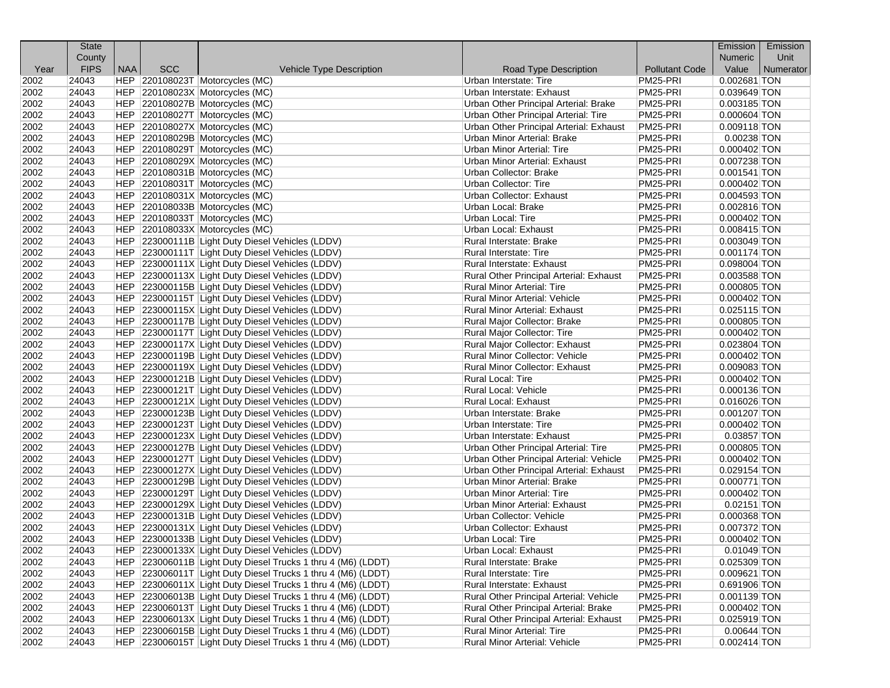|      | <b>State</b> |            |            |                                                                                                      |                                         |                       | Emission       | Emission  |
|------|--------------|------------|------------|------------------------------------------------------------------------------------------------------|-----------------------------------------|-----------------------|----------------|-----------|
|      | County       |            |            |                                                                                                      |                                         |                       | <b>Numeric</b> | Unit      |
| Year | <b>FIPS</b>  | <b>NAA</b> | <b>SCC</b> | Vehicle Type Description                                                                             | Road Type Description                   | <b>Pollutant Code</b> | Value          | Numerator |
| 2002 | 24043        |            |            | HEP 220108023T Motorcycles (MC)                                                                      | Urban Interstate: Tire                  | PM25-PRI              | 0.002681 TON   |           |
| 2002 | 24043        |            |            | HEP 220108023X Motorcycles (MC)                                                                      | Urban Interstate: Exhaust               | PM25-PRI              | 0.039649 TON   |           |
| 2002 | 24043        |            |            | HEP 220108027B Motorcycles (MC)                                                                      | Urban Other Principal Arterial: Brake   | PM25-PRI              | 0.003185 TON   |           |
| 2002 | 24043        |            |            | HEP 220108027T Motorcycles (MC)                                                                      | Urban Other Principal Arterial: Tire    | PM25-PRI              | $0.000604$ TON |           |
| 2002 | 24043        |            |            | HEP 220108027X Motorcycles (MC)                                                                      | Urban Other Principal Arterial: Exhaust | PM25-PRI              | $0.009118$ TON |           |
| 2002 | 24043        |            |            | HEP 220108029B Motorcycles (MC)                                                                      | Urban Minor Arterial: Brake             | PM25-PRI              | $0.00238$ TON  |           |
| 2002 | 24043        |            |            | HEP 220108029T Motorcycles (MC)                                                                      | Urban Minor Arterial: Tire              | PM25-PRI              | 0.000402 TON   |           |
| 2002 | 24043        |            |            | HEP 220108029X Motorcycles (MC)                                                                      | Urban Minor Arterial: Exhaust           | PM25-PRI              | 0.007238 TON   |           |
| 2002 | 24043        |            |            | HEP 220108031B Motorcycles (MC)                                                                      | Urban Collector: Brake                  | PM25-PRI              | $0.001541$ TON |           |
| 2002 | 24043        |            |            | HEP 220108031T Motorcycles (MC)                                                                      | Urban Collector: Tire                   | PM25-PRI              | $0.000402$ TON |           |
| 2002 | 24043        |            |            | HEP 220108031X Motorcycles (MC)                                                                      | Urban Collector: Exhaust                | PM25-PRI              | $0.004593$ TON |           |
| 2002 | 24043        |            |            | HEP 220108033B Motorcycles (MC)                                                                      | Urban Local: Brake                      | PM25-PRI              | 0.002816 TON   |           |
| 2002 | 24043        |            |            | HEP 220108033T Motorcycles (MC)                                                                      | Urban Local: Tire                       | PM25-PRI              | $0.000402$ TON |           |
| 2002 | 24043        |            |            | HEP 220108033X Motorcycles (MC)                                                                      | Urban Local: Exhaust                    | PM25-PRI              | $0.008415$ TON |           |
| 2002 | 24043        |            |            | HEP 223000111B Light Duty Diesel Vehicles (LDDV)                                                     | Rural Interstate: Brake                 | PM25-PRI              | 0.003049 TON   |           |
| 2002 | 24043        |            |            | HEP 223000111T Light Duty Diesel Vehicles (LDDV)                                                     | Rural Interstate: Tire                  | PM25-PRI              | 0.001174 TON   |           |
| 2002 | 24043        |            |            | HEP 223000111X Light Duty Diesel Vehicles (LDDV)                                                     | Rural Interstate: Exhaust               | PM25-PRI              | 0.098004 TON   |           |
| 2002 | 24043        |            |            | HEP 223000113X Light Duty Diesel Vehicles (LDDV)                                                     | Rural Other Principal Arterial: Exhaust | PM25-PRI              | 0.003588 TON   |           |
| 2002 | 24043        |            |            | HEP 223000115B Light Duty Diesel Vehicles (LDDV)                                                     | <b>Rural Minor Arterial: Tire</b>       | PM25-PRI              | $0.000805$ TON |           |
| 2002 | 24043        |            |            | HEP 223000115T Light Duty Diesel Vehicles (LDDV)                                                     | <b>Rural Minor Arterial: Vehicle</b>    | PM25-PRI              | 0.000402 TON   |           |
| 2002 | 24043        |            |            | HEP 223000115X Light Duty Diesel Vehicles (LDDV)                                                     | Rural Minor Arterial: Exhaust           | PM25-PRI              | 0.025115 TON   |           |
| 2002 | 24043        |            |            | HEP 223000117B Light Duty Diesel Vehicles (LDDV)                                                     | Rural Major Collector: Brake            | PM25-PRI              | 0.000805 TON   |           |
| 2002 | 24043        |            |            | HEP 223000117T Light Duty Diesel Vehicles (LDDV)                                                     | Rural Major Collector: Tire             | PM25-PRI              | $0.000402$ TON |           |
| 2002 | 24043        |            |            | HEP 223000117X Light Duty Diesel Vehicles (LDDV)                                                     | Rural Major Collector: Exhaust          | PM25-PRI              | 0.023804 TON   |           |
| 2002 | 24043        |            |            | HEP 223000119B Light Duty Diesel Vehicles (LDDV)                                                     | <b>Rural Minor Collector: Vehicle</b>   | PM25-PRI              | $0.000402$ TON |           |
| 2002 | 24043        |            |            | HEP 223000119X Light Duty Diesel Vehicles (LDDV)                                                     | Rural Minor Collector: Exhaust          | PM25-PRI              | 0.009083 TON   |           |
| 2002 | 24043        |            |            | HEP 223000121B Light Duty Diesel Vehicles (LDDV)                                                     | Rural Local: Tire                       | PM25-PRI              | 0.000402 TON   |           |
| 2002 | 24043        |            |            |                                                                                                      | Rural Local: Vehicle                    | PM25-PRI              | 0.000136 TON   |           |
| 2002 | 24043        |            |            | HEP 223000121T Light Duty Diesel Vehicles (LDDV)                                                     | Rural Local: Exhaust                    | PM25-PRI              | $0.016026$ TON |           |
| 2002 | 24043        |            |            | HEP 223000121X Light Duty Diesel Vehicles (LDDV)<br>HEP 223000123B Light Duty Diesel Vehicles (LDDV) |                                         | PM25-PRI              | $0.001207$ TON |           |
|      |              |            |            |                                                                                                      | Urban Interstate: Brake                 |                       |                |           |
| 2002 | 24043        |            |            | HEP 223000123T Light Duty Diesel Vehicles (LDDV)                                                     | Urban Interstate: Tire                  | PM25-PRI              | 0.000402 TON   |           |
| 2002 | 24043        |            |            | HEP 223000123X Light Duty Diesel Vehicles (LDDV)                                                     | Urban Interstate: Exhaust               | PM25-PRI              | 0.03857 TON    |           |
| 2002 | 24043        |            |            | HEP 223000127B Light Duty Diesel Vehicles (LDDV)                                                     | Urban Other Principal Arterial: Tire    | PM25-PRI              | 0.000805 TON   |           |
| 2002 | 24043        |            |            | HEP 223000127T Light Duty Diesel Vehicles (LDDV)                                                     | Urban Other Principal Arterial: Vehicle | PM25-PRI              | $0.000402$ TON |           |
| 2002 | 24043        |            |            | HEP 223000127X Light Duty Diesel Vehicles (LDDV)                                                     | Urban Other Principal Arterial: Exhaust | PM25-PRI              | 0.029154 TON   |           |
| 2002 | 24043        |            |            | HEP 223000129B Light Duty Diesel Vehicles (LDDV)                                                     | <b>Urban Minor Arterial: Brake</b>      | PM25-PRI              | 0.000771 TON   |           |
| 2002 | 24043        |            |            | HEP 223000129T Light Duty Diesel Vehicles (LDDV)                                                     | <b>Urban Minor Arterial: Tire</b>       | PM25-PRI              | $0.000402$ TON |           |
| 2002 | 24043        |            |            | HEP 223000129X Light Duty Diesel Vehicles (LDDV)                                                     | Urban Minor Arterial: Exhaust           | PM25-PRI              | $0.02151$ TON  |           |
| 2002 | 24043        |            |            | HEP 223000131B Light Duty Diesel Vehicles (LDDV)                                                     | Urban Collector: Vehicle                | PM25-PRI              | 0.000368 TON   |           |
| 2002 | 24043        |            |            | HEP 223000131X Light Duty Diesel Vehicles (LDDV)                                                     | Urban Collector: Exhaust                | PM25-PRI              | 0.007372 TON   |           |
| 2002 | 24043        |            |            | HEP 223000133B Light Duty Diesel Vehicles (LDDV)                                                     | Urban Local: Tire                       | PM25-PRI              | 0.000402 TON   |           |
| 2002 | 24043        |            |            | HEP 223000133X Light Duty Diesel Vehicles (LDDV)                                                     | <b>Urban Local: Exhaust</b>             | PM25-PRI              | $0.01049$ TON  |           |
| 2002 | 24043        |            |            | HEP 223006011B Light Duty Diesel Trucks 1 thru 4 (M6) (LDDT)                                         | Rural Interstate: Brake                 | PM25-PRI              | 0.025309 TON   |           |
| 2002 | 24043        |            |            | HEP 223006011T Light Duty Diesel Trucks 1 thru 4 (M6) (LDDT)                                         | Rural Interstate: Tire                  | PM25-PRI              | $0.009621$ TON |           |
| 2002 | 24043        |            |            | HEP 223006011X Light Duty Diesel Trucks 1 thru 4 (M6) (LDDT)                                         | Rural Interstate: Exhaust               | PM25-PRI              | 0.691906 TON   |           |
| 2002 | 24043        |            |            | HEP 223006013B Light Duty Diesel Trucks 1 thru 4 (M6) (LDDT)                                         | Rural Other Principal Arterial: Vehicle | PM25-PRI              | 0.001139 TON   |           |
| 2002 | 24043        |            |            | HEP 223006013T Light Duty Diesel Trucks 1 thru 4 (M6) (LDDT)                                         | Rural Other Principal Arterial: Brake   | PM25-PRI              | $0.000402$ TON |           |
| 2002 | 24043        |            |            | HEP 223006013X Light Duty Diesel Trucks 1 thru 4 (M6) (LDDT)                                         | Rural Other Principal Arterial: Exhaust | PM25-PRI              | 0.025919 TON   |           |
| 2002 | 24043        |            |            | HEP 223006015B Light Duty Diesel Trucks 1 thru 4 (M6) (LDDT)                                         | Rural Minor Arterial: Tire              | PM25-PRI              | $0.00644$ TON  |           |
| 2002 | 24043        |            |            | HEP 223006015T Light Duty Diesel Trucks 1 thru 4 (M6) (LDDT)                                         | Rural Minor Arterial: Vehicle           | PM25-PRI              | $0.002414$ TON |           |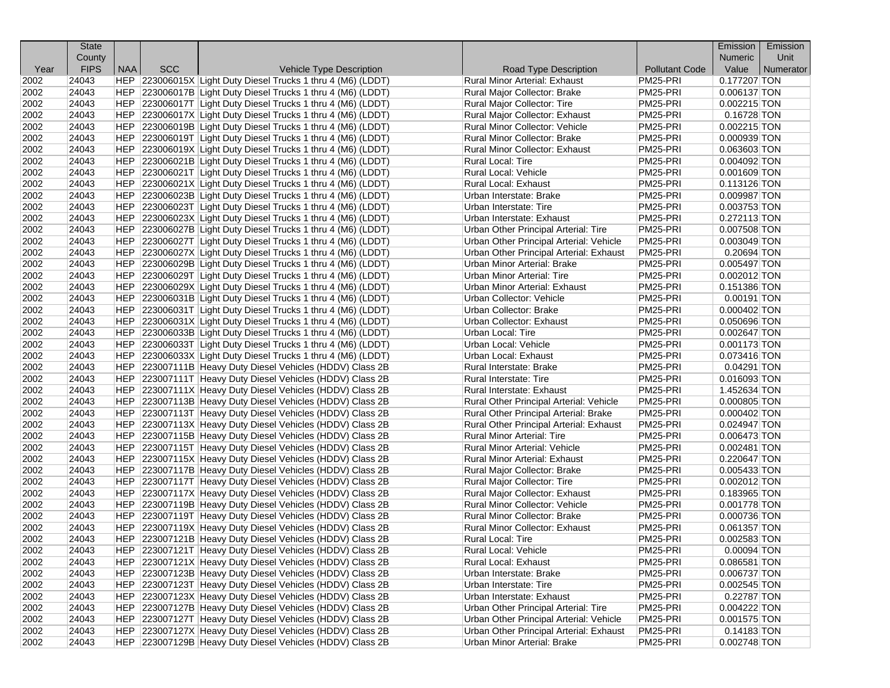|      | <b>State</b> |            |            |                                                                                                                        |                                                     |                       | Emission                      | Emission  |
|------|--------------|------------|------------|------------------------------------------------------------------------------------------------------------------------|-----------------------------------------------------|-----------------------|-------------------------------|-----------|
|      | County       |            |            |                                                                                                                        |                                                     |                       | <b>Numeric</b>                | Unit      |
| Year | <b>FIPS</b>  | <b>NAA</b> | <b>SCC</b> | Vehicle Type Description                                                                                               | Road Type Description                               | <b>Pollutant Code</b> | Value                         | Numerator |
| 2002 | 24043        |            |            | HEP 223006015X Light Duty Diesel Trucks 1 thru 4 (M6) (LDDT)                                                           | <b>Rural Minor Arterial: Exhaust</b>                | PM25-PRI              | 0.177207 TON                  |           |
| 2002 | 24043        |            |            | HEP 223006017B Light Duty Diesel Trucks 1 thru 4 (M6) (LDDT)                                                           | Rural Major Collector: Brake                        | PM25-PRI              | 0.006137 TON                  |           |
| 2002 | 24043        |            |            | HEP 223006017T Light Duty Diesel Trucks 1 thru 4 (M6) (LDDT)                                                           | Rural Major Collector: Tire                         | PM25-PRI              | $0.002215$ TON                |           |
| 2002 | 24043        |            |            | HEP 223006017X Light Duty Diesel Trucks 1 thru 4 (M6) (LDDT)                                                           | Rural Major Collector: Exhaust                      | PM25-PRI              | $0.16728$ TON                 |           |
| 2002 | 24043        |            |            | HEP 223006019B Light Duty Diesel Trucks 1 thru 4 (M6) (LDDT)                                                           | Rural Minor Collector: Vehicle                      | PM25-PRI              | $0.002215$ TON                |           |
| 2002 | 24043        |            |            | HEP 223006019T Light Duty Diesel Trucks 1 thru 4 (M6) (LDDT)                                                           | Rural Minor Collector: Brake                        | PM25-PRI              | $0.000939$ TON                |           |
| 2002 | 24043        |            |            | HEP 223006019X Light Duty Diesel Trucks 1 thru 4 (M6) (LDDT)                                                           | Rural Minor Collector: Exhaust                      | PM25-PRI              | 0.063603 TON                  |           |
| 2002 | 24043        |            |            | HEP 223006021B Light Duty Diesel Trucks 1 thru 4 (M6) (LDDT)                                                           | Rural Local: Tire                                   | PM25-PRI              | $0.004092$ TON                |           |
| 2002 | 24043        |            |            | HEP 223006021T Light Duty Diesel Trucks 1 thru 4 (M6) (LDDT)                                                           | Rural Local: Vehicle                                | PM25-PRI              | $0.001609$ TON                |           |
| 2002 | 24043        |            |            | HEP 223006021X Light Duty Diesel Trucks 1 thru 4 (M6) (LDDT)                                                           | Rural Local: Exhaust                                | PM25-PRI              | 0.113126 TON                  |           |
| 2002 | 24043        |            |            | HEP 223006023B Light Duty Diesel Trucks 1 thru 4 (M6) (LDDT)                                                           | Urban Interstate: Brake                             | PM25-PRI              | 0.009987 TON                  |           |
| 2002 | 24043        |            |            | HEP 223006023T Light Duty Diesel Trucks 1 thru 4 (M6) (LDDT)                                                           | Urban Interstate: Tire                              | PM25-PRI              | 0.003753 TON                  |           |
| 2002 | 24043        |            |            | HEP 223006023X Light Duty Diesel Trucks 1 thru 4 (M6) (LDDT)                                                           | Urban Interstate: Exhaust                           | PM25-PRI              | 0.272113 TON                  |           |
| 2002 | 24043        |            |            | HEP 223006027B Light Duty Diesel Trucks 1 thru 4 (M6) (LDDT)                                                           | Urban Other Principal Arterial: Tire                | PM25-PRI              | $0.007508$ TON                |           |
| 2002 | 24043        |            |            | HEP 223006027T Light Duty Diesel Trucks 1 thru 4 (M6) (LDDT)                                                           | Urban Other Principal Arterial: Vehicle             | PM25-PRI              | $0.003049$ TON                |           |
| 2002 | 24043        |            |            | HEP 223006027X Light Duty Diesel Trucks 1 thru 4 (M6) (LDDT)                                                           | Urban Other Principal Arterial: Exhaust             | PM25-PRI              | $0.20694$ TON                 |           |
| 2002 | 24043        |            |            | HEP 223006029B Light Duty Diesel Trucks 1 thru 4 (M6) (LDDT)                                                           | <b>Urban Minor Arterial: Brake</b>                  | PM25-PRI              | 0.005497 TON                  |           |
| 2002 | 24043        |            |            | HEP 223006029T Light Duty Diesel Trucks 1 thru 4 (M6) (LDDT)                                                           | Urban Minor Arterial: Tire                          | PM25-PRI              | $0.002012$ TON                |           |
| 2002 | 24043        |            |            | HEP 223006029X Light Duty Diesel Trucks 1 thru 4 (M6) (LDDT)                                                           | Urban Minor Arterial: Exhaust                       | PM25-PRI              | 0.151386 TON                  |           |
| 2002 | 24043        |            |            | HEP 223006031B Light Duty Diesel Trucks 1 thru 4 (M6) (LDDT)                                                           | Urban Collector: Vehicle                            | PM25-PRI              | $0.00191$ TON                 |           |
| 2002 | 24043        |            |            | HEP 223006031T Light Duty Diesel Trucks 1 thru 4 (M6) (LDDT)                                                           | Urban Collector: Brake                              | PM25-PRI              | $0.000402$ TON                |           |
| 2002 | 24043        |            |            | HEP 223006031X Light Duty Diesel Trucks 1 thru 4 (M6) (LDDT)                                                           | Urban Collector: Exhaust                            | PM25-PRI              | 0.050696 TON                  |           |
| 2002 | 24043        |            |            | HEP 223006033B Light Duty Diesel Trucks 1 thru 4 (M6) (LDDT)                                                           | Urban Local: Tire                                   | PM25-PRI              | $0.002647$ TON                |           |
| 2002 | 24043        |            |            | HEP 223006033T Light Duty Diesel Trucks 1 thru 4 (M6) (LDDT)                                                           | Urban Local: Vehicle                                | PM25-PRI              | $0.001173$ TON                |           |
| 2002 | 24043        |            |            | HEP 223006033X Light Duty Diesel Trucks 1 thru 4 (M6) (LDDT)                                                           | Urban Local: Exhaust                                | PM25-PRI              | 0.073416 TON                  |           |
| 2002 | 24043        |            |            | HEP 223007111B Heavy Duty Diesel Vehicles (HDDV) Class 2B                                                              | Rural Interstate: Brake                             | PM25-PRI              | $0.04291$ TON                 |           |
| 2002 | 24043        |            |            | HEP 223007111T Heavy Duty Diesel Vehicles (HDDV) Class 2B                                                              | Rural Interstate: Tire                              | PM25-PRI              | $0.016093$ TON                |           |
| 2002 | 24043        |            |            | HEP 223007111X Heavy Duty Diesel Vehicles (HDDV) Class 2B                                                              | Rural Interstate: Exhaust                           | PM25-PRI              | 1.452634 TON                  |           |
| 2002 | 24043        |            |            | HEP 223007113B Heavy Duty Diesel Vehicles (HDDV) Class 2B                                                              | Rural Other Principal Arterial: Vehicle             | PM25-PRI              | $0.000805$ TON                |           |
| 2002 | 24043        |            |            | HEP 223007113T Heavy Duty Diesel Vehicles (HDDV) Class 2B                                                              | Rural Other Principal Arterial: Brake               | PM25-PRI              | $0.000402$ TON                |           |
| 2002 | 24043        |            |            | HEP 223007113X Heavy Duty Diesel Vehicles (HDDV) Class 2B                                                              | Rural Other Principal Arterial: Exhaust             | PM25-PRI              | 0.024947 TON                  |           |
| 2002 | 24043        |            |            | HEP 223007115B Heavy Duty Diesel Vehicles (HDDV) Class 2B                                                              | Rural Minor Arterial: Tire                          | PM25-PRI              | 0.006473 TON                  |           |
| 2002 | 24043        |            |            | HEP 223007115T Heavy Duty Diesel Vehicles (HDDV) Class 2B                                                              | Rural Minor Arterial: Vehicle                       | PM25-PRI              | $0.002481$ TON                |           |
| 2002 | 24043        |            |            | HEP 223007115X Heavy Duty Diesel Vehicles (HDDV) Class 2B                                                              | Rural Minor Arterial: Exhaust                       | PM25-PRI              | 0.220647 TON                  |           |
| 2002 | 24043        |            |            | HEP 223007117B Heavy Duty Diesel Vehicles (HDDV) Class 2B                                                              | Rural Major Collector: Brake                        | PM25-PRI              | $0.005433$ TON                |           |
| 2002 | 24043        |            |            | HEP 223007117T Heavy Duty Diesel Vehicles (HDDV) Class 2B                                                              | Rural Major Collector: Tire                         | PM25-PRI              | $0.002012$ TON                |           |
| 2002 | 24043        |            |            | HEP 223007117X Heavy Duty Diesel Vehicles (HDDV) Class 2B                                                              | Rural Major Collector: Exhaust                      | PM25-PRI              | 0.183965 TON                  |           |
| 2002 | 24043        |            |            | HEP 223007119B Heavy Duty Diesel Vehicles (HDDV) Class 2B                                                              | Rural Minor Collector: Vehicle                      | PM25-PRI              | 0.001778 TON                  |           |
| 2002 | 24043        |            |            | HEP 223007119T Heavy Duty Diesel Vehicles (HDDV) Class 2B                                                              | Rural Minor Collector: Brake                        | PM25-PRI              | 0.000736 TON                  |           |
| 2002 | 24043        |            |            | HEP 223007119X Heavy Duty Diesel Vehicles (HDDV) Class 2B                                                              | Rural Minor Collector: Exhaust                      | PM25-PRI              | $0.061357$ TON                |           |
| 2002 | 24043        |            |            | HEP 223007121B Heavy Duty Diesel Vehicles (HDDV) Class 2B                                                              | Rural Local: Tire                                   | PM25-PRI              | 0.002583 TON                  |           |
|      |              |            |            |                                                                                                                        |                                                     |                       |                               |           |
| 2002 | 24043        |            |            | HEP 223007121T Heavy Duty Diesel Vehicles (HDDV) Class 2B                                                              | Rural Local: Vehicle<br><b>Rural Local: Exhaust</b> | PM25-PRI              | $0.00094$ TON<br>0.086581 TON |           |
| 2002 | 24043        |            |            | HEP 223007121X Heavy Duty Diesel Vehicles (HDDV) Class 2B<br>HEP 223007123B Heavy Duty Diesel Vehicles (HDDV) Class 2B |                                                     | PM25-PRI<br>PM25-PRI  |                               |           |
| 2002 | 24043        |            |            |                                                                                                                        | Urban Interstate: Brake                             |                       | 0.006737 TON                  |           |
| 2002 | 24043        |            |            | HEP 223007123T Heavy Duty Diesel Vehicles (HDDV) Class 2B                                                              | Urban Interstate: Tire                              | PM25-PRI              | $0.002545$ TON                |           |
| 2002 | 24043        |            |            | HEP 223007123X Heavy Duty Diesel Vehicles (HDDV) Class 2B                                                              | Urban Interstate: Exhaust                           | PM25-PRI              | 0.22787 TON                   |           |
| 2002 | 24043        |            |            | HEP 223007127B Heavy Duty Diesel Vehicles (HDDV) Class 2B                                                              | Urban Other Principal Arterial: Tire                | PM25-PRI              | $0.004222$ TON                |           |
| 2002 | 24043        |            |            | HEP 223007127T Heavy Duty Diesel Vehicles (HDDV) Class 2B                                                              | Urban Other Principal Arterial: Vehicle             | PM25-PRI              | $0.001575$ TON                |           |
| 2002 | 24043        |            |            | HEP 223007127X Heavy Duty Diesel Vehicles (HDDV) Class 2B                                                              | Urban Other Principal Arterial: Exhaust             | PM25-PRI              | $0.14183$ TON                 |           |
| 2002 | 24043        |            |            | HEP 223007129B Heavy Duty Diesel Vehicles (HDDV) Class 2B                                                              | Urban Minor Arterial: Brake                         | PM25-PRI              | 0.002748 TON                  |           |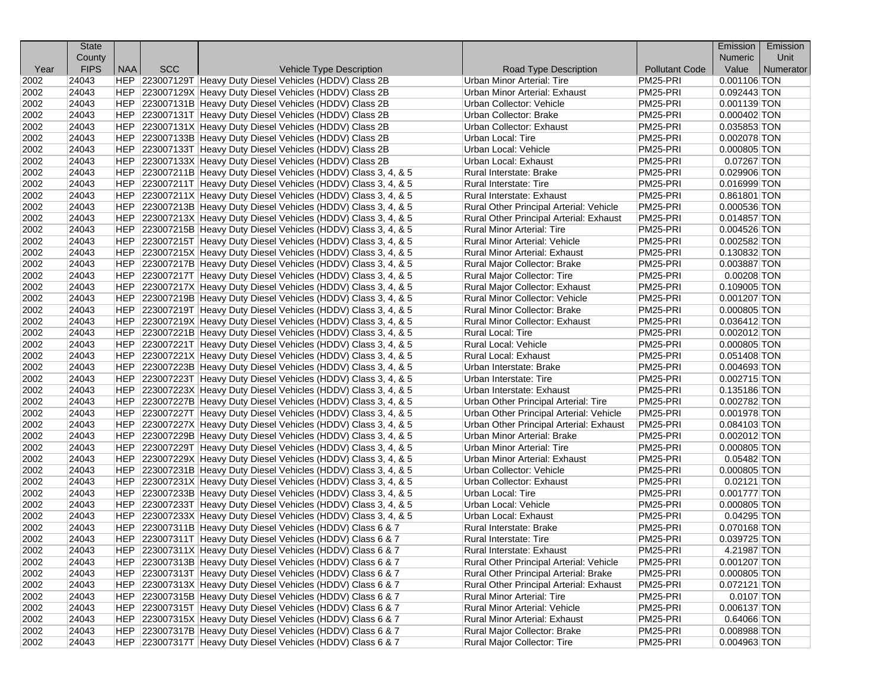| County<br><b>Numeric</b><br>Unit<br><b>FIPS</b><br><b>NAA</b><br><b>SCC</b><br><b>Pollutant Code</b><br>Value<br>Year<br><b>Vehicle Type Description</b><br>Road Type Description<br>  Numerator<br>PM25-PRI<br>24043<br>HEP 223007129T Heavy Duty Diesel Vehicles (HDDV) Class 2B<br>Urban Minor Arterial: Tire<br>$0.001106$ TON<br>2002<br>PM25-PRI<br>2002<br>24043<br>HEP 223007129X Heavy Duty Diesel Vehicles (HDDV) Class 2B<br>Urban Minor Arterial: Exhaust<br>0.092443 TON<br>PM25-PRI<br>2002<br>24043<br>HEP 223007131B Heavy Duty Diesel Vehicles (HDDV) Class 2B<br>Urban Collector: Vehicle<br>$0.001139$ TON<br>24043<br>PM25-PRI<br>2002<br>HEP 223007131T Heavy Duty Diesel Vehicles (HDDV) Class 2B<br>Urban Collector: Brake<br>$0.000402$ TON<br>2002<br>24043<br>HEP 223007131X Heavy Duty Diesel Vehicles (HDDV) Class 2B<br>PM25-PRI<br>0.035853 TON<br>Urban Collector: Exhaust<br>2002<br>PM25-PRI<br>$0.002078$ TON<br>24043<br>HEP 223007133B Heavy Duty Diesel Vehicles (HDDV) Class 2B<br>Urban Local: Tire<br>24043<br>PM25-PRI<br>2002<br>HEP 223007133T Heavy Duty Diesel Vehicles (HDDV) Class 2B<br>$0.000805$ TON<br>Urban Local: Vehicle<br>PM25-PRI<br>2002<br>24043<br>HEP 223007133X Heavy Duty Diesel Vehicles (HDDV) Class 2B<br>0.07267 TON<br>Urban Local: Exhaust<br>PM25-PRI<br>2002<br>24043<br>HEP 223007211B Heavy Duty Diesel Vehicles (HDDV) Class 3, 4, & 5<br>0.029906 TON<br>Rural Interstate: Brake<br>2002<br>PM25-PRI<br>24043<br>HEP 223007211T Heavy Duty Diesel Vehicles (HDDV) Class 3, 4, & 5<br>Rural Interstate: Tire<br>0.016999 TON<br>2002<br>PM25-PRI<br>24043<br>HEP 223007211X Heavy Duty Diesel Vehicles (HDDV) Class 3, 4, & 5<br>0.861801 TON<br>Rural Interstate: Exhaust<br>PM25-PRI<br>2002<br>24043<br>HEP 223007213B Heavy Duty Diesel Vehicles (HDDV) Class 3, 4, & 5<br>Rural Other Principal Arterial: Vehicle<br>$0.000536$ TON<br>PM25-PRI<br>2002<br>24043<br>HEP 223007213X Heavy Duty Diesel Vehicles (HDDV) Class 3, 4, & 5<br>Rural Other Principal Arterial: Exhaust<br>0.014857 TON<br>24043<br>PM25-PRI<br>2002<br>HEP 223007215B Heavy Duty Diesel Vehicles (HDDV) Class 3, 4, & 5<br>Rural Minor Arterial: Tire<br>$0.004526$ TON<br>PM25-PRI<br>2002<br>24043<br>HEP 223007215T Heavy Duty Diesel Vehicles (HDDV) Class 3, 4, & 5<br>0.002582 TON<br>Rural Minor Arterial: Vehicle<br>2002<br>PM25-PRI<br>24043<br>HEP 223007215X Heavy Duty Diesel Vehicles (HDDV) Class 3, 4, & 5<br><b>Rural Minor Arterial: Exhaust</b><br>0.130832 TON<br>HEP 223007217B Heavy Duty Diesel Vehicles (HDDV) Class 3, 4, & 5<br>PM25-PRI<br>2002<br>24043<br>Rural Major Collector: Brake<br>0.003887 TON<br>2002<br>24043<br>HEP 223007217T Heavy Duty Diesel Vehicles (HDDV) Class 3, 4, & 5<br>Rural Major Collector: Tire<br>PM25-PRI<br>0.00208 TON<br>PM25-PRI<br>2002<br>24043<br>HEP 223007217X Heavy Duty Diesel Vehicles (HDDV) Class 3, 4, & 5<br>Rural Major Collector: Exhaust<br>$0.109005$ TON<br>PM25-PRI<br>2002<br>24043<br>HEP 223007219B Heavy Duty Diesel Vehicles (HDDV) Class 3, 4, & 5<br>$0.001207$ TON<br><b>Rural Minor Collector: Vehicle</b><br>2002<br>Rural Minor Collector: Brake<br>PM25-PRI<br>24043<br>HEP 223007219T Heavy Duty Diesel Vehicles (HDDV) Class 3, 4, & 5<br>$0.000805$ TON<br>HEP 223007219X Heavy Duty Diesel Vehicles (HDDV) Class 3, 4, & 5<br>PM25-PRI<br>2002<br>24043<br>Rural Minor Collector: Exhaust<br>0.036412 TON<br>PM25-PRI<br>2002<br>24043<br>HEP 223007221B Heavy Duty Diesel Vehicles (HDDV) Class 3, 4, & 5<br>Rural Local: Tire<br>0.002012 TON<br>2002<br>24043<br>HEP 223007221T Heavy Duty Diesel Vehicles (HDDV) Class 3, 4, & 5<br>Rural Local: Vehicle<br>PM25-PRI<br>$0.000805$ TON<br>2002<br>24043<br>HEP 223007221X Heavy Duty Diesel Vehicles (HDDV) Class 3, 4, & 5<br>PM25-PRI<br>Rural Local: Exhaust<br>$0.051408$ TON<br>2002<br>PM25-PRI<br>24043<br>HEP 223007223B Heavy Duty Diesel Vehicles (HDDV) Class 3, 4, & 5<br>$0.004693$ TON<br>Urban Interstate: Brake<br>PM25-PRI<br>2002<br>24043<br>HEP 223007223T Heavy Duty Diesel Vehicles (HDDV) Class 3, 4, & 5<br>Urban Interstate: Tire<br>$0.002715$ TON<br>PM25-PRI<br>2002<br>24043<br>HEP 223007223X Heavy Duty Diesel Vehicles (HDDV) Class 3, 4, & 5<br>Urban Interstate: Exhaust<br>0.135186 TON<br>PM25-PRI<br>2002<br>24043<br>HEP 223007227B Heavy Duty Diesel Vehicles (HDDV) Class 3, 4, & 5<br>0.002782 TON<br>Urban Other Principal Arterial: Tire<br>PM25-PRI<br>2002<br>24043<br>HEP 223007227T Heavy Duty Diesel Vehicles (HDDV) Class 3, 4, & 5<br>Urban Other Principal Arterial: Vehicle<br>$0.001978$ TON<br>2002<br>PM25-PRI<br>24043<br>HEP 223007227X Heavy Duty Diesel Vehicles (HDDV) Class 3, 4, & 5<br>Urban Other Principal Arterial: Exhaust<br>$0.084103$ TON<br>PM25-PRI<br>2002<br>24043<br>HEP 223007229B Heavy Duty Diesel Vehicles (HDDV) Class 3, 4, & 5<br>Urban Minor Arterial: Brake<br>$0.002012$ TON<br>PM25-PRI<br>2002<br>24043<br>HEP 223007229T Heavy Duty Diesel Vehicles (HDDV) Class 3, 4, & 5<br><b>Urban Minor Arterial: Tire</b><br>$0.000805$ TON<br>PM25-PRI<br>2002<br>24043<br>HEP 223007229X Heavy Duty Diesel Vehicles (HDDV) Class 3, 4, & 5<br>Urban Minor Arterial: Exhaust<br>$0.05482$ TON<br>2002<br>24043<br>HEP 223007231B Heavy Duty Diesel Vehicles (HDDV) Class 3, 4, & 5<br>PM25-PRI<br>$0.000805$ TON<br>Urban Collector: Vehicle<br>2002<br>PM25-PRI<br>24043<br>HEP 223007231X Heavy Duty Diesel Vehicles (HDDV) Class 3, 4, & 5<br>Urban Collector: Exhaust<br>$0.02121$ TON<br>2002<br>24043<br>HEP 223007233B Heavy Duty Diesel Vehicles (HDDV) Class 3, 4, & 5<br>Urban Local: Tire<br>PM25-PRI<br>0.001777 TON<br>2002<br>24043<br>HEP 223007233T Heavy Duty Diesel Vehicles (HDDV) Class 3, 4, & 5<br>PM25-PRI<br>0.000805 TON<br>Urban Local: Vehicle<br>PM25-PRI<br>2002<br>24043<br>HEP 223007233X Heavy Duty Diesel Vehicles (HDDV) Class 3, 4, & 5<br>Urban Local: Exhaust<br>$0.04295$ TON<br>2002<br>24043<br>PM25-PRI<br>HEP 223007311B Heavy Duty Diesel Vehicles (HDDV) Class 6 & 7<br>0.070168 TON<br>Rural Interstate: Brake<br>2002<br>HEP 223007311T Heavy Duty Diesel Vehicles (HDDV) Class 6 & 7<br>PM25-PRI<br>0.039725 TON<br>24043<br>Rural Interstate: Tire | <b>State</b> |  |  | Emission | Emission |
|-----------------------------------------------------------------------------------------------------------------------------------------------------------------------------------------------------------------------------------------------------------------------------------------------------------------------------------------------------------------------------------------------------------------------------------------------------------------------------------------------------------------------------------------------------------------------------------------------------------------------------------------------------------------------------------------------------------------------------------------------------------------------------------------------------------------------------------------------------------------------------------------------------------------------------------------------------------------------------------------------------------------------------------------------------------------------------------------------------------------------------------------------------------------------------------------------------------------------------------------------------------------------------------------------------------------------------------------------------------------------------------------------------------------------------------------------------------------------------------------------------------------------------------------------------------------------------------------------------------------------------------------------------------------------------------------------------------------------------------------------------------------------------------------------------------------------------------------------------------------------------------------------------------------------------------------------------------------------------------------------------------------------------------------------------------------------------------------------------------------------------------------------------------------------------------------------------------------------------------------------------------------------------------------------------------------------------------------------------------------------------------------------------------------------------------------------------------------------------------------------------------------------------------------------------------------------------------------------------------------------------------------------------------------------------------------------------------------------------------------------------------------------------------------------------------------------------------------------------------------------------------------------------------------------------------------------------------------------------------------------------------------------------------------------------------------------------------------------------------------------------------------------------------------------------------------------------------------------------------------------------------------------------------------------------------------------------------------------------------------------------------------------------------------------------------------------------------------------------------------------------------------------------------------------------------------------------------------------------------------------------------------------------------------------------------------------------------------------------------------------------------------------------------------------------------------------------------------------------------------------------------------------------------------------------------------------------------------------------------------------------------------------------------------------------------------------------------------------------------------------------------------------------------------------------------------------------------------------------------------------------------------------------------------------------------------------------------------------------------------------------------------------------------------------------------------------------------------------------------------------------------------------------------------------------------------------------------------------------------------------------------------------------------------------------------------------------------------------------------------------------------------------------------------------------------------------------------------------------------------------------------------------------------------------------------------------------------------------------------------------------------------------------------------------------------------------------------------------------------------------------------------------------------------------------------------------------------------------------------------------------------------------------------------------------------------------------------------------------------------------------------------------------------------------------------------------------------------------------------------------------------------------------------------------------------------------------------------------------------------------------------------------------------------------------------------------------------------------------------------------------------------------------------------------------------------------------------------------------------------------------------------------------------------------------------------------------------------------------------------------------------------------------------------------------------------------------------------------------------------------------------------------------------------------------------------------------------------------------------------------------------------------------------------------|--------------|--|--|----------|----------|
|                                                                                                                                                                                                                                                                                                                                                                                                                                                                                                                                                                                                                                                                                                                                                                                                                                                                                                                                                                                                                                                                                                                                                                                                                                                                                                                                                                                                                                                                                                                                                                                                                                                                                                                                                                                                                                                                                                                                                                                                                                                                                                                                                                                                                                                                                                                                                                                                                                                                                                                                                                                                                                                                                                                                                                                                                                                                                                                                                                                                                                                                                                                                                                                                                                                                                                                                                                                                                                                                                                                                                                                                                                                                                                                                                                                                                                                                                                                                                                                                                                                                                                                                                                                                                                                                                                                                                                                                                                                                                                                                                                                                                                                                                                                                                                                                                                                                                                                                                                                                                                                                                                                                                                                                                                                                                                                                                                                                                                                                                                                                                                                                                                                                                                                                                                                                                                                                                                                                                                                                                                                                                                                                                                                                                                                                                               |              |  |  |          |          |
|                                                                                                                                                                                                                                                                                                                                                                                                                                                                                                                                                                                                                                                                                                                                                                                                                                                                                                                                                                                                                                                                                                                                                                                                                                                                                                                                                                                                                                                                                                                                                                                                                                                                                                                                                                                                                                                                                                                                                                                                                                                                                                                                                                                                                                                                                                                                                                                                                                                                                                                                                                                                                                                                                                                                                                                                                                                                                                                                                                                                                                                                                                                                                                                                                                                                                                                                                                                                                                                                                                                                                                                                                                                                                                                                                                                                                                                                                                                                                                                                                                                                                                                                                                                                                                                                                                                                                                                                                                                                                                                                                                                                                                                                                                                                                                                                                                                                                                                                                                                                                                                                                                                                                                                                                                                                                                                                                                                                                                                                                                                                                                                                                                                                                                                                                                                                                                                                                                                                                                                                                                                                                                                                                                                                                                                                                               |              |  |  |          |          |
|                                                                                                                                                                                                                                                                                                                                                                                                                                                                                                                                                                                                                                                                                                                                                                                                                                                                                                                                                                                                                                                                                                                                                                                                                                                                                                                                                                                                                                                                                                                                                                                                                                                                                                                                                                                                                                                                                                                                                                                                                                                                                                                                                                                                                                                                                                                                                                                                                                                                                                                                                                                                                                                                                                                                                                                                                                                                                                                                                                                                                                                                                                                                                                                                                                                                                                                                                                                                                                                                                                                                                                                                                                                                                                                                                                                                                                                                                                                                                                                                                                                                                                                                                                                                                                                                                                                                                                                                                                                                                                                                                                                                                                                                                                                                                                                                                                                                                                                                                                                                                                                                                                                                                                                                                                                                                                                                                                                                                                                                                                                                                                                                                                                                                                                                                                                                                                                                                                                                                                                                                                                                                                                                                                                                                                                                                               |              |  |  |          |          |
|                                                                                                                                                                                                                                                                                                                                                                                                                                                                                                                                                                                                                                                                                                                                                                                                                                                                                                                                                                                                                                                                                                                                                                                                                                                                                                                                                                                                                                                                                                                                                                                                                                                                                                                                                                                                                                                                                                                                                                                                                                                                                                                                                                                                                                                                                                                                                                                                                                                                                                                                                                                                                                                                                                                                                                                                                                                                                                                                                                                                                                                                                                                                                                                                                                                                                                                                                                                                                                                                                                                                                                                                                                                                                                                                                                                                                                                                                                                                                                                                                                                                                                                                                                                                                                                                                                                                                                                                                                                                                                                                                                                                                                                                                                                                                                                                                                                                                                                                                                                                                                                                                                                                                                                                                                                                                                                                                                                                                                                                                                                                                                                                                                                                                                                                                                                                                                                                                                                                                                                                                                                                                                                                                                                                                                                                                               |              |  |  |          |          |
|                                                                                                                                                                                                                                                                                                                                                                                                                                                                                                                                                                                                                                                                                                                                                                                                                                                                                                                                                                                                                                                                                                                                                                                                                                                                                                                                                                                                                                                                                                                                                                                                                                                                                                                                                                                                                                                                                                                                                                                                                                                                                                                                                                                                                                                                                                                                                                                                                                                                                                                                                                                                                                                                                                                                                                                                                                                                                                                                                                                                                                                                                                                                                                                                                                                                                                                                                                                                                                                                                                                                                                                                                                                                                                                                                                                                                                                                                                                                                                                                                                                                                                                                                                                                                                                                                                                                                                                                                                                                                                                                                                                                                                                                                                                                                                                                                                                                                                                                                                                                                                                                                                                                                                                                                                                                                                                                                                                                                                                                                                                                                                                                                                                                                                                                                                                                                                                                                                                                                                                                                                                                                                                                                                                                                                                                                               |              |  |  |          |          |
|                                                                                                                                                                                                                                                                                                                                                                                                                                                                                                                                                                                                                                                                                                                                                                                                                                                                                                                                                                                                                                                                                                                                                                                                                                                                                                                                                                                                                                                                                                                                                                                                                                                                                                                                                                                                                                                                                                                                                                                                                                                                                                                                                                                                                                                                                                                                                                                                                                                                                                                                                                                                                                                                                                                                                                                                                                                                                                                                                                                                                                                                                                                                                                                                                                                                                                                                                                                                                                                                                                                                                                                                                                                                                                                                                                                                                                                                                                                                                                                                                                                                                                                                                                                                                                                                                                                                                                                                                                                                                                                                                                                                                                                                                                                                                                                                                                                                                                                                                                                                                                                                                                                                                                                                                                                                                                                                                                                                                                                                                                                                                                                                                                                                                                                                                                                                                                                                                                                                                                                                                                                                                                                                                                                                                                                                                               |              |  |  |          |          |
|                                                                                                                                                                                                                                                                                                                                                                                                                                                                                                                                                                                                                                                                                                                                                                                                                                                                                                                                                                                                                                                                                                                                                                                                                                                                                                                                                                                                                                                                                                                                                                                                                                                                                                                                                                                                                                                                                                                                                                                                                                                                                                                                                                                                                                                                                                                                                                                                                                                                                                                                                                                                                                                                                                                                                                                                                                                                                                                                                                                                                                                                                                                                                                                                                                                                                                                                                                                                                                                                                                                                                                                                                                                                                                                                                                                                                                                                                                                                                                                                                                                                                                                                                                                                                                                                                                                                                                                                                                                                                                                                                                                                                                                                                                                                                                                                                                                                                                                                                                                                                                                                                                                                                                                                                                                                                                                                                                                                                                                                                                                                                                                                                                                                                                                                                                                                                                                                                                                                                                                                                                                                                                                                                                                                                                                                                               |              |  |  |          |          |
|                                                                                                                                                                                                                                                                                                                                                                                                                                                                                                                                                                                                                                                                                                                                                                                                                                                                                                                                                                                                                                                                                                                                                                                                                                                                                                                                                                                                                                                                                                                                                                                                                                                                                                                                                                                                                                                                                                                                                                                                                                                                                                                                                                                                                                                                                                                                                                                                                                                                                                                                                                                                                                                                                                                                                                                                                                                                                                                                                                                                                                                                                                                                                                                                                                                                                                                                                                                                                                                                                                                                                                                                                                                                                                                                                                                                                                                                                                                                                                                                                                                                                                                                                                                                                                                                                                                                                                                                                                                                                                                                                                                                                                                                                                                                                                                                                                                                                                                                                                                                                                                                                                                                                                                                                                                                                                                                                                                                                                                                                                                                                                                                                                                                                                                                                                                                                                                                                                                                                                                                                                                                                                                                                                                                                                                                                               |              |  |  |          |          |
|                                                                                                                                                                                                                                                                                                                                                                                                                                                                                                                                                                                                                                                                                                                                                                                                                                                                                                                                                                                                                                                                                                                                                                                                                                                                                                                                                                                                                                                                                                                                                                                                                                                                                                                                                                                                                                                                                                                                                                                                                                                                                                                                                                                                                                                                                                                                                                                                                                                                                                                                                                                                                                                                                                                                                                                                                                                                                                                                                                                                                                                                                                                                                                                                                                                                                                                                                                                                                                                                                                                                                                                                                                                                                                                                                                                                                                                                                                                                                                                                                                                                                                                                                                                                                                                                                                                                                                                                                                                                                                                                                                                                                                                                                                                                                                                                                                                                                                                                                                                                                                                                                                                                                                                                                                                                                                                                                                                                                                                                                                                                                                                                                                                                                                                                                                                                                                                                                                                                                                                                                                                                                                                                                                                                                                                                                               |              |  |  |          |          |
|                                                                                                                                                                                                                                                                                                                                                                                                                                                                                                                                                                                                                                                                                                                                                                                                                                                                                                                                                                                                                                                                                                                                                                                                                                                                                                                                                                                                                                                                                                                                                                                                                                                                                                                                                                                                                                                                                                                                                                                                                                                                                                                                                                                                                                                                                                                                                                                                                                                                                                                                                                                                                                                                                                                                                                                                                                                                                                                                                                                                                                                                                                                                                                                                                                                                                                                                                                                                                                                                                                                                                                                                                                                                                                                                                                                                                                                                                                                                                                                                                                                                                                                                                                                                                                                                                                                                                                                                                                                                                                                                                                                                                                                                                                                                                                                                                                                                                                                                                                                                                                                                                                                                                                                                                                                                                                                                                                                                                                                                                                                                                                                                                                                                                                                                                                                                                                                                                                                                                                                                                                                                                                                                                                                                                                                                                               |              |  |  |          |          |
|                                                                                                                                                                                                                                                                                                                                                                                                                                                                                                                                                                                                                                                                                                                                                                                                                                                                                                                                                                                                                                                                                                                                                                                                                                                                                                                                                                                                                                                                                                                                                                                                                                                                                                                                                                                                                                                                                                                                                                                                                                                                                                                                                                                                                                                                                                                                                                                                                                                                                                                                                                                                                                                                                                                                                                                                                                                                                                                                                                                                                                                                                                                                                                                                                                                                                                                                                                                                                                                                                                                                                                                                                                                                                                                                                                                                                                                                                                                                                                                                                                                                                                                                                                                                                                                                                                                                                                                                                                                                                                                                                                                                                                                                                                                                                                                                                                                                                                                                                                                                                                                                                                                                                                                                                                                                                                                                                                                                                                                                                                                                                                                                                                                                                                                                                                                                                                                                                                                                                                                                                                                                                                                                                                                                                                                                                               |              |  |  |          |          |
|                                                                                                                                                                                                                                                                                                                                                                                                                                                                                                                                                                                                                                                                                                                                                                                                                                                                                                                                                                                                                                                                                                                                                                                                                                                                                                                                                                                                                                                                                                                                                                                                                                                                                                                                                                                                                                                                                                                                                                                                                                                                                                                                                                                                                                                                                                                                                                                                                                                                                                                                                                                                                                                                                                                                                                                                                                                                                                                                                                                                                                                                                                                                                                                                                                                                                                                                                                                                                                                                                                                                                                                                                                                                                                                                                                                                                                                                                                                                                                                                                                                                                                                                                                                                                                                                                                                                                                                                                                                                                                                                                                                                                                                                                                                                                                                                                                                                                                                                                                                                                                                                                                                                                                                                                                                                                                                                                                                                                                                                                                                                                                                                                                                                                                                                                                                                                                                                                                                                                                                                                                                                                                                                                                                                                                                                                               |              |  |  |          |          |
|                                                                                                                                                                                                                                                                                                                                                                                                                                                                                                                                                                                                                                                                                                                                                                                                                                                                                                                                                                                                                                                                                                                                                                                                                                                                                                                                                                                                                                                                                                                                                                                                                                                                                                                                                                                                                                                                                                                                                                                                                                                                                                                                                                                                                                                                                                                                                                                                                                                                                                                                                                                                                                                                                                                                                                                                                                                                                                                                                                                                                                                                                                                                                                                                                                                                                                                                                                                                                                                                                                                                                                                                                                                                                                                                                                                                                                                                                                                                                                                                                                                                                                                                                                                                                                                                                                                                                                                                                                                                                                                                                                                                                                                                                                                                                                                                                                                                                                                                                                                                                                                                                                                                                                                                                                                                                                                                                                                                                                                                                                                                                                                                                                                                                                                                                                                                                                                                                                                                                                                                                                                                                                                                                                                                                                                                                               |              |  |  |          |          |
|                                                                                                                                                                                                                                                                                                                                                                                                                                                                                                                                                                                                                                                                                                                                                                                                                                                                                                                                                                                                                                                                                                                                                                                                                                                                                                                                                                                                                                                                                                                                                                                                                                                                                                                                                                                                                                                                                                                                                                                                                                                                                                                                                                                                                                                                                                                                                                                                                                                                                                                                                                                                                                                                                                                                                                                                                                                                                                                                                                                                                                                                                                                                                                                                                                                                                                                                                                                                                                                                                                                                                                                                                                                                                                                                                                                                                                                                                                                                                                                                                                                                                                                                                                                                                                                                                                                                                                                                                                                                                                                                                                                                                                                                                                                                                                                                                                                                                                                                                                                                                                                                                                                                                                                                                                                                                                                                                                                                                                                                                                                                                                                                                                                                                                                                                                                                                                                                                                                                                                                                                                                                                                                                                                                                                                                                                               |              |  |  |          |          |
|                                                                                                                                                                                                                                                                                                                                                                                                                                                                                                                                                                                                                                                                                                                                                                                                                                                                                                                                                                                                                                                                                                                                                                                                                                                                                                                                                                                                                                                                                                                                                                                                                                                                                                                                                                                                                                                                                                                                                                                                                                                                                                                                                                                                                                                                                                                                                                                                                                                                                                                                                                                                                                                                                                                                                                                                                                                                                                                                                                                                                                                                                                                                                                                                                                                                                                                                                                                                                                                                                                                                                                                                                                                                                                                                                                                                                                                                                                                                                                                                                                                                                                                                                                                                                                                                                                                                                                                                                                                                                                                                                                                                                                                                                                                                                                                                                                                                                                                                                                                                                                                                                                                                                                                                                                                                                                                                                                                                                                                                                                                                                                                                                                                                                                                                                                                                                                                                                                                                                                                                                                                                                                                                                                                                                                                                                               |              |  |  |          |          |
|                                                                                                                                                                                                                                                                                                                                                                                                                                                                                                                                                                                                                                                                                                                                                                                                                                                                                                                                                                                                                                                                                                                                                                                                                                                                                                                                                                                                                                                                                                                                                                                                                                                                                                                                                                                                                                                                                                                                                                                                                                                                                                                                                                                                                                                                                                                                                                                                                                                                                                                                                                                                                                                                                                                                                                                                                                                                                                                                                                                                                                                                                                                                                                                                                                                                                                                                                                                                                                                                                                                                                                                                                                                                                                                                                                                                                                                                                                                                                                                                                                                                                                                                                                                                                                                                                                                                                                                                                                                                                                                                                                                                                                                                                                                                                                                                                                                                                                                                                                                                                                                                                                                                                                                                                                                                                                                                                                                                                                                                                                                                                                                                                                                                                                                                                                                                                                                                                                                                                                                                                                                                                                                                                                                                                                                                                               |              |  |  |          |          |
|                                                                                                                                                                                                                                                                                                                                                                                                                                                                                                                                                                                                                                                                                                                                                                                                                                                                                                                                                                                                                                                                                                                                                                                                                                                                                                                                                                                                                                                                                                                                                                                                                                                                                                                                                                                                                                                                                                                                                                                                                                                                                                                                                                                                                                                                                                                                                                                                                                                                                                                                                                                                                                                                                                                                                                                                                                                                                                                                                                                                                                                                                                                                                                                                                                                                                                                                                                                                                                                                                                                                                                                                                                                                                                                                                                                                                                                                                                                                                                                                                                                                                                                                                                                                                                                                                                                                                                                                                                                                                                                                                                                                                                                                                                                                                                                                                                                                                                                                                                                                                                                                                                                                                                                                                                                                                                                                                                                                                                                                                                                                                                                                                                                                                                                                                                                                                                                                                                                                                                                                                                                                                                                                                                                                                                                                                               |              |  |  |          |          |
|                                                                                                                                                                                                                                                                                                                                                                                                                                                                                                                                                                                                                                                                                                                                                                                                                                                                                                                                                                                                                                                                                                                                                                                                                                                                                                                                                                                                                                                                                                                                                                                                                                                                                                                                                                                                                                                                                                                                                                                                                                                                                                                                                                                                                                                                                                                                                                                                                                                                                                                                                                                                                                                                                                                                                                                                                                                                                                                                                                                                                                                                                                                                                                                                                                                                                                                                                                                                                                                                                                                                                                                                                                                                                                                                                                                                                                                                                                                                                                                                                                                                                                                                                                                                                                                                                                                                                                                                                                                                                                                                                                                                                                                                                                                                                                                                                                                                                                                                                                                                                                                                                                                                                                                                                                                                                                                                                                                                                                                                                                                                                                                                                                                                                                                                                                                                                                                                                                                                                                                                                                                                                                                                                                                                                                                                                               |              |  |  |          |          |
|                                                                                                                                                                                                                                                                                                                                                                                                                                                                                                                                                                                                                                                                                                                                                                                                                                                                                                                                                                                                                                                                                                                                                                                                                                                                                                                                                                                                                                                                                                                                                                                                                                                                                                                                                                                                                                                                                                                                                                                                                                                                                                                                                                                                                                                                                                                                                                                                                                                                                                                                                                                                                                                                                                                                                                                                                                                                                                                                                                                                                                                                                                                                                                                                                                                                                                                                                                                                                                                                                                                                                                                                                                                                                                                                                                                                                                                                                                                                                                                                                                                                                                                                                                                                                                                                                                                                                                                                                                                                                                                                                                                                                                                                                                                                                                                                                                                                                                                                                                                                                                                                                                                                                                                                                                                                                                                                                                                                                                                                                                                                                                                                                                                                                                                                                                                                                                                                                                                                                                                                                                                                                                                                                                                                                                                                                               |              |  |  |          |          |
|                                                                                                                                                                                                                                                                                                                                                                                                                                                                                                                                                                                                                                                                                                                                                                                                                                                                                                                                                                                                                                                                                                                                                                                                                                                                                                                                                                                                                                                                                                                                                                                                                                                                                                                                                                                                                                                                                                                                                                                                                                                                                                                                                                                                                                                                                                                                                                                                                                                                                                                                                                                                                                                                                                                                                                                                                                                                                                                                                                                                                                                                                                                                                                                                                                                                                                                                                                                                                                                                                                                                                                                                                                                                                                                                                                                                                                                                                                                                                                                                                                                                                                                                                                                                                                                                                                                                                                                                                                                                                                                                                                                                                                                                                                                                                                                                                                                                                                                                                                                                                                                                                                                                                                                                                                                                                                                                                                                                                                                                                                                                                                                                                                                                                                                                                                                                                                                                                                                                                                                                                                                                                                                                                                                                                                                                                               |              |  |  |          |          |
|                                                                                                                                                                                                                                                                                                                                                                                                                                                                                                                                                                                                                                                                                                                                                                                                                                                                                                                                                                                                                                                                                                                                                                                                                                                                                                                                                                                                                                                                                                                                                                                                                                                                                                                                                                                                                                                                                                                                                                                                                                                                                                                                                                                                                                                                                                                                                                                                                                                                                                                                                                                                                                                                                                                                                                                                                                                                                                                                                                                                                                                                                                                                                                                                                                                                                                                                                                                                                                                                                                                                                                                                                                                                                                                                                                                                                                                                                                                                                                                                                                                                                                                                                                                                                                                                                                                                                                                                                                                                                                                                                                                                                                                                                                                                                                                                                                                                                                                                                                                                                                                                                                                                                                                                                                                                                                                                                                                                                                                                                                                                                                                                                                                                                                                                                                                                                                                                                                                                                                                                                                                                                                                                                                                                                                                                                               |              |  |  |          |          |
|                                                                                                                                                                                                                                                                                                                                                                                                                                                                                                                                                                                                                                                                                                                                                                                                                                                                                                                                                                                                                                                                                                                                                                                                                                                                                                                                                                                                                                                                                                                                                                                                                                                                                                                                                                                                                                                                                                                                                                                                                                                                                                                                                                                                                                                                                                                                                                                                                                                                                                                                                                                                                                                                                                                                                                                                                                                                                                                                                                                                                                                                                                                                                                                                                                                                                                                                                                                                                                                                                                                                                                                                                                                                                                                                                                                                                                                                                                                                                                                                                                                                                                                                                                                                                                                                                                                                                                                                                                                                                                                                                                                                                                                                                                                                                                                                                                                                                                                                                                                                                                                                                                                                                                                                                                                                                                                                                                                                                                                                                                                                                                                                                                                                                                                                                                                                                                                                                                                                                                                                                                                                                                                                                                                                                                                                                               |              |  |  |          |          |
|                                                                                                                                                                                                                                                                                                                                                                                                                                                                                                                                                                                                                                                                                                                                                                                                                                                                                                                                                                                                                                                                                                                                                                                                                                                                                                                                                                                                                                                                                                                                                                                                                                                                                                                                                                                                                                                                                                                                                                                                                                                                                                                                                                                                                                                                                                                                                                                                                                                                                                                                                                                                                                                                                                                                                                                                                                                                                                                                                                                                                                                                                                                                                                                                                                                                                                                                                                                                                                                                                                                                                                                                                                                                                                                                                                                                                                                                                                                                                                                                                                                                                                                                                                                                                                                                                                                                                                                                                                                                                                                                                                                                                                                                                                                                                                                                                                                                                                                                                                                                                                                                                                                                                                                                                                                                                                                                                                                                                                                                                                                                                                                                                                                                                                                                                                                                                                                                                                                                                                                                                                                                                                                                                                                                                                                                                               |              |  |  |          |          |
|                                                                                                                                                                                                                                                                                                                                                                                                                                                                                                                                                                                                                                                                                                                                                                                                                                                                                                                                                                                                                                                                                                                                                                                                                                                                                                                                                                                                                                                                                                                                                                                                                                                                                                                                                                                                                                                                                                                                                                                                                                                                                                                                                                                                                                                                                                                                                                                                                                                                                                                                                                                                                                                                                                                                                                                                                                                                                                                                                                                                                                                                                                                                                                                                                                                                                                                                                                                                                                                                                                                                                                                                                                                                                                                                                                                                                                                                                                                                                                                                                                                                                                                                                                                                                                                                                                                                                                                                                                                                                                                                                                                                                                                                                                                                                                                                                                                                                                                                                                                                                                                                                                                                                                                                                                                                                                                                                                                                                                                                                                                                                                                                                                                                                                                                                                                                                                                                                                                                                                                                                                                                                                                                                                                                                                                                                               |              |  |  |          |          |
|                                                                                                                                                                                                                                                                                                                                                                                                                                                                                                                                                                                                                                                                                                                                                                                                                                                                                                                                                                                                                                                                                                                                                                                                                                                                                                                                                                                                                                                                                                                                                                                                                                                                                                                                                                                                                                                                                                                                                                                                                                                                                                                                                                                                                                                                                                                                                                                                                                                                                                                                                                                                                                                                                                                                                                                                                                                                                                                                                                                                                                                                                                                                                                                                                                                                                                                                                                                                                                                                                                                                                                                                                                                                                                                                                                                                                                                                                                                                                                                                                                                                                                                                                                                                                                                                                                                                                                                                                                                                                                                                                                                                                                                                                                                                                                                                                                                                                                                                                                                                                                                                                                                                                                                                                                                                                                                                                                                                                                                                                                                                                                                                                                                                                                                                                                                                                                                                                                                                                                                                                                                                                                                                                                                                                                                                                               |              |  |  |          |          |
|                                                                                                                                                                                                                                                                                                                                                                                                                                                                                                                                                                                                                                                                                                                                                                                                                                                                                                                                                                                                                                                                                                                                                                                                                                                                                                                                                                                                                                                                                                                                                                                                                                                                                                                                                                                                                                                                                                                                                                                                                                                                                                                                                                                                                                                                                                                                                                                                                                                                                                                                                                                                                                                                                                                                                                                                                                                                                                                                                                                                                                                                                                                                                                                                                                                                                                                                                                                                                                                                                                                                                                                                                                                                                                                                                                                                                                                                                                                                                                                                                                                                                                                                                                                                                                                                                                                                                                                                                                                                                                                                                                                                                                                                                                                                                                                                                                                                                                                                                                                                                                                                                                                                                                                                                                                                                                                                                                                                                                                                                                                                                                                                                                                                                                                                                                                                                                                                                                                                                                                                                                                                                                                                                                                                                                                                                               |              |  |  |          |          |
|                                                                                                                                                                                                                                                                                                                                                                                                                                                                                                                                                                                                                                                                                                                                                                                                                                                                                                                                                                                                                                                                                                                                                                                                                                                                                                                                                                                                                                                                                                                                                                                                                                                                                                                                                                                                                                                                                                                                                                                                                                                                                                                                                                                                                                                                                                                                                                                                                                                                                                                                                                                                                                                                                                                                                                                                                                                                                                                                                                                                                                                                                                                                                                                                                                                                                                                                                                                                                                                                                                                                                                                                                                                                                                                                                                                                                                                                                                                                                                                                                                                                                                                                                                                                                                                                                                                                                                                                                                                                                                                                                                                                                                                                                                                                                                                                                                                                                                                                                                                                                                                                                                                                                                                                                                                                                                                                                                                                                                                                                                                                                                                                                                                                                                                                                                                                                                                                                                                                                                                                                                                                                                                                                                                                                                                                                               |              |  |  |          |          |
|                                                                                                                                                                                                                                                                                                                                                                                                                                                                                                                                                                                                                                                                                                                                                                                                                                                                                                                                                                                                                                                                                                                                                                                                                                                                                                                                                                                                                                                                                                                                                                                                                                                                                                                                                                                                                                                                                                                                                                                                                                                                                                                                                                                                                                                                                                                                                                                                                                                                                                                                                                                                                                                                                                                                                                                                                                                                                                                                                                                                                                                                                                                                                                                                                                                                                                                                                                                                                                                                                                                                                                                                                                                                                                                                                                                                                                                                                                                                                                                                                                                                                                                                                                                                                                                                                                                                                                                                                                                                                                                                                                                                                                                                                                                                                                                                                                                                                                                                                                                                                                                                                                                                                                                                                                                                                                                                                                                                                                                                                                                                                                                                                                                                                                                                                                                                                                                                                                                                                                                                                                                                                                                                                                                                                                                                                               |              |  |  |          |          |
|                                                                                                                                                                                                                                                                                                                                                                                                                                                                                                                                                                                                                                                                                                                                                                                                                                                                                                                                                                                                                                                                                                                                                                                                                                                                                                                                                                                                                                                                                                                                                                                                                                                                                                                                                                                                                                                                                                                                                                                                                                                                                                                                                                                                                                                                                                                                                                                                                                                                                                                                                                                                                                                                                                                                                                                                                                                                                                                                                                                                                                                                                                                                                                                                                                                                                                                                                                                                                                                                                                                                                                                                                                                                                                                                                                                                                                                                                                                                                                                                                                                                                                                                                                                                                                                                                                                                                                                                                                                                                                                                                                                                                                                                                                                                                                                                                                                                                                                                                                                                                                                                                                                                                                                                                                                                                                                                                                                                                                                                                                                                                                                                                                                                                                                                                                                                                                                                                                                                                                                                                                                                                                                                                                                                                                                                                               |              |  |  |          |          |
|                                                                                                                                                                                                                                                                                                                                                                                                                                                                                                                                                                                                                                                                                                                                                                                                                                                                                                                                                                                                                                                                                                                                                                                                                                                                                                                                                                                                                                                                                                                                                                                                                                                                                                                                                                                                                                                                                                                                                                                                                                                                                                                                                                                                                                                                                                                                                                                                                                                                                                                                                                                                                                                                                                                                                                                                                                                                                                                                                                                                                                                                                                                                                                                                                                                                                                                                                                                                                                                                                                                                                                                                                                                                                                                                                                                                                                                                                                                                                                                                                                                                                                                                                                                                                                                                                                                                                                                                                                                                                                                                                                                                                                                                                                                                                                                                                                                                                                                                                                                                                                                                                                                                                                                                                                                                                                                                                                                                                                                                                                                                                                                                                                                                                                                                                                                                                                                                                                                                                                                                                                                                                                                                                                                                                                                                                               |              |  |  |          |          |
|                                                                                                                                                                                                                                                                                                                                                                                                                                                                                                                                                                                                                                                                                                                                                                                                                                                                                                                                                                                                                                                                                                                                                                                                                                                                                                                                                                                                                                                                                                                                                                                                                                                                                                                                                                                                                                                                                                                                                                                                                                                                                                                                                                                                                                                                                                                                                                                                                                                                                                                                                                                                                                                                                                                                                                                                                                                                                                                                                                                                                                                                                                                                                                                                                                                                                                                                                                                                                                                                                                                                                                                                                                                                                                                                                                                                                                                                                                                                                                                                                                                                                                                                                                                                                                                                                                                                                                                                                                                                                                                                                                                                                                                                                                                                                                                                                                                                                                                                                                                                                                                                                                                                                                                                                                                                                                                                                                                                                                                                                                                                                                                                                                                                                                                                                                                                                                                                                                                                                                                                                                                                                                                                                                                                                                                                                               |              |  |  |          |          |
|                                                                                                                                                                                                                                                                                                                                                                                                                                                                                                                                                                                                                                                                                                                                                                                                                                                                                                                                                                                                                                                                                                                                                                                                                                                                                                                                                                                                                                                                                                                                                                                                                                                                                                                                                                                                                                                                                                                                                                                                                                                                                                                                                                                                                                                                                                                                                                                                                                                                                                                                                                                                                                                                                                                                                                                                                                                                                                                                                                                                                                                                                                                                                                                                                                                                                                                                                                                                                                                                                                                                                                                                                                                                                                                                                                                                                                                                                                                                                                                                                                                                                                                                                                                                                                                                                                                                                                                                                                                                                                                                                                                                                                                                                                                                                                                                                                                                                                                                                                                                                                                                                                                                                                                                                                                                                                                                                                                                                                                                                                                                                                                                                                                                                                                                                                                                                                                                                                                                                                                                                                                                                                                                                                                                                                                                                               |              |  |  |          |          |
|                                                                                                                                                                                                                                                                                                                                                                                                                                                                                                                                                                                                                                                                                                                                                                                                                                                                                                                                                                                                                                                                                                                                                                                                                                                                                                                                                                                                                                                                                                                                                                                                                                                                                                                                                                                                                                                                                                                                                                                                                                                                                                                                                                                                                                                                                                                                                                                                                                                                                                                                                                                                                                                                                                                                                                                                                                                                                                                                                                                                                                                                                                                                                                                                                                                                                                                                                                                                                                                                                                                                                                                                                                                                                                                                                                                                                                                                                                                                                                                                                                                                                                                                                                                                                                                                                                                                                                                                                                                                                                                                                                                                                                                                                                                                                                                                                                                                                                                                                                                                                                                                                                                                                                                                                                                                                                                                                                                                                                                                                                                                                                                                                                                                                                                                                                                                                                                                                                                                                                                                                                                                                                                                                                                                                                                                                               |              |  |  |          |          |
|                                                                                                                                                                                                                                                                                                                                                                                                                                                                                                                                                                                                                                                                                                                                                                                                                                                                                                                                                                                                                                                                                                                                                                                                                                                                                                                                                                                                                                                                                                                                                                                                                                                                                                                                                                                                                                                                                                                                                                                                                                                                                                                                                                                                                                                                                                                                                                                                                                                                                                                                                                                                                                                                                                                                                                                                                                                                                                                                                                                                                                                                                                                                                                                                                                                                                                                                                                                                                                                                                                                                                                                                                                                                                                                                                                                                                                                                                                                                                                                                                                                                                                                                                                                                                                                                                                                                                                                                                                                                                                                                                                                                                                                                                                                                                                                                                                                                                                                                                                                                                                                                                                                                                                                                                                                                                                                                                                                                                                                                                                                                                                                                                                                                                                                                                                                                                                                                                                                                                                                                                                                                                                                                                                                                                                                                                               |              |  |  |          |          |
|                                                                                                                                                                                                                                                                                                                                                                                                                                                                                                                                                                                                                                                                                                                                                                                                                                                                                                                                                                                                                                                                                                                                                                                                                                                                                                                                                                                                                                                                                                                                                                                                                                                                                                                                                                                                                                                                                                                                                                                                                                                                                                                                                                                                                                                                                                                                                                                                                                                                                                                                                                                                                                                                                                                                                                                                                                                                                                                                                                                                                                                                                                                                                                                                                                                                                                                                                                                                                                                                                                                                                                                                                                                                                                                                                                                                                                                                                                                                                                                                                                                                                                                                                                                                                                                                                                                                                                                                                                                                                                                                                                                                                                                                                                                                                                                                                                                                                                                                                                                                                                                                                                                                                                                                                                                                                                                                                                                                                                                                                                                                                                                                                                                                                                                                                                                                                                                                                                                                                                                                                                                                                                                                                                                                                                                                                               |              |  |  |          |          |
|                                                                                                                                                                                                                                                                                                                                                                                                                                                                                                                                                                                                                                                                                                                                                                                                                                                                                                                                                                                                                                                                                                                                                                                                                                                                                                                                                                                                                                                                                                                                                                                                                                                                                                                                                                                                                                                                                                                                                                                                                                                                                                                                                                                                                                                                                                                                                                                                                                                                                                                                                                                                                                                                                                                                                                                                                                                                                                                                                                                                                                                                                                                                                                                                                                                                                                                                                                                                                                                                                                                                                                                                                                                                                                                                                                                                                                                                                                                                                                                                                                                                                                                                                                                                                                                                                                                                                                                                                                                                                                                                                                                                                                                                                                                                                                                                                                                                                                                                                                                                                                                                                                                                                                                                                                                                                                                                                                                                                                                                                                                                                                                                                                                                                                                                                                                                                                                                                                                                                                                                                                                                                                                                                                                                                                                                                               |              |  |  |          |          |
|                                                                                                                                                                                                                                                                                                                                                                                                                                                                                                                                                                                                                                                                                                                                                                                                                                                                                                                                                                                                                                                                                                                                                                                                                                                                                                                                                                                                                                                                                                                                                                                                                                                                                                                                                                                                                                                                                                                                                                                                                                                                                                                                                                                                                                                                                                                                                                                                                                                                                                                                                                                                                                                                                                                                                                                                                                                                                                                                                                                                                                                                                                                                                                                                                                                                                                                                                                                                                                                                                                                                                                                                                                                                                                                                                                                                                                                                                                                                                                                                                                                                                                                                                                                                                                                                                                                                                                                                                                                                                                                                                                                                                                                                                                                                                                                                                                                                                                                                                                                                                                                                                                                                                                                                                                                                                                                                                                                                                                                                                                                                                                                                                                                                                                                                                                                                                                                                                                                                                                                                                                                                                                                                                                                                                                                                                               |              |  |  |          |          |
|                                                                                                                                                                                                                                                                                                                                                                                                                                                                                                                                                                                                                                                                                                                                                                                                                                                                                                                                                                                                                                                                                                                                                                                                                                                                                                                                                                                                                                                                                                                                                                                                                                                                                                                                                                                                                                                                                                                                                                                                                                                                                                                                                                                                                                                                                                                                                                                                                                                                                                                                                                                                                                                                                                                                                                                                                                                                                                                                                                                                                                                                                                                                                                                                                                                                                                                                                                                                                                                                                                                                                                                                                                                                                                                                                                                                                                                                                                                                                                                                                                                                                                                                                                                                                                                                                                                                                                                                                                                                                                                                                                                                                                                                                                                                                                                                                                                                                                                                                                                                                                                                                                                                                                                                                                                                                                                                                                                                                                                                                                                                                                                                                                                                                                                                                                                                                                                                                                                                                                                                                                                                                                                                                                                                                                                                                               |              |  |  |          |          |
|                                                                                                                                                                                                                                                                                                                                                                                                                                                                                                                                                                                                                                                                                                                                                                                                                                                                                                                                                                                                                                                                                                                                                                                                                                                                                                                                                                                                                                                                                                                                                                                                                                                                                                                                                                                                                                                                                                                                                                                                                                                                                                                                                                                                                                                                                                                                                                                                                                                                                                                                                                                                                                                                                                                                                                                                                                                                                                                                                                                                                                                                                                                                                                                                                                                                                                                                                                                                                                                                                                                                                                                                                                                                                                                                                                                                                                                                                                                                                                                                                                                                                                                                                                                                                                                                                                                                                                                                                                                                                                                                                                                                                                                                                                                                                                                                                                                                                                                                                                                                                                                                                                                                                                                                                                                                                                                                                                                                                                                                                                                                                                                                                                                                                                                                                                                                                                                                                                                                                                                                                                                                                                                                                                                                                                                                                               |              |  |  |          |          |
|                                                                                                                                                                                                                                                                                                                                                                                                                                                                                                                                                                                                                                                                                                                                                                                                                                                                                                                                                                                                                                                                                                                                                                                                                                                                                                                                                                                                                                                                                                                                                                                                                                                                                                                                                                                                                                                                                                                                                                                                                                                                                                                                                                                                                                                                                                                                                                                                                                                                                                                                                                                                                                                                                                                                                                                                                                                                                                                                                                                                                                                                                                                                                                                                                                                                                                                                                                                                                                                                                                                                                                                                                                                                                                                                                                                                                                                                                                                                                                                                                                                                                                                                                                                                                                                                                                                                                                                                                                                                                                                                                                                                                                                                                                                                                                                                                                                                                                                                                                                                                                                                                                                                                                                                                                                                                                                                                                                                                                                                                                                                                                                                                                                                                                                                                                                                                                                                                                                                                                                                                                                                                                                                                                                                                                                                                               |              |  |  |          |          |
|                                                                                                                                                                                                                                                                                                                                                                                                                                                                                                                                                                                                                                                                                                                                                                                                                                                                                                                                                                                                                                                                                                                                                                                                                                                                                                                                                                                                                                                                                                                                                                                                                                                                                                                                                                                                                                                                                                                                                                                                                                                                                                                                                                                                                                                                                                                                                                                                                                                                                                                                                                                                                                                                                                                                                                                                                                                                                                                                                                                                                                                                                                                                                                                                                                                                                                                                                                                                                                                                                                                                                                                                                                                                                                                                                                                                                                                                                                                                                                                                                                                                                                                                                                                                                                                                                                                                                                                                                                                                                                                                                                                                                                                                                                                                                                                                                                                                                                                                                                                                                                                                                                                                                                                                                                                                                                                                                                                                                                                                                                                                                                                                                                                                                                                                                                                                                                                                                                                                                                                                                                                                                                                                                                                                                                                                                               |              |  |  |          |          |
|                                                                                                                                                                                                                                                                                                                                                                                                                                                                                                                                                                                                                                                                                                                                                                                                                                                                                                                                                                                                                                                                                                                                                                                                                                                                                                                                                                                                                                                                                                                                                                                                                                                                                                                                                                                                                                                                                                                                                                                                                                                                                                                                                                                                                                                                                                                                                                                                                                                                                                                                                                                                                                                                                                                                                                                                                                                                                                                                                                                                                                                                                                                                                                                                                                                                                                                                                                                                                                                                                                                                                                                                                                                                                                                                                                                                                                                                                                                                                                                                                                                                                                                                                                                                                                                                                                                                                                                                                                                                                                                                                                                                                                                                                                                                                                                                                                                                                                                                                                                                                                                                                                                                                                                                                                                                                                                                                                                                                                                                                                                                                                                                                                                                                                                                                                                                                                                                                                                                                                                                                                                                                                                                                                                                                                                                                               |              |  |  |          |          |
|                                                                                                                                                                                                                                                                                                                                                                                                                                                                                                                                                                                                                                                                                                                                                                                                                                                                                                                                                                                                                                                                                                                                                                                                                                                                                                                                                                                                                                                                                                                                                                                                                                                                                                                                                                                                                                                                                                                                                                                                                                                                                                                                                                                                                                                                                                                                                                                                                                                                                                                                                                                                                                                                                                                                                                                                                                                                                                                                                                                                                                                                                                                                                                                                                                                                                                                                                                                                                                                                                                                                                                                                                                                                                                                                                                                                                                                                                                                                                                                                                                                                                                                                                                                                                                                                                                                                                                                                                                                                                                                                                                                                                                                                                                                                                                                                                                                                                                                                                                                                                                                                                                                                                                                                                                                                                                                                                                                                                                                                                                                                                                                                                                                                                                                                                                                                                                                                                                                                                                                                                                                                                                                                                                                                                                                                                               |              |  |  |          |          |
| PM25-PRI<br>2002<br>24043<br>HEP 223007311X Heavy Duty Diesel Vehicles (HDDV) Class 6 & 7<br>Rural Interstate: Exhaust<br>4.21987 TON                                                                                                                                                                                                                                                                                                                                                                                                                                                                                                                                                                                                                                                                                                                                                                                                                                                                                                                                                                                                                                                                                                                                                                                                                                                                                                                                                                                                                                                                                                                                                                                                                                                                                                                                                                                                                                                                                                                                                                                                                                                                                                                                                                                                                                                                                                                                                                                                                                                                                                                                                                                                                                                                                                                                                                                                                                                                                                                                                                                                                                                                                                                                                                                                                                                                                                                                                                                                                                                                                                                                                                                                                                                                                                                                                                                                                                                                                                                                                                                                                                                                                                                                                                                                                                                                                                                                                                                                                                                                                                                                                                                                                                                                                                                                                                                                                                                                                                                                                                                                                                                                                                                                                                                                                                                                                                                                                                                                                                                                                                                                                                                                                                                                                                                                                                                                                                                                                                                                                                                                                                                                                                                                                         |              |  |  |          |          |
| PM25-PRI<br>2002<br>24043<br>HEP 223007313B Heavy Duty Diesel Vehicles (HDDV) Class 6 & 7<br>Rural Other Principal Arterial: Vehicle<br>$0.001207$ TON                                                                                                                                                                                                                                                                                                                                                                                                                                                                                                                                                                                                                                                                                                                                                                                                                                                                                                                                                                                                                                                                                                                                                                                                                                                                                                                                                                                                                                                                                                                                                                                                                                                                                                                                                                                                                                                                                                                                                                                                                                                                                                                                                                                                                                                                                                                                                                                                                                                                                                                                                                                                                                                                                                                                                                                                                                                                                                                                                                                                                                                                                                                                                                                                                                                                                                                                                                                                                                                                                                                                                                                                                                                                                                                                                                                                                                                                                                                                                                                                                                                                                                                                                                                                                                                                                                                                                                                                                                                                                                                                                                                                                                                                                                                                                                                                                                                                                                                                                                                                                                                                                                                                                                                                                                                                                                                                                                                                                                                                                                                                                                                                                                                                                                                                                                                                                                                                                                                                                                                                                                                                                                                                        |              |  |  |          |          |
| HEP 223007313T Heavy Duty Diesel Vehicles (HDDV) Class 6 & 7<br>PM25-PRI<br>2002<br>24043<br>Rural Other Principal Arterial: Brake<br>$0.000805$ TON                                                                                                                                                                                                                                                                                                                                                                                                                                                                                                                                                                                                                                                                                                                                                                                                                                                                                                                                                                                                                                                                                                                                                                                                                                                                                                                                                                                                                                                                                                                                                                                                                                                                                                                                                                                                                                                                                                                                                                                                                                                                                                                                                                                                                                                                                                                                                                                                                                                                                                                                                                                                                                                                                                                                                                                                                                                                                                                                                                                                                                                                                                                                                                                                                                                                                                                                                                                                                                                                                                                                                                                                                                                                                                                                                                                                                                                                                                                                                                                                                                                                                                                                                                                                                                                                                                                                                                                                                                                                                                                                                                                                                                                                                                                                                                                                                                                                                                                                                                                                                                                                                                                                                                                                                                                                                                                                                                                                                                                                                                                                                                                                                                                                                                                                                                                                                                                                                                                                                                                                                                                                                                                                          |              |  |  |          |          |
| 2002<br>24043<br>HEP 223007313X Heavy Duty Diesel Vehicles (HDDV) Class 6 & 7<br>Rural Other Principal Arterial: Exhaust<br>PM25-PRI<br>0.072121 TON                                                                                                                                                                                                                                                                                                                                                                                                                                                                                                                                                                                                                                                                                                                                                                                                                                                                                                                                                                                                                                                                                                                                                                                                                                                                                                                                                                                                                                                                                                                                                                                                                                                                                                                                                                                                                                                                                                                                                                                                                                                                                                                                                                                                                                                                                                                                                                                                                                                                                                                                                                                                                                                                                                                                                                                                                                                                                                                                                                                                                                                                                                                                                                                                                                                                                                                                                                                                                                                                                                                                                                                                                                                                                                                                                                                                                                                                                                                                                                                                                                                                                                                                                                                                                                                                                                                                                                                                                                                                                                                                                                                                                                                                                                                                                                                                                                                                                                                                                                                                                                                                                                                                                                                                                                                                                                                                                                                                                                                                                                                                                                                                                                                                                                                                                                                                                                                                                                                                                                                                                                                                                                                                          |              |  |  |          |          |
| HEP 223007315B Heavy Duty Diesel Vehicles (HDDV) Class 6 & 7<br>PM25-PRI<br>2002<br>24043<br>Rural Minor Arterial: Tire<br>$0.0107$ TON                                                                                                                                                                                                                                                                                                                                                                                                                                                                                                                                                                                                                                                                                                                                                                                                                                                                                                                                                                                                                                                                                                                                                                                                                                                                                                                                                                                                                                                                                                                                                                                                                                                                                                                                                                                                                                                                                                                                                                                                                                                                                                                                                                                                                                                                                                                                                                                                                                                                                                                                                                                                                                                                                                                                                                                                                                                                                                                                                                                                                                                                                                                                                                                                                                                                                                                                                                                                                                                                                                                                                                                                                                                                                                                                                                                                                                                                                                                                                                                                                                                                                                                                                                                                                                                                                                                                                                                                                                                                                                                                                                                                                                                                                                                                                                                                                                                                                                                                                                                                                                                                                                                                                                                                                                                                                                                                                                                                                                                                                                                                                                                                                                                                                                                                                                                                                                                                                                                                                                                                                                                                                                                                                       |              |  |  |          |          |
| HEP 223007315T Heavy Duty Diesel Vehicles (HDDV) Class 6 & 7<br>PM25-PRI<br>2002<br>24043<br>Rural Minor Arterial: Vehicle<br>0.006137 TON                                                                                                                                                                                                                                                                                                                                                                                                                                                                                                                                                                                                                                                                                                                                                                                                                                                                                                                                                                                                                                                                                                                                                                                                                                                                                                                                                                                                                                                                                                                                                                                                                                                                                                                                                                                                                                                                                                                                                                                                                                                                                                                                                                                                                                                                                                                                                                                                                                                                                                                                                                                                                                                                                                                                                                                                                                                                                                                                                                                                                                                                                                                                                                                                                                                                                                                                                                                                                                                                                                                                                                                                                                                                                                                                                                                                                                                                                                                                                                                                                                                                                                                                                                                                                                                                                                                                                                                                                                                                                                                                                                                                                                                                                                                                                                                                                                                                                                                                                                                                                                                                                                                                                                                                                                                                                                                                                                                                                                                                                                                                                                                                                                                                                                                                                                                                                                                                                                                                                                                                                                                                                                                                                    |              |  |  |          |          |
| 2002<br>24043<br>HEP 223007315X Heavy Duty Diesel Vehicles (HDDV) Class 6 & 7<br>Rural Minor Arterial: Exhaust<br>PM25-PRI<br>0.64066 TON                                                                                                                                                                                                                                                                                                                                                                                                                                                                                                                                                                                                                                                                                                                                                                                                                                                                                                                                                                                                                                                                                                                                                                                                                                                                                                                                                                                                                                                                                                                                                                                                                                                                                                                                                                                                                                                                                                                                                                                                                                                                                                                                                                                                                                                                                                                                                                                                                                                                                                                                                                                                                                                                                                                                                                                                                                                                                                                                                                                                                                                                                                                                                                                                                                                                                                                                                                                                                                                                                                                                                                                                                                                                                                                                                                                                                                                                                                                                                                                                                                                                                                                                                                                                                                                                                                                                                                                                                                                                                                                                                                                                                                                                                                                                                                                                                                                                                                                                                                                                                                                                                                                                                                                                                                                                                                                                                                                                                                                                                                                                                                                                                                                                                                                                                                                                                                                                                                                                                                                                                                                                                                                                                     |              |  |  |          |          |
| HEP 223007317B Heavy Duty Diesel Vehicles (HDDV) Class 6 & 7<br>2002<br>24043<br>Rural Major Collector: Brake<br>PM25-PRI<br>0.008988 TON                                                                                                                                                                                                                                                                                                                                                                                                                                                                                                                                                                                                                                                                                                                                                                                                                                                                                                                                                                                                                                                                                                                                                                                                                                                                                                                                                                                                                                                                                                                                                                                                                                                                                                                                                                                                                                                                                                                                                                                                                                                                                                                                                                                                                                                                                                                                                                                                                                                                                                                                                                                                                                                                                                                                                                                                                                                                                                                                                                                                                                                                                                                                                                                                                                                                                                                                                                                                                                                                                                                                                                                                                                                                                                                                                                                                                                                                                                                                                                                                                                                                                                                                                                                                                                                                                                                                                                                                                                                                                                                                                                                                                                                                                                                                                                                                                                                                                                                                                                                                                                                                                                                                                                                                                                                                                                                                                                                                                                                                                                                                                                                                                                                                                                                                                                                                                                                                                                                                                                                                                                                                                                                                                     |              |  |  |          |          |
| 2002<br>24043<br>Rural Major Collector: Tire<br>PM25-PRI<br>HEP 223007317T Heavy Duty Diesel Vehicles (HDDV) Class 6 & 7<br>0.004963 TON                                                                                                                                                                                                                                                                                                                                                                                                                                                                                                                                                                                                                                                                                                                                                                                                                                                                                                                                                                                                                                                                                                                                                                                                                                                                                                                                                                                                                                                                                                                                                                                                                                                                                                                                                                                                                                                                                                                                                                                                                                                                                                                                                                                                                                                                                                                                                                                                                                                                                                                                                                                                                                                                                                                                                                                                                                                                                                                                                                                                                                                                                                                                                                                                                                                                                                                                                                                                                                                                                                                                                                                                                                                                                                                                                                                                                                                                                                                                                                                                                                                                                                                                                                                                                                                                                                                                                                                                                                                                                                                                                                                                                                                                                                                                                                                                                                                                                                                                                                                                                                                                                                                                                                                                                                                                                                                                                                                                                                                                                                                                                                                                                                                                                                                                                                                                                                                                                                                                                                                                                                                                                                                                                      |              |  |  |          |          |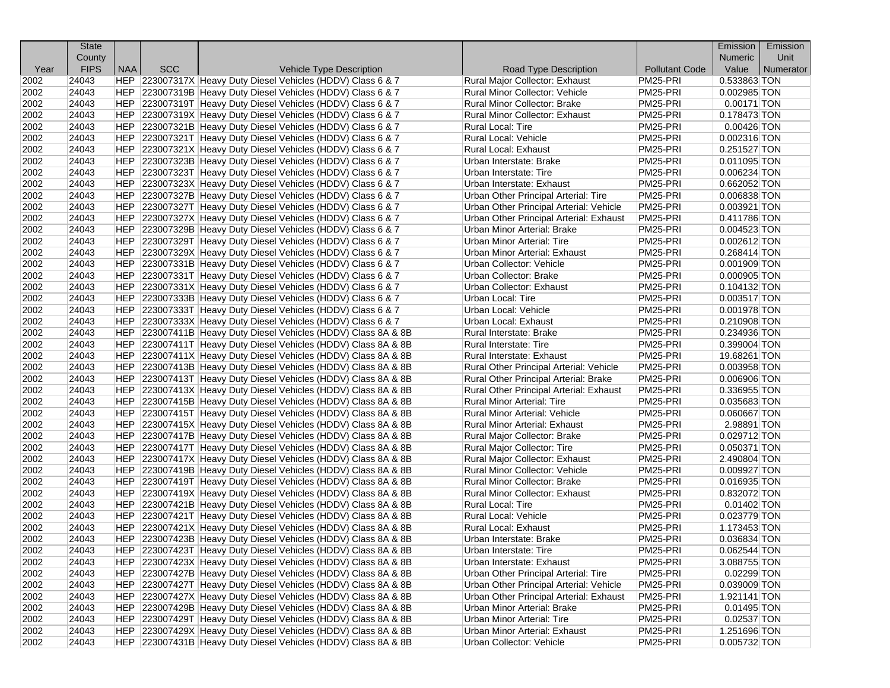|      | <b>State</b> |            |            |                                                                |                                                |                       | Emission       | Emission  |
|------|--------------|------------|------------|----------------------------------------------------------------|------------------------------------------------|-----------------------|----------------|-----------|
|      | County       |            |            |                                                                |                                                |                       | Numeric        | Unit      |
| Year | <b>FIPS</b>  | <b>NAA</b> | <b>SCC</b> | <b>Vehicle Type Description</b>                                | Road Type Description                          | <b>Pollutant Code</b> | Value          | Numerator |
| 2002 | 24043        |            |            | HEP 223007317X Heavy Duty Diesel Vehicles (HDDV) Class 6 & 7   | Rural Major Collector: Exhaust                 | PM25-PRI              | 0.533863 TON   |           |
| 2002 | 24043        |            |            | HEP 223007319B Heavy Duty Diesel Vehicles (HDDV) Class 6 & 7   | Rural Minor Collector: Vehicle                 | PM25-PRI              | 0.002985 TON   |           |
| 2002 | 24043        |            |            | HEP 223007319T Heavy Duty Diesel Vehicles (HDDV) Class 6 & 7   | Rural Minor Collector: Brake                   | PM25-PRI              | $0.00171$ TON  |           |
| 2002 | 24043        |            |            | HEP 223007319X Heavy Duty Diesel Vehicles (HDDV) Class 6 & 7   | Rural Minor Collector: Exhaust                 | PM25-PRI              | 0.178473 TON   |           |
| 2002 | 24043        |            |            | HEP 223007321B Heavy Duty Diesel Vehicles (HDDV) Class 6 & 7   | Rural Local: Tire                              | PM25-PRI              | $0.00426$ TON  |           |
| 2002 | 24043        |            |            | HEP 223007321T Heavy Duty Diesel Vehicles (HDDV) Class 6 & 7   | Rural Local: Vehicle                           | PM25-PRI              | 0.002316 TON   |           |
| 2002 | 24043        |            |            | HEP 223007321X Heavy Duty Diesel Vehicles (HDDV) Class 6 & 7   | Rural Local: Exhaust                           | PM25-PRI              | 0.251527 TON   |           |
| 2002 | 24043        |            |            | HEP 223007323B Heavy Duty Diesel Vehicles (HDDV) Class 6 & 7   | Urban Interstate: Brake                        | PM25-PRI              | $0.011095$ TON |           |
| 2002 | 24043        |            |            | HEP 223007323T Heavy Duty Diesel Vehicles (HDDV) Class 6 & 7   | Urban Interstate: Tire                         | PM25-PRI              | $0.006234$ TON |           |
| 2002 | 24043        |            |            | HEP 223007323X Heavy Duty Diesel Vehicles (HDDV) Class 6 & 7   | Urban Interstate: Exhaust                      | PM25-PRI              | 0.662052 TON   |           |
| 2002 | 24043        |            |            | HEP 223007327B Heavy Duty Diesel Vehicles (HDDV) Class 6 & 7   | Urban Other Principal Arterial: Tire           | PM25-PRI              | 0.006838 TON   |           |
| 2002 | 24043        |            |            | HEP 223007327T Heavy Duty Diesel Vehicles (HDDV) Class 6 & 7   | Urban Other Principal Arterial: Vehicle        | PM25-PRI              | $0.003921$ TON |           |
| 2002 | 24043        |            |            | HEP 223007327X Heavy Duty Diesel Vehicles (HDDV) Class 6 & 7   | Urban Other Principal Arterial: Exhaust        | PM25-PRI              | 0.411786 TON   |           |
| 2002 | 24043        |            |            | HEP 223007329B Heavy Duty Diesel Vehicles (HDDV) Class 6 & 7   | Urban Minor Arterial: Brake                    | PM25-PRI              | $0.004523$ TON |           |
| 2002 | 24043        |            |            | HEP 223007329T Heavy Duty Diesel Vehicles (HDDV) Class 6 & 7   | Urban Minor Arterial: Tire                     | PM25-PRI              | $0.002612$ TON |           |
| 2002 | 24043        |            |            | HEP 223007329X Heavy Duty Diesel Vehicles (HDDV) Class 6 & 7   | Urban Minor Arterial: Exhaust                  | PM25-PRI              | 0.268414 TON   |           |
| 2002 | 24043        |            |            | HEP 223007331B Heavy Duty Diesel Vehicles (HDDV) Class 6 & 7   | Urban Collector: Vehicle                       | PM25-PRI              | $0.001909$ TON |           |
| 2002 | 24043        |            |            | HEP 223007331T Heavy Duty Diesel Vehicles (HDDV) Class 6 & 7   | Urban Collector: Brake                         | PM25-PRI              | $0.000905$ TON |           |
| 2002 | 24043        |            |            | HEP 223007331X Heavy Duty Diesel Vehicles (HDDV) Class 6 & 7   | Urban Collector: Exhaust                       | PM25-PRI              | $0.104132$ TON |           |
| 2002 | 24043        |            |            | HEP 223007333B Heavy Duty Diesel Vehicles (HDDV) Class 6 & 7   | Urban Local: Tire                              | PM25-PRI              | 0.003517 TON   |           |
| 2002 | 24043        |            |            | HEP 223007333T Heavy Duty Diesel Vehicles (HDDV) Class 6 & 7   | Urban Local: Vehicle                           | PM25-PRI              | 0.001978 TON   |           |
| 2002 | 24043        |            |            | HEP 223007333X Heavy Duty Diesel Vehicles (HDDV) Class 6 & 7   | Urban Local: Exhaust                           | PM25-PRI              | 0.210908 TON   |           |
| 2002 | 24043        |            |            | HEP 223007411B Heavy Duty Diesel Vehicles (HDDV) Class 8A & 8B | Rural Interstate: Brake                        | PM25-PRI              | 0.234936 TON   |           |
| 2002 | 24043        |            |            | HEP 223007411T Heavy Duty Diesel Vehicles (HDDV) Class 8A & 8B | Rural Interstate: Tire                         | PM25-PRI              | 0.399004 TON   |           |
| 2002 | 24043        |            |            | HEP 223007411X Heavy Duty Diesel Vehicles (HDDV) Class 8A & 8B | Rural Interstate: Exhaust                      | PM25-PRI              | 19.68261 TON   |           |
| 2002 | 24043        |            |            | HEP 223007413B Heavy Duty Diesel Vehicles (HDDV) Class 8A & 8B | Rural Other Principal Arterial: Vehicle        | PM25-PRI              | 0.003958 TON   |           |
| 2002 | 24043        |            |            | HEP 223007413T Heavy Duty Diesel Vehicles (HDDV) Class 8A & 8B | Rural Other Principal Arterial: Brake          | PM25-PRI              | 0.006906 TON   |           |
| 2002 | 24043        |            |            | HEP 223007413X Heavy Duty Diesel Vehicles (HDDV) Class 8A & 8B | Rural Other Principal Arterial: Exhaust        | PM25-PRI              | 0.336955 TON   |           |
| 2002 | 24043        |            |            | HEP 223007415B Heavy Duty Diesel Vehicles (HDDV) Class 8A & 8B | Rural Minor Arterial: Tire                     | PM25-PRI              | 0.035683 TON   |           |
| 2002 | 24043        |            |            | HEP 223007415T Heavy Duty Diesel Vehicles (HDDV) Class 8A & 8B | Rural Minor Arterial: Vehicle                  | PM25-PRI              | 0.060667 TON   |           |
| 2002 | 24043        |            |            | HEP 223007415X Heavy Duty Diesel Vehicles (HDDV) Class 8A & 8B | Rural Minor Arterial: Exhaust                  | PM25-PRI              | 2.98891 TON    |           |
| 2002 | 24043        |            |            | HEP 223007417B Heavy Duty Diesel Vehicles (HDDV) Class 8A & 8B | Rural Major Collector: Brake                   | PM25-PRI              | 0.029712 TON   |           |
| 2002 | 24043        |            |            | HEP 223007417T Heavy Duty Diesel Vehicles (HDDV) Class 8A & 8B | Rural Major Collector: Tire                    | PM25-PRI              | $0.050371$ TON |           |
| 2002 | 24043        |            |            | HEP 223007417X Heavy Duty Diesel Vehicles (HDDV) Class 8A & 8B | Rural Major Collector: Exhaust                 | PM25-PRI              | 2.490804 TON   |           |
| 2002 | 24043        |            |            | HEP 223007419B Heavy Duty Diesel Vehicles (HDDV) Class 8A & 8B | Rural Minor Collector: Vehicle                 | PM25-PRI              | $0.009927$ TON |           |
| 2002 | 24043        |            |            | HEP 223007419T Heavy Duty Diesel Vehicles (HDDV) Class 8A & 8B | <b>Rural Minor Collector: Brake</b>            | PM25-PRI              | $0.016935$ TON |           |
| 2002 | 24043        |            |            | HEP 223007419X Heavy Duty Diesel Vehicles (HDDV) Class 8A & 8B | Rural Minor Collector: Exhaust                 | PM25-PRI              | 0.832072 TON   |           |
| 2002 | 24043        |            |            | HEP 223007421B Heavy Duty Diesel Vehicles (HDDV) Class 8A & 8B | Rural Local: Tire                              | PM25-PRI              | $0.01402$ TON  |           |
| 2002 | 24043        |            |            | HEP 223007421T Heavy Duty Diesel Vehicles (HDDV) Class 8A & 8B | Rural Local: Vehicle                           | PM25-PRI              | 0.023779 TON   |           |
| 2002 | 24043        |            |            | HEP 223007421X Heavy Duty Diesel Vehicles (HDDV) Class 8A & 8B | Rural Local: Exhaust                           | PM25-PRI              | 1.173453 TON   |           |
| 2002 | 24043        |            |            | HEP 223007423B Heavy Duty Diesel Vehicles (HDDV) Class 8A & 8B | Urban Interstate: Brake                        | PM25-PRI              | 0.036834 TON   |           |
| 2002 | 24043        |            |            | HEP 223007423T Heavy Duty Diesel Vehicles (HDDV) Class 8A & 8B | Urban Interstate: Tire                         | PM25-PRI              | $0.062544$ TON |           |
| 2002 | 24043        |            |            | HEP 223007423X Heavy Duty Diesel Vehicles (HDDV) Class 8A & 8B | Urban Interstate: Exhaust                      | PM25-PRI              | 3.088755 TON   |           |
| 2002 | 24043        |            |            | HEP 223007427B Heavy Duty Diesel Vehicles (HDDV) Class 8A & 8B | Urban Other Principal Arterial: Tire           | PM25-PRI              | 0.02299 TON    |           |
| 2002 | 24043        |            |            | HEP 223007427T Heavy Duty Diesel Vehicles (HDDV) Class 8A & 8B | Urban Other Principal Arterial: Vehicle        | PM25-PRI              | 0.039009 TON   |           |
| 2002 | 24043        |            |            | HEP 223007427X Heavy Duty Diesel Vehicles (HDDV) Class 8A & 8B | <b>Urban Other Principal Arterial: Exhaust</b> | PM25-PRI              | 1.921141 TON   |           |
| 2002 | 24043        |            |            | HEP 223007429B Heavy Duty Diesel Vehicles (HDDV) Class 8A & 8B | Urban Minor Arterial: Brake                    | PM25-PRI              | $0.01495$ TON  |           |
| 2002 | 24043        |            |            | HEP 223007429T Heavy Duty Diesel Vehicles (HDDV) Class 8A & 8B | Urban Minor Arterial: Tire                     | PM25-PRI              | 0.02537 TON    |           |
| 2002 | 24043        |            |            | HEP 223007429X Heavy Duty Diesel Vehicles (HDDV) Class 8A & 8B | <b>Urban Minor Arterial: Exhaust</b>           | PM25-PRI              | 1.251696 TON   |           |
| 2002 | 24043        |            |            | HEP 223007431B Heavy Duty Diesel Vehicles (HDDV) Class 8A & 8B | Urban Collector: Vehicle                       | PM25-PRI              | 0.005732 TON   |           |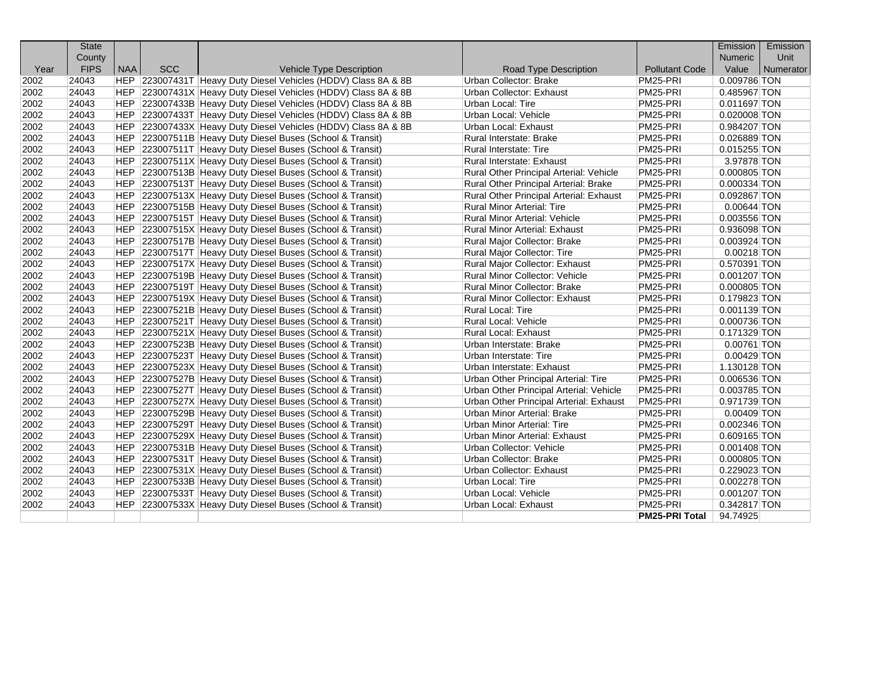|      | <b>State</b> |            |            |                                                                |                                         |                       | Emission       | Emission  |
|------|--------------|------------|------------|----------------------------------------------------------------|-----------------------------------------|-----------------------|----------------|-----------|
|      | County       |            |            |                                                                |                                         |                       | Numeric        | Unit      |
| Year | <b>FIPS</b>  | <b>NAA</b> | <b>SCC</b> | <b>Vehicle Type Description</b>                                | Road Type Description                   | <b>Pollutant Code</b> | Value          | Numerator |
| 2002 | 24043        |            |            | HEP 223007431T Heavy Duty Diesel Vehicles (HDDV) Class 8A & 8B | Urban Collector: Brake                  | PM25-PRI              | 0.009786 TON   |           |
| 2002 | 24043        |            |            | HEP 223007431X Heavy Duty Diesel Vehicles (HDDV) Class 8A & 8B | Urban Collector: Exhaust                | PM25-PRI              | 0.485967 TON   |           |
| 2002 | 24043        |            |            | HEP 223007433B Heavy Duty Diesel Vehicles (HDDV) Class 8A & 8B | Urban Local: Tire                       | PM25-PRI              | 0.011697 TON   |           |
| 2002 | 24043        |            |            | HEP 223007433T Heavy Duty Diesel Vehicles (HDDV) Class 8A & 8B | Urban Local: Vehicle                    | PM25-PRI              | $0.020008$ TON |           |
| 2002 | 24043        |            |            | HEP 223007433X Heavy Duty Diesel Vehicles (HDDV) Class 8A & 8B | Urban Local: Exhaust                    | PM25-PRI              | 0.984207 TON   |           |
| 2002 | 24043        |            |            | HEP 223007511B Heavy Duty Diesel Buses (School & Transit)      | Rural Interstate: Brake                 | PM25-PRI              | 0.026889 TON   |           |
| 2002 | 24043        |            |            | HEP 223007511T Heavy Duty Diesel Buses (School & Transit)      | <b>Rural Interstate: Tire</b>           | PM25-PRI              | 0.015255 TON   |           |
| 2002 | 24043        |            |            | HEP 223007511X Heavy Duty Diesel Buses (School & Transit)      | Rural Interstate: Exhaust               | PM25-PRI              | 3.97878 TON    |           |
| 2002 | 24043        |            |            | HEP 223007513B Heavy Duty Diesel Buses (School & Transit)      | Rural Other Principal Arterial: Vehicle | PM25-PRI              | 0.000805 TON   |           |
| 2002 | 24043        |            |            | HEP 223007513T Heavy Duty Diesel Buses (School & Transit)      | Rural Other Principal Arterial: Brake   | PM25-PRI              | 0.000334 TON   |           |
| 2002 | 24043        |            |            | HEP 223007513X Heavy Duty Diesel Buses (School & Transit)      | Rural Other Principal Arterial: Exhaust | PM25-PRI              | 0.092867 TON   |           |
| 2002 | 24043        |            |            | HEP 223007515B Heavy Duty Diesel Buses (School & Transit)      | <b>Rural Minor Arterial: Tire</b>       | PM25-PRI              | 0.00644 TON    |           |
| 2002 | 24043        |            |            | HEP 223007515T Heavy Duty Diesel Buses (School & Transit)      | <b>Rural Minor Arterial: Vehicle</b>    | PM25-PRI              | 0.003556 TON   |           |
| 2002 | 24043        |            |            | HEP 223007515X Heavy Duty Diesel Buses (School & Transit)      | <b>Rural Minor Arterial: Exhaust</b>    | PM25-PRI              | 0.936098 TON   |           |
| 2002 | 24043        |            |            | HEP 223007517B Heavy Duty Diesel Buses (School & Transit)      | Rural Major Collector: Brake            | PM25-PRI              | $0.003924$ TON |           |
| 2002 | 24043        |            |            | HEP 223007517T Heavy Duty Diesel Buses (School & Transit)      | <b>Rural Major Collector: Tire</b>      | PM25-PRI              | 0.00218 TON    |           |
| 2002 | 24043        |            |            | HEP 223007517X Heavy Duty Diesel Buses (School & Transit)      | Rural Major Collector: Exhaust          | PM25-PRI              | 0.570391 TON   |           |
| 2002 | 24043        |            |            | HEP 223007519B Heavy Duty Diesel Buses (School & Transit)      | <b>Rural Minor Collector: Vehicle</b>   | PM25-PRI              | 0.001207 TON   |           |
| 2002 | 24043        |            |            | HEP 223007519T Heavy Duty Diesel Buses (School & Transit)      | Rural Minor Collector: Brake            | PM25-PRI              | 0.000805 TON   |           |
| 2002 | 24043        |            |            | HEP 223007519X Heavy Duty Diesel Buses (School & Transit)      | Rural Minor Collector: Exhaust          | PM25-PRI              | 0.179823 TON   |           |
| 2002 | 24043        |            |            | HEP 223007521B Heavy Duty Diesel Buses (School & Transit)      | Rural Local: Tire                       | PM25-PRI              | 0.001139 TON   |           |
| 2002 | 24043        |            |            | HEP 223007521T Heavy Duty Diesel Buses (School & Transit)      | Rural Local: Vehicle                    | PM25-PRI              | 0.000736 TON   |           |
| 2002 | 24043        |            |            | HEP 223007521X Heavy Duty Diesel Buses (School & Transit)      | <b>Rural Local: Exhaust</b>             | PM25-PRI              | 0.171329 TON   |           |
| 2002 | 24043        |            |            | HEP 223007523B Heavy Duty Diesel Buses (School & Transit)      | Urban Interstate: Brake                 | PM25-PRI              | $0.00761$ TON  |           |
| 2002 | 24043        |            |            | HEP 223007523T Heavy Duty Diesel Buses (School & Transit)      | <b>Urban Interstate: Tire</b>           | PM25-PRI              | $0.00429$ TON  |           |
| 2002 | 24043        |            |            | HEP 223007523X Heavy Duty Diesel Buses (School & Transit)      | Urban Interstate: Exhaust               | PM25-PRI              | 1.130128 TON   |           |
| 2002 | 24043        |            |            | HEP 223007527B Heavy Duty Diesel Buses (School & Transit)      | Urban Other Principal Arterial: Tire    | PM25-PRI              | 0.006536 TON   |           |
| 2002 | 24043        |            |            | HEP 223007527T Heavy Duty Diesel Buses (School & Transit)      | Urban Other Principal Arterial: Vehicle | PM25-PRI              | 0.003785 TON   |           |
| 2002 | 24043        |            |            | HEP 223007527X Heavy Duty Diesel Buses (School & Transit)      | Urban Other Principal Arterial: Exhaust | PM25-PRI              | 0.971739 TON   |           |
| 2002 | 24043        |            |            | HEP 223007529B Heavy Duty Diesel Buses (School & Transit)      | <b>Urban Minor Arterial: Brake</b>      | PM25-PRI              | 0.00409 TON    |           |
| 2002 | 24043        |            |            | HEP 223007529T Heavy Duty Diesel Buses (School & Transit)      | Urban Minor Arterial: Tire              | PM25-PRI              | 0.002346 TON   |           |
| 2002 | 24043        |            |            | HEP 223007529X Heavy Duty Diesel Buses (School & Transit)      | Urban Minor Arterial: Exhaust           | PM25-PRI              | 0.609165 TON   |           |
| 2002 | 24043        |            |            | HEP 223007531B Heavy Duty Diesel Buses (School & Transit)      | Urban Collector: Vehicle                | PM25-PRI              | $0.001408$ TON |           |
| 2002 | 24043        |            |            | HEP 223007531T Heavy Duty Diesel Buses (School & Transit)      | <b>Urban Collector: Brake</b>           | PM25-PRI              | 0.000805 TON   |           |
| 2002 | 24043        |            |            | HEP 223007531X Heavy Duty Diesel Buses (School & Transit)      | Urban Collector: Exhaust                | PM25-PRI              | 0.229023 TON   |           |
| 2002 | 24043        |            |            | HEP 223007533B Heavy Duty Diesel Buses (School & Transit)      | Urban Local: Tire                       | PM25-PRI              | 0.002278 TON   |           |
| 2002 | 24043        |            |            | HEP 223007533T Heavy Duty Diesel Buses (School & Transit)      | Urban Local: Vehicle                    | PM25-PRI              | 0.001207 TON   |           |
| 2002 | 24043        | HEP        |            | 223007533X Heavy Duty Diesel Buses (School & Transit)          | Urban Local: Exhaust                    | PM25-PRI              | 0.342817 TON   |           |
|      |              |            |            |                                                                |                                         | <b>PM25-PRI Total</b> | 94.74925       |           |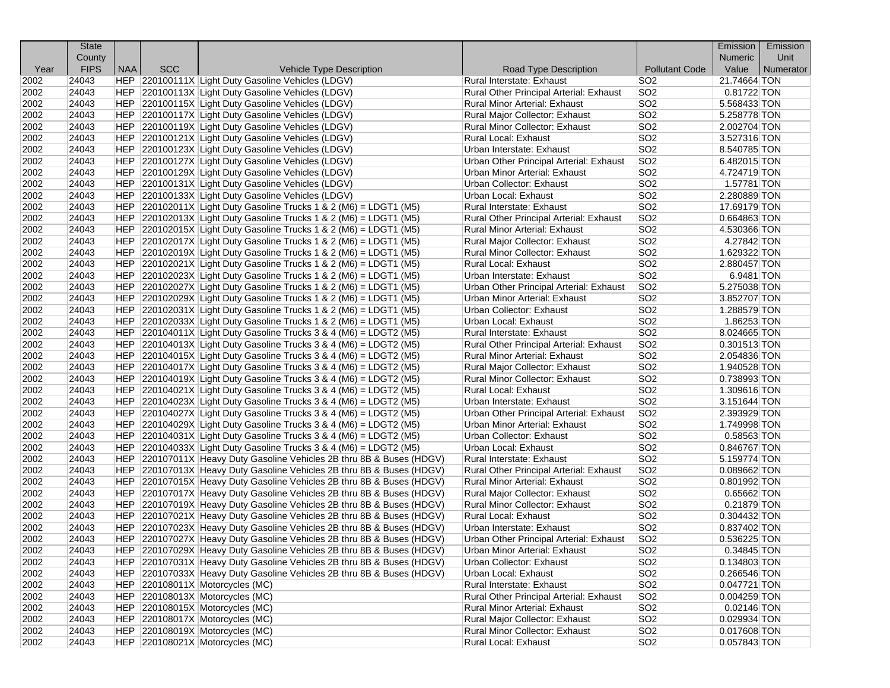|              | <b>State</b> |            |            |                                                                       |                                                                  |                                    | Emission                        | Emission  |
|--------------|--------------|------------|------------|-----------------------------------------------------------------------|------------------------------------------------------------------|------------------------------------|---------------------------------|-----------|
|              | County       |            |            |                                                                       |                                                                  |                                    | <b>Numeric</b>                  | Unit      |
| Year         | <b>FIPS</b>  | <b>NAA</b> | <b>SCC</b> | Vehicle Type Description                                              | Road Type Description                                            | <b>Pollutant Code</b>              | Value                           | Numerator |
| 2002         | 24043        |            |            | HEP 220100111X Light Duty Gasoline Vehicles (LDGV)                    | Rural Interstate: Exhaust                                        | SO <sub>2</sub>                    | 21.74664 TON                    |           |
| 2002         | 24043        |            |            | HEP 220100113X Light Duty Gasoline Vehicles (LDGV)                    | Rural Other Principal Arterial: Exhaust                          | SO <sub>2</sub>                    | 0.81722 TON                     |           |
| 2002         | 24043        |            |            | HEP 220100115X Light Duty Gasoline Vehicles (LDGV)                    | <b>Rural Minor Arterial: Exhaust</b>                             | SO <sub>2</sub>                    | 5.568433 TON                    |           |
| 2002         | 24043        |            |            | HEP 220100117X Light Duty Gasoline Vehicles (LDGV)                    | Rural Major Collector: Exhaust                                   | SO <sub>2</sub>                    | 5.258778 TON                    |           |
| 2002         | 24043        |            |            | HEP 220100119X Light Duty Gasoline Vehicles (LDGV)                    | Rural Minor Collector: Exhaust                                   | SO <sub>2</sub>                    | 2.002704 TON                    |           |
| 2002         | 24043        |            |            | HEP 220100121X Light Duty Gasoline Vehicles (LDGV)                    | Rural Local: Exhaust                                             | SO <sub>2</sub>                    | 3.527316 TON                    |           |
| 2002         | 24043        |            |            | HEP 220100123X Light Duty Gasoline Vehicles (LDGV)                    | Urban Interstate: Exhaust                                        | SO <sub>2</sub>                    | 8.540785 TON                    |           |
| 2002         | 24043        |            |            | HEP 220100127X Light Duty Gasoline Vehicles (LDGV)                    | Urban Other Principal Arterial: Exhaust                          | SO <sub>2</sub>                    | 6.482015 TON                    |           |
| 2002         | 24043        |            |            | HEP 220100129X Light Duty Gasoline Vehicles (LDGV)                    | Urban Minor Arterial: Exhaust                                    | SO <sub>2</sub>                    | 4.724719 TON                    |           |
| 2002         | 24043        |            |            | HEP 220100131X Light Duty Gasoline Vehicles (LDGV)                    | Urban Collector: Exhaust                                         | SO <sub>2</sub>                    | 1.57781 TON                     |           |
| 2002         | 24043        |            |            | HEP 220100133X Light Duty Gasoline Vehicles (LDGV)                    | Urban Local: Exhaust                                             | SO <sub>2</sub>                    | 2.280889 TON                    |           |
| 2002         | 24043        |            |            | $ HEP $ 220102011X Light Duty Gasoline Trucks 1 & 2 (M6) = LDGT1 (M5) | Rural Interstate: Exhaust                                        | SO <sub>2</sub>                    | 17.69179 TON                    |           |
| 2002         | 24043        |            |            | $ HEP $ 220102013X Light Duty Gasoline Trucks 1 & 2 (M6) = LDGT1 (M5) | Rural Other Principal Arterial: Exhaust                          | SO <sub>2</sub>                    | 0.664863 TON                    |           |
| 2002         | 24043        |            |            | $ HEP $ 220102015X Light Duty Gasoline Trucks 1 & 2 (M6) = LDGT1 (M5) | Rural Minor Arterial: Exhaust                                    | SO <sub>2</sub>                    | 4.530366 TON                    |           |
| 2002         | 24043        |            |            | HEP $ 220102017X $ Light Duty Gasoline Trucks 1 & 2 (M6) = LDGT1 (M5) | Rural Major Collector: Exhaust                                   | SO <sub>2</sub>                    | 4.27842 TON                     |           |
| 2002         | 24043        |            |            | $ HEP $ 220102019X Light Duty Gasoline Trucks 1 & 2 (M6) = LDGT1 (M5) | <b>Rural Minor Collector: Exhaust</b>                            | SO <sub>2</sub>                    | 1.629322 TON                    |           |
| 2002         | 24043        |            |            | $ HEP $ 220102021X Light Duty Gasoline Trucks 1 & 2 (M6) = LDGT1 (M5) | Rural Local: Exhaust                                             | SO <sub>2</sub>                    | 2.880457 TON                    |           |
| 2002         | 24043        |            |            | $ HEP $ 220102023X Light Duty Gasoline Trucks 1 & 2 (M6) = LDGT1 (M5) | Urban Interstate: Exhaust                                        | SO <sub>2</sub>                    | 6.9481 TON                      |           |
| 2002         | 24043        |            |            | $ HEP $ 220102027X Light Duty Gasoline Trucks 1 & 2 (M6) = LDGT1 (M5) | Urban Other Principal Arterial: Exhaust                          | SO <sub>2</sub>                    | 5.275038 TON                    |           |
| 2002         | 24043        |            |            | HEP $ 220102029X $ Light Duty Gasoline Trucks 1 & 2 (M6) = LDGT1 (M5) | Urban Minor Arterial: Exhaust                                    | SO <sub>2</sub>                    | 3.852707 TON                    |           |
| 2002         | 24043        |            |            | $ HEP $ 220102031X Light Duty Gasoline Trucks 1 & 2 (M6) = LDGT1 (M5) | Urban Collector: Exhaust                                         | SO <sub>2</sub>                    | 1.288579 TON                    |           |
| 2002         | 24043        |            |            | $ HEP $ 220102033X Light Duty Gasoline Trucks 1 & 2 (M6) = LDGT1 (M5) | <b>Urban Local: Exhaust</b>                                      | SO <sub>2</sub>                    | $1.86253$ TON                   |           |
| 2002         | 24043        |            |            | $ HEP $ 220104011X Light Duty Gasoline Trucks 3 & 4 (M6) = LDGT2 (M5) | Rural Interstate: Exhaust                                        | SO <sub>2</sub>                    | 8.024665 TON                    |           |
| 2002         | 24043        |            |            | $ HEP $ 220104013X Light Duty Gasoline Trucks 3 & 4 (M6) = LDGT2 (M5) | Rural Other Principal Arterial: Exhaust                          | SO <sub>2</sub>                    | $0.301513$ TON                  |           |
| 2002         | 24043        |            |            | HEP $ 220104015X $ Light Duty Gasoline Trucks 3 & 4 (M6) = LDGT2 (M5) | Rural Minor Arterial: Exhaust                                    | SO <sub>2</sub>                    | 2.054836 TON                    |           |
| 2002         | 24043        |            |            | $ HEP $ 220104017X Light Duty Gasoline Trucks 3 & 4 (M6) = LDGT2 (M5) | Rural Major Collector: Exhaust                                   | SO <sub>2</sub>                    | 1.940528 TON                    |           |
| 2002         | 24043        |            |            | $ HEP $ 220104019X Light Duty Gasoline Trucks 3 & 4 (M6) = LDGT2 (M5) | Rural Minor Collector: Exhaust                                   | SO <sub>2</sub>                    | 0.738993 TON                    |           |
| 2002         | 24043        |            |            | $ HEP $ 220104021X Light Duty Gasoline Trucks 3 & 4 (M6) = LDGT2 (M5) | <b>Rural Local: Exhaust</b>                                      | SO <sub>2</sub>                    | 1.309616 TON                    |           |
| 2002         | 24043        |            |            | $ HEP $ 220104023X Light Duty Gasoline Trucks 3 & 4 (M6) = LDGT2 (M5) | Urban Interstate: Exhaust                                        | SO <sub>2</sub>                    | 3.151644 TON                    |           |
| 2002         | 24043        |            |            | $ HEP $ 220104027X Light Duty Gasoline Trucks 3 & 4 (M6) = LDGT2 (M5) | Urban Other Principal Arterial: Exhaust                          | SO <sub>2</sub>                    | 2.393929 TON                    |           |
| 2002         | 24043        |            |            | $ HEP $ 220104029X Light Duty Gasoline Trucks 3 & 4 (M6) = LDGT2 (M5) | Urban Minor Arterial: Exhaust                                    | SO <sub>2</sub>                    | 1.749998 TON                    |           |
| 2002         | 24043        |            |            | $ HEP $ 220104031X Light Duty Gasoline Trucks 3 & 4 (M6) = LDGT2 (M5) | Urban Collector: Exhaust                                         | SO <sub>2</sub>                    | 0.58563 TON                     |           |
| 2002         | 24043        |            |            | $ HEP $ 220104033X Light Duty Gasoline Trucks 3 & 4 (M6) = LDGT2 (M5) | Urban Local: Exhaust                                             | SO <sub>2</sub>                    | 0.846767 TON                    |           |
| 2002         | 24043        |            |            | HEP 220107011X Heavy Duty Gasoline Vehicles 2B thru 8B & Buses (HDGV) | Rural Interstate: Exhaust                                        | SO <sub>2</sub>                    | 5.159774 TON                    |           |
| 2002         | 24043        |            |            | HEP 220107013X Heavy Duty Gasoline Vehicles 2B thru 8B & Buses (HDGV) | Rural Other Principal Arterial: Exhaust                          | SO <sub>2</sub>                    | 0.089662 TON                    |           |
| 2002         | 24043        |            |            | HEP 220107015X Heavy Duty Gasoline Vehicles 2B thru 8B & Buses (HDGV) | <b>Rural Minor Arterial: Exhaust</b>                             | SO <sub>2</sub>                    | 0.801992 TON                    |           |
| 2002         | 24043        |            |            | HEP 220107017X Heavy Duty Gasoline Vehicles 2B thru 8B & Buses (HDGV) | Rural Major Collector: Exhaust                                   | SO <sub>2</sub>                    | 0.65662 TON                     |           |
| 2002         | 24043        |            |            | HEP 220107019X Heavy Duty Gasoline Vehicles 2B thru 8B & Buses (HDGV) | Rural Minor Collector: Exhaust                                   | SO <sub>2</sub>                    | 0.21879 TON                     |           |
| 2002         | 24043        |            |            | HEP 220107021X Heavy Duty Gasoline Vehicles 2B thru 8B & Buses (HDGV) | Rural Local: Exhaust                                             | SO <sub>2</sub>                    | 0.304432 TON                    |           |
| 2002         | 24043        |            |            | HEP 220107023X Heavy Duty Gasoline Vehicles 2B thru 8B & Buses (HDGV) | Urban Interstate: Exhaust                                        | SO <sub>2</sub>                    | 0.837402 TON                    |           |
| 2002         | 24043        |            |            | HEP 220107027X Heavy Duty Gasoline Vehicles 2B thru 8B & Buses (HDGV) | Urban Other Principal Arterial: Exhaust                          | SO <sub>2</sub>                    | 0.536225 TON                    |           |
|              | 24043        |            |            | HEP 220107029X Heavy Duty Gasoline Vehicles 2B thru 8B & Buses (HDGV) | <b>Urban Minor Arterial: Exhaust</b>                             | SO <sub>2</sub>                    | 0.34845 TON                     |           |
| 2002<br>2002 | 24043        |            |            | HEP 220107031X Heavy Duty Gasoline Vehicles 2B thru 8B & Buses (HDGV) | Urban Collector: Exhaust                                         | SO <sub>2</sub>                    | 0.134803 TON                    |           |
| 2002         | 24043        |            |            | HEP 220107033X Heavy Duty Gasoline Vehicles 2B thru 8B & Buses (HDGV) | Urban Local: Exhaust                                             | SO <sub>2</sub>                    | 0.266546 TON                    |           |
| 2002         |              |            |            |                                                                       | Rural Interstate: Exhaust                                        | SO <sub>2</sub>                    | $0.047721$ TON                  |           |
|              | 24043        |            |            | HEP 220108011X Motorcycles (MC)                                       |                                                                  | SO <sub>2</sub>                    |                                 |           |
| 2002         | 24043        |            |            | HEP 220108013X Motorcycles (MC)<br>HEP 220108015X Motorcycles (MC)    | Rural Other Principal Arterial: Exhaust                          |                                    | $0.004259$ TON<br>$0.02146$ TON |           |
| 2002         | 24043        |            |            |                                                                       | Rural Minor Arterial: Exhaust                                    | SO <sub>2</sub>                    |                                 |           |
| 2002         | 24043        |            |            | HEP 220108017X Motorcycles (MC)                                       | Rural Major Collector: Exhaust<br>Rural Minor Collector: Exhaust | SO <sub>2</sub>                    | 0.029934 TON                    |           |
| 2002         | 24043        |            |            | HEP 220108019X Motorcycles (MC)                                       |                                                                  | SO <sub>2</sub><br>SO <sub>2</sub> | 0.017608 TON                    |           |
| 2002         | 24043        |            |            | HEP 220108021X Motorcycles (MC)                                       | Rural Local: Exhaust                                             |                                    | 0.057843 TON                    |           |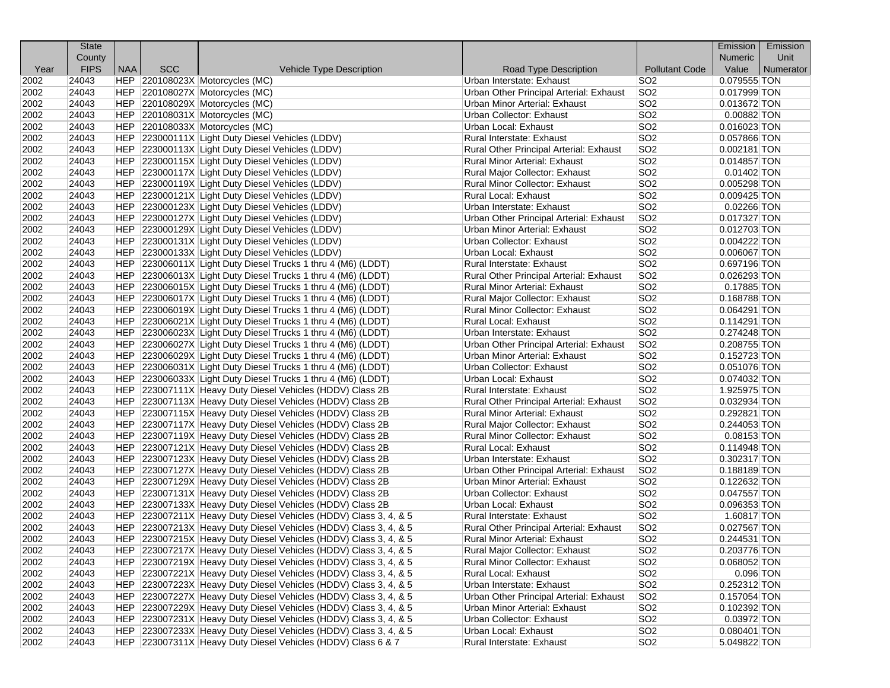| County<br><b>Numeric</b><br>Unit<br><b>FIPS</b><br><b>NAA</b><br><b>SCC</b><br><b>Pollutant Code</b><br>Value<br>Numerator<br>Year<br>Vehicle Type Description<br>Road Type Description<br>0.079555 TON<br>2002<br>24043<br>HEP 220108023X Motorcycles (MC)<br>Urban Interstate: Exhaust<br>SO <sub>2</sub><br>SO <sub>2</sub><br>2002<br>24043<br>HEP 220108027X Motorcycles (MC)<br>Urban Other Principal Arterial: Exhaust<br>0.017999 TON<br>SO <sub>2</sub><br>2002<br>24043<br>HEP 220108029X Motorcycles (MC)<br>Urban Minor Arterial: Exhaust<br>0.013672 TON<br>2002<br>SO <sub>2</sub><br>$0.00882$ TON<br>24043<br>HEP 220108031X Motorcycles (MC)<br>Urban Collector: Exhaust<br>SO <sub>2</sub><br>2002<br>24043<br>HEP 220108033X Motorcycles (MC)<br>Urban Local: Exhaust<br>$0.016023$ TON<br>SO <sub>2</sub><br>2002<br>24043<br>HEP 223000111X Light Duty Diesel Vehicles (LDDV)<br>0.057866 TON<br>Rural Interstate: Exhaust<br>2002<br>24043<br>HEP 223000113X Light Duty Diesel Vehicles (LDDV)<br>SO <sub>2</sub><br>Rural Other Principal Arterial: Exhaust<br>$0.002181$ TON<br>SO <sub>2</sub><br>2002<br>24043<br>HEP 223000115X Light Duty Diesel Vehicles (LDDV)<br><b>Rural Minor Arterial: Exhaust</b><br>$0.014857$ TON<br>SO <sub>2</sub><br>2002<br>24043<br>HEP 223000117X Light Duty Diesel Vehicles (LDDV)<br>Rural Major Collector: Exhaust<br>$0.01402$ TON<br>2002<br>SO <sub>2</sub><br>24043<br>HEP 223000119X Light Duty Diesel Vehicles (LDDV)<br>Rural Minor Collector: Exhaust<br>0.005298 TON<br>2002<br>24043<br>Rural Local: Exhaust<br>SO <sub>2</sub><br>HEP 223000121X Light Duty Diesel Vehicles (LDDV)<br>$0.009425$ TON<br>SO <sub>2</sub><br>HEP 223000123X Light Duty Diesel Vehicles (LDDV)<br>$0.02266$ TON<br>2002<br>24043<br>Urban Interstate: Exhaust<br>SO <sub>2</sub><br>2002<br>24043<br>HEP 223000127X Light Duty Diesel Vehicles (LDDV)<br>Urban Other Principal Arterial: Exhaust<br>$0.017327$ TON<br>2002<br>SO <sub>2</sub><br>$0.012703$ TON<br>24043<br>HEP 223000129X Light Duty Diesel Vehicles (LDDV)<br><b>Urban Minor Arterial: Exhaust</b><br>SO <sub>2</sub><br>2002<br>24043<br>HEP 223000131X Light Duty Diesel Vehicles (LDDV)<br>Urban Collector: Exhaust<br>$0.004222$ TON<br>SO <sub>2</sub><br>2002<br>24043<br>Urban Local: Exhaust<br>0.006067 TON<br>HEP 223000133X Light Duty Diesel Vehicles (LDDV)<br>24043<br>HEP 223006011X Light Duty Diesel Trucks 1 thru 4 (M6) (LDDT)<br>SO <sub>2</sub><br>2002<br>Rural Interstate: Exhaust<br>0.697196 TON<br>SO <sub>2</sub><br>2002<br>24043<br>HEP 223006013X Light Duty Diesel Trucks 1 thru 4 (M6) (LDDT)<br>Rural Other Principal Arterial: Exhaust<br>0.026293 TON<br>SO <sub>2</sub><br>2002<br>0.17885 TON<br>24043<br>HEP 223006015X Light Duty Diesel Trucks 1 thru 4 (M6) (LDDT)<br>Rural Minor Arterial: Exhaust<br>2002<br>24043<br>SO <sub>2</sub><br>0.168788 TON<br>HEP 223006017X Light Duty Diesel Trucks 1 thru 4 (M6) (LDDT)<br>Rural Major Collector: Exhaust<br>2002<br>24043<br>SO <sub>2</sub><br>HEP 223006019X Light Duty Diesel Trucks 1 thru 4 (M6) (LDDT)<br>Rural Minor Collector: Exhaust<br>$0.064291$ TON<br>HEP 223006021X Light Duty Diesel Trucks 1 thru 4 (M6) (LDDT)<br>SO <sub>2</sub><br>2002<br>24043<br>Rural Local: Exhaust<br>$0.114291$ TON<br>SO <sub>2</sub><br>2002<br>HEP 223006023X Light Duty Diesel Trucks 1 thru 4 (M6) (LDDT)<br>24043<br>Urban Interstate: Exhaust<br>0.274248 TON<br>2002<br>SO <sub>2</sub><br>0.208755 TON<br>24043<br>HEP 223006027X Light Duty Diesel Trucks 1 thru 4 (M6) (LDDT)<br>Urban Other Principal Arterial: Exhaust<br>SO <sub>2</sub><br>2002<br>24043<br>HEP 223006029X Light Duty Diesel Trucks 1 thru 4 (M6) (LDDT)<br>Urban Minor Arterial: Exhaust<br>0.152723 TON<br>2002<br>24043<br>HEP 223006031X Light Duty Diesel Trucks 1 thru 4 (M6) (LDDT)<br>Urban Collector: Exhaust<br>SO <sub>2</sub><br>0.051076 TON<br>24043<br>HEP 223006033X Light Duty Diesel Trucks 1 thru 4 (M6) (LDDT)<br>SO <sub>2</sub><br>2002<br>Urban Local: Exhaust<br>0.074032 TON<br>SO <sub>2</sub><br>2002<br>24043<br>HEP 223007111X Heavy Duty Diesel Vehicles (HDDV) Class 2B<br>Rural Interstate: Exhaust<br>1.925975 TON<br>SO <sub>2</sub><br>2002<br>0.032934 TON<br>24043<br>HEP 223007113X Heavy Duty Diesel Vehicles (HDDV) Class 2B<br>Rural Other Principal Arterial: Exhaust<br>2002<br>24043<br>SO <sub>2</sub><br>HEP 223007115X Heavy Duty Diesel Vehicles (HDDV) Class 2B<br><b>Rural Minor Arterial: Exhaust</b><br>0.292821 TON<br>2002<br>24043<br>SO <sub>2</sub><br>HEP 223007117X Heavy Duty Diesel Vehicles (HDDV) Class 2B<br>Rural Major Collector: Exhaust<br>0.244053 TON<br>SO <sub>2</sub><br>2002<br>24043<br>HEP 223007119X Heavy Duty Diesel Vehicles (HDDV) Class 2B<br>Rural Minor Collector: Exhaust<br>$0.08153$ TON<br>SO <sub>2</sub><br>2002<br>HEP 223007121X Heavy Duty Diesel Vehicles (HDDV) Class 2B<br>24043<br><b>Rural Local: Exhaust</b><br>$0.114948$ TON<br>2002<br>SO <sub>2</sub><br>24043<br>HEP 223007123X Heavy Duty Diesel Vehicles (HDDV) Class 2B<br>0.302317 TON<br>Urban Interstate: Exhaust |
|-----------------------------------------------------------------------------------------------------------------------------------------------------------------------------------------------------------------------------------------------------------------------------------------------------------------------------------------------------------------------------------------------------------------------------------------------------------------------------------------------------------------------------------------------------------------------------------------------------------------------------------------------------------------------------------------------------------------------------------------------------------------------------------------------------------------------------------------------------------------------------------------------------------------------------------------------------------------------------------------------------------------------------------------------------------------------------------------------------------------------------------------------------------------------------------------------------------------------------------------------------------------------------------------------------------------------------------------------------------------------------------------------------------------------------------------------------------------------------------------------------------------------------------------------------------------------------------------------------------------------------------------------------------------------------------------------------------------------------------------------------------------------------------------------------------------------------------------------------------------------------------------------------------------------------------------------------------------------------------------------------------------------------------------------------------------------------------------------------------------------------------------------------------------------------------------------------------------------------------------------------------------------------------------------------------------------------------------------------------------------------------------------------------------------------------------------------------------------------------------------------------------------------------------------------------------------------------------------------------------------------------------------------------------------------------------------------------------------------------------------------------------------------------------------------------------------------------------------------------------------------------------------------------------------------------------------------------------------------------------------------------------------------------------------------------------------------------------------------------------------------------------------------------------------------------------------------------------------------------------------------------------------------------------------------------------------------------------------------------------------------------------------------------------------------------------------------------------------------------------------------------------------------------------------------------------------------------------------------------------------------------------------------------------------------------------------------------------------------------------------------------------------------------------------------------------------------------------------------------------------------------------------------------------------------------------------------------------------------------------------------------------------------------------------------------------------------------------------------------------------------------------------------------------------------------------------------------------------------------------------------------------------------------------------------------------------------------------------------------------------------------------------------------------------------------------------------------------------------------------------------------------------------------------------------------------------------------------------------------------------------------------------------------------------------------------------------------------------------------------------------------------------------------------------------------------------------------------------------------------------------------------------------------------------------------------------------------------------------------------------------------------------------------------------------------------------------------------------------------------------------------------------------------------------------|
|                                                                                                                                                                                                                                                                                                                                                                                                                                                                                                                                                                                                                                                                                                                                                                                                                                                                                                                                                                                                                                                                                                                                                                                                                                                                                                                                                                                                                                                                                                                                                                                                                                                                                                                                                                                                                                                                                                                                                                                                                                                                                                                                                                                                                                                                                                                                                                                                                                                                                                                                                                                                                                                                                                                                                                                                                                                                                                                                                                                                                                                                                                                                                                                                                                                                                                                                                                                                                                                                                                                                                                                                                                                                                                                                                                                                                                                                                                                                                                                                                                                                                                                                                                                                                                                                                                                                                                                                                                                                                                                                                                                                                                                                                                                                                                                                                                                                                                                                                                                                                                                                                                                                                                             |
|                                                                                                                                                                                                                                                                                                                                                                                                                                                                                                                                                                                                                                                                                                                                                                                                                                                                                                                                                                                                                                                                                                                                                                                                                                                                                                                                                                                                                                                                                                                                                                                                                                                                                                                                                                                                                                                                                                                                                                                                                                                                                                                                                                                                                                                                                                                                                                                                                                                                                                                                                                                                                                                                                                                                                                                                                                                                                                                                                                                                                                                                                                                                                                                                                                                                                                                                                                                                                                                                                                                                                                                                                                                                                                                                                                                                                                                                                                                                                                                                                                                                                                                                                                                                                                                                                                                                                                                                                                                                                                                                                                                                                                                                                                                                                                                                                                                                                                                                                                                                                                                                                                                                                                             |
|                                                                                                                                                                                                                                                                                                                                                                                                                                                                                                                                                                                                                                                                                                                                                                                                                                                                                                                                                                                                                                                                                                                                                                                                                                                                                                                                                                                                                                                                                                                                                                                                                                                                                                                                                                                                                                                                                                                                                                                                                                                                                                                                                                                                                                                                                                                                                                                                                                                                                                                                                                                                                                                                                                                                                                                                                                                                                                                                                                                                                                                                                                                                                                                                                                                                                                                                                                                                                                                                                                                                                                                                                                                                                                                                                                                                                                                                                                                                                                                                                                                                                                                                                                                                                                                                                                                                                                                                                                                                                                                                                                                                                                                                                                                                                                                                                                                                                                                                                                                                                                                                                                                                                                             |
|                                                                                                                                                                                                                                                                                                                                                                                                                                                                                                                                                                                                                                                                                                                                                                                                                                                                                                                                                                                                                                                                                                                                                                                                                                                                                                                                                                                                                                                                                                                                                                                                                                                                                                                                                                                                                                                                                                                                                                                                                                                                                                                                                                                                                                                                                                                                                                                                                                                                                                                                                                                                                                                                                                                                                                                                                                                                                                                                                                                                                                                                                                                                                                                                                                                                                                                                                                                                                                                                                                                                                                                                                                                                                                                                                                                                                                                                                                                                                                                                                                                                                                                                                                                                                                                                                                                                                                                                                                                                                                                                                                                                                                                                                                                                                                                                                                                                                                                                                                                                                                                                                                                                                                             |
|                                                                                                                                                                                                                                                                                                                                                                                                                                                                                                                                                                                                                                                                                                                                                                                                                                                                                                                                                                                                                                                                                                                                                                                                                                                                                                                                                                                                                                                                                                                                                                                                                                                                                                                                                                                                                                                                                                                                                                                                                                                                                                                                                                                                                                                                                                                                                                                                                                                                                                                                                                                                                                                                                                                                                                                                                                                                                                                                                                                                                                                                                                                                                                                                                                                                                                                                                                                                                                                                                                                                                                                                                                                                                                                                                                                                                                                                                                                                                                                                                                                                                                                                                                                                                                                                                                                                                                                                                                                                                                                                                                                                                                                                                                                                                                                                                                                                                                                                                                                                                                                                                                                                                                             |
|                                                                                                                                                                                                                                                                                                                                                                                                                                                                                                                                                                                                                                                                                                                                                                                                                                                                                                                                                                                                                                                                                                                                                                                                                                                                                                                                                                                                                                                                                                                                                                                                                                                                                                                                                                                                                                                                                                                                                                                                                                                                                                                                                                                                                                                                                                                                                                                                                                                                                                                                                                                                                                                                                                                                                                                                                                                                                                                                                                                                                                                                                                                                                                                                                                                                                                                                                                                                                                                                                                                                                                                                                                                                                                                                                                                                                                                                                                                                                                                                                                                                                                                                                                                                                                                                                                                                                                                                                                                                                                                                                                                                                                                                                                                                                                                                                                                                                                                                                                                                                                                                                                                                                                             |
|                                                                                                                                                                                                                                                                                                                                                                                                                                                                                                                                                                                                                                                                                                                                                                                                                                                                                                                                                                                                                                                                                                                                                                                                                                                                                                                                                                                                                                                                                                                                                                                                                                                                                                                                                                                                                                                                                                                                                                                                                                                                                                                                                                                                                                                                                                                                                                                                                                                                                                                                                                                                                                                                                                                                                                                                                                                                                                                                                                                                                                                                                                                                                                                                                                                                                                                                                                                                                                                                                                                                                                                                                                                                                                                                                                                                                                                                                                                                                                                                                                                                                                                                                                                                                                                                                                                                                                                                                                                                                                                                                                                                                                                                                                                                                                                                                                                                                                                                                                                                                                                                                                                                                                             |
|                                                                                                                                                                                                                                                                                                                                                                                                                                                                                                                                                                                                                                                                                                                                                                                                                                                                                                                                                                                                                                                                                                                                                                                                                                                                                                                                                                                                                                                                                                                                                                                                                                                                                                                                                                                                                                                                                                                                                                                                                                                                                                                                                                                                                                                                                                                                                                                                                                                                                                                                                                                                                                                                                                                                                                                                                                                                                                                                                                                                                                                                                                                                                                                                                                                                                                                                                                                                                                                                                                                                                                                                                                                                                                                                                                                                                                                                                                                                                                                                                                                                                                                                                                                                                                                                                                                                                                                                                                                                                                                                                                                                                                                                                                                                                                                                                                                                                                                                                                                                                                                                                                                                                                             |
|                                                                                                                                                                                                                                                                                                                                                                                                                                                                                                                                                                                                                                                                                                                                                                                                                                                                                                                                                                                                                                                                                                                                                                                                                                                                                                                                                                                                                                                                                                                                                                                                                                                                                                                                                                                                                                                                                                                                                                                                                                                                                                                                                                                                                                                                                                                                                                                                                                                                                                                                                                                                                                                                                                                                                                                                                                                                                                                                                                                                                                                                                                                                                                                                                                                                                                                                                                                                                                                                                                                                                                                                                                                                                                                                                                                                                                                                                                                                                                                                                                                                                                                                                                                                                                                                                                                                                                                                                                                                                                                                                                                                                                                                                                                                                                                                                                                                                                                                                                                                                                                                                                                                                                             |
|                                                                                                                                                                                                                                                                                                                                                                                                                                                                                                                                                                                                                                                                                                                                                                                                                                                                                                                                                                                                                                                                                                                                                                                                                                                                                                                                                                                                                                                                                                                                                                                                                                                                                                                                                                                                                                                                                                                                                                                                                                                                                                                                                                                                                                                                                                                                                                                                                                                                                                                                                                                                                                                                                                                                                                                                                                                                                                                                                                                                                                                                                                                                                                                                                                                                                                                                                                                                                                                                                                                                                                                                                                                                                                                                                                                                                                                                                                                                                                                                                                                                                                                                                                                                                                                                                                                                                                                                                                                                                                                                                                                                                                                                                                                                                                                                                                                                                                                                                                                                                                                                                                                                                                             |
|                                                                                                                                                                                                                                                                                                                                                                                                                                                                                                                                                                                                                                                                                                                                                                                                                                                                                                                                                                                                                                                                                                                                                                                                                                                                                                                                                                                                                                                                                                                                                                                                                                                                                                                                                                                                                                                                                                                                                                                                                                                                                                                                                                                                                                                                                                                                                                                                                                                                                                                                                                                                                                                                                                                                                                                                                                                                                                                                                                                                                                                                                                                                                                                                                                                                                                                                                                                                                                                                                                                                                                                                                                                                                                                                                                                                                                                                                                                                                                                                                                                                                                                                                                                                                                                                                                                                                                                                                                                                                                                                                                                                                                                                                                                                                                                                                                                                                                                                                                                                                                                                                                                                                                             |
|                                                                                                                                                                                                                                                                                                                                                                                                                                                                                                                                                                                                                                                                                                                                                                                                                                                                                                                                                                                                                                                                                                                                                                                                                                                                                                                                                                                                                                                                                                                                                                                                                                                                                                                                                                                                                                                                                                                                                                                                                                                                                                                                                                                                                                                                                                                                                                                                                                                                                                                                                                                                                                                                                                                                                                                                                                                                                                                                                                                                                                                                                                                                                                                                                                                                                                                                                                                                                                                                                                                                                                                                                                                                                                                                                                                                                                                                                                                                                                                                                                                                                                                                                                                                                                                                                                                                                                                                                                                                                                                                                                                                                                                                                                                                                                                                                                                                                                                                                                                                                                                                                                                                                                             |
|                                                                                                                                                                                                                                                                                                                                                                                                                                                                                                                                                                                                                                                                                                                                                                                                                                                                                                                                                                                                                                                                                                                                                                                                                                                                                                                                                                                                                                                                                                                                                                                                                                                                                                                                                                                                                                                                                                                                                                                                                                                                                                                                                                                                                                                                                                                                                                                                                                                                                                                                                                                                                                                                                                                                                                                                                                                                                                                                                                                                                                                                                                                                                                                                                                                                                                                                                                                                                                                                                                                                                                                                                                                                                                                                                                                                                                                                                                                                                                                                                                                                                                                                                                                                                                                                                                                                                                                                                                                                                                                                                                                                                                                                                                                                                                                                                                                                                                                                                                                                                                                                                                                                                                             |
|                                                                                                                                                                                                                                                                                                                                                                                                                                                                                                                                                                                                                                                                                                                                                                                                                                                                                                                                                                                                                                                                                                                                                                                                                                                                                                                                                                                                                                                                                                                                                                                                                                                                                                                                                                                                                                                                                                                                                                                                                                                                                                                                                                                                                                                                                                                                                                                                                                                                                                                                                                                                                                                                                                                                                                                                                                                                                                                                                                                                                                                                                                                                                                                                                                                                                                                                                                                                                                                                                                                                                                                                                                                                                                                                                                                                                                                                                                                                                                                                                                                                                                                                                                                                                                                                                                                                                                                                                                                                                                                                                                                                                                                                                                                                                                                                                                                                                                                                                                                                                                                                                                                                                                             |
|                                                                                                                                                                                                                                                                                                                                                                                                                                                                                                                                                                                                                                                                                                                                                                                                                                                                                                                                                                                                                                                                                                                                                                                                                                                                                                                                                                                                                                                                                                                                                                                                                                                                                                                                                                                                                                                                                                                                                                                                                                                                                                                                                                                                                                                                                                                                                                                                                                                                                                                                                                                                                                                                                                                                                                                                                                                                                                                                                                                                                                                                                                                                                                                                                                                                                                                                                                                                                                                                                                                                                                                                                                                                                                                                                                                                                                                                                                                                                                                                                                                                                                                                                                                                                                                                                                                                                                                                                                                                                                                                                                                                                                                                                                                                                                                                                                                                                                                                                                                                                                                                                                                                                                             |
|                                                                                                                                                                                                                                                                                                                                                                                                                                                                                                                                                                                                                                                                                                                                                                                                                                                                                                                                                                                                                                                                                                                                                                                                                                                                                                                                                                                                                                                                                                                                                                                                                                                                                                                                                                                                                                                                                                                                                                                                                                                                                                                                                                                                                                                                                                                                                                                                                                                                                                                                                                                                                                                                                                                                                                                                                                                                                                                                                                                                                                                                                                                                                                                                                                                                                                                                                                                                                                                                                                                                                                                                                                                                                                                                                                                                                                                                                                                                                                                                                                                                                                                                                                                                                                                                                                                                                                                                                                                                                                                                                                                                                                                                                                                                                                                                                                                                                                                                                                                                                                                                                                                                                                             |
|                                                                                                                                                                                                                                                                                                                                                                                                                                                                                                                                                                                                                                                                                                                                                                                                                                                                                                                                                                                                                                                                                                                                                                                                                                                                                                                                                                                                                                                                                                                                                                                                                                                                                                                                                                                                                                                                                                                                                                                                                                                                                                                                                                                                                                                                                                                                                                                                                                                                                                                                                                                                                                                                                                                                                                                                                                                                                                                                                                                                                                                                                                                                                                                                                                                                                                                                                                                                                                                                                                                                                                                                                                                                                                                                                                                                                                                                                                                                                                                                                                                                                                                                                                                                                                                                                                                                                                                                                                                                                                                                                                                                                                                                                                                                                                                                                                                                                                                                                                                                                                                                                                                                                                             |
|                                                                                                                                                                                                                                                                                                                                                                                                                                                                                                                                                                                                                                                                                                                                                                                                                                                                                                                                                                                                                                                                                                                                                                                                                                                                                                                                                                                                                                                                                                                                                                                                                                                                                                                                                                                                                                                                                                                                                                                                                                                                                                                                                                                                                                                                                                                                                                                                                                                                                                                                                                                                                                                                                                                                                                                                                                                                                                                                                                                                                                                                                                                                                                                                                                                                                                                                                                                                                                                                                                                                                                                                                                                                                                                                                                                                                                                                                                                                                                                                                                                                                                                                                                                                                                                                                                                                                                                                                                                                                                                                                                                                                                                                                                                                                                                                                                                                                                                                                                                                                                                                                                                                                                             |
|                                                                                                                                                                                                                                                                                                                                                                                                                                                                                                                                                                                                                                                                                                                                                                                                                                                                                                                                                                                                                                                                                                                                                                                                                                                                                                                                                                                                                                                                                                                                                                                                                                                                                                                                                                                                                                                                                                                                                                                                                                                                                                                                                                                                                                                                                                                                                                                                                                                                                                                                                                                                                                                                                                                                                                                                                                                                                                                                                                                                                                                                                                                                                                                                                                                                                                                                                                                                                                                                                                                                                                                                                                                                                                                                                                                                                                                                                                                                                                                                                                                                                                                                                                                                                                                                                                                                                                                                                                                                                                                                                                                                                                                                                                                                                                                                                                                                                                                                                                                                                                                                                                                                                                             |
|                                                                                                                                                                                                                                                                                                                                                                                                                                                                                                                                                                                                                                                                                                                                                                                                                                                                                                                                                                                                                                                                                                                                                                                                                                                                                                                                                                                                                                                                                                                                                                                                                                                                                                                                                                                                                                                                                                                                                                                                                                                                                                                                                                                                                                                                                                                                                                                                                                                                                                                                                                                                                                                                                                                                                                                                                                                                                                                                                                                                                                                                                                                                                                                                                                                                                                                                                                                                                                                                                                                                                                                                                                                                                                                                                                                                                                                                                                                                                                                                                                                                                                                                                                                                                                                                                                                                                                                                                                                                                                                                                                                                                                                                                                                                                                                                                                                                                                                                                                                                                                                                                                                                                                             |
|                                                                                                                                                                                                                                                                                                                                                                                                                                                                                                                                                                                                                                                                                                                                                                                                                                                                                                                                                                                                                                                                                                                                                                                                                                                                                                                                                                                                                                                                                                                                                                                                                                                                                                                                                                                                                                                                                                                                                                                                                                                                                                                                                                                                                                                                                                                                                                                                                                                                                                                                                                                                                                                                                                                                                                                                                                                                                                                                                                                                                                                                                                                                                                                                                                                                                                                                                                                                                                                                                                                                                                                                                                                                                                                                                                                                                                                                                                                                                                                                                                                                                                                                                                                                                                                                                                                                                                                                                                                                                                                                                                                                                                                                                                                                                                                                                                                                                                                                                                                                                                                                                                                                                                             |
|                                                                                                                                                                                                                                                                                                                                                                                                                                                                                                                                                                                                                                                                                                                                                                                                                                                                                                                                                                                                                                                                                                                                                                                                                                                                                                                                                                                                                                                                                                                                                                                                                                                                                                                                                                                                                                                                                                                                                                                                                                                                                                                                                                                                                                                                                                                                                                                                                                                                                                                                                                                                                                                                                                                                                                                                                                                                                                                                                                                                                                                                                                                                                                                                                                                                                                                                                                                                                                                                                                                                                                                                                                                                                                                                                                                                                                                                                                                                                                                                                                                                                                                                                                                                                                                                                                                                                                                                                                                                                                                                                                                                                                                                                                                                                                                                                                                                                                                                                                                                                                                                                                                                                                             |
|                                                                                                                                                                                                                                                                                                                                                                                                                                                                                                                                                                                                                                                                                                                                                                                                                                                                                                                                                                                                                                                                                                                                                                                                                                                                                                                                                                                                                                                                                                                                                                                                                                                                                                                                                                                                                                                                                                                                                                                                                                                                                                                                                                                                                                                                                                                                                                                                                                                                                                                                                                                                                                                                                                                                                                                                                                                                                                                                                                                                                                                                                                                                                                                                                                                                                                                                                                                                                                                                                                                                                                                                                                                                                                                                                                                                                                                                                                                                                                                                                                                                                                                                                                                                                                                                                                                                                                                                                                                                                                                                                                                                                                                                                                                                                                                                                                                                                                                                                                                                                                                                                                                                                                             |
|                                                                                                                                                                                                                                                                                                                                                                                                                                                                                                                                                                                                                                                                                                                                                                                                                                                                                                                                                                                                                                                                                                                                                                                                                                                                                                                                                                                                                                                                                                                                                                                                                                                                                                                                                                                                                                                                                                                                                                                                                                                                                                                                                                                                                                                                                                                                                                                                                                                                                                                                                                                                                                                                                                                                                                                                                                                                                                                                                                                                                                                                                                                                                                                                                                                                                                                                                                                                                                                                                                                                                                                                                                                                                                                                                                                                                                                                                                                                                                                                                                                                                                                                                                                                                                                                                                                                                                                                                                                                                                                                                                                                                                                                                                                                                                                                                                                                                                                                                                                                                                                                                                                                                                             |
|                                                                                                                                                                                                                                                                                                                                                                                                                                                                                                                                                                                                                                                                                                                                                                                                                                                                                                                                                                                                                                                                                                                                                                                                                                                                                                                                                                                                                                                                                                                                                                                                                                                                                                                                                                                                                                                                                                                                                                                                                                                                                                                                                                                                                                                                                                                                                                                                                                                                                                                                                                                                                                                                                                                                                                                                                                                                                                                                                                                                                                                                                                                                                                                                                                                                                                                                                                                                                                                                                                                                                                                                                                                                                                                                                                                                                                                                                                                                                                                                                                                                                                                                                                                                                                                                                                                                                                                                                                                                                                                                                                                                                                                                                                                                                                                                                                                                                                                                                                                                                                                                                                                                                                             |
|                                                                                                                                                                                                                                                                                                                                                                                                                                                                                                                                                                                                                                                                                                                                                                                                                                                                                                                                                                                                                                                                                                                                                                                                                                                                                                                                                                                                                                                                                                                                                                                                                                                                                                                                                                                                                                                                                                                                                                                                                                                                                                                                                                                                                                                                                                                                                                                                                                                                                                                                                                                                                                                                                                                                                                                                                                                                                                                                                                                                                                                                                                                                                                                                                                                                                                                                                                                                                                                                                                                                                                                                                                                                                                                                                                                                                                                                                                                                                                                                                                                                                                                                                                                                                                                                                                                                                                                                                                                                                                                                                                                                                                                                                                                                                                                                                                                                                                                                                                                                                                                                                                                                                                             |
|                                                                                                                                                                                                                                                                                                                                                                                                                                                                                                                                                                                                                                                                                                                                                                                                                                                                                                                                                                                                                                                                                                                                                                                                                                                                                                                                                                                                                                                                                                                                                                                                                                                                                                                                                                                                                                                                                                                                                                                                                                                                                                                                                                                                                                                                                                                                                                                                                                                                                                                                                                                                                                                                                                                                                                                                                                                                                                                                                                                                                                                                                                                                                                                                                                                                                                                                                                                                                                                                                                                                                                                                                                                                                                                                                                                                                                                                                                                                                                                                                                                                                                                                                                                                                                                                                                                                                                                                                                                                                                                                                                                                                                                                                                                                                                                                                                                                                                                                                                                                                                                                                                                                                                             |
|                                                                                                                                                                                                                                                                                                                                                                                                                                                                                                                                                                                                                                                                                                                                                                                                                                                                                                                                                                                                                                                                                                                                                                                                                                                                                                                                                                                                                                                                                                                                                                                                                                                                                                                                                                                                                                                                                                                                                                                                                                                                                                                                                                                                                                                                                                                                                                                                                                                                                                                                                                                                                                                                                                                                                                                                                                                                                                                                                                                                                                                                                                                                                                                                                                                                                                                                                                                                                                                                                                                                                                                                                                                                                                                                                                                                                                                                                                                                                                                                                                                                                                                                                                                                                                                                                                                                                                                                                                                                                                                                                                                                                                                                                                                                                                                                                                                                                                                                                                                                                                                                                                                                                                             |
|                                                                                                                                                                                                                                                                                                                                                                                                                                                                                                                                                                                                                                                                                                                                                                                                                                                                                                                                                                                                                                                                                                                                                                                                                                                                                                                                                                                                                                                                                                                                                                                                                                                                                                                                                                                                                                                                                                                                                                                                                                                                                                                                                                                                                                                                                                                                                                                                                                                                                                                                                                                                                                                                                                                                                                                                                                                                                                                                                                                                                                                                                                                                                                                                                                                                                                                                                                                                                                                                                                                                                                                                                                                                                                                                                                                                                                                                                                                                                                                                                                                                                                                                                                                                                                                                                                                                                                                                                                                                                                                                                                                                                                                                                                                                                                                                                                                                                                                                                                                                                                                                                                                                                                             |
|                                                                                                                                                                                                                                                                                                                                                                                                                                                                                                                                                                                                                                                                                                                                                                                                                                                                                                                                                                                                                                                                                                                                                                                                                                                                                                                                                                                                                                                                                                                                                                                                                                                                                                                                                                                                                                                                                                                                                                                                                                                                                                                                                                                                                                                                                                                                                                                                                                                                                                                                                                                                                                                                                                                                                                                                                                                                                                                                                                                                                                                                                                                                                                                                                                                                                                                                                                                                                                                                                                                                                                                                                                                                                                                                                                                                                                                                                                                                                                                                                                                                                                                                                                                                                                                                                                                                                                                                                                                                                                                                                                                                                                                                                                                                                                                                                                                                                                                                                                                                                                                                                                                                                                             |
|                                                                                                                                                                                                                                                                                                                                                                                                                                                                                                                                                                                                                                                                                                                                                                                                                                                                                                                                                                                                                                                                                                                                                                                                                                                                                                                                                                                                                                                                                                                                                                                                                                                                                                                                                                                                                                                                                                                                                                                                                                                                                                                                                                                                                                                                                                                                                                                                                                                                                                                                                                                                                                                                                                                                                                                                                                                                                                                                                                                                                                                                                                                                                                                                                                                                                                                                                                                                                                                                                                                                                                                                                                                                                                                                                                                                                                                                                                                                                                                                                                                                                                                                                                                                                                                                                                                                                                                                                                                                                                                                                                                                                                                                                                                                                                                                                                                                                                                                                                                                                                                                                                                                                                             |
|                                                                                                                                                                                                                                                                                                                                                                                                                                                                                                                                                                                                                                                                                                                                                                                                                                                                                                                                                                                                                                                                                                                                                                                                                                                                                                                                                                                                                                                                                                                                                                                                                                                                                                                                                                                                                                                                                                                                                                                                                                                                                                                                                                                                                                                                                                                                                                                                                                                                                                                                                                                                                                                                                                                                                                                                                                                                                                                                                                                                                                                                                                                                                                                                                                                                                                                                                                                                                                                                                                                                                                                                                                                                                                                                                                                                                                                                                                                                                                                                                                                                                                                                                                                                                                                                                                                                                                                                                                                                                                                                                                                                                                                                                                                                                                                                                                                                                                                                                                                                                                                                                                                                                                             |
|                                                                                                                                                                                                                                                                                                                                                                                                                                                                                                                                                                                                                                                                                                                                                                                                                                                                                                                                                                                                                                                                                                                                                                                                                                                                                                                                                                                                                                                                                                                                                                                                                                                                                                                                                                                                                                                                                                                                                                                                                                                                                                                                                                                                                                                                                                                                                                                                                                                                                                                                                                                                                                                                                                                                                                                                                                                                                                                                                                                                                                                                                                                                                                                                                                                                                                                                                                                                                                                                                                                                                                                                                                                                                                                                                                                                                                                                                                                                                                                                                                                                                                                                                                                                                                                                                                                                                                                                                                                                                                                                                                                                                                                                                                                                                                                                                                                                                                                                                                                                                                                                                                                                                                             |
|                                                                                                                                                                                                                                                                                                                                                                                                                                                                                                                                                                                                                                                                                                                                                                                                                                                                                                                                                                                                                                                                                                                                                                                                                                                                                                                                                                                                                                                                                                                                                                                                                                                                                                                                                                                                                                                                                                                                                                                                                                                                                                                                                                                                                                                                                                                                                                                                                                                                                                                                                                                                                                                                                                                                                                                                                                                                                                                                                                                                                                                                                                                                                                                                                                                                                                                                                                                                                                                                                                                                                                                                                                                                                                                                                                                                                                                                                                                                                                                                                                                                                                                                                                                                                                                                                                                                                                                                                                                                                                                                                                                                                                                                                                                                                                                                                                                                                                                                                                                                                                                                                                                                                                             |
|                                                                                                                                                                                                                                                                                                                                                                                                                                                                                                                                                                                                                                                                                                                                                                                                                                                                                                                                                                                                                                                                                                                                                                                                                                                                                                                                                                                                                                                                                                                                                                                                                                                                                                                                                                                                                                                                                                                                                                                                                                                                                                                                                                                                                                                                                                                                                                                                                                                                                                                                                                                                                                                                                                                                                                                                                                                                                                                                                                                                                                                                                                                                                                                                                                                                                                                                                                                                                                                                                                                                                                                                                                                                                                                                                                                                                                                                                                                                                                                                                                                                                                                                                                                                                                                                                                                                                                                                                                                                                                                                                                                                                                                                                                                                                                                                                                                                                                                                                                                                                                                                                                                                                                             |
|                                                                                                                                                                                                                                                                                                                                                                                                                                                                                                                                                                                                                                                                                                                                                                                                                                                                                                                                                                                                                                                                                                                                                                                                                                                                                                                                                                                                                                                                                                                                                                                                                                                                                                                                                                                                                                                                                                                                                                                                                                                                                                                                                                                                                                                                                                                                                                                                                                                                                                                                                                                                                                                                                                                                                                                                                                                                                                                                                                                                                                                                                                                                                                                                                                                                                                                                                                                                                                                                                                                                                                                                                                                                                                                                                                                                                                                                                                                                                                                                                                                                                                                                                                                                                                                                                                                                                                                                                                                                                                                                                                                                                                                                                                                                                                                                                                                                                                                                                                                                                                                                                                                                                                             |
| SO <sub>2</sub><br>2002<br>24043<br>HEP 223007127X Heavy Duty Diesel Vehicles (HDDV) Class 2B<br>Urban Other Principal Arterial: Exhaust<br>0.188189 TON                                                                                                                                                                                                                                                                                                                                                                                                                                                                                                                                                                                                                                                                                                                                                                                                                                                                                                                                                                                                                                                                                                                                                                                                                                                                                                                                                                                                                                                                                                                                                                                                                                                                                                                                                                                                                                                                                                                                                                                                                                                                                                                                                                                                                                                                                                                                                                                                                                                                                                                                                                                                                                                                                                                                                                                                                                                                                                                                                                                                                                                                                                                                                                                                                                                                                                                                                                                                                                                                                                                                                                                                                                                                                                                                                                                                                                                                                                                                                                                                                                                                                                                                                                                                                                                                                                                                                                                                                                                                                                                                                                                                                                                                                                                                                                                                                                                                                                                                                                                                                    |
| 2002<br>24043<br>HEP 223007129X Heavy Duty Diesel Vehicles (HDDV) Class 2B<br><b>Urban Minor Arterial: Exhaust</b><br>SO <sub>2</sub><br>0.122632 TON                                                                                                                                                                                                                                                                                                                                                                                                                                                                                                                                                                                                                                                                                                                                                                                                                                                                                                                                                                                                                                                                                                                                                                                                                                                                                                                                                                                                                                                                                                                                                                                                                                                                                                                                                                                                                                                                                                                                                                                                                                                                                                                                                                                                                                                                                                                                                                                                                                                                                                                                                                                                                                                                                                                                                                                                                                                                                                                                                                                                                                                                                                                                                                                                                                                                                                                                                                                                                                                                                                                                                                                                                                                                                                                                                                                                                                                                                                                                                                                                                                                                                                                                                                                                                                                                                                                                                                                                                                                                                                                                                                                                                                                                                                                                                                                                                                                                                                                                                                                                                       |
| HEP 223007131X Heavy Duty Diesel Vehicles (HDDV) Class 2B<br>SO <sub>2</sub><br>2002<br>24043<br>Urban Collector: Exhaust<br>$0.047557$ TON                                                                                                                                                                                                                                                                                                                                                                                                                                                                                                                                                                                                                                                                                                                                                                                                                                                                                                                                                                                                                                                                                                                                                                                                                                                                                                                                                                                                                                                                                                                                                                                                                                                                                                                                                                                                                                                                                                                                                                                                                                                                                                                                                                                                                                                                                                                                                                                                                                                                                                                                                                                                                                                                                                                                                                                                                                                                                                                                                                                                                                                                                                                                                                                                                                                                                                                                                                                                                                                                                                                                                                                                                                                                                                                                                                                                                                                                                                                                                                                                                                                                                                                                                                                                                                                                                                                                                                                                                                                                                                                                                                                                                                                                                                                                                                                                                                                                                                                                                                                                                                 |
| SO <sub>2</sub><br>2002<br>24043<br>HEP 223007133X Heavy Duty Diesel Vehicles (HDDV) Class 2B<br>0.096353 TON<br>Urban Local: Exhaust                                                                                                                                                                                                                                                                                                                                                                                                                                                                                                                                                                                                                                                                                                                                                                                                                                                                                                                                                                                                                                                                                                                                                                                                                                                                                                                                                                                                                                                                                                                                                                                                                                                                                                                                                                                                                                                                                                                                                                                                                                                                                                                                                                                                                                                                                                                                                                                                                                                                                                                                                                                                                                                                                                                                                                                                                                                                                                                                                                                                                                                                                                                                                                                                                                                                                                                                                                                                                                                                                                                                                                                                                                                                                                                                                                                                                                                                                                                                                                                                                                                                                                                                                                                                                                                                                                                                                                                                                                                                                                                                                                                                                                                                                                                                                                                                                                                                                                                                                                                                                                       |
| SO <sub>2</sub><br>2002<br>1.60817 TON<br>24043<br>HEP 223007211X Heavy Duty Diesel Vehicles (HDDV) Class 3, 4, & 5<br>Rural Interstate: Exhaust                                                                                                                                                                                                                                                                                                                                                                                                                                                                                                                                                                                                                                                                                                                                                                                                                                                                                                                                                                                                                                                                                                                                                                                                                                                                                                                                                                                                                                                                                                                                                                                                                                                                                                                                                                                                                                                                                                                                                                                                                                                                                                                                                                                                                                                                                                                                                                                                                                                                                                                                                                                                                                                                                                                                                                                                                                                                                                                                                                                                                                                                                                                                                                                                                                                                                                                                                                                                                                                                                                                                                                                                                                                                                                                                                                                                                                                                                                                                                                                                                                                                                                                                                                                                                                                                                                                                                                                                                                                                                                                                                                                                                                                                                                                                                                                                                                                                                                                                                                                                                            |
| SO <sub>2</sub><br>2002<br>24043<br>0.027567 TON<br>HEP 223007213X Heavy Duty Diesel Vehicles (HDDV) Class 3, 4, & 5<br>Rural Other Principal Arterial: Exhaust                                                                                                                                                                                                                                                                                                                                                                                                                                                                                                                                                                                                                                                                                                                                                                                                                                                                                                                                                                                                                                                                                                                                                                                                                                                                                                                                                                                                                                                                                                                                                                                                                                                                                                                                                                                                                                                                                                                                                                                                                                                                                                                                                                                                                                                                                                                                                                                                                                                                                                                                                                                                                                                                                                                                                                                                                                                                                                                                                                                                                                                                                                                                                                                                                                                                                                                                                                                                                                                                                                                                                                                                                                                                                                                                                                                                                                                                                                                                                                                                                                                                                                                                                                                                                                                                                                                                                                                                                                                                                                                                                                                                                                                                                                                                                                                                                                                                                                                                                                                                             |
| 2002<br>24043<br>HEP 223007215X Heavy Duty Diesel Vehicles (HDDV) Class 3, 4, & 5<br>SO <sub>2</sub><br>0.244531 TON<br>Rural Minor Arterial: Exhaust                                                                                                                                                                                                                                                                                                                                                                                                                                                                                                                                                                                                                                                                                                                                                                                                                                                                                                                                                                                                                                                                                                                                                                                                                                                                                                                                                                                                                                                                                                                                                                                                                                                                                                                                                                                                                                                                                                                                                                                                                                                                                                                                                                                                                                                                                                                                                                                                                                                                                                                                                                                                                                                                                                                                                                                                                                                                                                                                                                                                                                                                                                                                                                                                                                                                                                                                                                                                                                                                                                                                                                                                                                                                                                                                                                                                                                                                                                                                                                                                                                                                                                                                                                                                                                                                                                                                                                                                                                                                                                                                                                                                                                                                                                                                                                                                                                                                                                                                                                                                                       |
| 24043<br>HEP 223007217X Heavy Duty Diesel Vehicles (HDDV) Class 3, 4, & 5<br>SO <sub>2</sub><br>Rural Major Collector: Exhaust<br>0.203776 TON<br>2002                                                                                                                                                                                                                                                                                                                                                                                                                                                                                                                                                                                                                                                                                                                                                                                                                                                                                                                                                                                                                                                                                                                                                                                                                                                                                                                                                                                                                                                                                                                                                                                                                                                                                                                                                                                                                                                                                                                                                                                                                                                                                                                                                                                                                                                                                                                                                                                                                                                                                                                                                                                                                                                                                                                                                                                                                                                                                                                                                                                                                                                                                                                                                                                                                                                                                                                                                                                                                                                                                                                                                                                                                                                                                                                                                                                                                                                                                                                                                                                                                                                                                                                                                                                                                                                                                                                                                                                                                                                                                                                                                                                                                                                                                                                                                                                                                                                                                                                                                                                                                      |
| SO <sub>2</sub><br>HEP 223007219X Heavy Duty Diesel Vehicles (HDDV) Class 3, 4, & 5<br>2002<br>24043<br>Rural Minor Collector: Exhaust<br>0.068052 TON                                                                                                                                                                                                                                                                                                                                                                                                                                                                                                                                                                                                                                                                                                                                                                                                                                                                                                                                                                                                                                                                                                                                                                                                                                                                                                                                                                                                                                                                                                                                                                                                                                                                                                                                                                                                                                                                                                                                                                                                                                                                                                                                                                                                                                                                                                                                                                                                                                                                                                                                                                                                                                                                                                                                                                                                                                                                                                                                                                                                                                                                                                                                                                                                                                                                                                                                                                                                                                                                                                                                                                                                                                                                                                                                                                                                                                                                                                                                                                                                                                                                                                                                                                                                                                                                                                                                                                                                                                                                                                                                                                                                                                                                                                                                                                                                                                                                                                                                                                                                                      |
| SO <sub>2</sub><br>$0.096$ TON<br>2002<br>24043<br>HEP 223007221X Heavy Duty Diesel Vehicles (HDDV) Class 3, 4, & 5<br>Rural Local: Exhaust                                                                                                                                                                                                                                                                                                                                                                                                                                                                                                                                                                                                                                                                                                                                                                                                                                                                                                                                                                                                                                                                                                                                                                                                                                                                                                                                                                                                                                                                                                                                                                                                                                                                                                                                                                                                                                                                                                                                                                                                                                                                                                                                                                                                                                                                                                                                                                                                                                                                                                                                                                                                                                                                                                                                                                                                                                                                                                                                                                                                                                                                                                                                                                                                                                                                                                                                                                                                                                                                                                                                                                                                                                                                                                                                                                                                                                                                                                                                                                                                                                                                                                                                                                                                                                                                                                                                                                                                                                                                                                                                                                                                                                                                                                                                                                                                                                                                                                                                                                                                                                 |
| HEP 223007223X Heavy Duty Diesel Vehicles (HDDV) Class 3, 4, & 5<br>SO <sub>2</sub><br>0.252312 TON<br>2002<br>24043<br>Urban Interstate: Exhaust                                                                                                                                                                                                                                                                                                                                                                                                                                                                                                                                                                                                                                                                                                                                                                                                                                                                                                                                                                                                                                                                                                                                                                                                                                                                                                                                                                                                                                                                                                                                                                                                                                                                                                                                                                                                                                                                                                                                                                                                                                                                                                                                                                                                                                                                                                                                                                                                                                                                                                                                                                                                                                                                                                                                                                                                                                                                                                                                                                                                                                                                                                                                                                                                                                                                                                                                                                                                                                                                                                                                                                                                                                                                                                                                                                                                                                                                                                                                                                                                                                                                                                                                                                                                                                                                                                                                                                                                                                                                                                                                                                                                                                                                                                                                                                                                                                                                                                                                                                                                                           |
| 2002<br>24043<br>HEP 223007227X Heavy Duty Diesel Vehicles (HDDV) Class 3, 4, & 5<br>Urban Other Principal Arterial: Exhaust<br>SO <sub>2</sub><br>$0.157054$ TON                                                                                                                                                                                                                                                                                                                                                                                                                                                                                                                                                                                                                                                                                                                                                                                                                                                                                                                                                                                                                                                                                                                                                                                                                                                                                                                                                                                                                                                                                                                                                                                                                                                                                                                                                                                                                                                                                                                                                                                                                                                                                                                                                                                                                                                                                                                                                                                                                                                                                                                                                                                                                                                                                                                                                                                                                                                                                                                                                                                                                                                                                                                                                                                                                                                                                                                                                                                                                                                                                                                                                                                                                                                                                                                                                                                                                                                                                                                                                                                                                                                                                                                                                                                                                                                                                                                                                                                                                                                                                                                                                                                                                                                                                                                                                                                                                                                                                                                                                                                                           |
| HEP 223007229X Heavy Duty Diesel Vehicles (HDDV) Class 3, 4, & 5<br>24043<br>SO <sub>2</sub><br>2002<br>Urban Minor Arterial: Exhaust<br>0.102392 TON                                                                                                                                                                                                                                                                                                                                                                                                                                                                                                                                                                                                                                                                                                                                                                                                                                                                                                                                                                                                                                                                                                                                                                                                                                                                                                                                                                                                                                                                                                                                                                                                                                                                                                                                                                                                                                                                                                                                                                                                                                                                                                                                                                                                                                                                                                                                                                                                                                                                                                                                                                                                                                                                                                                                                                                                                                                                                                                                                                                                                                                                                                                                                                                                                                                                                                                                                                                                                                                                                                                                                                                                                                                                                                                                                                                                                                                                                                                                                                                                                                                                                                                                                                                                                                                                                                                                                                                                                                                                                                                                                                                                                                                                                                                                                                                                                                                                                                                                                                                                                       |
| HEP 223007231X Heavy Duty Diesel Vehicles (HDDV) Class 3, 4, & 5<br>Urban Collector: Exhaust<br>SO <sub>2</sub><br>2002<br>24043<br>0.03972 TON                                                                                                                                                                                                                                                                                                                                                                                                                                                                                                                                                                                                                                                                                                                                                                                                                                                                                                                                                                                                                                                                                                                                                                                                                                                                                                                                                                                                                                                                                                                                                                                                                                                                                                                                                                                                                                                                                                                                                                                                                                                                                                                                                                                                                                                                                                                                                                                                                                                                                                                                                                                                                                                                                                                                                                                                                                                                                                                                                                                                                                                                                                                                                                                                                                                                                                                                                                                                                                                                                                                                                                                                                                                                                                                                                                                                                                                                                                                                                                                                                                                                                                                                                                                                                                                                                                                                                                                                                                                                                                                                                                                                                                                                                                                                                                                                                                                                                                                                                                                                                             |
| HEP 223007233X Heavy Duty Diesel Vehicles (HDDV) Class 3, 4, & 5<br>Urban Local: Exhaust<br>SO <sub>2</sub><br>2002<br>24043<br>$0.080401$ TON                                                                                                                                                                                                                                                                                                                                                                                                                                                                                                                                                                                                                                                                                                                                                                                                                                                                                                                                                                                                                                                                                                                                                                                                                                                                                                                                                                                                                                                                                                                                                                                                                                                                                                                                                                                                                                                                                                                                                                                                                                                                                                                                                                                                                                                                                                                                                                                                                                                                                                                                                                                                                                                                                                                                                                                                                                                                                                                                                                                                                                                                                                                                                                                                                                                                                                                                                                                                                                                                                                                                                                                                                                                                                                                                                                                                                                                                                                                                                                                                                                                                                                                                                                                                                                                                                                                                                                                                                                                                                                                                                                                                                                                                                                                                                                                                                                                                                                                                                                                                                              |
| 2002<br>24043<br>HEP 223007311X Heavy Duty Diesel Vehicles (HDDV) Class 6 & 7<br>SO <sub>2</sub><br>5.049822 TON<br>Rural Interstate: Exhaust                                                                                                                                                                                                                                                                                                                                                                                                                                                                                                                                                                                                                                                                                                                                                                                                                                                                                                                                                                                                                                                                                                                                                                                                                                                                                                                                                                                                                                                                                                                                                                                                                                                                                                                                                                                                                                                                                                                                                                                                                                                                                                                                                                                                                                                                                                                                                                                                                                                                                                                                                                                                                                                                                                                                                                                                                                                                                                                                                                                                                                                                                                                                                                                                                                                                                                                                                                                                                                                                                                                                                                                                                                                                                                                                                                                                                                                                                                                                                                                                                                                                                                                                                                                                                                                                                                                                                                                                                                                                                                                                                                                                                                                                                                                                                                                                                                                                                                                                                                                                                               |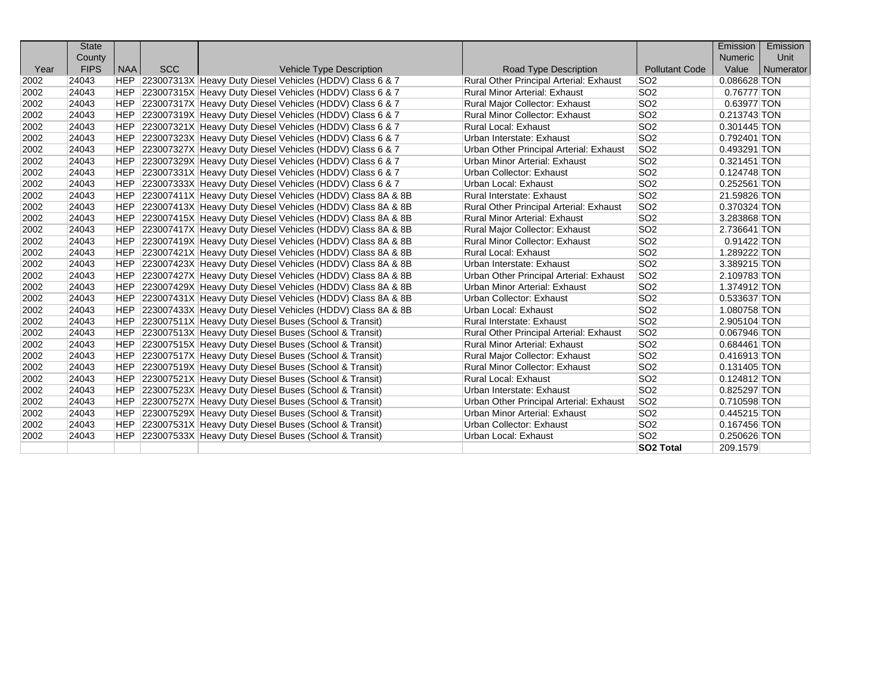|      | <b>State</b> |            |            |                                                                |                                         |                       | Emission       | Emission  |
|------|--------------|------------|------------|----------------------------------------------------------------|-----------------------------------------|-----------------------|----------------|-----------|
|      | County       |            |            |                                                                |                                         |                       | <b>Numeric</b> | Unit      |
| Year | <b>FIPS</b>  | <b>NAA</b> | <b>SCC</b> | <b>Vehicle Type Description</b>                                | <b>Road Type Description</b>            | <b>Pollutant Code</b> | Value          | Numerator |
| 2002 | 24043        |            |            | HEP 223007313X Heavy Duty Diesel Vehicles (HDDV) Class 6 & 7   | Rural Other Principal Arterial: Exhaust | SO <sub>2</sub>       | 0.086628 TON   |           |
| 2002 | 24043        |            |            | HEP 223007315X Heavy Duty Diesel Vehicles (HDDV) Class 6 & 7   | <b>Rural Minor Arterial: Exhaust</b>    | SO <sub>2</sub>       | 0.76777 TON    |           |
| 2002 | 24043        |            |            | HEP 223007317X Heavy Duty Diesel Vehicles (HDDV) Class 6 & 7   | Rural Major Collector: Exhaust          | SO <sub>2</sub>       | 0.63977 TON    |           |
| 2002 | 24043        |            |            | HEP 223007319X Heavy Duty Diesel Vehicles (HDDV) Class 6 & 7   | <b>Rural Minor Collector: Exhaust</b>   | SO <sub>2</sub>       | 0.213743 TON   |           |
| 2002 | 24043        |            |            | HEP 223007321X Heavy Duty Diesel Vehicles (HDDV) Class 6 & 7   | <b>Rural Local: Exhaust</b>             | SO <sub>2</sub>       | 0.301445 TON   |           |
| 2002 | 24043        | <b>HEP</b> |            | 223007323X Heavy Duty Diesel Vehicles (HDDV) Class 6 & 7       | Urban Interstate: Exhaust               | SO <sub>2</sub>       | 0.792401 TON   |           |
| 2002 | 24043        | <b>HEP</b> |            | 223007327X Heavy Duty Diesel Vehicles (HDDV) Class 6 & 7       | Urban Other Principal Arterial: Exhaust | SO <sub>2</sub>       | 0.493291 TON   |           |
| 2002 | 24043        | <b>HEP</b> |            | 223007329X Heavy Duty Diesel Vehicles (HDDV) Class 6 & 7       | Urban Minor Arterial: Exhaust           | SO <sub>2</sub>       | 0.321451 TON   |           |
| 2002 | 24043        | <b>HEP</b> |            | 223007331X Heavy Duty Diesel Vehicles (HDDV) Class 6 & 7       | Urban Collector: Exhaust                | SO <sub>2</sub>       | 0.124748 TON   |           |
| 2002 | 24043        | <b>HEP</b> |            | 223007333X Heavy Duty Diesel Vehicles (HDDV) Class 6 & 7       | Urban Local: Exhaust                    | SO <sub>2</sub>       | 0.252561 TON   |           |
| 2002 | 24043        | <b>HEP</b> |            | 223007411X Heavy Duty Diesel Vehicles (HDDV) Class 8A & 8B     | Rural Interstate: Exhaust               | SO <sub>2</sub>       | 21.59826 TON   |           |
| 2002 | 24043        | HEP.       |            | 223007413X Heavy Duty Diesel Vehicles (HDDV) Class 8A & 8B     | Rural Other Principal Arterial: Exhaust | SO <sub>2</sub>       | 0.370324 TON   |           |
| 2002 | 24043        | HEP        |            | 223007415X Heavy Duty Diesel Vehicles (HDDV) Class 8A & 8B     | <b>Rural Minor Arterial: Exhaust</b>    | SO <sub>2</sub>       | 3.283868 TON   |           |
| 2002 | 24043        | HEP        |            | 223007417X Heavy Duty Diesel Vehicles (HDDV) Class 8A & 8B     | Rural Major Collector: Exhaust          | SO <sub>2</sub>       | 2.736641 TON   |           |
| 2002 | 24043        | <b>HEP</b> |            | 223007419X Heavy Duty Diesel Vehicles (HDDV) Class 8A & 8B     | <b>Rural Minor Collector: Exhaust</b>   | SO <sub>2</sub>       | 0.91422 TON    |           |
| 2002 | 24043        | <b>HEP</b> |            | 223007421X Heavy Duty Diesel Vehicles (HDDV) Class 8A & 8B     | <b>Rural Local: Exhaust</b>             | SO <sub>2</sub>       | 1.289222 TON   |           |
| 2002 | 24043        | <b>HEP</b> |            | 223007423X Heavy Duty Diesel Vehicles (HDDV) Class 8A & 8B     | Urban Interstate: Exhaust               | SO <sub>2</sub>       | 3.389215 TON   |           |
| 2002 | 24043        | <b>HEP</b> |            | 223007427X Heavy Duty Diesel Vehicles (HDDV) Class 8A & 8B     | Urban Other Principal Arterial: Exhaust | SO <sub>2</sub>       | 2.109783 TON   |           |
| 2002 | 24043        |            |            | HEP 223007429X Heavy Duty Diesel Vehicles (HDDV) Class 8A & 8B | Urban Minor Arterial: Exhaust           | SO <sub>2</sub>       | 1.374912 TON   |           |
| 2002 | 24043        |            |            | HEP 223007431X Heavy Duty Diesel Vehicles (HDDV) Class 8A & 8B | Urban Collector: Exhaust                | SO <sub>2</sub>       | 0.533637 TON   |           |
| 2002 | 24043        | HEP.       |            | 223007433X Heavy Duty Diesel Vehicles (HDDV) Class 8A & 8B     | Urban Local: Exhaust                    | SO <sub>2</sub>       | 1.080758 TON   |           |
| 2002 | 24043        | HEP        |            | 223007511X Heavy Duty Diesel Buses (School & Transit)          | <b>Rural Interstate: Exhaust</b>        | SO <sub>2</sub>       | 2.905104 TON   |           |
| 2002 | 24043        | <b>HEP</b> |            | 223007513X Heavy Duty Diesel Buses (School & Transit)          | Rural Other Principal Arterial: Exhaust | SO <sub>2</sub>       | 0.067946 TON   |           |
| 2002 | 24043        | <b>HEP</b> |            | 223007515X Heavy Duty Diesel Buses (School & Transit)          | <b>Rural Minor Arterial: Exhaust</b>    | SO <sub>2</sub>       | 0.684461 TON   |           |
| 2002 | 24043        | <b>HEP</b> |            | 223007517X Heavy Duty Diesel Buses (School & Transit)          | Rural Major Collector: Exhaust          | SO <sub>2</sub>       | 0.416913 TON   |           |
| 2002 | 24043        | <b>HEP</b> |            | 223007519X Heavy Duty Diesel Buses (School & Transit)          | <b>Rural Minor Collector: Exhaust</b>   | SO <sub>2</sub>       | 0.131405 TON   |           |
| 2002 | 24043        | HEP        |            | 223007521X Heavy Duty Diesel Buses (School & Transit)          | <b>Rural Local: Exhaust</b>             | SO <sub>2</sub>       | 0.124812 TON   |           |
| 2002 | 24043        |            |            | HEP 223007523X Heavy Duty Diesel Buses (School & Transit)      | Urban Interstate: Exhaust               | SO <sub>2</sub>       | 0.825297 TON   |           |
| 2002 | 24043        |            |            | HEP 223007527X Heavy Duty Diesel Buses (School & Transit)      | Urban Other Principal Arterial: Exhaust | SO <sub>2</sub>       | 0.710598 TON   |           |
| 2002 | 24043        |            |            | HEP 223007529X Heavy Duty Diesel Buses (School & Transit)      | Urban Minor Arterial: Exhaust           | SO <sub>2</sub>       | 0.445215 TON   |           |
| 2002 | 24043        | <b>HEP</b> |            | 223007531X Heavy Duty Diesel Buses (School & Transit)          | Urban Collector: Exhaust                | SO <sub>2</sub>       | 0.167456 TON   |           |
| 2002 | 24043        | <b>HEP</b> |            | 223007533X Heavy Duty Diesel Buses (School & Transit)          | Urban Local: Exhaust                    | SO <sub>2</sub>       | 0.250626 TON   |           |
|      |              |            |            |                                                                |                                         | <b>SO2 Total</b>      | 209.1579       |           |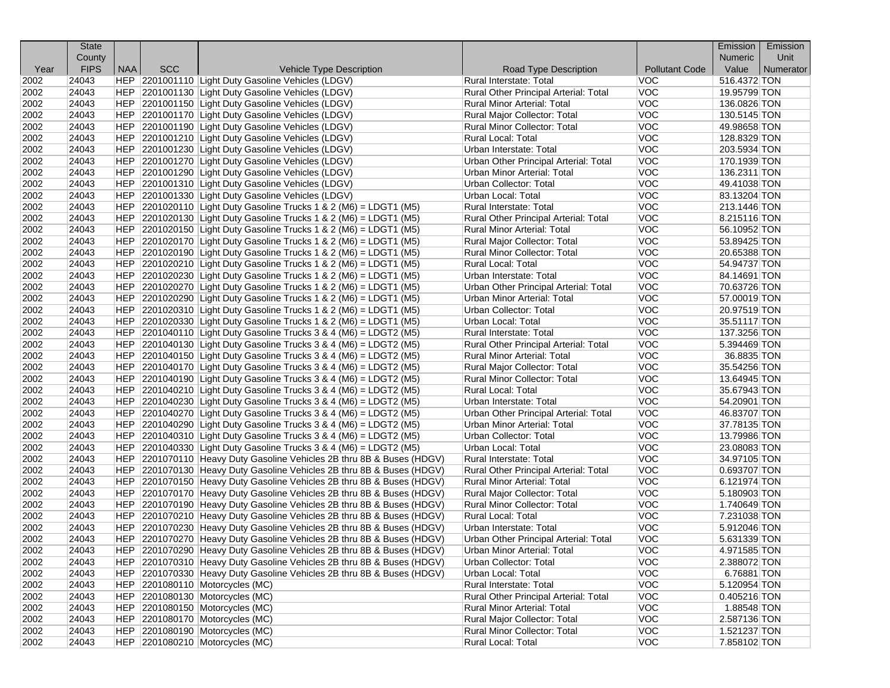|      | <b>State</b>   |            |            |                                                                                                                                                |                                                                             |                          | Emission                     | Emission  |
|------|----------------|------------|------------|------------------------------------------------------------------------------------------------------------------------------------------------|-----------------------------------------------------------------------------|--------------------------|------------------------------|-----------|
|      | County         |            |            |                                                                                                                                                |                                                                             |                          | <b>Numeric</b>               | Unit      |
| Year | <b>FIPS</b>    | <b>NAA</b> | <b>SCC</b> | Vehicle Type Description                                                                                                                       | Road Type Description                                                       | <b>Pollutant Code</b>    | Value                        | Numerator |
| 2002 | 24043          |            |            | HEP 2201001110 Light Duty Gasoline Vehicles (LDGV)                                                                                             | Rural Interstate: Total                                                     | VOC                      | 516.4372 TON                 |           |
| 2002 | 24043          |            |            | HEP 2201001130 Light Duty Gasoline Vehicles (LDGV)                                                                                             | Rural Other Principal Arterial: Total                                       | <b>VOC</b>               | 19.95799 TON                 |           |
| 2002 | 24043          |            |            | HEP 2201001150 Light Duty Gasoline Vehicles (LDGV)                                                                                             | Rural Minor Arterial: Total                                                 | <b>VOC</b>               | 136.0826 TON                 |           |
| 2002 | 24043          |            |            | HEP 2201001170 Light Duty Gasoline Vehicles (LDGV)                                                                                             | Rural Major Collector: Total                                                | <b>VOC</b>               | 130.5145 TON                 |           |
| 2002 | 24043          |            |            | HEP 2201001190 Light Duty Gasoline Vehicles (LDGV)                                                                                             | Rural Minor Collector: Total                                                | <b>VOC</b>               | 49.98658 TON                 |           |
| 2002 | 24043          |            |            | HEP 2201001210 Light Duty Gasoline Vehicles (LDGV)                                                                                             | Rural Local: Total                                                          | <b>VOC</b>               | 128.8329 TON                 |           |
| 2002 | 24043          |            |            | HEP 2201001230 Light Duty Gasoline Vehicles (LDGV)                                                                                             | Urban Interstate: Total                                                     | <b>VOC</b>               | 203.5934 TON                 |           |
| 2002 | 24043          |            |            | HEP 2201001270 Light Duty Gasoline Vehicles (LDGV)                                                                                             | Urban Other Principal Arterial: Total                                       | <b>VOC</b>               | 170.1939 TON                 |           |
| 2002 | 24043          |            |            | HEP 2201001290 Light Duty Gasoline Vehicles (LDGV)                                                                                             | Urban Minor Arterial: Total                                                 | <b>VOC</b>               | 136.2311 TON                 |           |
| 2002 | 24043          |            |            | HEP 2201001310 Light Duty Gasoline Vehicles (LDGV)                                                                                             | Urban Collector: Total                                                      | <b>VOC</b>               | 49.41038 TON                 |           |
| 2002 | 24043          |            |            | HEP 2201001330 Light Duty Gasoline Vehicles (LDGV)                                                                                             | Urban Local: Total                                                          | <b>VOC</b>               | 83.13204 TON                 |           |
| 2002 | 24043          |            |            | $ HEP $ 2201020110 Light Duty Gasoline Trucks 1 & 2 (M6) = LDGT1 (M5)                                                                          | Rural Interstate: Total                                                     | <b>VOC</b>               | 213.1446 TON                 |           |
| 2002 | 24043          |            |            | $ HEP $ 2201020130 Light Duty Gasoline Trucks 1 & 2 (M6) = LDGT1 (M5)                                                                          | Rural Other Principal Arterial: Total                                       | <b>VOC</b>               | 8.215116 TON                 |           |
| 2002 | 24043          |            |            | $ HEP $ 2201020150 Light Duty Gasoline Trucks 1 & 2 (M6) = LDGT1 (M5)                                                                          | Rural Minor Arterial: Total                                                 | <b>VOC</b>               | 56.10952 TON                 |           |
| 2002 | 24043          |            |            | HEP   2201020170   Light Duty Gasoline Trucks 1 & 2 (M6) = LDGT1 (M5)                                                                          | Rural Major Collector: Total                                                | <b>VOC</b>               | 53.89425 TON                 |           |
| 2002 | 24043          |            |            | $ HEP $ 2201020190 Light Duty Gasoline Trucks 1 & 2 (M6) = LDGT1 (M5)                                                                          | <b>Rural Minor Collector: Total</b>                                         | <b>VOC</b>               | 20.65388 TON                 |           |
| 2002 | 24043          |            |            | HEP $ 2201020210 $ Light Duty Gasoline Trucks 1 & 2 (M6) = LDGT1 (M5)                                                                          | <b>Rural Local: Total</b>                                                   | <b>VOC</b>               | 54.94737 TON                 |           |
| 2002 | 24043          |            |            | $ HEP $ 2201020230 Light Duty Gasoline Trucks 1 & 2 (M6) = LDGT1 (M5)                                                                          | Urban Interstate: Total                                                     | <b>VOC</b>               | 84.14691 TON                 |           |
| 2002 | 24043          |            |            | $ HEP 2201020270 $ Light Duty Gasoline Trucks 1 & 2 (M6) = LDGT1 (M5)                                                                          | Urban Other Principal Arterial: Total                                       | <b>VOC</b>               | 70.63726 TON                 |           |
| 2002 | 24043          |            |            | $ HEP $ 2201020290 Light Duty Gasoline Trucks 1 & 2 (M6) = LDGT1 (M5)                                                                          | Urban Minor Arterial: Total                                                 | <b>VOC</b>               | 57.00019 TON                 |           |
| 2002 | 24043          |            |            | $ HEP $ 2201020310 Light Duty Gasoline Trucks 1 & 2 (M6) = LDGT1 (M5)                                                                          | Urban Collector: Total                                                      | <b>VOC</b>               | 20.97519 TON                 |           |
| 2002 | 24043          |            |            | HEP 2201020330 Light Duty Gasoline Trucks 1 & 2 (M6) = LDGT1 (M5)                                                                              | Urban Local: Total                                                          | <b>VOC</b>               | 35.51117 TON                 |           |
| 2002 | 24043          |            |            | $ HEP $ 2201040110 Light Duty Gasoline Trucks 3 & 4 (M6) = LDGT2 (M5)                                                                          | Rural Interstate: Total                                                     | <b>VOC</b>               | 137.3256 TON                 |           |
| 2002 | 24043          |            |            | $ HEP $ 2201040130 Light Duty Gasoline Trucks 3 & 4 (M6) = LDGT2 (M5)                                                                          | Rural Other Principal Arterial: Total                                       | <b>VOC</b>               | 5.394469 TON                 |           |
| 2002 | 24043          |            |            | HEP $ 2201040150 $ Light Duty Gasoline Trucks 3 & 4 (M6) = LDGT2 (M5)                                                                          | Rural Minor Arterial: Total                                                 | <b>VOC</b>               | 36.8835 TON                  |           |
| 2002 | 24043          |            |            | $ HEP 2201040170 $ Light Duty Gasoline Trucks 3 & 4 (M6) = LDGT2 (M5)                                                                          | Rural Major Collector: Total                                                | <b>VOC</b>               | 35.54256 TON                 |           |
| 2002 | 24043          |            |            | $ HEP $ 2201040190 Light Duty Gasoline Trucks 3 & 4 (M6) = LDGT2 (M5)                                                                          | Rural Minor Collector: Total                                                | <b>VOC</b>               | 13.64945 TON                 |           |
| 2002 | 24043          |            |            | $ HEP $ 2201040210 Light Duty Gasoline Trucks 3 & 4 (M6) = LDGT2 (M5)                                                                          | Rural Local: Total                                                          | <b>VOC</b>               | 35.67943 TON                 |           |
| 2002 | 24043          |            |            | $ HEP $ 2201040230 Light Duty Gasoline Trucks 3 & 4 (M6) = LDGT2 (M5)                                                                          | Urban Interstate: Total                                                     | <b>VOC</b>               | 54.20901 TON                 |           |
| 2002 | 24043          |            |            | $ HEP $ 2201040270 Light Duty Gasoline Trucks 3 & 4 (M6) = LDGT2 (M5)                                                                          | Urban Other Principal Arterial: Total                                       | <b>VOC</b>               | 46.83707 TON                 |           |
| 2002 | 24043          |            |            | $ HEP $ 2201040290 Light Duty Gasoline Trucks 3 & 4 (M6) = LDGT2 (M5)                                                                          | Urban Minor Arterial: Total                                                 | <b>VOC</b>               | 37.78135 TON                 |           |
| 2002 | 24043          |            |            | $ HEP $ 2201040310 Light Duty Gasoline Trucks 3 & 4 (M6) = LDGT2 (M5)                                                                          | Urban Collector: Total                                                      | <b>VOC</b>               | 13.79986 TON                 |           |
| 2002 | 24043          |            |            | $ HEP $ 2201040330 Light Duty Gasoline Trucks 3 & 4 (M6) = LDGT2 (M5)                                                                          | Urban Local: Total                                                          | <b>VOC</b>               | 23.08083 TON                 |           |
| 2002 | 24043          |            |            | HEP 2201070110 Heavy Duty Gasoline Vehicles 2B thru 8B & Buses (HDGV)                                                                          | Rural Interstate: Total                                                     | <b>VOC</b>               | 34.97105 TON                 |           |
| 2002 | 24043          |            |            | HEP 2201070130 Heavy Duty Gasoline Vehicles 2B thru 8B & Buses (HDGV)                                                                          | Rural Other Principal Arterial: Total                                       | <b>VOC</b>               | 0.693707 TON                 |           |
| 2002 | 24043          |            |            | HEP 2201070150 Heavy Duty Gasoline Vehicles 2B thru 8B & Buses (HDGV)                                                                          | <b>Rural Minor Arterial: Total</b>                                          | <b>VOC</b>               | 6.121974 TON                 |           |
| 2002 | 24043          |            |            | HEP 2201070170 Heavy Duty Gasoline Vehicles 2B thru 8B & Buses (HDGV)                                                                          | Rural Major Collector: Total                                                | <b>VOC</b>               | 5.180903 TON                 |           |
| 2002 | 24043          |            |            | HEP 2201070190 Heavy Duty Gasoline Vehicles 2B thru 8B & Buses (HDGV)                                                                          | Rural Minor Collector: Total                                                | <b>VOC</b>               | 1.740649 TON                 |           |
| 2002 | 24043          |            |            | HEP 2201070210 Heavy Duty Gasoline Vehicles 2B thru 8B & Buses (HDGV)                                                                          | Rural Local: Total                                                          | <b>VOC</b>               | 7.231038 TON                 |           |
| 2002 | 24043          |            |            | HEP 2201070230 Heavy Duty Gasoline Vehicles 2B thru 8B & Buses (HDGV)                                                                          | Urban Interstate: Total                                                     | <b>VOC</b>               | 5.912046 TON                 |           |
| 2002 |                |            |            |                                                                                                                                                |                                                                             | <b>VOC</b>               | 5.631339 TON                 |           |
| 2002 | 24043<br>24043 |            |            | HEP 2201070270 Heavy Duty Gasoline Vehicles 2B thru 8B & Buses (HDGV)<br>HEP 2201070290 Heavy Duty Gasoline Vehicles 2B thru 8B & Buses (HDGV) | Urban Other Principal Arterial: Total<br><b>Urban Minor Arterial: Total</b> | <b>VOC</b>               | 4.971585 TON                 |           |
| 2002 | 24043          |            |            |                                                                                                                                                | Urban Collector: Total                                                      | <b>VOC</b>               | 2.388072 TON                 |           |
| 2002 | 24043          |            |            | HEP 2201070310 Heavy Duty Gasoline Vehicles 2B thru 8B & Buses (HDGV)<br>HEP 2201070330 Heavy Duty Gasoline Vehicles 2B thru 8B & Buses (HDGV) | Urban Local: Total                                                          | <b>VOC</b>               | 6.76881 TON                  |           |
|      | 24043          |            |            |                                                                                                                                                | Rural Interstate: Total                                                     | <b>VOC</b>               |                              |           |
| 2002 |                |            |            | HEP 2201080110 Motorcycles (MC)                                                                                                                |                                                                             | <b>VOC</b>               | 5.120954 TON                 |           |
| 2002 | 24043          |            |            | HEP 2201080130 Motorcycles (MC)                                                                                                                | Rural Other Principal Arterial: Total                                       |                          | 0.405216 TON<br>1.88548 TON  |           |
| 2002 | 24043          |            |            | HEP 2201080150 Motorcycles (MC)                                                                                                                | Rural Minor Arterial: Total<br><b>Rural Major Collector: Total</b>          | <b>VOC</b>               |                              |           |
| 2002 | 24043          |            |            | HEP 2201080170 Motorcycles (MC)                                                                                                                |                                                                             | <b>VOC</b>               | 2.587136 TON                 |           |
| 2002 | 24043          |            |            | HEP 2201080190 Motorcycles (MC)                                                                                                                | Rural Minor Collector: Total                                                | <b>VOC</b><br><b>VOC</b> | 1.521237 TON<br>7.858102 TON |           |
| 2002 | 24043          |            |            | HEP   2201080210   Motorcycles (MC)                                                                                                            | Rural Local: Total                                                          |                          |                              |           |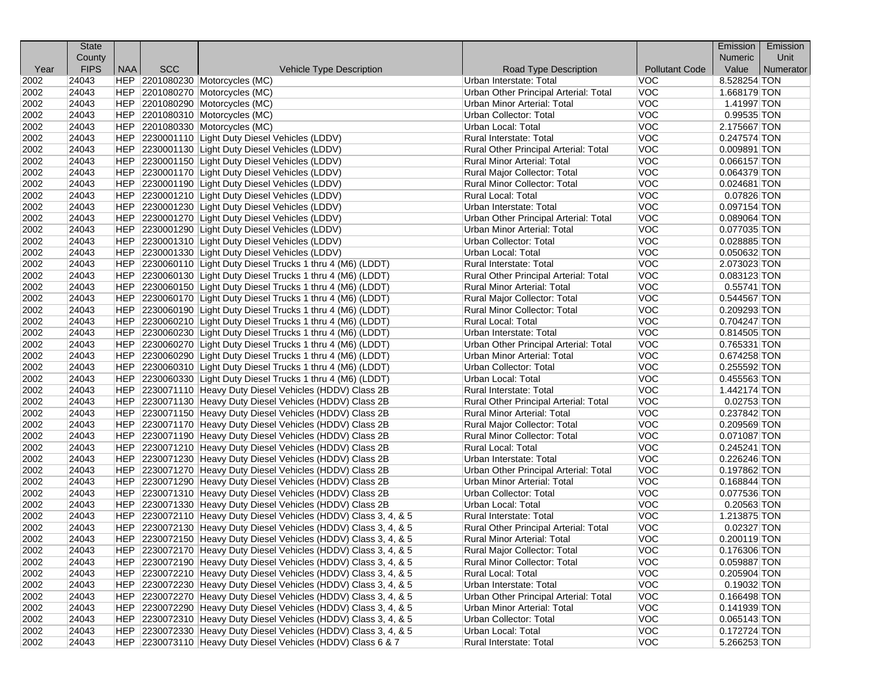|      | <b>State</b> |            |            |                                                                  |                                                                      |                       | Emission                  | Emission  |
|------|--------------|------------|------------|------------------------------------------------------------------|----------------------------------------------------------------------|-----------------------|---------------------------|-----------|
|      | County       |            |            |                                                                  |                                                                      |                       | <b>Numeric</b>            | Unit      |
| Year | <b>FIPS</b>  | <b>NAA</b> | <b>SCC</b> | Vehicle Type Description                                         | Road Type Description                                                | <b>Pollutant Code</b> | Value                     | Numerator |
| 2002 | 24043        |            |            | HEP 2201080230 Motorcycles (MC)                                  | Urban Interstate: Total                                              | VOC                   | 8.528254 TON              |           |
| 2002 | 24043        |            |            | HEP 2201080270 Motorcycles (MC)                                  | Urban Other Principal Arterial: Total                                | <b>VOC</b>            | 1.668179 TON              |           |
| 2002 | 24043        |            |            | HEP 2201080290 Motorcycles (MC)                                  | Urban Minor Arterial: Total                                          | <b>VOC</b>            | 1.41997 TON               |           |
| 2002 | 24043        |            |            | HEP 2201080310 Motorcycles (MC)                                  | Urban Collector: Total                                               | <b>VOC</b>            | 0.99535 TON               |           |
| 2002 | 24043        |            |            | HEP 2201080330 Motorcycles (MC)                                  | Urban Local: Total                                                   | <b>VOC</b>            | 2.175667 TON              |           |
| 2002 | 24043        |            |            | HEP 2230001110 Light Duty Diesel Vehicles (LDDV)                 | Rural Interstate: Total                                              | <b>VOC</b>            | $0.247574$ TON            |           |
| 2002 | 24043        |            |            | HEP 2230001130 Light Duty Diesel Vehicles (LDDV)                 | Rural Other Principal Arterial: Total                                | <b>VOC</b>            | 0.009891 TON              |           |
| 2002 | 24043        |            |            | HEP 2230001150 Light Duty Diesel Vehicles (LDDV)                 | Rural Minor Arterial: Total                                          | <b>VOC</b>            | 0.066157 TON              |           |
| 2002 | 24043        |            |            | HEP 2230001170 Light Duty Diesel Vehicles (LDDV)                 | Rural Major Collector: Total                                         | <b>VOC</b>            | 0.064379 TON              |           |
| 2002 | 24043        |            |            | HEP 2230001190 Light Duty Diesel Vehicles (LDDV)                 | <b>Rural Minor Collector: Total</b>                                  | <b>VOC</b>            | $0.024681$ TON            |           |
| 2002 | 24043        |            |            | HEP 2230001210 Light Duty Diesel Vehicles (LDDV)                 | <b>Rural Local: Total</b>                                            | <b>VOC</b>            | $\overline{0.07826}$ TON  |           |
| 2002 | 24043        |            |            | HEP 2230001230 Light Duty Diesel Vehicles (LDDV)                 | Urban Interstate: Total                                              | <b>VOC</b>            | 0.097154 TON              |           |
| 2002 | 24043        |            |            | HEP 2230001270 Light Duty Diesel Vehicles (LDDV)                 | Urban Other Principal Arterial: Total                                | <b>VOC</b>            | $0.089064$ TON            |           |
| 2002 | 24043        |            |            | HEP 2230001290 Light Duty Diesel Vehicles (LDDV)                 | Urban Minor Arterial: Total                                          | <b>VOC</b>            | $0.077035$ TON            |           |
| 2002 | 24043        |            |            | HEP 2230001310 Light Duty Diesel Vehicles (LDDV)                 | Urban Collector: Total                                               | <b>VOC</b>            | 0.028885 TON              |           |
| 2002 | 24043        |            |            | HEP 2230001330 Light Duty Diesel Vehicles (LDDV)                 | Urban Local: Total                                                   | <b>VOC</b>            | 0.050632 TON              |           |
| 2002 | 24043        |            |            | HEP 2230060110 Light Duty Diesel Trucks 1 thru 4 (M6) (LDDT)     | Rural Interstate: Total                                              | <b>VOC</b>            | 2.073023 TON              |           |
| 2002 | 24043        |            |            | HEP 2230060130 Light Duty Diesel Trucks 1 thru 4 (M6) (LDDT)     | Rural Other Principal Arterial: Total                                | <b>VOC</b>            | 0.083123 TON              |           |
| 2002 | 24043        |            |            | HEP 2230060150 Light Duty Diesel Trucks 1 thru 4 (M6) (LDDT)     | <b>Rural Minor Arterial: Total</b>                                   | <b>VOC</b>            | $0.55741$ TON             |           |
| 2002 | 24043        |            |            | HEP 2230060170 Light Duty Diesel Trucks 1 thru 4 (M6) (LDDT)     | Rural Major Collector: Total                                         | <b>VOC</b>            | 0.544567 TON              |           |
| 2002 | 24043        |            |            | HEP 2230060190 Light Duty Diesel Trucks 1 thru 4 (M6) (LDDT)     | Rural Minor Collector: Total                                         | <b>VOC</b>            | 0.209293 TON              |           |
| 2002 | 24043        |            |            | HEP 2230060210 Light Duty Diesel Trucks 1 thru 4 (M6) (LDDT)     | Rural Local: Total                                                   | <b>VOC</b>            | $\overline{0.704247}$ TON |           |
| 2002 | 24043        |            |            | HEP 2230060230 Light Duty Diesel Trucks 1 thru 4 (M6) (LDDT)     | Urban Interstate: Total                                              | <b>VOC</b>            | $0.814505$ TON            |           |
| 2002 | 24043        |            |            | HEP 2230060270 Light Duty Diesel Trucks 1 thru 4 (M6) (LDDT)     | Urban Other Principal Arterial: Total                                | <b>VOC</b>            | 0.765331 TON              |           |
| 2002 | 24043        |            |            | HEP 2230060290 Light Duty Diesel Trucks 1 thru 4 (M6) (LDDT)     | Urban Minor Arterial: Total                                          | <b>VOC</b>            | 0.674258 TON              |           |
| 2002 | 24043        |            |            | HEP 2230060310 Light Duty Diesel Trucks 1 thru 4 (M6) (LDDT)     | Urban Collector: Total                                               | <b>VOC</b>            | 0.255592 TON              |           |
| 2002 | 24043        |            |            | HEP 2230060330 Light Duty Diesel Trucks 1 thru 4 (M6) (LDDT)     | Urban Local: Total                                                   | <b>VOC</b>            | 0.455563 TON              |           |
| 2002 | 24043        |            |            | HEP 2230071110 Heavy Duty Diesel Vehicles (HDDV) Class 2B        | Rural Interstate: Total                                              | <b>VOC</b>            | 1.442174 TON              |           |
| 2002 | 24043        |            |            | HEP 2230071130 Heavy Duty Diesel Vehicles (HDDV) Class 2B        | Rural Other Principal Arterial: Total                                | <b>VOC</b>            | $0.02753$ TON             |           |
| 2002 | 24043        |            |            | HEP 2230071150 Heavy Duty Diesel Vehicles (HDDV) Class 2B        | Rural Minor Arterial: Total                                          | <b>VOC</b>            | 0.237842 TON              |           |
| 2002 | 24043        |            |            | HEP 2230071170 Heavy Duty Diesel Vehicles (HDDV) Class 2B        | Rural Major Collector: Total                                         | <b>VOC</b>            | 0.209569 TON              |           |
| 2002 | 24043        |            |            | HEP 2230071190 Heavy Duty Diesel Vehicles (HDDV) Class 2B        | Rural Minor Collector: Total                                         | <b>VOC</b>            | 0.071087 TON              |           |
| 2002 | 24043        |            |            | HEP 2230071210 Heavy Duty Diesel Vehicles (HDDV) Class 2B        | Rural Local: Total                                                   | <b>VOC</b>            | $0.245241$ TON            |           |
| 2002 | 24043        |            |            | HEP 2230071230 Heavy Duty Diesel Vehicles (HDDV) Class 2B        | Urban Interstate: Total                                              | <b>VOC</b>            | 0.226246 TON              |           |
| 2002 | 24043        |            |            | HEP 2230071270 Heavy Duty Diesel Vehicles (HDDV) Class 2B        | Urban Other Principal Arterial: Total                                | <b>VOC</b>            | 0.197862 TON              |           |
| 2002 | 24043        |            |            | HEP 2230071290 Heavy Duty Diesel Vehicles (HDDV) Class 2B        | Urban Minor Arterial: Total                                          | <b>VOC</b>            | 0.168844 TON              |           |
| 2002 | 24043        |            |            | HEP 2230071310 Heavy Duty Diesel Vehicles (HDDV) Class 2B        | Urban Collector: Total                                               | <b>VOC</b>            | 0.077536 TON              |           |
| 2002 | 24043        |            |            | HEP 2230071330 Heavy Duty Diesel Vehicles (HDDV) Class 2B        | Urban Local: Total                                                   | <b>VOC</b>            | 0.20563 TON               |           |
| 2002 | 24043        |            |            | HEP 2230072110 Heavy Duty Diesel Vehicles (HDDV) Class 3, 4, & 5 | Rural Interstate: Total                                              | <b>VOC</b>            | 1.213875 TON              |           |
| 2002 | 24043        |            |            | HEP 2230072130 Heavy Duty Diesel Vehicles (HDDV) Class 3, 4, & 5 | Rural Other Principal Arterial: Total                                | <b>VOC</b>            | 0.02327 TON               |           |
| 2002 | 24043        |            |            | HEP 2230072150 Heavy Duty Diesel Vehicles (HDDV) Class 3, 4, & 5 | <b>Rural Minor Arterial: Total</b>                                   | <b>VOC</b>            | 0.200119 TON              |           |
| 2002 | 24043        |            |            | HEP 2230072170 Heavy Duty Diesel Vehicles (HDDV) Class 3, 4, & 5 | Rural Major Collector: Total                                         | <b>VOC</b>            | 0.176306 TON              |           |
| 2002 | 24043        |            |            | HEP 2230072190 Heavy Duty Diesel Vehicles (HDDV) Class 3, 4, & 5 | Rural Minor Collector: Total                                         | <b>VOC</b>            | 0.059887 TON              |           |
| 2002 | 24043        |            |            | HEP 2230072210 Heavy Duty Diesel Vehicles (HDDV) Class 3, 4, & 5 | <b>Rural Local: Total</b>                                            | <b>VOC</b>            | 0.205904 TON              |           |
| 2002 | 24043        |            |            | HEP 2230072230 Heavy Duty Diesel Vehicles (HDDV) Class 3, 4, & 5 | Urban Interstate: Total                                              | <b>VOC</b>            | $0.19032$ TON             |           |
| 2002 | 24043        |            |            | HEP 2230072270 Heavy Duty Diesel Vehicles (HDDV) Class 3, 4, & 5 |                                                                      | <b>VOC</b>            | 0.166498 TON              |           |
| 2002 | 24043        |            |            | HEP 2230072290 Heavy Duty Diesel Vehicles (HDDV) Class 3, 4, & 5 | Urban Other Principal Arterial: Total<br>Urban Minor Arterial: Total | <b>VOC</b>            | 0.141939 TON              |           |
| 2002 | 24043        |            |            | HEP 2230072310 Heavy Duty Diesel Vehicles (HDDV) Class 3, 4, & 5 | Urban Collector: Total                                               | <b>VOC</b>            | $0.065143$ TON            |           |
| 2002 | 24043        |            |            | HEP 2230072330 Heavy Duty Diesel Vehicles (HDDV) Class 3, 4, & 5 | Urban Local: Total                                                   | <b>VOC</b>            | 0.172724 TON              |           |
| 2002 | 24043        |            |            | HEP 2230073110 Heavy Duty Diesel Vehicles (HDDV) Class 6 & 7     | Rural Interstate: Total                                              | <b>VOC</b>            | 5.266253 TON              |           |
|      |              |            |            |                                                                  |                                                                      |                       |                           |           |